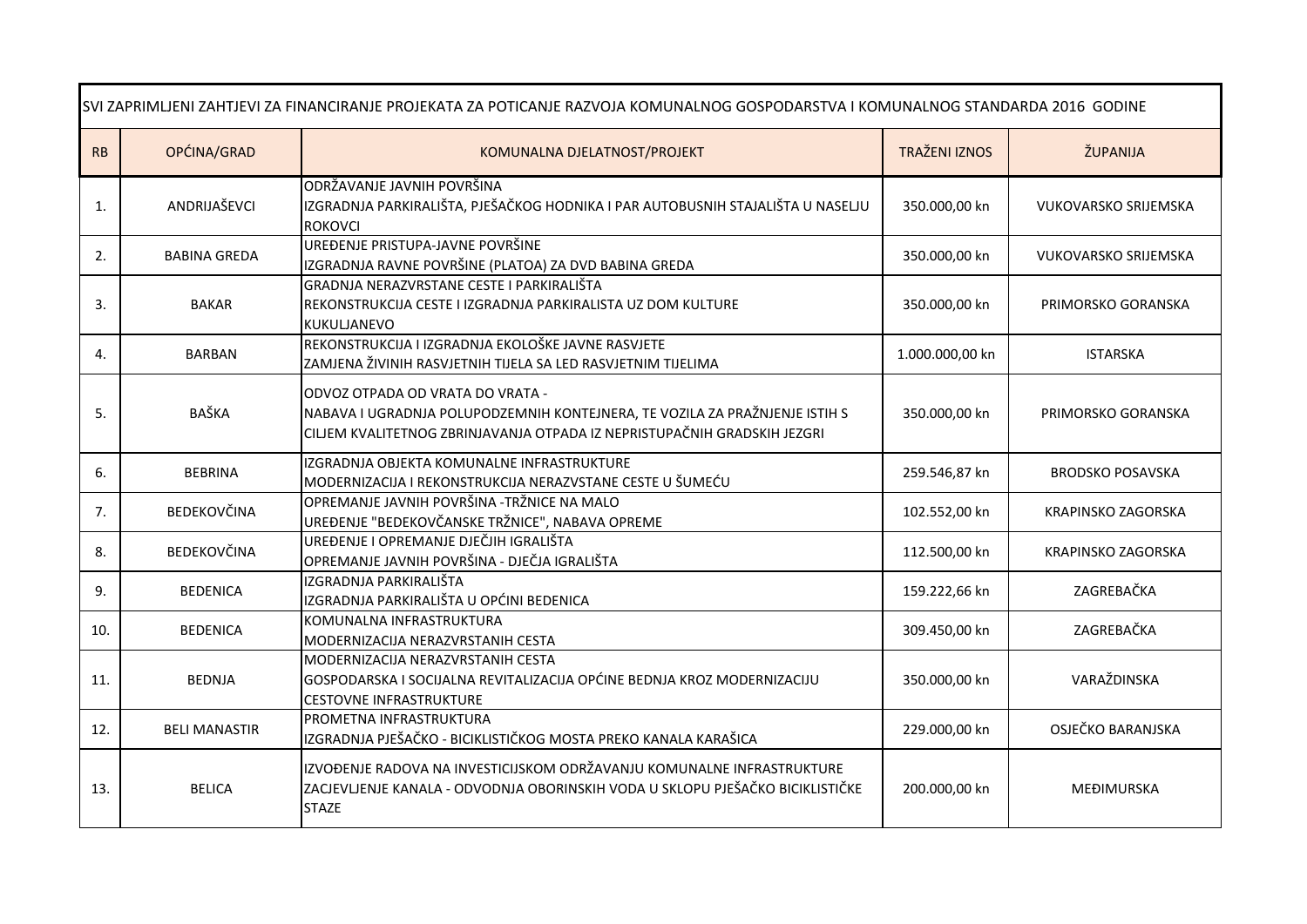| SVI ZAPRIMLJENI ZAHTJEVI ZA FINANCIRANJE PROJEKATA ZA POTICANJE RAZVOJA KOMUNALNOG GOSPODARSTVA I KOMUNALNOG STANDARDA 2016 GODINE |                      |                                                                                                                                                                                             |                      |                             |
|------------------------------------------------------------------------------------------------------------------------------------|----------------------|---------------------------------------------------------------------------------------------------------------------------------------------------------------------------------------------|----------------------|-----------------------------|
| RB                                                                                                                                 | OPĆINA/GRAD          | KOMUNALNA DJELATNOST/PROJEKT                                                                                                                                                                | <b>TRAŽENI IZNOS</b> | ŽUPANIJA                    |
| 1.                                                                                                                                 | ANDRIJAŠEVCI         | ODRŽAVANJE JAVNIH POVRŠINA<br>IZGRADNJA PARKIRALIŠTA, PJEŠAČKOG HODNIKA I PAR AUTOBUSNIH STAJALIŠTA U NASELJU<br><b>ROKOVCI</b>                                                             | 350.000,00 kn        | <b>VUKOVARSKO SRIJEMSKA</b> |
| 2.                                                                                                                                 | <b>BABINA GREDA</b>  | UREĐENJE PRISTUPA-JAVNE POVRŠINE<br>IZGRADNJA RAVNE POVRŠINE (PLATOA) ZA DVD BABINA GREDA                                                                                                   | 350.000,00 kn        | VUKOVARSKO SRIJEMSKA        |
| 3.                                                                                                                                 | <b>BAKAR</b>         | GRADNJA NERAZVRSTANE CESTE I PARKIRALIŠTA<br>REKONSTRUKCIJA CESTE I IZGRADNJA PARKIRALISTA UZ DOM KULTURE<br>KUKULJANEVO                                                                    | 350.000,00 kn        | PRIMORSKO GORANSKA          |
| 4.                                                                                                                                 | <b>BARBAN</b>        | REKONSTRUKCIJA I IZGRADNJA EKOLOŠKE JAVNE RASVJETE<br>ZAMJENA ŽIVINIH RASVJETNIH TIJELA SA LED RASVJETNIM TIJELIMA                                                                          | 1.000.000,00 kn      | <b>ISTARSKA</b>             |
| 5.                                                                                                                                 | BAŠKA                | ODVOZ OTPADA OD VRATA DO VRATA -<br>NABAVA I UGRADNJA POLUPODZEMNIH KONTEJNERA, TE VOZILA ZA PRAŽNJENJE ISTIH S<br>CILJEM KVALITETNOG ZBRINJAVANJA OTPADA IZ NEPRISTUPAČNIH GRADSKIH JEZGRI | 350.000,00 kn        | PRIMORSKO GORANSKA          |
| 6.                                                                                                                                 | <b>BEBRINA</b>       | IZGRADNJA OBJEKTA KOMUNALNE INFRASTRUKTURE<br>MODERNIZACIJA I REKONSTRUKCIJA NERAZVSTANE CESTE U ŠUMEĆU                                                                                     | 259.546,87 kn        | <b>BRODSKO POSAVSKA</b>     |
| 7.                                                                                                                                 | BEDEKOVČINA          | OPREMANJE JAVNIH POVRŠINA -TRŽNICE NA MALO<br>UREĐENJE "BEDEKOVČANSKE TRŽNICE", NABAVA OPREME                                                                                               | 102.552,00 kn        | KRAPINSKO ZAGORSKA          |
| 8.                                                                                                                                 | BEDEKOVČINA          | UREĐENJE I OPREMANJE DJEČJIH IGRALIŠTA<br>OPREMANJE JAVNIH POVRŠINA - DJEČJA IGRALIŠTA                                                                                                      | 112.500,00 kn        | KRAPINSKO ZAGORSKA          |
| 9.                                                                                                                                 | <b>BEDENICA</b>      | IZGRADNJA PARKIRALIŠTA<br>IZGRADNJA PARKIRALIŠTA U OPĆINI BEDENICA                                                                                                                          | 159.222,66 kn        | ZAGREBAČKA                  |
| 10.                                                                                                                                | <b>BEDENICA</b>      | KOMUNALNA INFRASTRUKTURA<br>MODERNIZACIJA NERAZVRSTANIH CESTA                                                                                                                               | 309.450,00 kn        | ZAGREBAČKA                  |
| 11.                                                                                                                                | <b>BEDNJA</b>        | MODERNIZACIJA NERAZVRSTANIH CESTA<br>GOSPODARSKA I SOCIJALNA REVITALIZACIJA OPĆINE BEDNJA KROZ MODERNIZACIJU<br><b>CESTOVNE INFRASTRUKTURE</b>                                              | 350.000,00 kn        | VARAŽDINSKA                 |
| 12.                                                                                                                                | <b>BELI MANASTIR</b> | PROMETNA INFRASTRUKTURA<br>IZGRADNJA PJEŠAČKO - BICIKLISTIČKOG MOSTA PREKO KANALA KARAŠICA                                                                                                  | 229.000,00 kn        | OSJEČKO BARANJSKA           |
| 13.                                                                                                                                | <b>BELICA</b>        | IZVOĐENJE RADOVA NA INVESTICIJSKOM ODRŽAVANJU KOMUNALNE INFRASTRUKTURE<br>ZACJEVLJENJE KANALA - ODVODNJA OBORINSKIH VODA U SKLOPU PJEŠAČKO BICIKLISTIČKE<br><b>STAZE</b>                    | 200.000,00 kn        | <b>MEĐIMURSKA</b>           |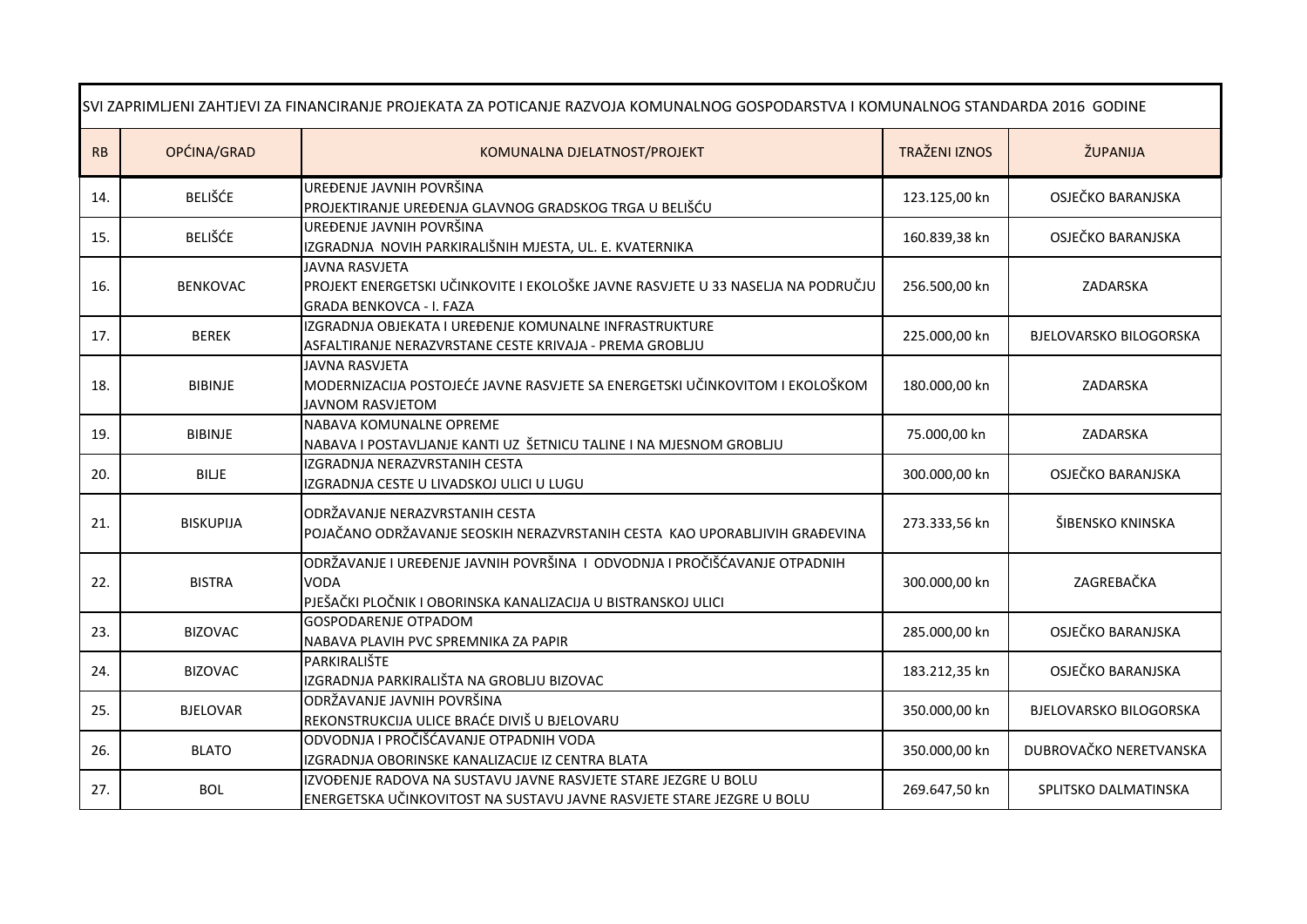| SVI ZAPRIMLJENI ZAHTJEVI ZA FINANCIRANJE PROJEKATA ZA POTICANJE RAZVOJA KOMUNALNOG GOSPODARSTVA I KOMUNALNOG STANDARDA 2016 GODINE |                  |                                                                                                                                                           |                      |                               |
|------------------------------------------------------------------------------------------------------------------------------------|------------------|-----------------------------------------------------------------------------------------------------------------------------------------------------------|----------------------|-------------------------------|
| RB                                                                                                                                 | OPĆINA/GRAD      | KOMUNALNA DJELATNOST/PROJEKT                                                                                                                              | <b>TRAŽENI IZNOS</b> | ŽUPANIJA                      |
| 14.                                                                                                                                | <b>BELIŠĆE</b>   | UREĐENJE JAVNIH POVRŠINA<br>PROJEKTIRANJE UREĐENJA GLAVNOG GRADSKOG TRGA U BELIŠĆU                                                                        | 123.125,00 kn        | OSJEČKO BARANJSKA             |
| 15.                                                                                                                                | <b>BELIŠĆE</b>   | UREĐENJE JAVNIH POVRŠINA<br>IZGRADNJA NOVIH PARKIRALIŠNIH MJESTA, UL. E. KVATERNIKA                                                                       | 160.839,38 kn        | OSJEČKO BARANJSKA             |
| 16.                                                                                                                                | <b>BENKOVAC</b>  | <b>JAVNA RASVJETA</b><br>PROJEKT ENERGETSKI UČINKOVITE I EKOLOŠKE JAVNE RASVJETE U 33 NASELJA NA PODRUČJU<br><b>GRADA BENKOVCA - I. FAZA</b>              | 256.500,00 kn        | ZADARSKA                      |
| 17.                                                                                                                                | <b>BEREK</b>     | IZGRADNJA OBJEKATA I UREĐENJE KOMUNALNE INFRASTRUKTURE<br>ASFALTIRANJE NERAZVRSTANE CESTE KRIVAJA - PREMA GROBLJU                                         | 225.000,00 kn        | BJELOVARSKO BILOGORSKA        |
| 18.                                                                                                                                | <b>BIBINJE</b>   | <b>JAVNA RASVJETA</b><br>MODERNIZACIJA POSTOJEĆE JAVNE RASVJETE SA ENERGETSKI UČINKOVITOM I EKOLOŠKOM<br><b>JAVNOM RASVJETOM</b>                          | 180.000,00 kn        | ZADARSKA                      |
| 19.                                                                                                                                | <b>BIBINJE</b>   | NABAVA KOMUNALNE OPREME<br>NABAVA I POSTAVLJANJE KANTI UZ ŠETNICU TALINE I NA MJESNOM GROBLJU                                                             | 75.000,00 kn         | ZADARSKA                      |
| 20.                                                                                                                                | <b>BILJE</b>     | IZGRADNJA NERAZVRSTANIH CESTA<br>IZGRADNJA CESTE U LIVADSKOJ ULICI U LUGU                                                                                 | 300.000,00 kn        | OSJEČKO BARANJSKA             |
| 21.                                                                                                                                | <b>BISKUPIJA</b> | ODRŽAVANJE NERAZVRSTANIH CESTA<br>POJAČANO ODRŽAVANJE SEOSKIH NERAZVRSTANIH CESTA KAO UPORABLJIVIH GRAĐEVINA                                              | 273.333,56 kn        | ŠIBENSKO KNINSKA              |
| 22.                                                                                                                                | <b>BISTRA</b>    | ODRŽAVANJE I UREĐENJE JAVNIH POVRŠINA I ODVODNJA I PROČIŠĆAVANJE OTPADNIH<br><b>VODA</b><br>PJEŠAČKI PLOČNIK I OBORINSKA KANALIZACIJA U BISTRANSKOJ ULICI | 300.000,00 kn        | ZAGREBAČKA                    |
| 23.                                                                                                                                | <b>BIZOVAC</b>   | <b>GOSPODARENJE OTPADOM</b><br>NABAVA PLAVIH PVC SPREMNIKA ZA PAPIR                                                                                       | 285.000,00 kn        | OSJEČKO BARANJSKA             |
| 24.                                                                                                                                | <b>BIZOVAC</b>   | PARKIRALIŠTE<br>IZGRADNJA PARKIRALIŠTA NA GROBLJU BIZOVAC                                                                                                 | 183.212,35 kn        | OSJEČKO BARANJSKA             |
| 25.                                                                                                                                | <b>BJELOVAR</b>  | ODRŽAVANJE JAVNIH POVRŠINA<br>REKONSTRUKCIJA ULICE BRAĆE DIVIŠ U BJELOVARU                                                                                | 350.000,00 kn        | <b>BJELOVARSKO BILOGORSKA</b> |
| 26.                                                                                                                                | <b>BLATO</b>     | ODVODNJA I PROČIŠĆAVANJE OTPADNIH VODA<br>IZGRADNJA OBORINSKE KANALIZACIJE IZ CENTRA BLATA                                                                | 350.000,00 kn        | DUBROVAČKO NERETVANSKA        |
| 27.                                                                                                                                | <b>BOL</b>       | IZVOĐENJE RADOVA NA SUSTAVU JAVNE RASVJETE STARE JEZGRE U BOLU<br>ENERGETSKA UČINKOVITOST NA SUSTAVU JAVNE RASVJETE STARE JEZGRE U BOLU                   | 269.647,50 kn        | SPLITSKO DALMATINSKA          |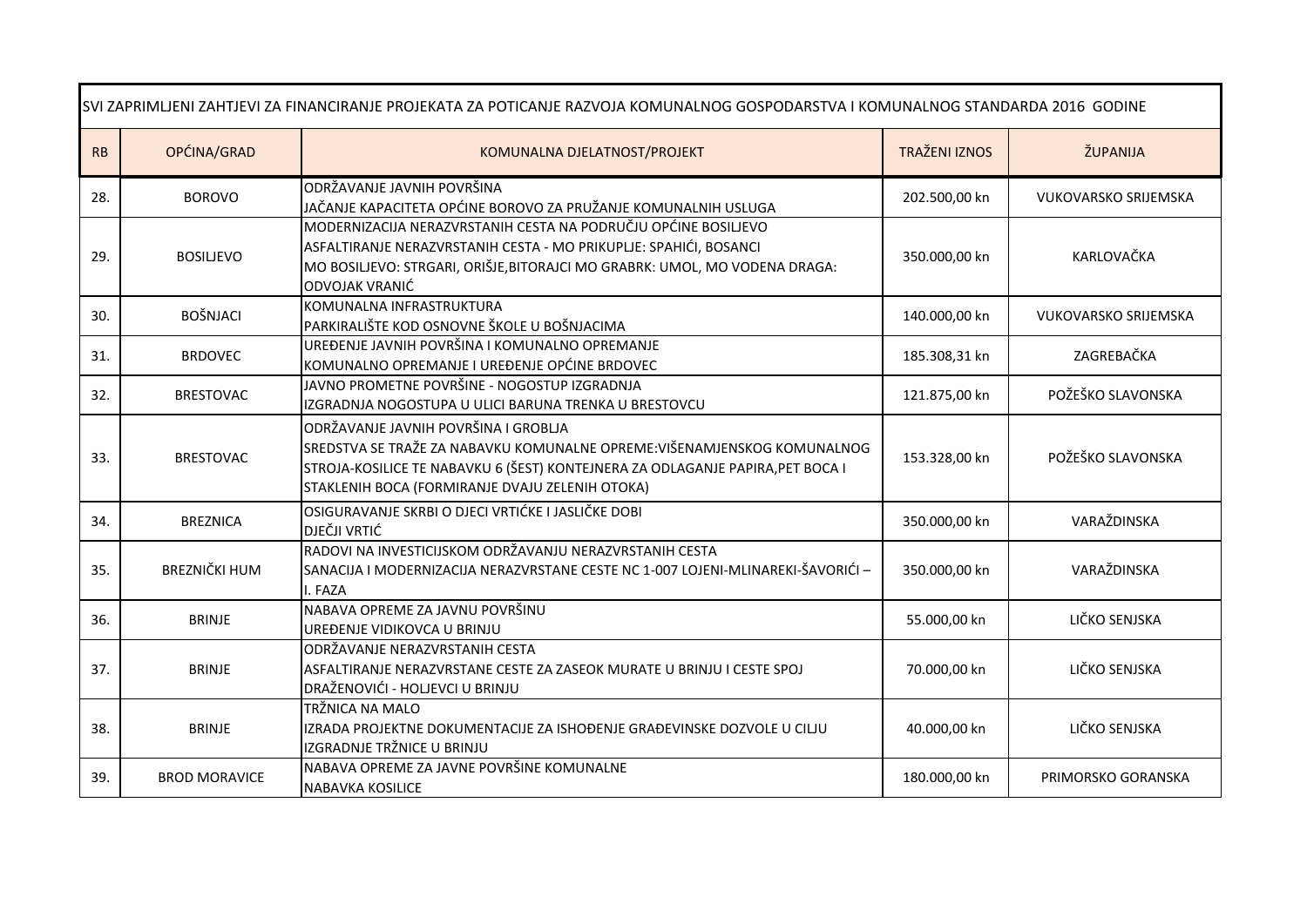| SVI ZAPRIMLJENI ZAHTJEVI ZA FINANCIRANJE PROJEKATA ZA POTICANJE RAZVOJA KOMUNALNOG GOSPODARSTVA I KOMUNALNOG STANDARDA 2016 GODINE |                      |                                                                                                                                                                                                                                                      |                      |                             |
|------------------------------------------------------------------------------------------------------------------------------------|----------------------|------------------------------------------------------------------------------------------------------------------------------------------------------------------------------------------------------------------------------------------------------|----------------------|-----------------------------|
| RB                                                                                                                                 | OPĆINA/GRAD          | KOMUNALNA DJELATNOST/PROJEKT                                                                                                                                                                                                                         | <b>TRAŽENI IZNOS</b> | ŽUPANIJA                    |
| 28.                                                                                                                                | <b>BOROVO</b>        | ODRŽAVANJE JAVNIH POVRŠINA<br>JAČANJE KAPACITETA OPĆINE BOROVO ZA PRUŽANJE KOMUNALNIH USLUGA                                                                                                                                                         | 202.500,00 kn        | <b>VUKOVARSKO SRIJEMSKA</b> |
| 29.                                                                                                                                | <b>BOSILIEVO</b>     | MODERNIZACIJA NERAZVRSTANIH CESTA NA PODRUČJU OPĆINE BOSILJEVO<br>ASFALTIRANJE NERAZVRSTANIH CESTA - MO PRIKUPLJE: SPAHIĆI, BOSANCI<br>MO BOSILJEVO: STRGARI, ORIŠJE, BITORAJCI MO GRABRK: UMOL, MO VODENA DRAGA:<br>ODVOJAK VRANIĆ                  | 350.000,00 kn        | KARLOVAČKA                  |
| 30.                                                                                                                                | <b>BOŠNJACI</b>      | KOMUNALNA INFRASTRUKTURA<br>PARKIRALIŠTE KOD OSNOVNE ŠKOLE U BOŠNJACIMA                                                                                                                                                                              | 140.000,00 kn        | <b>VUKOVARSKO SRIJEMSKA</b> |
| 31.                                                                                                                                | <b>BRDOVEC</b>       | UREĐENJE JAVNIH POVRŠINA I KOMUNALNO OPREMANJE<br>KOMUNALNO OPREMANJE I UREĐENJE OPĆINE BRDOVEC                                                                                                                                                      | 185.308,31 kn        | ZAGREBAČKA                  |
| 32.                                                                                                                                | <b>BRESTOVAC</b>     | JAVNO PROMETNE POVRŠINE - NOGOSTUP IZGRADNJA<br>IZGRADNJA NOGOSTUPA U ULICI BARUNA TRENKA U BRESTOVCU                                                                                                                                                | 121.875,00 kn        | POŽEŠKO SLAVONSKA           |
| 33.                                                                                                                                | <b>BRESTOVAC</b>     | ODRŽAVANJE JAVNIH POVRŠINA I GROBLJA<br>SREDSTVA SE TRAŽE ZA NABAVKU KOMUNALNE OPREME:VIŠENAMJENSKOG KOMUNALNOG<br>STROJA-KOSILICE TE NABAVKU 6 (ŠEST) KONTEJNERA ZA ODLAGANJE PAPIRA, PET BOCA I<br>STAKLENIH BOCA (FORMIRANJE DVAJU ZELENIH OTOKA) | 153.328,00 kn        | POŽEŠKO SLAVONSKA           |
| 34.                                                                                                                                | <b>BREZNICA</b>      | OSIGURAVANJE SKRBI O DJECI VRTIĆKE I JASLIČKE DOBI<br><b>DJEČJI VRTIĆ</b>                                                                                                                                                                            | 350.000,00 kn        | VARAŽDINSKA                 |
| 35.                                                                                                                                | <b>BREZNIČKI HUM</b> | RADOVI NA INVESTICIJSKOM ODRŽAVANJU NERAZVRSTANIH CESTA<br>SANACIJA I MODERNIZACIJA NERAZVRSTANE CESTE NC 1-007 LOJENI-MLINAREKI-ŠAVORIĆI -<br>I. FAZA                                                                                               | 350.000,00 kn        | VARAŽDINSKA                 |
| 36.                                                                                                                                | <b>BRINJE</b>        | NABAVA OPREME ZA JAVNU POVRŠINU<br>UREĐENJE VIDIKOVCA U BRINJU                                                                                                                                                                                       | 55.000,00 kn         | LIČKO SENJSKA               |
| 37.                                                                                                                                | <b>BRINJE</b>        | ODRŽAVANJE NERAZVRSTANIH CESTA<br>ASFALTIRANJE NERAZVRSTANE CESTE ZA ZASEOK MURATE U BRINJU I CESTE SPOJ<br>DRAŽENOVIĆI - HOLJEVCI U BRINJU                                                                                                          | 70.000,00 kn         | LIČKO SENJSKA               |
| 38.                                                                                                                                | <b>BRINJE</b>        | TRŽNICA NA MALO<br>IZRADA PROJEKTNE DOKUMENTACIJE ZA ISHOĐENJE GRAĐEVINSKE DOZVOLE U CILJU<br>IZGRADNJE TRŽNICE U BRINJU                                                                                                                             | 40.000,00 kn         | LIČKO SENJSKA               |
| 39.                                                                                                                                | <b>BROD MORAVICE</b> | NABAVA OPREME ZA JAVNE POVRŠINE KOMUNALNE<br><b>NABAVKA KOSILICE</b>                                                                                                                                                                                 | 180.000,00 kn        | PRIMORSKO GORANSKA          |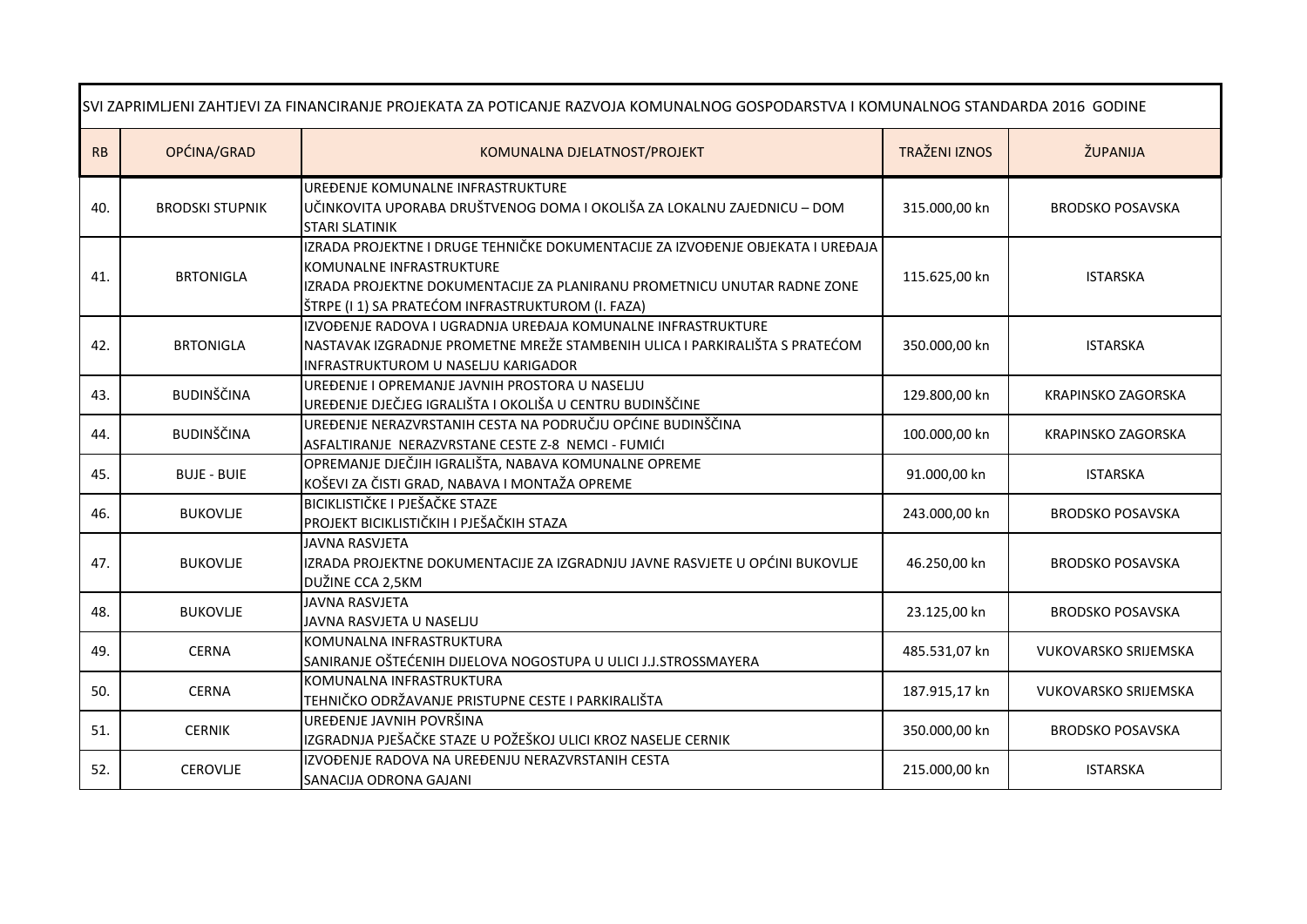| SVI ZAPRIMLJENI ZAHTJEVI ZA FINANCIRANJE PROJEKATA ZA POTICANJE RAZVOJA KOMUNALNOG GOSPODARSTVA I KOMUNALNOG STANDARDA 2016 GODINE |                        |                                                                                                                                                                                                                                              |                      |                             |
|------------------------------------------------------------------------------------------------------------------------------------|------------------------|----------------------------------------------------------------------------------------------------------------------------------------------------------------------------------------------------------------------------------------------|----------------------|-----------------------------|
| RB                                                                                                                                 | OPĆINA/GRAD            | KOMUNALNA DJELATNOST/PROJEKT                                                                                                                                                                                                                 | <b>TRAŽENI IZNOS</b> | ŽUPANIJA                    |
| 40.                                                                                                                                | <b>BRODSKI STUPNIK</b> | UREĐENJE KOMUNALNE INFRASTRUKTURE<br>UČINKOVITA UPORABA DRUŠTVENOG DOMA I OKOLIŠA ZA LOKALNU ZAJEDNICU - DOM<br><b>STARI SLATINIK</b>                                                                                                        | 315.000,00 kn        | <b>BRODSKO POSAVSKA</b>     |
| 41.                                                                                                                                | <b>BRTONIGLA</b>       | IZRADA PROJEKTNE I DRUGE TEHNIČKE DOKUMENTACIJE ZA IZVOĐENJE OBJEKATA I UREĐAJA<br>KOMUNALNE INFRASTRUKTURE<br>IZRADA PROJEKTNE DOKUMENTACIJE ZA PLANIRANU PROMETNICU UNUTAR RADNE ZONE<br>ŠTRPE (I 1) SA PRATEĆOM INFRASTRUKTUROM (I. FAZA) | 115.625,00 kn        | <b>ISTARSKA</b>             |
| 42.                                                                                                                                | <b>BRTONIGLA</b>       | IZVOĐENJE RADOVA I UGRADNJA UREĐAJA KOMUNALNE INFRASTRUKTURE<br>NASTAVAK IZGRADNJE PROMETNE MREŽE STAMBENIH ULICA I PARKIRALIŠTA S PRATEĆOM<br>INFRASTRUKTUROM U NASELJU KARIGADOR                                                           | 350.000,00 kn        | <b>ISTARSKA</b>             |
| 43.                                                                                                                                | <b>BUDINŠČINA</b>      | UREĐENJE I OPREMANJE JAVNIH PROSTORA U NASELJU<br>UREĐENJE DJEČJEG IGRALIŠTA I OKOLIŠA U CENTRU BUDINŠČINE                                                                                                                                   | 129.800,00 kn        | <b>KRAPINSKO ZAGORSKA</b>   |
| 44.                                                                                                                                | <b>BUDINŠČINA</b>      | UREĐENJE NERAZVRSTANIH CESTA NA PODRUČJU OPĆINE BUDINŠČINA<br>ASFALTIRANJE NERAZVRSTANE CESTE Z-8 NEMCI - FUMIĆI                                                                                                                             | 100.000,00 kn        | <b>KRAPINSKO ZAGORSKA</b>   |
| 45.                                                                                                                                | <b>BUJE - BUIE</b>     | OPREMANJE DJEČJIH IGRALIŠTA, NABAVA KOMUNALNE OPREME<br>KOŠEVI ZA ČISTI GRAD, NABAVA I MONTAŽA OPREME                                                                                                                                        | 91.000,00 kn         | <b>ISTARSKA</b>             |
| 46.                                                                                                                                | <b>BUKOVLJE</b>        | BICIKLISTIČKE I PJEŠAČKE STAZE<br>PROJEKT BICIKLISTIČKIH I PJEŠAČKIH STAZA                                                                                                                                                                   | 243.000,00 kn        | <b>BRODSKO POSAVSKA</b>     |
| 47.                                                                                                                                | <b>BUKOVLJE</b>        | <b>JAVNA RASVJETA</b><br>IZRADA PROJEKTNE DOKUMENTACIJE ZA IZGRADNJU JAVNE RASVJETE U OPĆINI BUKOVLJE<br>DUŽINE CCA 2,5KM                                                                                                                    | 46.250,00 kn         | <b>BRODSKO POSAVSKA</b>     |
| 48.                                                                                                                                | <b>BUKOVLJE</b>        | <b>JAVNA RASVJETA</b><br>JAVNA RASVJETA U NASELJU                                                                                                                                                                                            | 23.125,00 kn         | <b>BRODSKO POSAVSKA</b>     |
| 49.                                                                                                                                | <b>CERNA</b>           | KOMUNALNA INFRASTRUKTURA<br>SANIRANJE OŠTEĆENIH DIJELOVA NOGOSTUPA U ULICI J.J.STROSSMAYERA                                                                                                                                                  | 485.531,07 kn        | <b>VUKOVARSKO SRIJEMSKA</b> |
| 50.                                                                                                                                | <b>CERNA</b>           | KOMUNALNA INFRASTRUKTURA<br>TEHNIČKO ODRŽAVANJE PRISTUPNE CESTE I PARKIRALIŠTA                                                                                                                                                               | 187.915,17 kn        | <b>VUKOVARSKO SRIJEMSKA</b> |
| 51.                                                                                                                                | <b>CERNIK</b>          | UREĐENJE JAVNIH POVRŠINA<br>IZGRADNJA PJEŠAČKE STAZE U POŽEŠKOJ ULICI KROZ NASELJE CERNIK                                                                                                                                                    | 350.000,00 kn        | <b>BRODSKO POSAVSKA</b>     |
| 52.                                                                                                                                | <b>CEROVLJE</b>        | IZVOĐENJE RADOVA NA UREĐENJU NERAZVRSTANIH CESTA<br>SANACIJA ODRONA GAJANI                                                                                                                                                                   | 215.000,00 kn        | <b>ISTARSKA</b>             |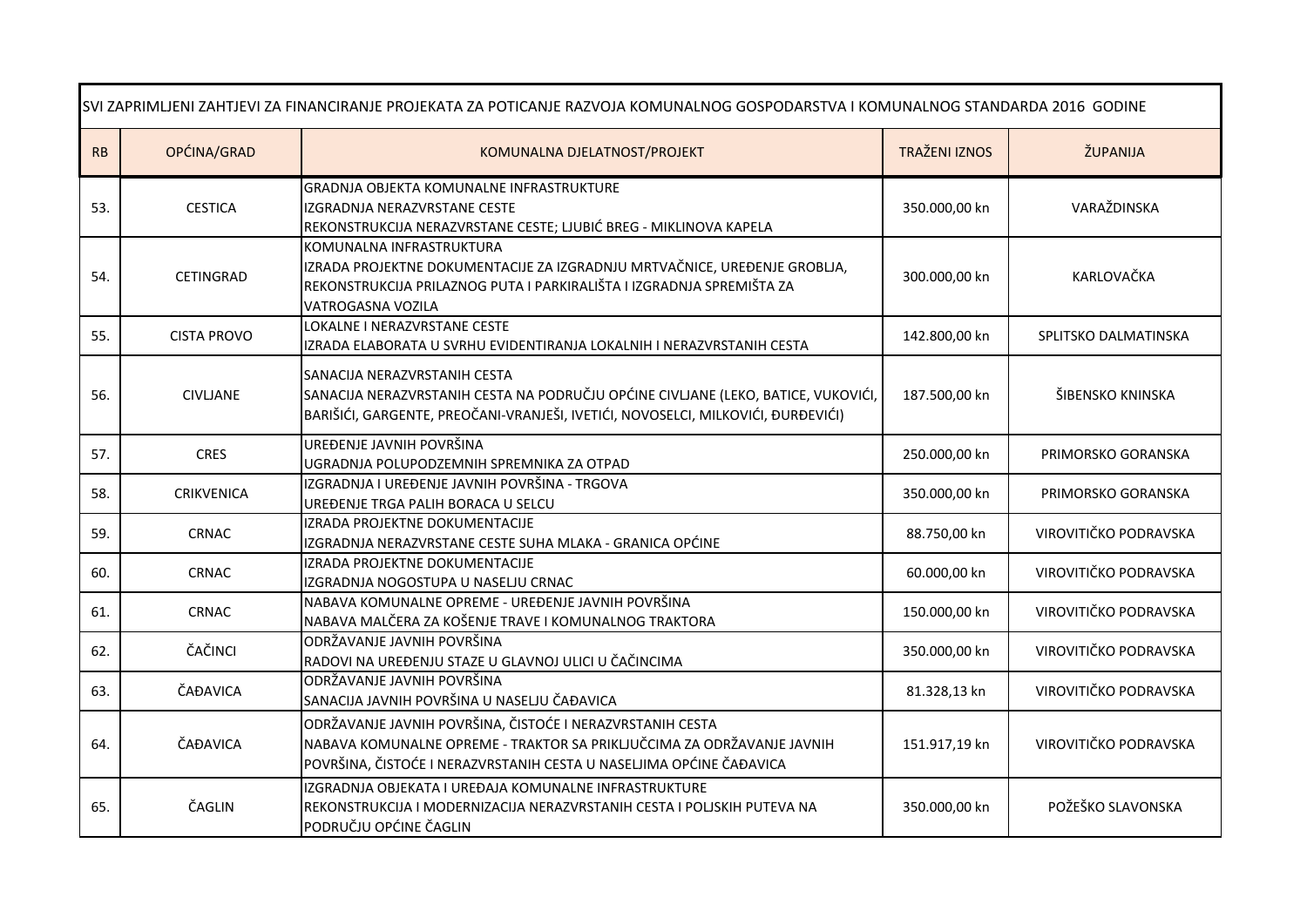| SVI ZAPRIMLJENI ZAHTJEVI ZA FINANCIRANJE PROJEKATA ZA POTICANJE RAZVOJA KOMUNALNOG GOSPODARSTVA I KOMUNALNOG STANDARDA 2016 GODINE |                    |                                                                                                                                                                                                            |                      |                       |
|------------------------------------------------------------------------------------------------------------------------------------|--------------------|------------------------------------------------------------------------------------------------------------------------------------------------------------------------------------------------------------|----------------------|-----------------------|
| RB                                                                                                                                 | OPĆINA/GRAD        | KOMUNALNA DJELATNOST/PROJEKT                                                                                                                                                                               | <b>TRAŽENI IZNOS</b> | ŽUPANIJA              |
| 53.                                                                                                                                | <b>CESTICA</b>     | <b>GRADNJA OBJEKTA KOMUNALNE INFRASTRUKTURE</b><br>IZGRADNJA NERAZVRSTANE CESTE<br>REKONSTRUKCIJA NERAZVRSTANE CESTE; LJUBIĆ BREG - MIKLINOVA KAPELA                                                       | 350.000,00 kn        | VARAŽDINSKA           |
| 54.                                                                                                                                | CETINGRAD          | KOMUNALNA INFRASTRUKTURA<br>IZRADA PROJEKTNE DOKUMENTACIJE ZA IZGRADNJU MRTVAČNICE, UREĐENJE GROBLJA,<br>REKONSTRUKCIJA PRILAZNOG PUTA I PARKIRALIŠTA I IZGRADNJA SPREMIŠTA ZA<br>VATROGASNA VOZILA        | 300.000,00 kn        | KARLOVAČKA            |
| 55.                                                                                                                                | <b>CISTA PROVO</b> | LOKALNE I NERAZVRSTANE CESTE<br>IZRADA ELABORATA U SVRHU EVIDENTIRANJA LOKALNIH I NERAZVRSTANIH CESTA                                                                                                      | 142.800,00 kn        | SPLITSKO DALMATINSKA  |
| 56.                                                                                                                                | <b>CIVLIANE</b>    | SANACIJA NERAZVRSTANIH CESTA<br>SANACIJA NERAZVRSTANIH CESTA NA PODRUČJU OPĆINE CIVLJANE (LEKO, BATICE, VUKOVIĆI,<br>BARIŠIĆI, GARGENTE, PREOČANI-VRANJEŠI, IVETIĆI, NOVOSELCI, MILKOVIĆI, ĐURĐEVIĆI)      | 187.500,00 kn        | ŠIBENSKO KNINSKA      |
| 57.                                                                                                                                | <b>CRES</b>        | UREĐENJE JAVNIH POVRŠINA<br>UGRADNJA POLUPODZEMNIH SPREMNIKA ZA OTPAD                                                                                                                                      | 250.000,00 kn        | PRIMORSKO GORANSKA    |
| 58.                                                                                                                                | <b>CRIKVENICA</b>  | IZGRADNJA I UREĐENJE JAVNIH POVRŠINA - TRGOVA<br>UREĐENJE TRGA PALIH BORACA U SELCU                                                                                                                        | 350.000,00 kn        | PRIMORSKO GORANSKA    |
| 59.                                                                                                                                | <b>CRNAC</b>       | IZRADA PROJEKTNE DOKUMENTACIJE<br>IZGRADNJA NERAZVRSTANE CESTE SUHA MLAKA - GRANICA OPĆINE                                                                                                                 | 88.750,00 kn         | VIROVITIČKO PODRAVSKA |
| 60.                                                                                                                                | <b>CRNAC</b>       | <b>IZRADA PROJEKTNE DOKUMENTACIJE</b><br>IZGRADNJA NOGOSTUPA U NASELJU CRNAC                                                                                                                               | 60.000,00 kn         | VIROVITIČKO PODRAVSKA |
| 61.                                                                                                                                | <b>CRNAC</b>       | NABAVA KOMUNALNE OPREME - UREĐENJE JAVNIH POVRŠINA<br>NABAVA MALČERA ZA KOŠENJE TRAVE I KOMUNALNOG TRAKTORA                                                                                                | 150.000,00 kn        | VIROVITIČKO PODRAVSKA |
| 62.                                                                                                                                | ČAČINCI            | ODRŽAVANJE JAVNIH POVRŠINA<br>RADOVI NA UREĐENJU STAZE U GLAVNOJ ULICI U ČAČINCIMA                                                                                                                         | 350.000,00 kn        | VIROVITIČKO PODRAVSKA |
| 63.                                                                                                                                | ČAĐAVICA           | ODRŽAVANJE JAVNIH POVRŠINA<br>SANACIJA JAVNIH POVRŠINA U NASELJU ČAĐAVICA                                                                                                                                  | 81.328,13 kn         | VIROVITIČKO PODRAVSKA |
| 64.                                                                                                                                | ČAĐAVICA           | ODRŽAVANJE JAVNIH POVRŠINA, ČISTOĆE I NERAZVRSTANIH CESTA<br>NABAVA KOMUNALNE OPREME - TRAKTOR SA PRIKLJUČCIMA ZA ODRŽAVANJE JAVNIH<br>POVRŠINA, ČISTOĆE I NERAZVRSTANIH CESTA U NASELJIMA OPĆINE ČAĐAVICA | 151.917,19 kn        | VIROVITIČKO PODRAVSKA |
| 65.                                                                                                                                | ČAGLIN             | IZGRADNJA OBJEKATA I UREĐAJA KOMUNALNE INFRASTRUKTURE<br>REKONSTRUKCIJA I MODERNIZACIJA NERAZVRSTANIH CESTA I POLJSKIH PUTEVA NA<br>PODRUČJU OPĆINE ČAGLIN                                                 | 350.000,00 kn        | POŽEŠKO SLAVONSKA     |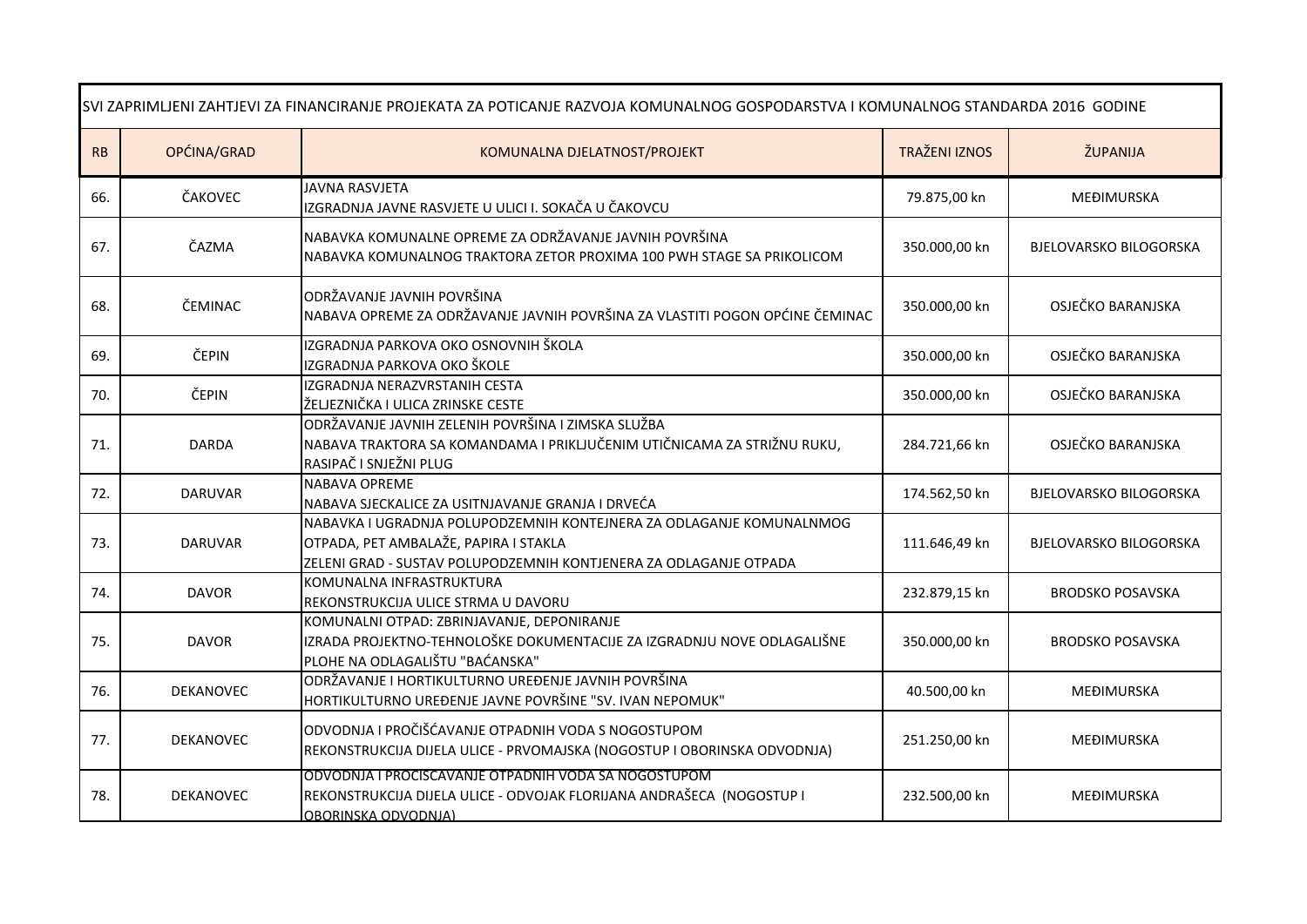| SVI ZAPRIMLJENI ZAHTJEVI ZA FINANCIRANJE PROJEKATA ZA POTICANJE RAZVOJA KOMUNALNOG GOSPODARSTVA I KOMUNALNOG STANDARDA 2016 GODINE |                  |                                                                                                                                                                                    |                      |                               |
|------------------------------------------------------------------------------------------------------------------------------------|------------------|------------------------------------------------------------------------------------------------------------------------------------------------------------------------------------|----------------------|-------------------------------|
| RB                                                                                                                                 | OPĆINA/GRAD      | KOMUNALNA DJELATNOST/PROJEKT                                                                                                                                                       | <b>TRAŽENI IZNOS</b> | ŽUPANIJA                      |
| 66.                                                                                                                                | ČAKOVEC          | <b>JAVNA RASVJETA</b><br>IZGRADNJA JAVNE RASVJETE U ULICI I. SOKAČA U ČAKOVCU                                                                                                      | 79.875,00 kn         | MEĐIMURSKA                    |
| 67.                                                                                                                                | ČAZMA            | NABAVKA KOMUNALNE OPREME ZA ODRŽAVANJE JAVNIH POVRŠINA<br>NABAVKA KOMUNALNOG TRAKTORA ZETOR PROXIMA 100 PWH STAGE SA PRIKOLICOM                                                    | 350.000,00 kn        | <b>BJELOVARSKO BILOGORSKA</b> |
| 68.                                                                                                                                | ČEMINAC          | ODRŽAVANJE JAVNIH POVRŠINA<br>NABAVA OPREME ZA ODRŽAVANJE JAVNIH POVRŠINA ZA VLASTITI POGON OPĆINE ČEMINAC                                                                         | 350.000,00 kn        | OSJEČKO BARANJSKA             |
| 69.                                                                                                                                | ČEPIN            | IZGRADNJA PARKOVA OKO OSNOVNIH ŠKOLA<br>IZGRADNJA PARKOVA OKO ŠKOLE                                                                                                                | 350.000,00 kn        | OSJEČKO BARANJSKA             |
| 70.                                                                                                                                | ČEPIN            | IZGRADNJA NERAZVRSTANIH CESTA<br>ŽELJEZNIČKA I ULICA ZRINSKE CESTE                                                                                                                 | 350.000,00 kn        | OSJEČKO BARANJSKA             |
| 71.                                                                                                                                | <b>DARDA</b>     | ODRŽAVANJE JAVNIH ZELENIH POVRŠINA I ZIMSKA SLUŽBA<br>NABAVA TRAKTORA SA KOMANDAMA I PRIKLJUČENIM UTIČNICAMA ZA STRIŽNU RUKU,<br>RASIPAČ I SNJEŽNI PLUG                            | 284.721,66 kn        | OSJEČKO BARANJSKA             |
| 72.                                                                                                                                | <b>DARUVAR</b>   | NABAVA OPREME<br>NABAVA SJECKALICE ZA USITNJAVANJE GRANJA I DRVEĆA                                                                                                                 | 174.562,50 kn        | <b>BJELOVARSKO BILOGORSKA</b> |
| 73.                                                                                                                                | <b>DARUVAR</b>   | NABAVKA I UGRADNJA POLUPODZEMNIH KONTEJNERA ZA ODLAGANJE KOMUNALNMOG<br>OTPADA, PET AMBALAŽE, PAPIRA I STAKLA<br>ZELENI GRAD - SUSTAV POLUPODZEMNIH KONTJENERA ZA ODLAGANJE OTPADA | 111.646,49 kn        | <b>BJELOVARSKO BILOGORSKA</b> |
| 74.                                                                                                                                | <b>DAVOR</b>     | KOMUNALNA INFRASTRUKTURA<br>REKONSTRUKCIJA ULICE STRMA U DAVORU                                                                                                                    | 232.879,15 kn        | <b>BRODSKO POSAVSKA</b>       |
| 75.                                                                                                                                | <b>DAVOR</b>     | KOMUNALNI OTPAD: ZBRINJAVANJE, DEPONIRANJE<br>IZRADA PROJEKTNO-TEHNOLOŠKE DOKUMENTACIJE ZA IZGRADNJU NOVE ODLAGALIŠNE<br>PLOHE NA ODLAGALIŠTU "BAĆANSKA"                           | 350.000,00 kn        | <b>BRODSKO POSAVSKA</b>       |
| 76.                                                                                                                                | DEKANOVEC        | ODRŽAVANJE I HORTIKULTURNO UREĐENJE JAVNIH POVRŠINA<br>HORTIKULTURNO UREĐENJE JAVNE POVRŠINE "SV. IVAN NEPOMUK"                                                                    | 40.500,00 kn         | MEĐIMURSKA                    |
| 77.                                                                                                                                | <b>DEKANOVEC</b> | ODVODNJA I PROČIŠĆAVANJE OTPADNIH VODA S NOGOSTUPOM<br>REKONSTRUKCIJA DIJELA ULICE - PRVOMAJSKA (NOGOSTUP I OBORINSKA ODVODNJA)                                                    | 251.250,00 kn        | <b>MEĐIMURSKA</b>             |
| 78.                                                                                                                                | DEKANOVEC        | ODVODNJA I PROČIŠĆAVANJE OTPADNIH VODA SA NOGOSTUPOM<br>REKONSTRUKCIJA DIJELA ULICE - ODVOJAK FLORIJANA ANDRAŠECA (NOGOSTUP I<br>OBORINSKA ODVODNJA)                               | 232.500,00 kn        | MEĐIMURSKA                    |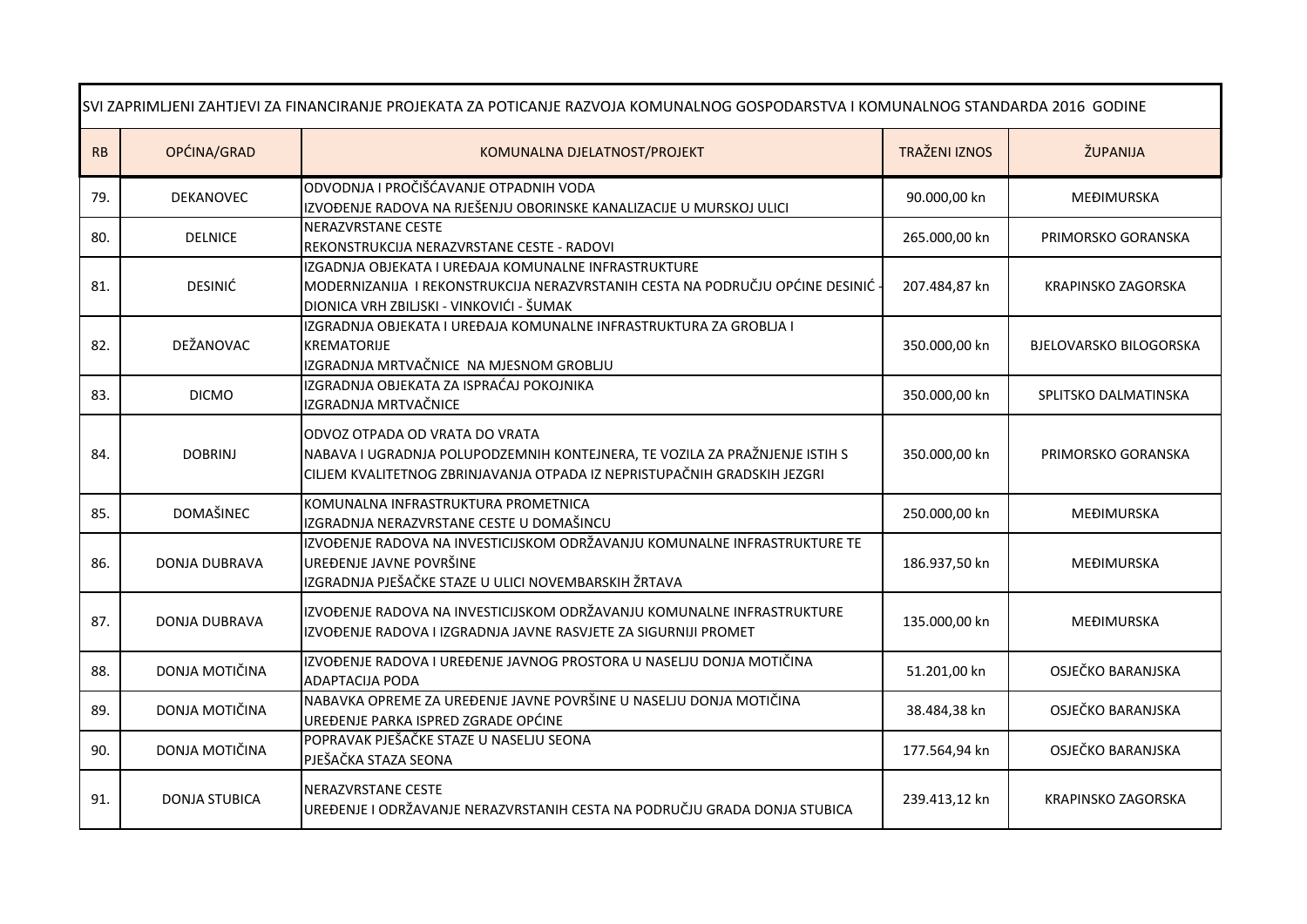| SVI ZAPRIMLJENI ZAHTJEVI ZA FINANCIRANJE PROJEKATA ZA POTICANJE RAZVOJA KOMUNALNOG GOSPODARSTVA I KOMUNALNOG STANDARDA 2016 GODINE |                      |                                                                                                                                                                                           |                      |                               |
|------------------------------------------------------------------------------------------------------------------------------------|----------------------|-------------------------------------------------------------------------------------------------------------------------------------------------------------------------------------------|----------------------|-------------------------------|
| RB                                                                                                                                 | OPĆINA/GRAD          | KOMUNALNA DJELATNOST/PROJEKT                                                                                                                                                              | <b>TRAŽENI IZNOS</b> | ŽUPANIJA                      |
| 79.                                                                                                                                | DEKANOVEC            | ODVODNJA I PROČIŠĆAVANJE OTPADNIH VODA<br>IZVOĐENJE RADOVA NA RJEŠENJU OBORINSKE KANALIZACIJE U MURSKOJ ULICI                                                                             | 90.000,00 kn         | MEĐIMURSKA                    |
| 80.                                                                                                                                | <b>DELNICE</b>       | NERAZVRSTANE CESTE<br>REKONSTRUKCIJA NERAZVRSTANE CESTE - RADOVI                                                                                                                          | 265.000,00 kn        | PRIMORSKO GORANSKA            |
| 81.                                                                                                                                | <b>DESINIĆ</b>       | IZGADNJA OBJEKATA I UREĐAJA KOMUNALNE INFRASTRUKTURE<br>MODERNIZANIJA I REKONSTRUKCIJA NERAZVRSTANIH CESTA NA PODRUČJU OPĆINE DESINIĆ<br>DIONICA VRH ZBILJSKI - VINKOVIĆI - ŠUMAK         | 207.484,87 kn        | <b>KRAPINSKO ZAGORSKA</b>     |
| 82.                                                                                                                                | DEŽANOVAC            | IZGRADNJA OBJEKATA I UREĐAJA KOMUNALNE INFRASTRUKTURA ZA GROBLJA I<br><b>KREMATORIJE</b><br>IZGRADNJA MRTVAČNICE NA MJESNOM GROBLJU                                                       | 350.000,00 kn        | <b>BJELOVARSKO BILOGORSKA</b> |
| 83.                                                                                                                                | <b>DICMO</b>         | IZGRADNJA OBJEKATA ZA ISPRAĆAJ POKOJNIKA<br>IZGRADNJA MRTVAČNICE                                                                                                                          | 350.000,00 kn        | SPLITSKO DALMATINSKA          |
| 84.                                                                                                                                | <b>DOBRINJ</b>       | ODVOZ OTPADA OD VRATA DO VRATA<br>NABAVA I UGRADNJA POLUPODZEMNIH KONTEJNERA, TE VOZILA ZA PRAŽNJENJE ISTIH S<br>CILJEM KVALITETNOG ZBRINJAVANJA OTPADA IZ NEPRISTUPAČNIH GRADSKIH JEZGRI | 350.000,00 kn        | PRIMORSKO GORANSKA            |
| 85.                                                                                                                                | DOMAŠINEC            | KOMUNALNA INFRASTRUKTURA PROMETNICA<br>IZGRADNJA NERAZVRSTANE CESTE U DOMAŠINCU                                                                                                           | 250.000,00 kn        | <b>MEĐIMURSKA</b>             |
| 86.                                                                                                                                | DONJA DUBRAVA        | IZVOĐENJE RADOVA NA INVESTICIJSKOM ODRŽAVANJU KOMUNALNE INFRASTRUKTURE TE<br>UREĐENJE JAVNE POVRŠINE<br>IZGRADNJA PJEŠAČKE STAZE U ULICI NOVEMBARSKIH ŽRTAVA                              | 186.937,50 kn        | MEĐIMURSKA                    |
| 87.                                                                                                                                | DONJA DUBRAVA        | IZVOĐENJE RADOVA NA INVESTICIJSKOM ODRŽAVANJU KOMUNALNE INFRASTRUKTURE<br>IZVOĐENJE RADOVA I IZGRADNJA JAVNE RASVJETE ZA SIGURNIJI PROMET                                                 | 135.000,00 kn        | MEĐIMURSKA                    |
| 88.                                                                                                                                | DONJA MOTIČINA       | IZVOĐENJE RADOVA I UREĐENJE JAVNOG PROSTORA U NASELJU DONJA MOTIČINA<br><b>ADAPTACIJA PODA</b>                                                                                            | 51.201,00 kn         | OSJEČKO BARANJSKA             |
| 89.                                                                                                                                | DONJA MOTIČINA       | NABAVKA OPREME ZA UREĐENJE JAVNE POVRŠINE U NASELJU DONJA MOTIČINA<br>UREĐENJE PARKA ISPRED ZGRADE OPĆINE                                                                                 | 38.484,38 kn         | OSJEČKO BARANJSKA             |
| 90.                                                                                                                                | DONJA MOTIČINA       | POPRAVAK PJEŠAČKE STAZE U NASELJU SEONA<br>PJEŠAČKA STAZA SEONA                                                                                                                           | 177.564,94 kn        | OSJEČKO BARANJSKA             |
| 91.                                                                                                                                | <b>DONJA STUBICA</b> | <b>NERAZVRSTANE CESTE</b><br>UREĐENJE I ODRŽAVANJE NERAZVRSTANIH CESTA NA PODRUČJU GRADA DONJA STUBICA                                                                                    | 239.413,12 kn        | <b>KRAPINSKO ZAGORSKA</b>     |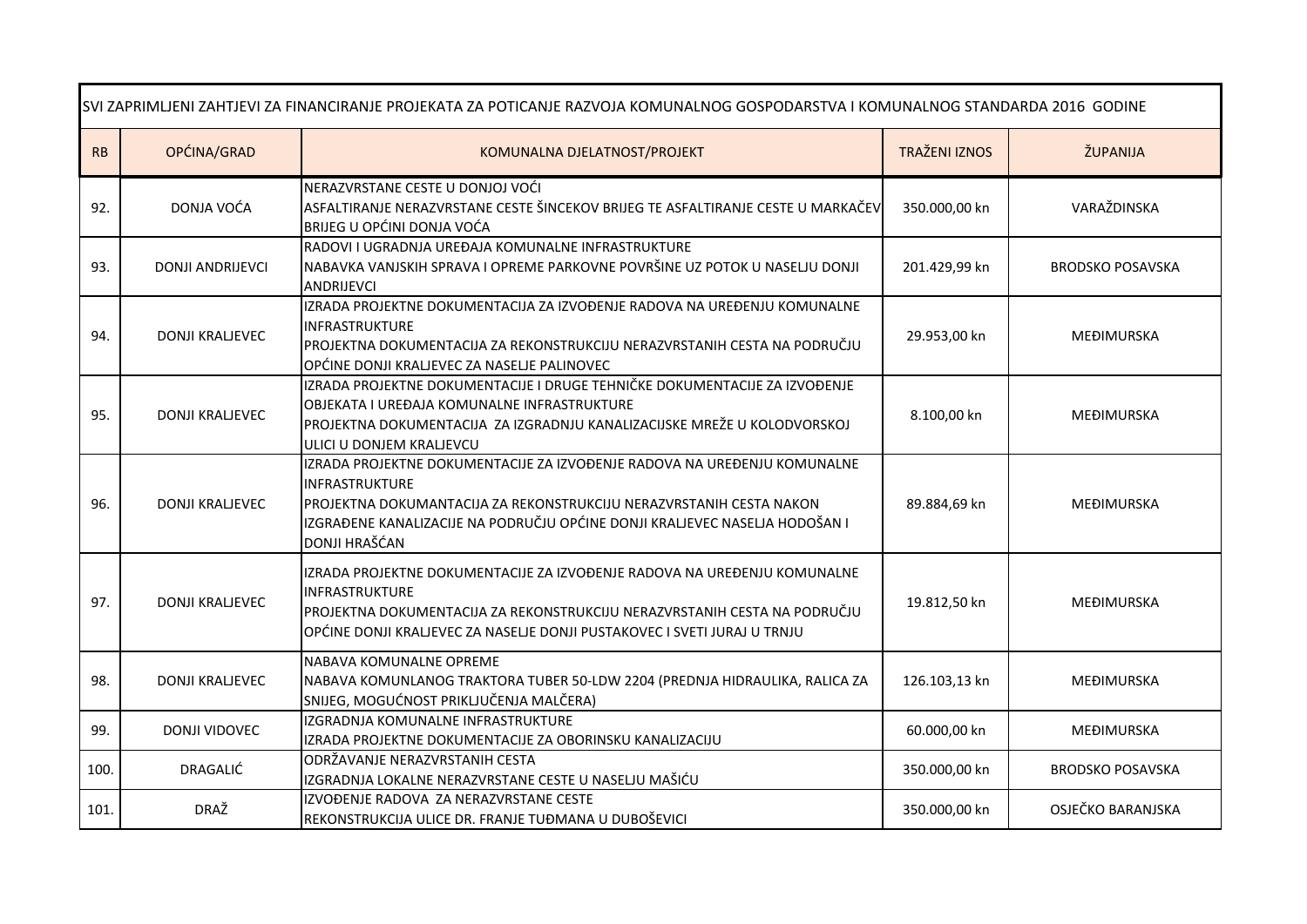| SVI ZAPRIMLJENI ZAHTJEVI ZA FINANCIRANJE PROJEKATA ZA POTICANJE RAZVOJA KOMUNALNOG GOSPODARSTVA I KOMUNALNOG STANDARDA 2016 GODINE |                         |                                                                                                                                                                                                                                                                   |                      |                         |
|------------------------------------------------------------------------------------------------------------------------------------|-------------------------|-------------------------------------------------------------------------------------------------------------------------------------------------------------------------------------------------------------------------------------------------------------------|----------------------|-------------------------|
| RB                                                                                                                                 | OPĆINA/GRAD             | KOMUNALNA DJELATNOST/PROJEKT                                                                                                                                                                                                                                      | <b>TRAŽENI IZNOS</b> | ŽUPANIJA                |
| 92.                                                                                                                                | DONJA VOĆA              | NERAZVRSTANE CESTE U DONJOJ VOĆI<br>ASFALTIRANJE NERAZVRSTANE CESTE ŠINCEKOV BRIJEG TE ASFALTIRANJE CESTE U MARKAČEV<br>BRIJEG U OPĆINI DONJA VOĆA                                                                                                                | 350.000,00 kn        | VARAŽDINSKA             |
| 93.                                                                                                                                | <b>DONJI ANDRIJEVCI</b> | RADOVI I UGRADNJA UREĐAJA KOMUNALNE INFRASTRUKTURE<br>NABAVKA VANJSKIH SPRAVA I OPREME PARKOVNE POVRŠINE UZ POTOK U NASELJU DONJI<br>ANDRIJEVCI                                                                                                                   | 201.429,99 kn        | <b>BRODSKO POSAVSKA</b> |
| 94.                                                                                                                                | <b>DONJI KRALJEVEC</b>  | IZRADA PROJEKTNE DOKUMENTACIJA ZA IZVOĐENJE RADOVA NA UREĐENJU KOMUNALNE<br>INFRASTRUKTURE<br>PROJEKTNA DOKUMENTACIJA ZA REKONSTRUKCIJU NERAZVRSTANIH CESTA NA PODRUČJU<br>OPĆINE DONJI KRALJEVEC ZA NASELJE PALINOVEC                                            | 29.953,00 kn         | MEĐIMURSKA              |
| 95.                                                                                                                                | <b>DONJI KRALJEVEC</b>  | IZRADA PROJEKTNE DOKUMENTACIJE I DRUGE TEHNIČKE DOKUMENTACIJE ZA IZVOĐENJE<br>OBJEKATA I UREĐAJA KOMUNALNE INFRASTRUKTURE<br>PROJEKTNA DOKUMENTACIJA ZA IZGRADNJU KANALIZACIJSKE MREŽE U KOLODVORSKOJ<br>ULICI U DONJEM KRALJEVCU                                 | 8.100,00 kn          | MEĐIMURSKA              |
| 96.                                                                                                                                | <b>DONJI KRALJEVEC</b>  | IZRADA PROJEKTNE DOKUMENTACIJE ZA IZVOĐENJE RADOVA NA UREĐENJU KOMUNALNE<br>INFRASTRUKTURE<br>PROJEKTNA DOKUMANTACIJA ZA REKONSTRUKCIJU NERAZVRSTANIH CESTA NAKON<br>IZGRAĐENE KANALIZACIJE NA PODRUČJU OPĆINE DONJI KRALJEVEC NASELJA HODOŠAN I<br>DONJI HRAŠĆAN | 89.884,69 kn         | MEĐIMURSKA              |
| 97.                                                                                                                                | <b>DONJI KRALJEVEC</b>  | IZRADA PROJEKTNE DOKUMENTACIJE ZA IZVOĐENJE RADOVA NA UREĐENJU KOMUNALNE<br>INFRASTRUKTURE<br>PROJEKTNA DOKUMENTACIJA ZA REKONSTRUKCIJU NERAZVRSTANIH CESTA NA PODRUČJU<br>OPĆINE DONJI KRALJEVEC ZA NASELJE DONJI PUSTAKOVEC I SVETI JURAJ U TRNJU               | 19.812,50 kn         | MEĐIMURSKA              |
| 98.                                                                                                                                | <b>DONJI KRALJEVEC</b>  | NABAVA KOMUNALNE OPREME<br>NABAVA KOMUNLANOG TRAKTORA TUBER 50-LDW 2204 (PREDNJA HIDRAULIKA, RALICA ZA<br>SNIJEG, MOGUĆNOST PRIKLJUČENJA MALČERA)                                                                                                                 | 126.103,13 kn        | MEĐIMURSKA              |
| 99.                                                                                                                                | DONJI VIDOVEC           | IZGRADNJA KOMUNALNE INFRASTRUKTURE<br>IZRADA PROJEKTNE DOKUMENTACIJE ZA OBORINSKU KANALIZACIJU                                                                                                                                                                    | 60.000,00 kn         | MEĐIMURSKA              |
| 100.                                                                                                                               | DRAGALIĆ                | ODRŽAVANJE NERAZVRSTANIH CESTA<br>IZGRADNJA LOKALNE NERAZVRSTANE CESTE U NASELJU MAŠIĆU                                                                                                                                                                           | 350.000,00 kn        | <b>BRODSKO POSAVSKA</b> |
| 101.                                                                                                                               | DRAŽ                    | IZVOĐENJE RADOVA ZA NERAZVRSTANE CESTE<br>REKONSTRUKCIJA ULICE DR. FRANJE TUĐMANA U DUBOŠEVICI                                                                                                                                                                    | 350.000,00 kn        | OSJEČKO BARANJSKA       |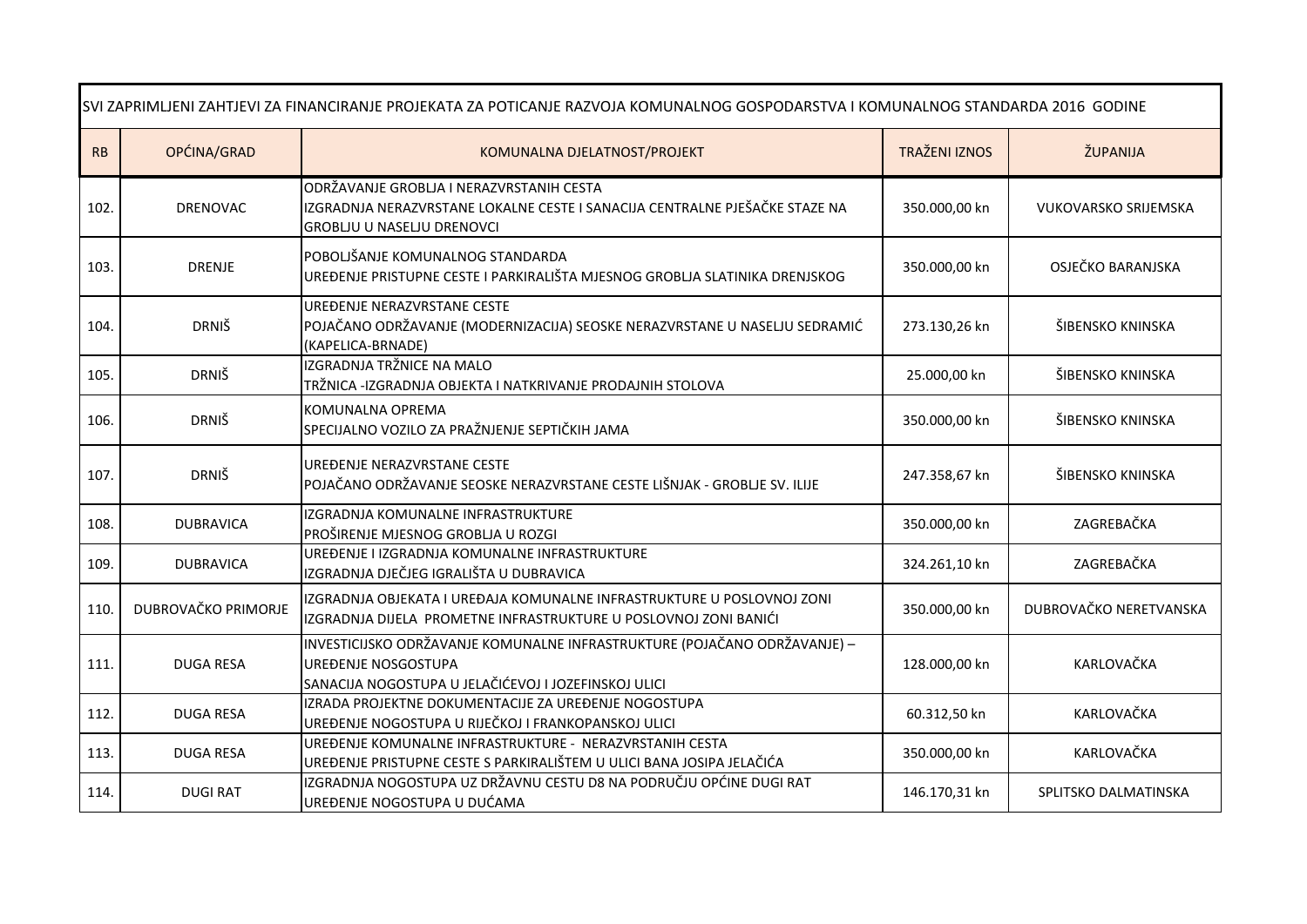| SVI ZAPRIMLJENI ZAHTJEVI ZA FINANCIRANJE PROJEKATA ZA POTICANJE RAZVOJA KOMUNALNOG GOSPODARSTVA I KOMUNALNOG STANDARDA 2016 GODINE |                     |                                                                                                                                                          |                      |                             |  |
|------------------------------------------------------------------------------------------------------------------------------------|---------------------|----------------------------------------------------------------------------------------------------------------------------------------------------------|----------------------|-----------------------------|--|
| RB                                                                                                                                 | OPĆINA/GRAD         | KOMUNALNA DJELATNOST/PROJEKT                                                                                                                             | <b>TRAŽENI IZNOS</b> | ŽUPANIJA                    |  |
| 102.                                                                                                                               | DRENOVAC            | ODRŽAVANJE GROBLJA I NERAZVRSTANIH CESTA<br>IZGRADNJA NERAZVRSTANE LOKALNE CESTE I SANACIJA CENTRALNE PJEŠAČKE STAZE NA<br>GROBLIU U NASELJU DRENOVCI    | 350.000,00 kn        | <b>VUKOVARSKO SRIJEMSKA</b> |  |
| 103.                                                                                                                               | <b>DRENJE</b>       | POBOLJŠANJE KOMUNALNOG STANDARDA<br>UREĐENJE PRISTUPNE CESTE I PARKIRALIŠTA MJESNOG GROBLJA SLATINIKA DRENJSKOG                                          | 350.000,00 kn        | OSJEČKO BARANJSKA           |  |
| 104.                                                                                                                               | <b>DRNIŠ</b>        | UREĐENJE NERAZVRSTANE CESTE<br>POJAČANO ODRŽAVANJE (MODERNIZACIJA) SEOSKE NERAZVRSTANE U NASELJU SEDRAMIĆ<br>(KAPELICA-BRNADE)                           | 273.130,26 kn        | ŠIBENSKO KNINSKA            |  |
| 105.                                                                                                                               | <b>DRNIŠ</b>        | IZGRADNJA TRŽNICE NA MALO<br>TRŽNICA -IZGRADNJA OBJEKTA I NATKRIVANJE PRODAJNIH STOLOVA                                                                  | 25.000,00 kn         | ŠIBENSKO KNINSKA            |  |
| 106.                                                                                                                               | <b>DRNIŠ</b>        | KOMUNALNA OPREMA<br>SPECIJALNO VOZILO ZA PRAŽNJENJE SEPTIČKIH JAMA                                                                                       | 350.000,00 kn        | ŠIBENSKO KNINSKA            |  |
| 107.                                                                                                                               | <b>DRNIŠ</b>        | UREĐENJE NERAZVRSTANE CESTE<br>POJAČANO ODRŽAVANJE SEOSKE NERAZVRSTANE CESTE LIŠNJAK - GROBLJE SV. ILIJE                                                 | 247.358,67 kn        | ŠIBENSKO KNINSKA            |  |
| 108.                                                                                                                               | <b>DUBRAVICA</b>    | IZGRADNJA KOMUNALNE INFRASTRUKTURE<br>PROŠIRENJE MJESNOG GROBLJA U ROZGI                                                                                 | 350.000,00 kn        | ZAGREBAČKA                  |  |
| 109.                                                                                                                               | <b>DUBRAVICA</b>    | UREĐENJE I IZGRADNJA KOMUNALNE INFRASTRUKTURE<br>IZGRADNJA DJEČJEG IGRALIŠTA U DUBRAVICA                                                                 | 324.261,10 kn        | ZAGREBAČKA                  |  |
| 110                                                                                                                                | DUBROVAČKO PRIMORJE | IZGRADNJA OBJEKATA I UREĐAJA KOMUNALNE INFRASTRUKTURE U POSLOVNOJ ZONI<br>IZGRADNJA DIJELA PROMETNE INFRASTRUKTURE U POSLOVNOJ ZONI BANIĆI               | 350.000,00 kn        | DUBROVAČKO NERETVANSKA      |  |
| 111.                                                                                                                               | <b>DUGA RESA</b>    | INVESTICIJSKO ODRŽAVANJE KOMUNALNE INFRASTRUKTURE (POJAČANO ODRŽAVANJE) –<br>UREĐENJE NOSGOSTUPA<br>SANACIJA NOGOSTUPA U JELAČIĆEVOJ I JOZEFINSKOJ ULICI | 128.000,00 kn        | KARLOVAČKA                  |  |
| 112.                                                                                                                               | <b>DUGA RESA</b>    | IZRADA PROJEKTNE DOKUMENTACIJE ZA UREĐENJE NOGOSTUPA<br>UREĐENJE NOGOSTUPA U RIJEČKOJ I FRANKOPANSKOJ ULICI                                              | 60.312,50 kn         | KARLOVAČKA                  |  |
| 113.                                                                                                                               | <b>DUGA RESA</b>    | UREĐENJE KOMUNALNE INFRASTRUKTURE - NERAZVRSTANIH CESTA<br>UREĐENJE PRISTUPNE CESTE S PARKIRALIŠTEM U ULICI BANA JOSIPA JELAČIĆA                         | 350.000,00 kn        | KARLOVAČKA                  |  |
| 114.                                                                                                                               | <b>DUGIRAT</b>      | IZGRADNJA NOGOSTUPA UZ DRŽAVNU CESTU D8 NA PODRUČJU OPĆINE DUGI RAT<br>UREĐENJE NOGOSTUPA U DUĆAMA                                                       | 146.170,31 kn        | SPLITSKO DALMATINSKA        |  |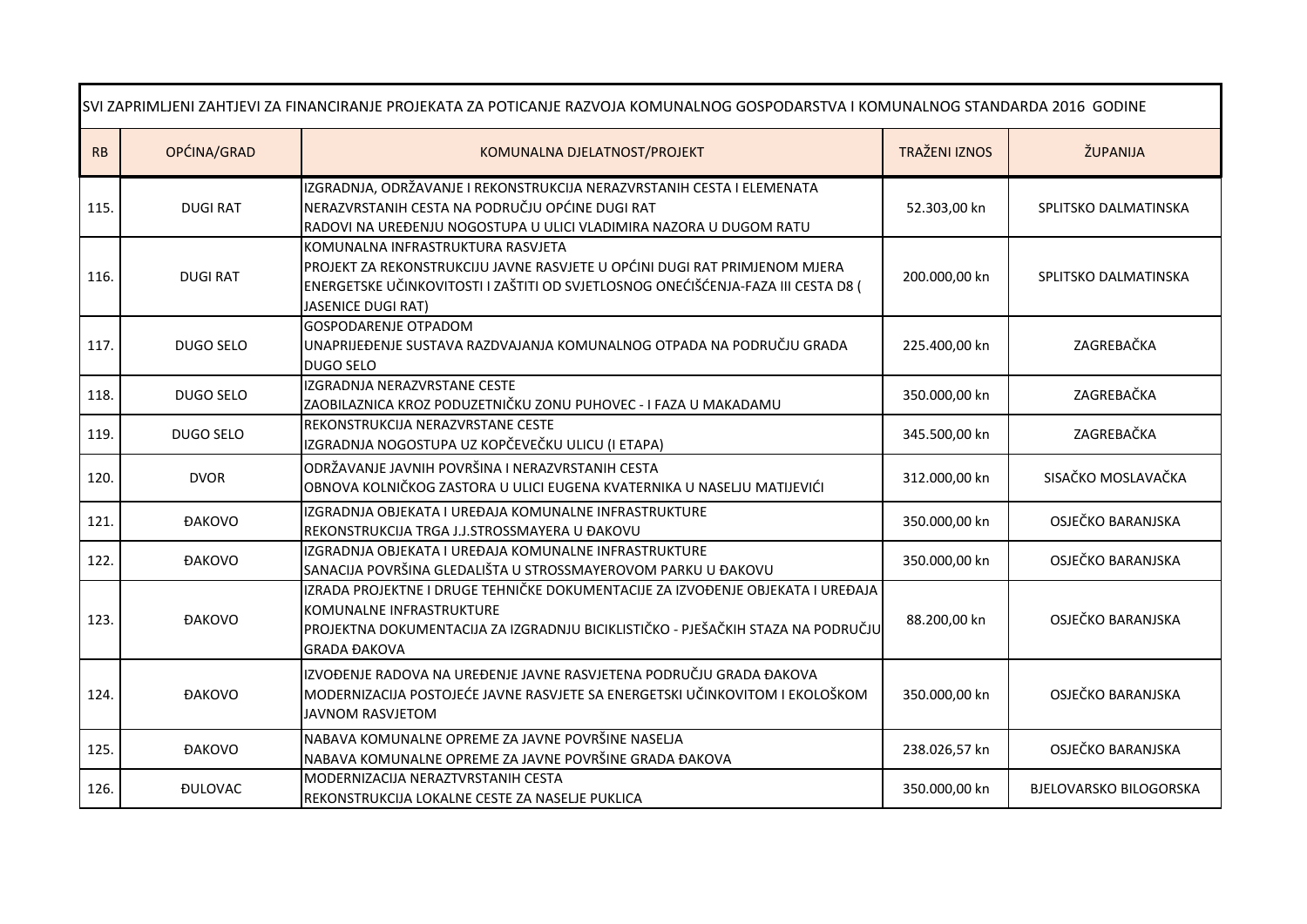| SVI ZAPRIMLJENI ZAHTJEVI ZA FINANCIRANJE PROJEKATA ZA POTICANJE RAZVOJA KOMUNALNOG GOSPODARSTVA I KOMUNALNOG STANDARDA 2016 GODINE |                       |                                                                                                                                                                                                                                   |                      |                               |  |
|------------------------------------------------------------------------------------------------------------------------------------|-----------------------|-----------------------------------------------------------------------------------------------------------------------------------------------------------------------------------------------------------------------------------|----------------------|-------------------------------|--|
| RB                                                                                                                                 | OPĆINA/GRAD           | KOMUNALNA DJELATNOST/PROJEKT                                                                                                                                                                                                      | <b>TRAŽENI IZNOS</b> | ŽUPANIJA                      |  |
| 115.                                                                                                                               | <b>DUGI RAT</b>       | IZGRADNJA, ODRŽAVANJE I REKONSTRUKCIJA NERAZVRSTANIH CESTA I ELEMENATA<br>NERAZVRSTANIH CESTA NA PODRUČJU OPĆINE DUGI RAT<br>RADOVI NA UREĐENJU NOGOSTUPA U ULICI VLADIMIRA NAZORA U DUGOM RATU                                   | 52.303,00 kn         | SPLITSKO DALMATINSKA          |  |
| 116.                                                                                                                               | <b>DUGIRAT</b>        | KOMUNALNA INFRASTRUKTURA RASVJETA<br>PROJEKT ZA REKONSTRUKCIJU JAVNE RASVJETE U OPĆINI DUGI RAT PRIMJENOM MJERA<br>ENERGETSKE UČINKOVITOSTI I ZAŠTITI OD SVJETLOSNOG ONEĆIŠĆENJA-FAZA III CESTA D8 (<br><b>JASENICE DUGI RAT)</b> | 200.000,00 kn        | SPLITSKO DALMATINSKA          |  |
| 117.                                                                                                                               | DUGO SELO             | <b>GOSPODARENJE OTPADOM</b><br>UNAPRIJEĐENJE SUSTAVA RAZDVAJANJA KOMUNALNOG OTPADA NA PODRUČJU GRADA<br><b>DUGO SELO</b>                                                                                                          | 225.400,00 kn        | ZAGREBAČKA                    |  |
| 118.                                                                                                                               | DUGO SELO             | IZGRADNJA NERAZVRSTANE CESTE<br>ZAOBILAZNICA KROZ PODUZETNIČKU ZONU PUHOVEC - I FAZA U MAKADAMU                                                                                                                                   | 350.000,00 kn        | ZAGREBAČKA                    |  |
| 119.                                                                                                                               | DUGO SELO             | REKONSTRUKCIJA NERAZVRSTANE CESTE<br>IZGRADNJA NOGOSTUPA UZ KOPČEVEČKU ULICU (I ETAPA)                                                                                                                                            | 345.500,00 kn        | ZAGREBAČKA                    |  |
| 120.                                                                                                                               | <b>DVOR</b>           | ODRŽAVANJE JAVNIH POVRŠINA I NERAZVRSTANIH CESTA<br>OBNOVA KOLNIČKOG ZASTORA U ULICI EUGENA KVATERNIKA U NASELJU MATIJEVIĆI                                                                                                       | 312.000,00 kn        | SISAČKO MOSLAVAČKA            |  |
| 121.                                                                                                                               | <b>ĐAKOVO</b>         | IZGRADNJA OBJEKATA I UREĐAJA KOMUNALNE INFRASTRUKTURE<br>REKONSTRUKCIJA TRGA J.J.STROSSMAYERA U ĐAKOVU                                                                                                                            | 350.000,00 kn        | OSJEČKO BARANJSKA             |  |
| 122.                                                                                                                               | <b>ĐAKOVO</b>         | IZGRADNJA OBJEKATA I UREĐAJA KOMUNALNE INFRASTRUKTURE<br>SANACIJA POVRŠINA GLEDALIŠTA U STROSSMAYEROVOM PARKU U ĐAKOVU                                                                                                            | 350.000,00 kn        | OSJEČKO BARANJSKA             |  |
| 123.                                                                                                                               | <b>ĐAKOVO</b>         | IZRADA PROJEKTNE I DRUGE TEHNIČKE DOKUMENTACIJE ZA IZVOĐENJE OBJEKATA I UREĐAJA<br>KOMUNALNE INFRASTRUKTURE<br>PROJEKTNA DOKUMENTACIJA ZA IZGRADNJU BICIKLISTIČKO - PJEŠAČKIH STAZA NA PODRUČJU<br><b>GRADA ĐAKOVA</b>            | 88.200,00 kn         | OSJEČKO BARANJSKA             |  |
| 124.                                                                                                                               | <b>ĐAKOVO</b>         | IZVOĐENJE RADOVA NA UREĐENJE JAVNE RASVJETENA PODRUČJU GRADA ĐAKOVA<br>MODERNIZACIJA POSTOJEĆE JAVNE RASVJETE SA ENERGETSKI UČINKOVITOM I EKOLOŠKOM<br><b>JAVNOM RASVJETOM</b>                                                    | 350.000,00 kn        | OSJEČKO BARANJSKA             |  |
| 125.                                                                                                                               | <b>ĐAKOVO</b>         | NABAVA KOMUNALNE OPREME ZA JAVNE POVRŠINE NASELJA<br>NABAVA KOMUNALNE OPREME ZA JAVNE POVRŠINE GRADA ĐAKOVA                                                                                                                       | 238.026,57 kn        | OSJEČKO BARANJSKA             |  |
| 126.                                                                                                                               | <b><i>DULOVAC</i></b> | MODERNIZACIJA NERAZTVRSTANIH CESTA<br>REKONSTRUKCIJA LOKALNE CESTE ZA NASELJE PUKLICA                                                                                                                                             | 350.000,00 kn        | <b>BJELOVARSKO BILOGORSKA</b> |  |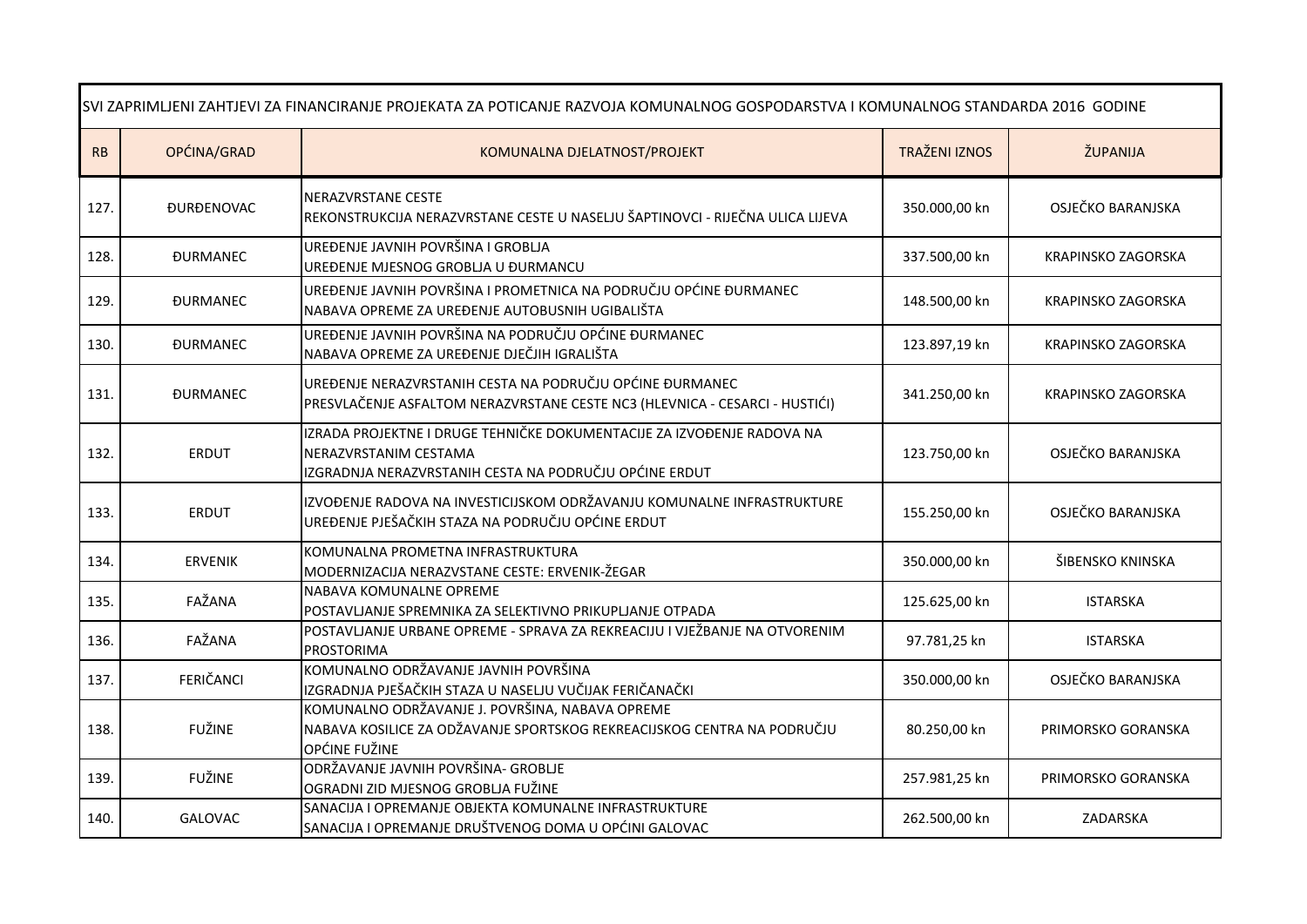| SVI ZAPRIMLJENI ZAHTJEVI ZA FINANCIRANJE PROJEKATA ZA POTICANJE RAZVOJA KOMUNALNOG GOSPODARSTVA I KOMUNALNOG STANDARDA 2016 GODINE |                          |                                                                                                                                                           |                      |                           |  |
|------------------------------------------------------------------------------------------------------------------------------------|--------------------------|-----------------------------------------------------------------------------------------------------------------------------------------------------------|----------------------|---------------------------|--|
| RB                                                                                                                                 | OPĆINA/GRAD              | KOMUNALNA DJELATNOST/PROJEKT                                                                                                                              | <b>TRAŽENI IZNOS</b> | ŽUPANIJA                  |  |
| 127.                                                                                                                               | <b><i>ĐURĐENOVAC</i></b> | <b>NERAZVRSTANE CESTE</b><br>REKONSTRUKCIJA NERAZVRSTANE CESTE U NASELJU ŠAPTINOVCI - RIJEČNA ULICA LIJEVA                                                | 350.000,00 kn        | OSJEČKO BARANJSKA         |  |
| 128.                                                                                                                               | <b><i>DURMANEC</i></b>   | UREĐENJE JAVNIH POVRŠINA I GROBLJA<br>UREĐENJE MJESNOG GROBLJA U ĐURMANCU                                                                                 | 337.500,00 kn        | <b>KRAPINSKO ZAGORSKA</b> |  |
| 129.                                                                                                                               | <b>DURMANEC</b>          | UREĐENJE JAVNIH POVRŠINA I PROMETNICA NA PODRUČJU OPĆINE ĐURMANEC<br>NABAVA OPREME ZA UREĐENJE AUTOBUSNIH UGIBALIŠTA                                      | 148.500,00 kn        | KRAPINSKO ZAGORSKA        |  |
| 130.                                                                                                                               | <b><i>DURMANEC</i></b>   | UREĐENJE JAVNIH POVRŠINA NA PODRUČJU OPĆINE ĐURMANEC<br>NABAVA OPREME ZA UREĐENJE DJEČJIH IGRALIŠTA                                                       | 123.897,19 kn        | KRAPINSKO ZAGORSKA        |  |
| 131.                                                                                                                               | <b>DURMANEC</b>          | UREĐENJE NERAZVRSTANIH CESTA NA PODRUČJU OPĆINE ĐURMANEC<br>PRESVLAČENJE ASFALTOM NERAZVRSTANE CESTE NC3 (HLEVNICA - CESARCI - HUSTIĆI)                   | 341.250,00 kn        | <b>KRAPINSKO ZAGORSKA</b> |  |
| 132.                                                                                                                               | <b>ERDUT</b>             | IZRADA PROJEKTNE I DRUGE TEHNIČKE DOKUMENTACIJE ZA IZVOĐENJE RADOVA NA<br>NERAZVRSTANIM CESTAMA<br>IZGRADNJA NERAZVRSTANIH CESTA NA PODRUČJU OPĆINE ERDUT | 123.750,00 kn        | OSJEČKO BARANJSKA         |  |
| 133.                                                                                                                               | <b>ERDUT</b>             | IZVOĐENJE RADOVA NA INVESTICIJSKOM ODRŽAVANJU KOMUNALNE INFRASTRUKTURE<br>UREĐENJE PJEŠAČKIH STAZA NA PODRUČJU OPĆINE ERDUT                               | 155.250,00 kn        | OSJEČKO BARANJSKA         |  |
| 134.                                                                                                                               | <b>ERVENIK</b>           | KOMUNALNA PROMETNA INFRASTRUKTURA<br>MODERNIZACIJA NERAZVSTANE CESTE: ERVENIK-ŽEGAR                                                                       | 350.000,00 kn        | ŠIBENSKO KNINSKA          |  |
| 135.                                                                                                                               | FAŽANA                   | NABAVA KOMUNALNE OPREME<br>POSTAVLJANJE SPREMNIKA ZA SELEKTIVNO PRIKUPLJANJE OTPADA                                                                       | 125.625,00 kn        | <b>ISTARSKA</b>           |  |
| 136.                                                                                                                               | FAŽANA                   | POSTAVLJANJE URBANE OPREME - SPRAVA ZA REKREACIJU I VJEŽBANJE NA OTVORENIM<br><b>PROSTORIMA</b>                                                           | 97.781,25 kn         | <b>ISTARSKA</b>           |  |
| 137.                                                                                                                               | FERIČANCI                | KOMUNALNO ODRŽAVANJE JAVNIH POVRŠINA<br>IZGRADNJA PJEŠAČKIH STAZA U NASELJU VUČIJAK FERIČANAČKI                                                           | 350.000,00 kn        | OSJEČKO BARANJSKA         |  |
| 138.                                                                                                                               | <b>FUŽINE</b>            | KOMUNALNO ODRŽAVANJE J. POVRŠINA, NABAVA OPREME<br>NABAVA KOSILICE ZA ODŽAVANJE SPORTSKOG REKREACIJSKOG CENTRA NA PODRUČJU<br>OPĆINE FUŽINE               | 80.250,00 kn         | PRIMORSKO GORANSKA        |  |
| 139.                                                                                                                               | <b>FUŽINE</b>            | ODRŽAVANJE JAVNIH POVRŠINA- GROBLJE<br>OGRADNI ZID MJESNOG GROBLJA FUŽINE                                                                                 | 257.981,25 kn        | PRIMORSKO GORANSKA        |  |
| 140.                                                                                                                               | <b>GALOVAC</b>           | SANACIJA I OPREMANJE OBJEKTA KOMUNALNE INFRASTRUKTURE<br>SANACIJA I OPREMANJE DRUŠTVENOG DOMA U OPĆINI GALOVAC                                            | 262.500,00 kn        | ZADARSKA                  |  |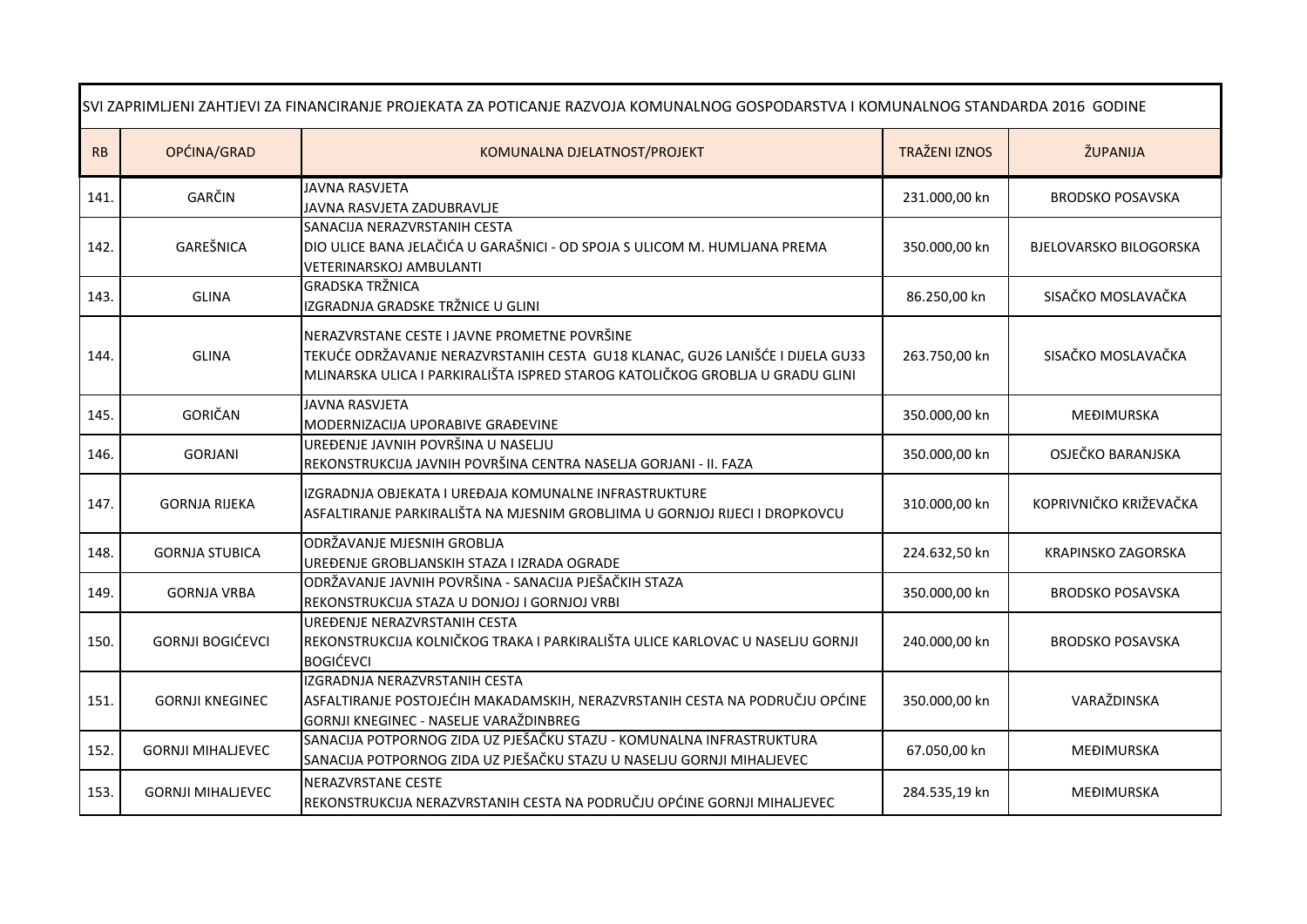| SVI ZAPRIMLJENI ZAHTJEVI ZA FINANCIRANJE PROJEKATA ZA POTICANJE RAZVOJA KOMUNALNOG GOSPODARSTVA I KOMUNALNOG STANDARDA 2016 GODINE |                          |                                                                                                                                                                                                                |                      |                               |
|------------------------------------------------------------------------------------------------------------------------------------|--------------------------|----------------------------------------------------------------------------------------------------------------------------------------------------------------------------------------------------------------|----------------------|-------------------------------|
| RB                                                                                                                                 | OPĆINA/GRAD              | KOMUNALNA DJELATNOST/PROJEKT                                                                                                                                                                                   | <b>TRAŽENI IZNOS</b> | ŽUPANIJA                      |
| 141.                                                                                                                               | GARČIN                   | <b>JAVNA RASVJETA</b><br>JAVNA RASVJETA ZADUBRAVLJE                                                                                                                                                            | 231.000,00 kn        | <b>BRODSKO POSAVSKA</b>       |
| 142.                                                                                                                               | GAREŠNICA                | SANACIJA NERAZVRSTANIH CESTA<br>DIO ULICE BANA JELAČIĆA U GARAŠNICI - OD SPOJA S ULICOM M. HUMLJANA PREMA<br><b>VETERINARSKOJ AMBULANTI</b>                                                                    | 350.000,00 kn        | <b>BJELOVARSKO BILOGORSKA</b> |
| 143.                                                                                                                               | <b>GLINA</b>             | <b>GRADSKA TRŽNICA</b><br>IZGRADNJA GRADSKE TRŽNICE U GLINI                                                                                                                                                    | 86.250,00 kn         | SISAČKO MOSLAVAČKA            |
| 144.                                                                                                                               | <b>GLINA</b>             | NERAZVRSTANE CESTE I JAVNE PROMETNE POVRŠINE<br>TEKUĆE ODRŽAVANJE NERAZVRSTANIH CESTA GU18 KLANAC, GU26 LANIŠĆE I DIJELA GU33<br>MLINARSKA ULICA I PARKIRALIŠTA ISPRED STAROG KATOLIČKOG GROBLJA U GRADU GLINI | 263.750,00 kn        | SISAČKO MOSLAVAČKA            |
| 145.                                                                                                                               | GORIČAN                  | <b>JAVNA RASVJETA</b><br>MODERNIZACIJA UPORABIVE GRAĐEVINE                                                                                                                                                     | 350.000,00 kn        | MEĐIMURSKA                    |
| 146.                                                                                                                               | <b>GORJANI</b>           | UREĐENJE JAVNIH POVRŠINA U NASELJU<br>REKONSTRUKCIJA JAVNIH POVRŠINA CENTRA NASELJA GORJANI - II. FAZA                                                                                                         | 350.000,00 kn        | OSJEČKO BARANJSKA             |
| 147.                                                                                                                               | <b>GORNJA RIJEKA</b>     | IZGRADNJA OBJEKATA I UREĐAJA KOMUNALNE INFRASTRUKTURE<br>ASFALTIRANJE PARKIRALIŠTA NA MJESNIM GROBLJIMA U GORNJOJ RIJECI I DROPKOVCU                                                                           | 310.000,00 kn        | KOPRIVNIČKO KRIŽEVAČKA        |
| 148.                                                                                                                               | <b>GORNJA STUBICA</b>    | ODRŽAVANJE MJESNIH GROBLJA<br>UREĐENJE GROBLJANSKIH STAZA I IZRADA OGRADE                                                                                                                                      | 224.632,50 kn        | KRAPINSKO ZAGORSKA            |
| 149.                                                                                                                               | <b>GORNJA VRBA</b>       | ODRŽAVANJE JAVNIH POVRŠINA - SANACIJA PJEŠAČKIH STAZA<br>REKONSTRUKCIJA STAZA U DONJOJ I GORNJOJ VRBI                                                                                                          | 350.000,00 kn        | <b>BRODSKO POSAVSKA</b>       |
| 150.                                                                                                                               | <b>GORNJI BOGIĆEVCI</b>  | UREĐENJE NERAZVRSTANIH CESTA<br>REKONSTRUKCIJA KOLNIČKOG TRAKA I PARKIRALIŠTA ULICE KARLOVAC U NASELJU GORNJI<br><b>BOGIĆEVCI</b>                                                                              | 240.000,00 kn        | <b>BRODSKO POSAVSKA</b>       |
| 151.                                                                                                                               | <b>GORNJI KNEGINEC</b>   | IZGRADNJA NERAZVRSTANIH CESTA<br>ASFALTIRANJE POSTOJEĆIH MAKADAMSKIH, NERAZVRSTANIH CESTA NA PODRUČJU OPĆINE<br>GORNJI KNEGINEC - NASELJE VARAŽDINBREG                                                         | 350.000,00 kn        | VARAŽDINSKA                   |
| 152.                                                                                                                               | <b>GORNJI MIHALJEVEC</b> | SANACIJA POTPORNOG ZIDA UZ PJEŠAČKU STAZU - KOMUNALNA INFRASTRUKTURA<br>SANACIJA POTPORNOG ZIDA UZ PJEŠAČKU STAZU U NASELJU GORNJI MIHALJEVEC                                                                  | 67.050,00 kn         | MEĐIMURSKA                    |
| 153.                                                                                                                               | <b>GORNJI MIHALJEVEC</b> | NERAZVRSTANE CESTE<br>REKONSTRUKCIJA NERAZVRSTANIH CESTA NA PODRUČJU OPĆINE GORNJI MIHALJEVEC                                                                                                                  | 284.535,19 kn        | MEĐIMURSKA                    |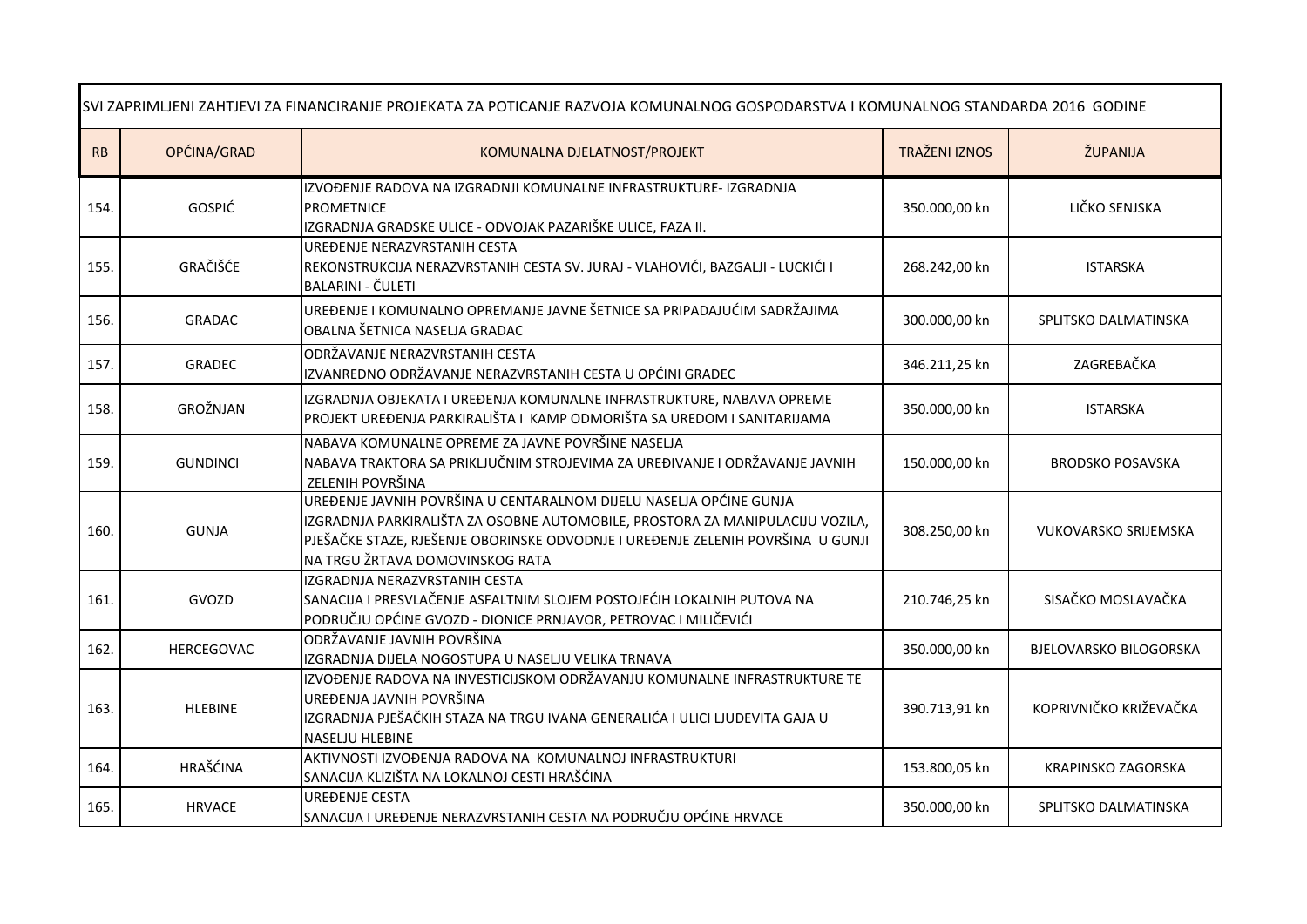| SVI ZAPRIMLJENI ZAHTJEVI ZA FINANCIRANJE PROJEKATA ZA POTICANJE RAZVOJA KOMUNALNOG GOSPODARSTVA I KOMUNALNOG STANDARDA 2016 GODINE |                 |                                                                                                                                                                                                                                                                           |                      |                               |
|------------------------------------------------------------------------------------------------------------------------------------|-----------------|---------------------------------------------------------------------------------------------------------------------------------------------------------------------------------------------------------------------------------------------------------------------------|----------------------|-------------------------------|
| ${\sf RB}$                                                                                                                         | OPĆINA/GRAD     | KOMUNALNA DJELATNOST/PROJEKT                                                                                                                                                                                                                                              | <b>TRAŽENI IZNOS</b> | ŽUPANIJA                      |
| 154.                                                                                                                               | <b>GOSPIĆ</b>   | IZVOĐENJE RADOVA NA IZGRADNJI KOMUNALNE INFRASTRUKTURE- IZGRADNJA<br><b>PROMETNICE</b><br>IZGRADNJA GRADSKE ULICE - ODVOJAK PAZARIŠKE ULICE, FAZA II.                                                                                                                     | 350.000,00 kn        | LIČKO SENJSKA                 |
| 155.                                                                                                                               | GRAČIŠĆE        | UREĐENJE NERAZVRSTANIH CESTA<br>REKONSTRUKCIJA NERAZVRSTANIH CESTA SV. JURAJ - VLAHOVIĆI, BAZGALJI - LUCKIĆI I<br>BALARINI - ČULETI                                                                                                                                       | 268.242,00 kn        | <b>ISTARSKA</b>               |
| 156.                                                                                                                               | <b>GRADAC</b>   | UREĐENJE I KOMUNALNO OPREMANJE JAVNE ŠETNICE SA PRIPADAJUĆIM SADRŽAJIMA<br>OBALNA ŠETNICA NASELJA GRADAC                                                                                                                                                                  | 300.000,00 kn        | SPLITSKO DALMATINSKA          |
| 157.                                                                                                                               | GRADEC          | ODRŽAVANJE NERAZVRSTANIH CESTA<br>IZVANREDNO ODRŽAVANJE NERAZVRSTANIH CESTA U OPĆINI GRADEC                                                                                                                                                                               | 346.211,25 kn        | ZAGREBAČKA                    |
| 158.                                                                                                                               | GROŽNJAN        | IZGRADNJA OBJEKATA I UREĐENJA KOMUNALNE INFRASTRUKTURE, NABAVA OPREME<br>PROJEKT UREĐENJA PARKIRALIŠTA I KAMP ODMORIŠTA SA UREDOM I SANITARIJAMA                                                                                                                          | 350.000,00 kn        | <b>ISTARSKA</b>               |
| 159.                                                                                                                               | <b>GUNDINCI</b> | NABAVA KOMUNALNE OPREME ZA JAVNE POVRŠINE NASELJA<br>NABAVA TRAKTORA SA PRIKLJUČNIM STROJEVIMA ZA UREĐIVANJE I ODRŽAVANJE JAVNIH<br>ZELENIH POVRŠINA                                                                                                                      | 150.000,00 kn        | <b>BRODSKO POSAVSKA</b>       |
| 160.                                                                                                                               | <b>GUNJA</b>    | UREĐENJE JAVNIH POVRŠINA U CENTARALNOM DIJELU NASELJA OPĆINE GUNJA<br>IZGRADNJA PARKIRALIŠTA ZA OSOBNE AUTOMOBILE, PROSTORA ZA MANIPULACIJU VOZILA,<br>PJEŠAČKE STAZE, RJEŠENJE OBORINSKE ODVODNJE I UREĐENJE ZELENIH POVRŠINA U GUNJI<br>NA TRGU ŽRTAVA DOMOVINSKOG RATA | 308.250,00 kn        | <b>VUKOVARSKO SRIJEMSKA</b>   |
| 161.                                                                                                                               | GVOZD           | IZGRADNJA NERAZVRSTANIH CESTA<br>SANACIJA I PRESVLAČENJE ASFALTNIM SLOJEM POSTOJEĆIH LOKALNIH PUTOVA NA<br>PODRUČJU OPĆINE GVOZD - DIONICE PRNJAVOR, PETROVAC I MILIČEVIĆI                                                                                                | 210.746,25 kn        | SISAČKO MOSLAVAČKA            |
| 162.                                                                                                                               | HERCEGOVAC      | ODRŽAVANJE JAVNIH POVRŠINA<br>IZGRADNJA DIJELA NOGOSTUPA U NASELJU VELIKA TRNAVA                                                                                                                                                                                          | 350.000,00 kn        | <b>BJELOVARSKO BILOGORSKA</b> |
| 163.                                                                                                                               | <b>HLEBINE</b>  | IZVOĐENJE RADOVA NA INVESTICIJSKOM ODRŽAVANJU KOMUNALNE INFRASTRUKTURE TE<br>UREĐENJA JAVNIH POVRŠINA<br>IZGRADNJA PJEŠAČKIH STAZA NA TRGU IVANA GENERALIĆA I ULICI LJUDEVITA GAJA U<br><b>NASELJU HLEBINE</b>                                                            | 390.713,91 kn        | KOPRIVNIČKO KRIŽEVAČKA        |
| 164.                                                                                                                               | <b>HRAŠĆINA</b> | AKTIVNOSTI IZVOĐENJA RADOVA NA KOMUNALNOJ INFRASTRUKTURI<br>SANACIJA KLIZIŠTA NA LOKALNOJ CESTI HRAŠĆINA                                                                                                                                                                  | 153.800,05 kn        | KRAPINSKO ZAGORSKA            |
| 165.                                                                                                                               | <b>HRVACE</b>   | <b>UREĐENJE CESTA</b><br>SANACIJA I UREĐENJE NERAZVRSTANIH CESTA NA PODRUČJU OPĆINE HRVACE                                                                                                                                                                                | 350.000,00 kn        | SPLITSKO DALMATINSKA          |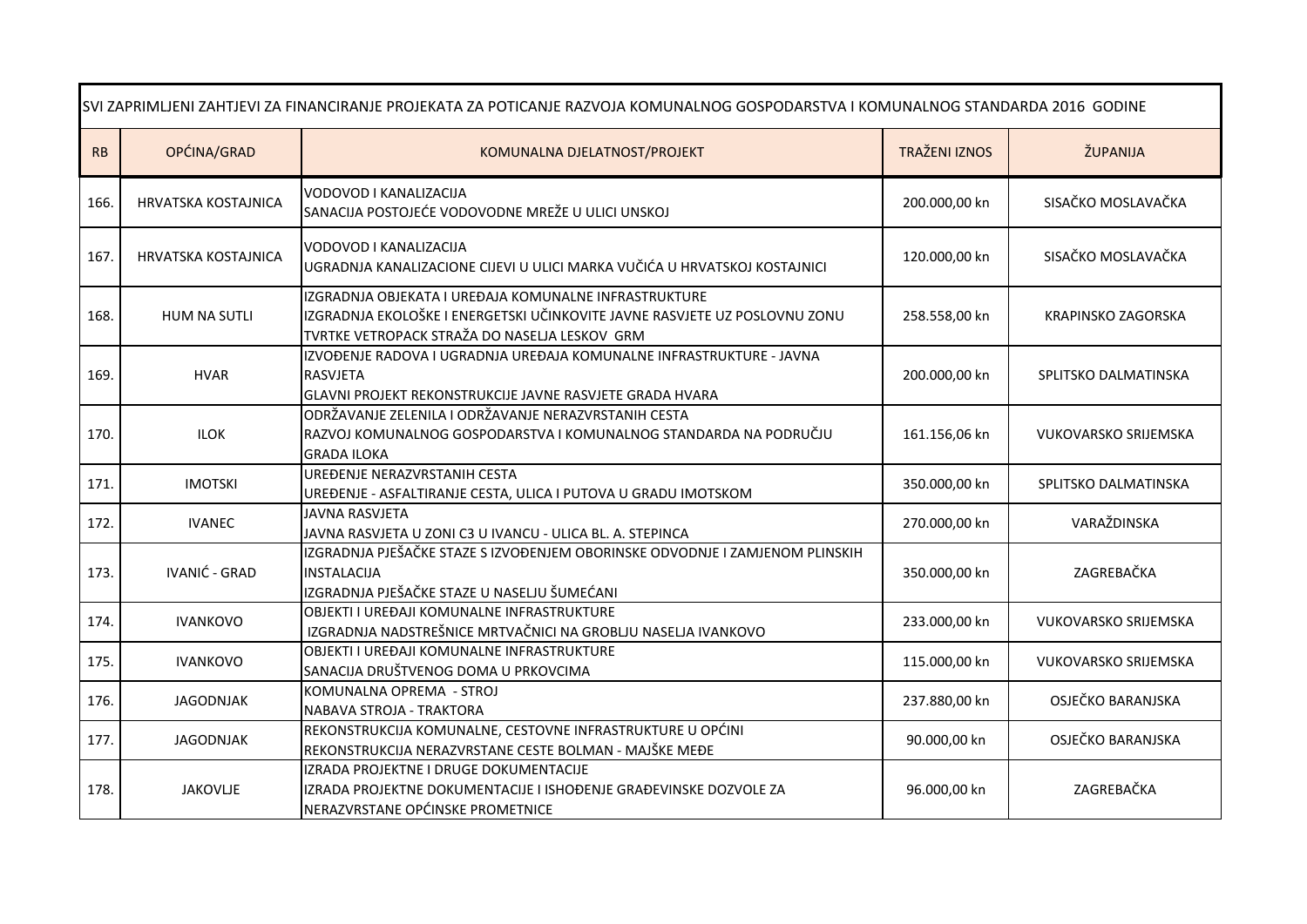|      | SVI ZAPRIMLJENI ZAHTJEVI ZA FINANCIRANJE PROJEKATA ZA POTICANJE RAZVOJA KOMUNALNOG GOSPODARSTVA I KOMUNALNOG STANDARDA 2016 GODINE |                                                                                                                                                                                      |                      |                             |  |
|------|------------------------------------------------------------------------------------------------------------------------------------|--------------------------------------------------------------------------------------------------------------------------------------------------------------------------------------|----------------------|-----------------------------|--|
| RB   | OPĆINA/GRAD                                                                                                                        | KOMUNALNA DJELATNOST/PROJEKT                                                                                                                                                         | <b>TRAŽENI IZNOS</b> | ŽUPANIJA                    |  |
| 166. | HRVATSKA KOSTAJNICA                                                                                                                | VODOVOD I KANALIZACIJA<br>SANACIJA POSTOJEĆE VODOVODNE MREŽE U ULICI UNSKOJ                                                                                                          | 200.000,00 kn        | SISAČKO MOSLAVAČKA          |  |
| 167  | HRVATSKA KOSTAJNICA                                                                                                                | VODOVOD I KANALIZACIJA<br>UGRADNJA KANALIZACIONE CIJEVI U ULICI MARKA VUČIĆA U HRVATSKOJ KOSTAJNICI                                                                                  | 120.000,00 kn        | SISAČKO MOSLAVAČKA          |  |
| 168. | HUM NA SUTLI                                                                                                                       | IZGRADNJA OBJEKATA I UREĐAJA KOMUNALNE INFRASTRUKTURE<br>IZGRADNJA EKOLOŠKE I ENERGETSKI UČINKOVITE JAVNE RASVJETE UZ POSLOVNU ZONU<br>TVRTKE VETROPACK STRAŽA DO NASELJA LESKOV GRM | 258.558,00 kn        | KRAPINSKO ZAGORSKA          |  |
| 169. | <b>HVAR</b>                                                                                                                        | IZVOĐENJE RADOVA I UGRADNJA UREĐAJA KOMUNALNE INFRASTRUKTURE - JAVNA<br><b>RASVJETA</b><br>GLAVNI PROJEKT REKONSTRUKCIJE JAVNE RASVJETE GRADA HVARA                                  | 200.000,00 kn        | SPLITSKO DALMATINSKA        |  |
| 170. | <b>ILOK</b>                                                                                                                        | ODRŽAVANJE ZELENILA I ODRŽAVANJE NERAZVRSTANIH CESTA<br>RAZVOJ KOMUNALNOG GOSPODARSTVA I KOMUNALNOG STANDARDA NA PODRUČJU<br><b>GRADA ILOKA</b>                                      | 161.156,06 kn        | <b>VUKOVARSKO SRIJEMSKA</b> |  |
| 171. | <b>IMOTSKI</b>                                                                                                                     | UREĐENJE NERAZVRSTANIH CESTA<br>UREĐENJE - ASFALTIRANJE CESTA, ULICA I PUTOVA U GRADU IMOTSKOM                                                                                       | 350.000,00 kn        | SPLITSKO DALMATINSKA        |  |
| 172. | <b>IVANEC</b>                                                                                                                      | <b>JAVNA RASVJETA</b><br>JAVNA RASVJETA U ZONI C3 U IVANCU - ULICA BL. A. STEPINCA                                                                                                   | 270.000,00 kn        | VARAŽDINSKA                 |  |
| 173. | <b>IVANIĆ - GRAD</b>                                                                                                               | IZGRADNJA PJEŠAČKE STAZE S IZVOĐENJEM OBORINSKE ODVODNJE I ZAMJENOM PLINSKIH<br><b>INSTALACIJA</b><br>IZGRADNJA PJEŠAČKE STAZE U NASELJU ŠUMEĆANI                                    | 350.000,00 kn        | ZAGREBAČKA                  |  |
| 174. | <b>IVANKOVO</b>                                                                                                                    | OBJEKTI I UREĐAJI KOMUNALNE INFRASTRUKTURE<br>IZGRADNJA NADSTREŠNICE MRTVAČNICI NA GROBLJU NASELJA IVANKOVO                                                                          | 233.000,00 kn        | <b>VUKOVARSKO SRIJEMSKA</b> |  |
| 175. | <b>IVANKOVO</b>                                                                                                                    | OBJEKTI I UREĐAJI KOMUNALNE INFRASTRUKTURE<br>SANACIJA DRUŠTVENOG DOMA U PRKOVCIMA                                                                                                   | 115.000,00 kn        | <b>VUKOVARSKO SRIJEMSKA</b> |  |
| 176. | <b>JAGODNJAK</b>                                                                                                                   | KOMUNALNA OPREMA - STROJ<br>NABAVA STROJA - TRAKTORA                                                                                                                                 | 237.880,00 kn        | OSJEČKO BARANJSKA           |  |
| 177. | JAGODNJAK                                                                                                                          | REKONSTRUKCIJA KOMUNALNE, CESTOVNE INFRASTRUKTURE U OPĆINI<br>REKONSTRUKCIJA NERAZVRSTANE CESTE BOLMAN - MAJŠKE MEĐE                                                                 | 90.000,00 kn         | OSJEČKO BARANJSKA           |  |
| 178. | <b>JAKOVLJE</b>                                                                                                                    | IZRADA PROJEKTNE I DRUGE DOKUMENTACIJE<br>IZRADA PROJEKTNE DOKUMENTACIJE I ISHOĐENJE GRAĐEVINSKE DOZVOLE ZA<br>NERAZVRSTANE OPĆINSKE PROMETNICE                                      | 96.000,00 kn         | ZAGREBAČKA                  |  |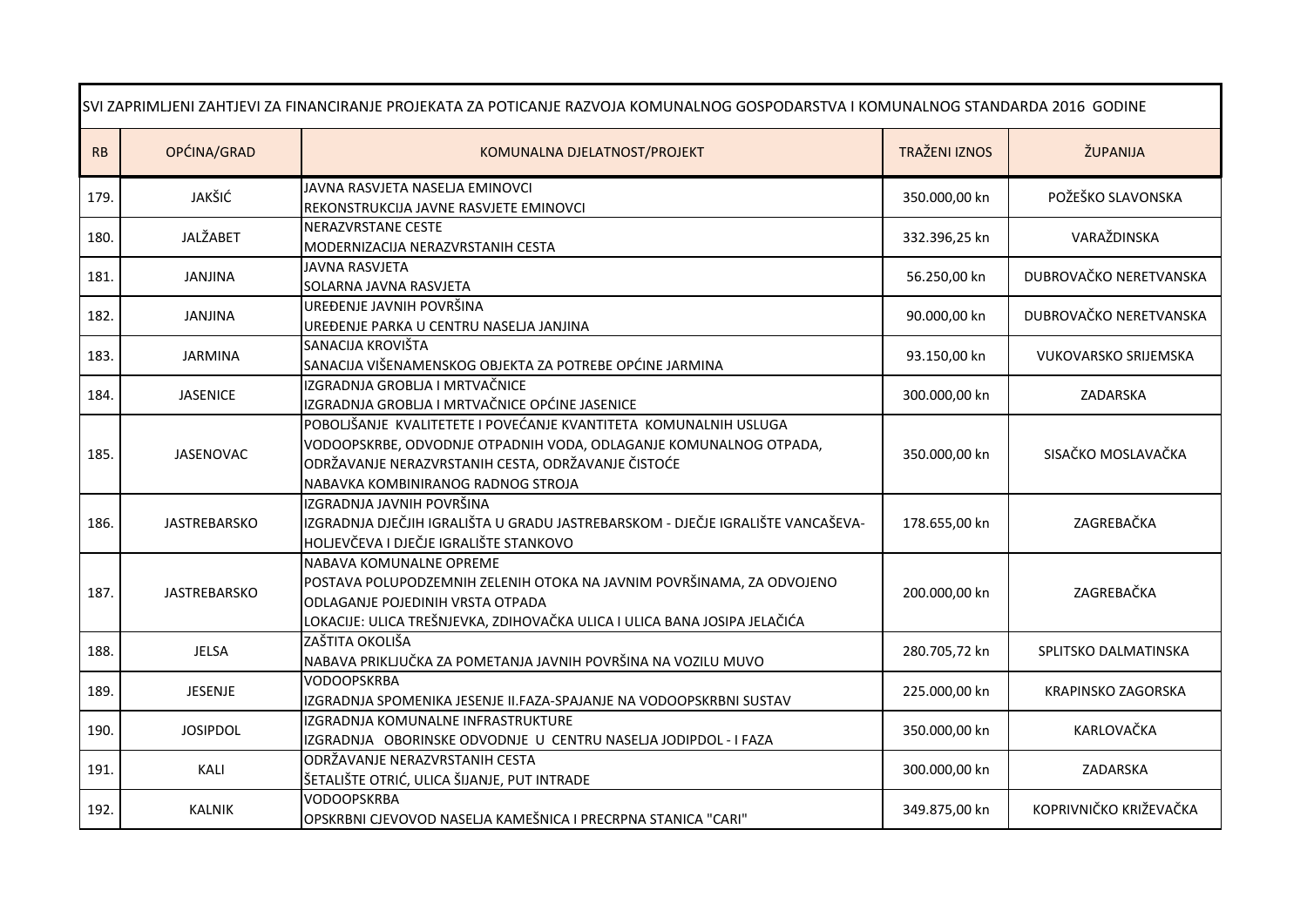| SVI ZAPRIMLJENI ZAHTJEVI ZA FINANCIRANJE PROJEKATA ZA POTICANJE RAZVOJA KOMUNALNOG GOSPODARSTVA I KOMUNALNOG STANDARDA 2016 GODINE |                     |                                                                                                                                                                                                                                   |                      |                        |
|------------------------------------------------------------------------------------------------------------------------------------|---------------------|-----------------------------------------------------------------------------------------------------------------------------------------------------------------------------------------------------------------------------------|----------------------|------------------------|
| <b>RB</b>                                                                                                                          | OPĆINA/GRAD         | KOMUNALNA DJELATNOST/PROJEKT                                                                                                                                                                                                      | <b>TRAŽENI IZNOS</b> | ŽUPANIJA               |
| 179.                                                                                                                               | JAKŠIĆ              | JAVNA RASVJETA NASELJA EMINOVCI<br>REKONSTRUKCIJA JAVNE RASVJETE EMINOVCI                                                                                                                                                         | 350.000,00 kn        | POŽEŠKO SLAVONSKA      |
| 180.                                                                                                                               | JALŽABET            | NERAZVRSTANE CESTE<br>MODERNIZACIJA NERAZVRSTANIH CESTA                                                                                                                                                                           | 332.396,25 kn        | VARAŽDINSKA            |
| 181.                                                                                                                               | JANJINA             | <b>JAVNA RASVJETA</b><br>SOLARNA JAVNA RASVJETA                                                                                                                                                                                   | 56.250,00 kn         | DUBROVAČKO NERETVANSKA |
| 182.                                                                                                                               | JANJINA             | UREĐENJE JAVNIH POVRŠINA<br>UREĐENJE PARKA U CENTRU NASELJA JANJINA                                                                                                                                                               | 90.000,00 kn         | DUBROVAČKO NERETVANSKA |
| 183.                                                                                                                               | <b>JARMINA</b>      | SANACIJA KROVIŠTA<br>SANACIJA VIŠENAMENSKOG OBJEKTA ZA POTREBE OPĆINE JARMINA                                                                                                                                                     | 93.150,00 kn         | VUKOVARSKO SRIJEMSKA   |
| 184.                                                                                                                               | <b>JASENICE</b>     | IZGRADNJA GROBLJA I MRTVAČNICE<br>IZGRADNJA GROBLJA I MRTVAČNICE OPĆINE JASENICE                                                                                                                                                  | 300.000,00 kn        | ZADARSKA               |
| 185.                                                                                                                               | <b>JASENOVAC</b>    | POBOLJŠANJE KVALITETETE I POVEĆANJE KVANTITETA KOMUNALNIH USLUGA<br>VODOOPSKRBE, ODVODNJE OTPADNIH VODA, ODLAGANJE KOMUNALNOG OTPADA,<br>ODRŽAVANJE NERAZVRSTANIH CESTA, ODRŽAVANJE ČISTOĆE<br>NABAVKA KOMBINIRANOG RADNOG STROJA | 350.000,00 kn        | SISAČKO MOSLAVAČKA     |
| 186.                                                                                                                               | <b>JASTREBARSKO</b> | IZGRADNJA JAVNIH POVRŠINA<br>IZGRADNJA DJEČJIH IGRALIŠTA U GRADU JASTREBARSKOM - DJEČJE IGRALIŠTE VANCAŠEVA-<br>HOLJEVČEVA I DJEČJE IGRALIŠTE STANKOVO                                                                            | 178.655,00 kn        | ZAGREBAČKA             |
| 187.                                                                                                                               | <b>JASTREBARSKO</b> | NABAVA KOMUNALNE OPREME<br>POSTAVA POLUPODZEMNIH ZELENIH OTOKA NA JAVNIM POVRŠINAMA, ZA ODVOJENO<br>ODLAGANJE POJEDINIH VRSTA OTPADA<br>LOKACIJE: ULICA TREŠNJEVKA, ZDIHOVAČKA ULICA I ULICA BANA JOSIPA JELAČIĆA                 | 200.000,00 kn        | ZAGREBAČKA             |
| 188.                                                                                                                               | <b>JELSA</b>        | ZAŠTITA OKOLIŠA<br>NABAVA PRIKLJUČKA ZA POMETANJA JAVNIH POVRŠINA NA VOZILU MUVO                                                                                                                                                  | 280.705,72 kn        | SPLITSKO DALMATINSKA   |
| 189.                                                                                                                               | <b>JESENJE</b>      | <b>VODOOPSKRBA</b><br>IZGRADNJA SPOMENIKA JESENJE II.FAZA-SPAJANJE NA VODOOPSKRBNI SUSTAV                                                                                                                                         | 225.000,00 kn        | KRAPINSKO ZAGORSKA     |
| 190.                                                                                                                               | <b>JOSIPDOL</b>     | IZGRADNJA KOMUNALNE INFRASTRUKTURE<br>IZGRADNJA OBORINSKE ODVODNJE U CENTRU NASELJA JODIPDOL - I FAZA                                                                                                                             | 350.000,00 kn        | KARLOVAČKA             |
| 191.                                                                                                                               | KALI                | ODRŽAVANJE NERAZVRSTANIH CESTA<br>ŠETALIŠTE OTRIĆ, ULICA ŠIJANJE, PUT INTRADE                                                                                                                                                     | 300.000,00 kn        | ZADARSKA               |
| 192.                                                                                                                               | <b>KALNIK</b>       | <b>VODOOPSKRBA</b><br>OPSKRBNI CJEVOVOD NASELJA KAMEŠNICA I PRECRPNA STANICA "CARI"                                                                                                                                               | 349.875,00 kn        | KOPRIVNIČKO KRIŽEVAČKA |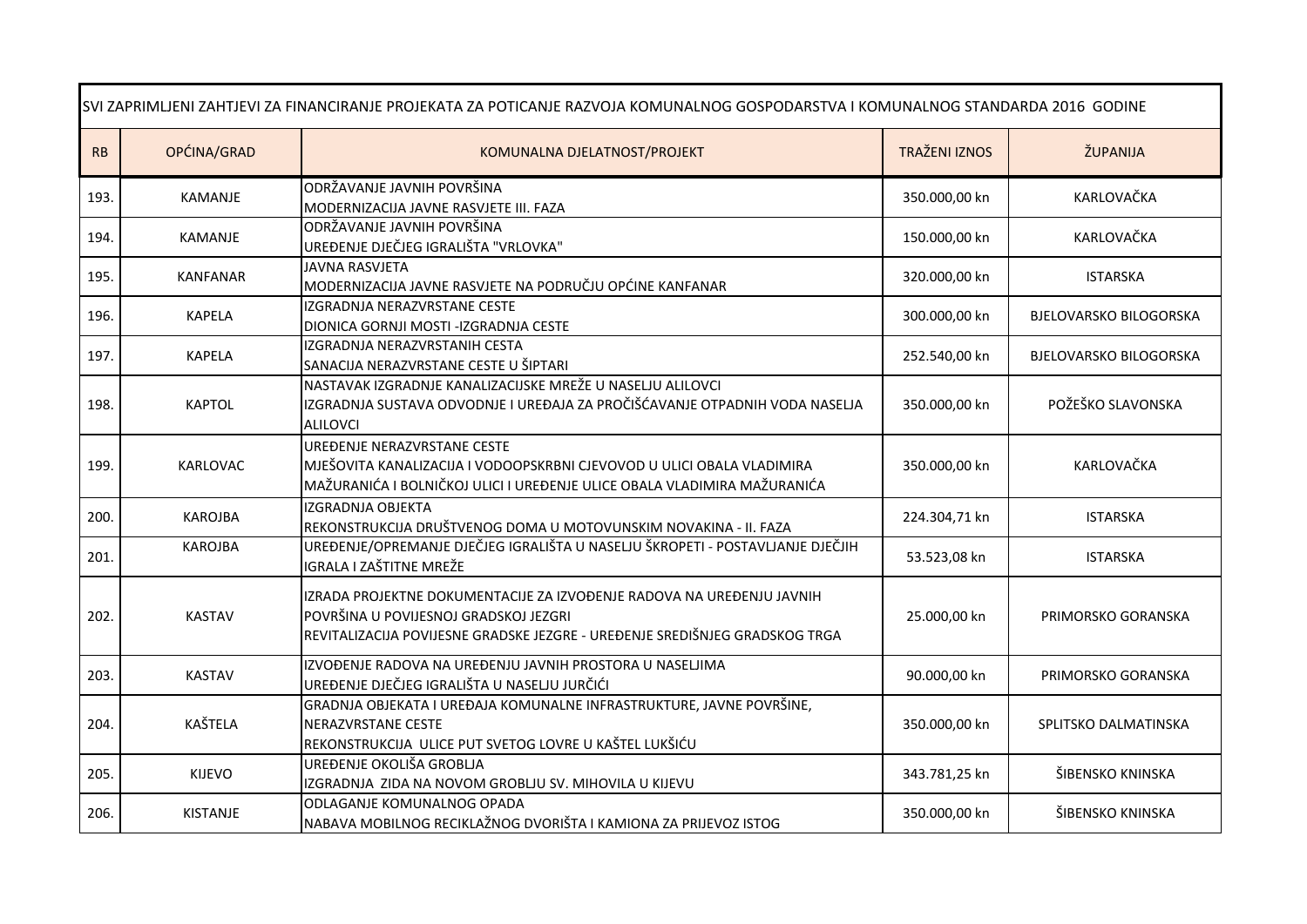| SVI ZAPRIMLJENI ZAHTJEVI ZA FINANCIRANJE PROJEKATA ZA POTICANJE RAZVOJA KOMUNALNOG GOSPODARSTVA I KOMUNALNOG STANDARDA 2016 GODINE |                 |                                                                                                                                                                                               |                      |                               |  |
|------------------------------------------------------------------------------------------------------------------------------------|-----------------|-----------------------------------------------------------------------------------------------------------------------------------------------------------------------------------------------|----------------------|-------------------------------|--|
| RB                                                                                                                                 | OPĆINA/GRAD     | KOMUNALNA DJELATNOST/PROJEKT                                                                                                                                                                  | <b>TRAŽENI IZNOS</b> | ŽUPANIJA                      |  |
| 193.                                                                                                                               | <b>KAMANJE</b>  | ODRŽAVANJE JAVNIH POVRŠINA<br>MODERNIZACIJA JAVNE RASVJETE III. FAZA                                                                                                                          | 350.000,00 kn        | KARLOVAČKA                    |  |
| 194.                                                                                                                               | <b>KAMANJE</b>  | ODRŽAVANJE JAVNIH POVRŠINA<br>UREĐENJE DJEČJEG IGRALIŠTA "VRLOVKA"                                                                                                                            | 150.000,00 kn        | KARLOVAČKA                    |  |
| 195.                                                                                                                               | <b>KANFANAR</b> | <b>JAVNA RASVJETA</b><br>MODERNIZACIJA JAVNE RASVJETE NA PODRUČJU OPĆINE KANFANAR                                                                                                             | 320.000,00 kn        | <b>ISTARSKA</b>               |  |
| 196.                                                                                                                               | <b>KAPELA</b>   | IZGRADNJA NERAZVRSTANE CESTE<br>DIONICA GORNJI MOSTI -IZGRADNJA CESTE                                                                                                                         | 300.000,00 kn        | <b>BJELOVARSKO BILOGORSKA</b> |  |
| 197.                                                                                                                               | <b>KAPELA</b>   | IZGRADNJA NERAZVRSTANIH CESTA<br>SANACIJA NERAZVRSTANE CESTE U ŠIPTARI                                                                                                                        | 252.540,00 kn        | <b>BJELOVARSKO BILOGORSKA</b> |  |
| 198.                                                                                                                               | <b>KAPTOL</b>   | NASTAVAK IZGRADNJE KANALIZACIJSKE MREŽE U NASELJU ALILOVCI<br>IZGRADNJA SUSTAVA ODVODNJE I UREĐAJA ZA PROČIŠĆAVANJE OTPADNIH VODA NASELJA<br><b>ALILOVCI</b>                                  | 350.000,00 kn        | POŽEŠKO SLAVONSKA             |  |
| 199.                                                                                                                               | KARLOVAC        | UREĐENJE NERAZVRSTANE CESTE<br>MJEŠOVITA KANALIZACIJA I VODOOPSKRBNI CJEVOVOD U ULICI OBALA VLADIMIRA<br>MAŽURANIĆA I BOLNIČKOJ ULICI I UREĐENJE ULICE OBALA VLADIMIRA MAŽURANIĆA             | 350.000,00 kn        | KARLOVAČKA                    |  |
| 200.                                                                                                                               | <b>KAROJBA</b>  | <b>IZGRADNJA OBJEKTA</b><br>REKONSTRUKCIJA DRUŠTVENOG DOMA U MOTOVUNSKIM NOVAKINA - II. FAZA                                                                                                  | 224.304,71 kn        | <b>ISTARSKA</b>               |  |
| 201.                                                                                                                               | <b>KAROJBA</b>  | UREĐENJE/OPREMANJE DJEČJEG IGRALIŠTA U NASELJU ŠKROPETI - POSTAVLJANJE DJEČJIH<br>IGRALA I ZAŠTITNE MREŽE                                                                                     | 53.523,08 kn         | <b>ISTARSKA</b>               |  |
| 202.                                                                                                                               | <b>KASTAV</b>   | IZRADA PROJEKTNE DOKUMENTACIJE ZA IZVOĐENJE RADOVA NA UREĐENJU JAVNIH<br>POVRŠINA U POVIJESNOJ GRADSKOJ JEZGRI<br>REVITALIZACIJA POVIJESNE GRADSKE JEZGRE - UREĐENJE SREDIŠNJEG GRADSKOG TRGA | 25.000,00 kn         | PRIMORSKO GORANSKA            |  |
| 203.                                                                                                                               | <b>KASTAV</b>   | IZVOĐENJE RADOVA NA UREĐENJU JAVNIH PROSTORA U NASELJIMA<br>UREĐENJE DJEČJEG IGRALIŠTA U NASELJU JURČIĆI                                                                                      | 90.000,00 kn         | PRIMORSKO GORANSKA            |  |
| 204.                                                                                                                               | KAŠTELA         | GRADNJA OBJEKATA I UREĐAJA KOMUNALNE INFRASTRUKTURE, JAVNE POVRŠINE,<br>NERAZVRSTANE CESTE<br>REKONSTRUKCIJA ULICE PUT SVETOG LOVRE U KAŠTEL LUKŠIĆU                                          | 350.000,00 kn        | SPLITSKO DALMATINSKA          |  |
| 205.                                                                                                                               | KIJEVO          | UREĐENJE OKOLIŠA GROBLJA<br>IZGRADNJA ZIDA NA NOVOM GROBLJU SV. MIHOVILA U KIJEVU                                                                                                             | 343.781,25 kn        | ŠIBENSKO KNINSKA              |  |
| 206.                                                                                                                               | <b>KISTANJE</b> | ODLAGANJE KOMUNALNOG OPADA<br>NABAVA MOBILNOG RECIKLAŽNOG DVORIŠTA I KAMIONA ZA PRIJEVOZ ISTOG                                                                                                | 350.000,00 kn        | ŠIBENSKO KNINSKA              |  |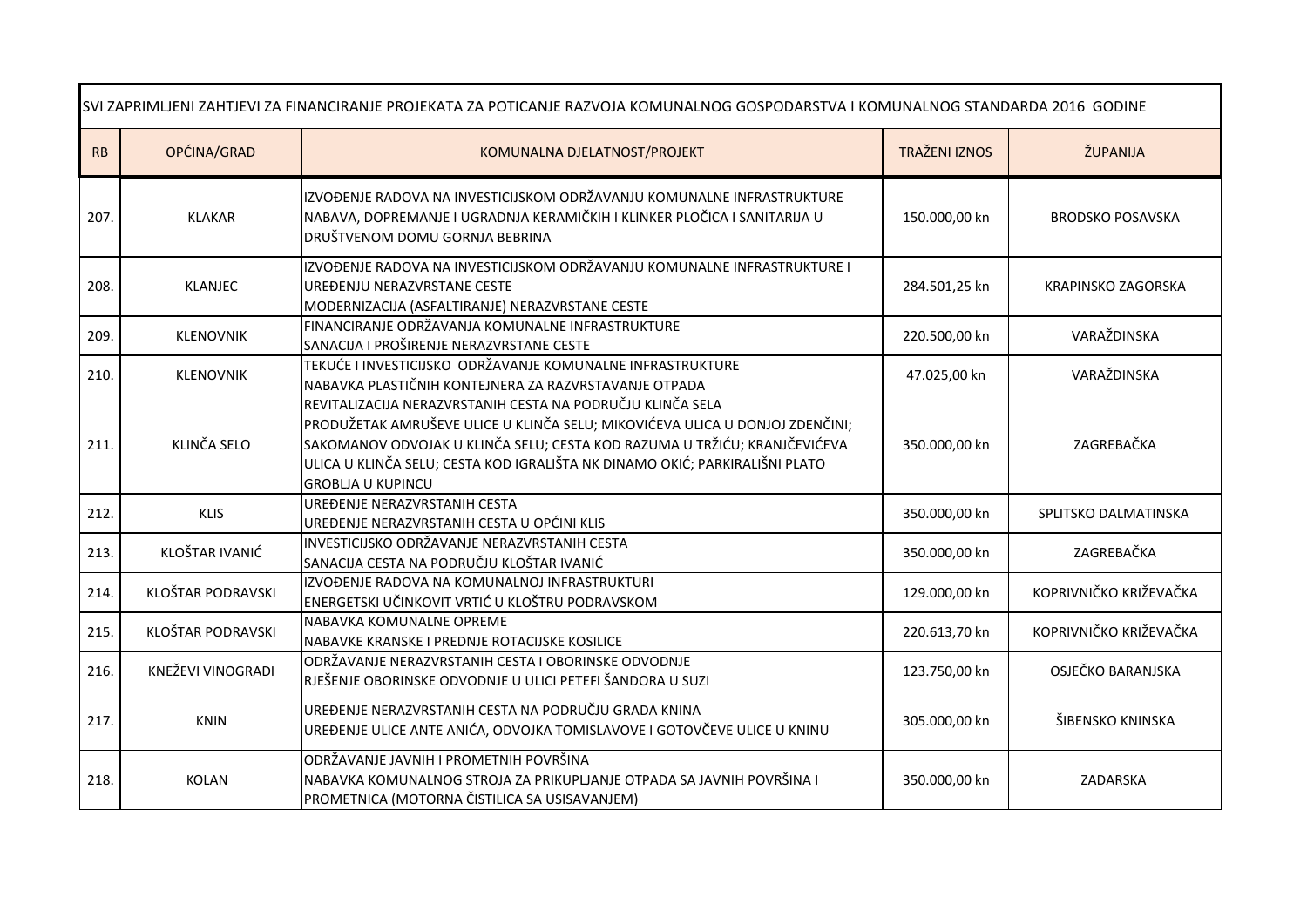| SVI ZAPRIMLJENI ZAHTJEVI ZA FINANCIRANJE PROJEKATA ZA POTICANJE RAZVOJA KOMUNALNOG GOSPODARSTVA I KOMUNALNOG STANDARDA 2016 GODINE |                   |                                                                                                                                                                                                                                                                                                                                    |                      |                           |
|------------------------------------------------------------------------------------------------------------------------------------|-------------------|------------------------------------------------------------------------------------------------------------------------------------------------------------------------------------------------------------------------------------------------------------------------------------------------------------------------------------|----------------------|---------------------------|
| RB                                                                                                                                 | OPĆINA/GRAD       | KOMUNALNA DJELATNOST/PROJEKT                                                                                                                                                                                                                                                                                                       | <b>TRAŽENI IZNOS</b> | ŽUPANIJA                  |
| 207.                                                                                                                               | <b>KLAKAR</b>     | IZVOĐENJE RADOVA NA INVESTICIJSKOM ODRŽAVANJU KOMUNALNE INFRASTRUKTURE<br>NABAVA, DOPREMANJE I UGRADNJA KERAMIČKIH I KLINKER PLOČICA I SANITARIJA U<br>DRUŠTVENOM DOMU GORNJA BEBRINA                                                                                                                                              | 150.000,00 kn        | <b>BRODSKO POSAVSKA</b>   |
| 208.                                                                                                                               | <b>KLANJEC</b>    | IZVOĐENJE RADOVA NA INVESTICIJSKOM ODRŽAVANJU KOMUNALNE INFRASTRUKTURE I<br>UREĐENJU NERAZVRSTANE CESTE<br>MODERNIZACIJA (ASFALTIRANJE) NERAZVRSTANE CESTE                                                                                                                                                                         | 284.501,25 kn        | <b>KRAPINSKO ZAGORSKA</b> |
| 209.                                                                                                                               | <b>KLENOVNIK</b>  | FINANCIRANJE ODRŽAVANJA KOMUNALNE INFRASTRUKTURE<br>SANACIJA I PROŠIRENJE NERAZVRSTANE CESTE                                                                                                                                                                                                                                       | 220.500,00 kn        | VARAŽDINSKA               |
| 210.                                                                                                                               | KLENOVNIK         | TEKUĆE I INVESTICIJSKO ODRŽAVANJE KOMUNALNE INFRASTRUKTURE<br>NABAVKA PLASTIČNIH KONTEJNERA ZA RAZVRSTAVANJE OTPADA                                                                                                                                                                                                                | 47.025,00 kn         | VARAŽDINSKA               |
| 211.                                                                                                                               | KLINČA SELO       | REVITALIZACIJA NERAZVRSTANIH CESTA NA PODRUČJU KLINČA SELA<br>PRODUŽETAK AMRUŠEVE ULICE U KLINČA SELU; MIKOVIĆEVA ULICA U DONJOJ ZDENČINI;<br>SAKOMANOV ODVOJAK U KLINČA SELU; CESTA KOD RAZUMA U TRŽIĆU; KRANJČEVIĆEVA<br>ULICA U KLINČA SELU; CESTA KOD IGRALIŠTA NK DINAMO OKIĆ; PARKIRALIŠNI PLATO<br><b>GROBLIA U KUPINCU</b> | 350.000,00 kn        | ZAGREBAČKA                |
| 212.                                                                                                                               | <b>KLIS</b>       | UREĐENJE NERAZVRSTANIH CESTA<br>UREĐENJE NERAZVRSTANIH CESTA U OPĆINI KLIS                                                                                                                                                                                                                                                         | 350.000,00 kn        | SPLITSKO DALMATINSKA      |
| 213.                                                                                                                               | KLOŠTAR IVANIĆ    | INVESTICIJSKO ODRŽAVANJE NERAZVRSTANIH CESTA<br>SANACIJA CESTA NA PODRUČJU KLOŠTAR IVANIĆ                                                                                                                                                                                                                                          | 350.000,00 kn        | ZAGREBAČKA                |
| 214.                                                                                                                               | KLOŠTAR PODRAVSKI | IZVOĐENJE RADOVA NA KOMUNALNOJ INFRASTRUKTURI<br>ENERGETSKI UČINKOVIT VRTIĆ U KLOŠTRU PODRAVSKOM                                                                                                                                                                                                                                   | 129.000,00 kn        | KOPRIVNIČKO KRIŽEVAČKA    |
| 215.                                                                                                                               | KLOŠTAR PODRAVSKI | NABAVKA KOMUNALNE OPREME<br>NABAVKE KRANSKE I PREDNJE ROTACIJSKE KOSILICE                                                                                                                                                                                                                                                          | 220.613,70 kn        | KOPRIVNIČKO KRIŽEVAČKA    |
| 216.                                                                                                                               | KNEŽEVI VINOGRADI | ODRŽAVANJE NERAZVRSTANIH CESTA I OBORINSKE ODVODNJE<br>RJEŠENJE OBORINSKE ODVODNJE U ULICI PETEFI ŠANDORA U SUZI                                                                                                                                                                                                                   | 123.750,00 kn        | OSJEČKO BARANJSKA         |
| 217.                                                                                                                               | KNIN              | UREĐENJE NERAZVRSTANIH CESTA NA PODRUČJU GRADA KNINA<br>UREĐENJE ULICE ANTE ANIĆA, ODVOJKA TOMISLAVOVE I GOTOVČEVE ULICE U KNINU                                                                                                                                                                                                   | 305.000,00 kn        | ŠIBENSKO KNINSKA          |
| 218.                                                                                                                               | <b>KOLAN</b>      | ODRŽAVANJE JAVNIH I PROMETNIH POVRŠINA<br>NABAVKA KOMUNALNOG STROJA ZA PRIKUPLJANJE OTPADA SA JAVNIH POVRŠINA I<br>PROMETNICA (MOTORNA ČISTILICA SA USISAVANJEM)                                                                                                                                                                   | 350.000,00 kn        | ZADARSKA                  |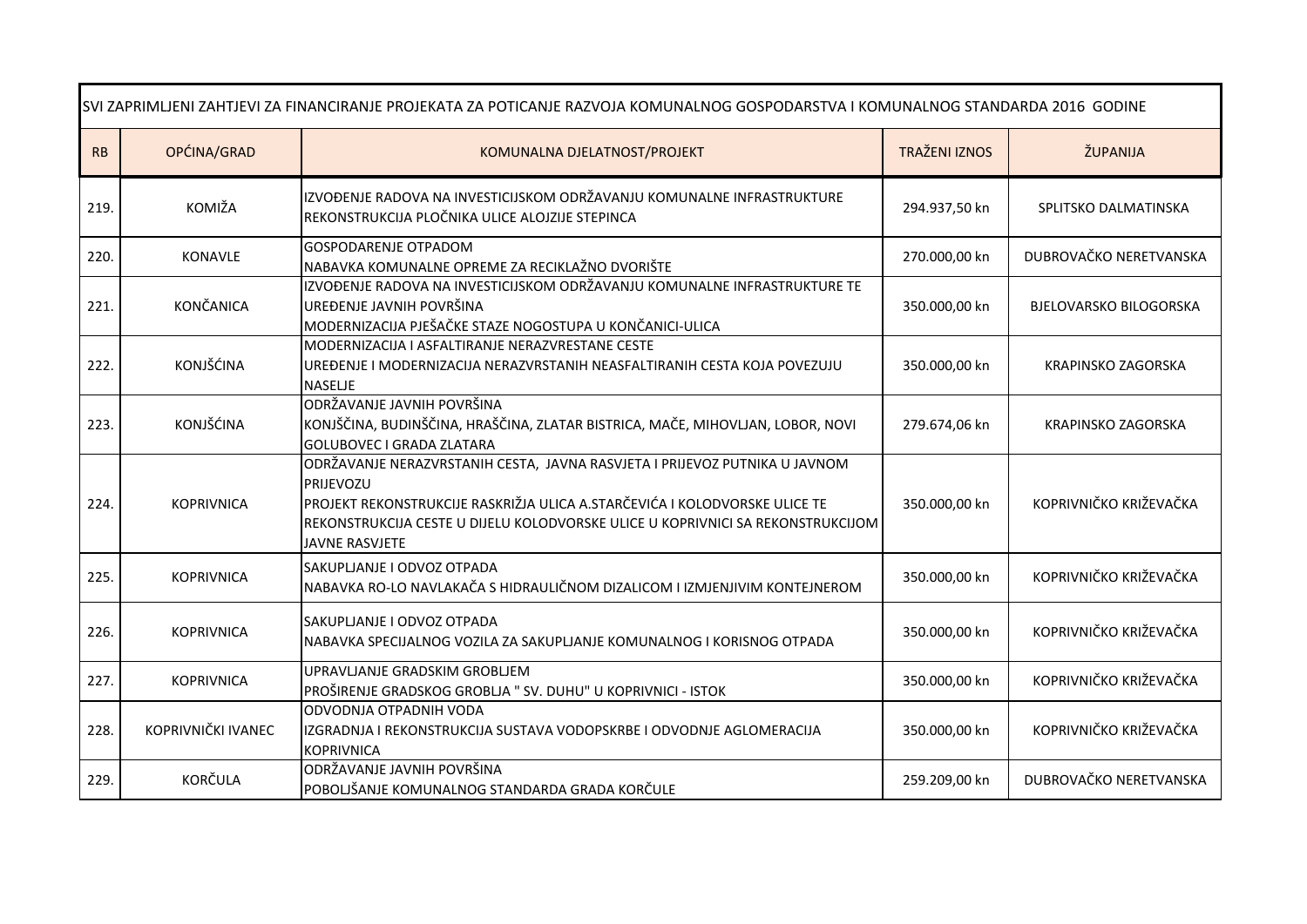| SVI ZAPRIMLJENI ZAHTJEVI ZA FINANCIRANJE PROJEKATA ZA POTICANJE RAZVOJA KOMUNALNOG GOSPODARSTVA I KOMUNALNOG STANDARDA 2016 GODINE |                    |                                                                                                                                                                                                                                                                            |                      |                               |
|------------------------------------------------------------------------------------------------------------------------------------|--------------------|----------------------------------------------------------------------------------------------------------------------------------------------------------------------------------------------------------------------------------------------------------------------------|----------------------|-------------------------------|
| RB                                                                                                                                 | OPĆINA/GRAD        | KOMUNALNA DJELATNOST/PROJEKT                                                                                                                                                                                                                                               | <b>TRAŽENI IZNOS</b> | ŽUPANIJA                      |
| 219.                                                                                                                               | KOMIŽA             | IZVOĐENJE RADOVA NA INVESTICIJSKOM ODRŽAVANJU KOMUNALNE INFRASTRUKTURE<br>REKONSTRUKCIJA PLOČNIKA ULICE ALOJZIJE STEPINCA                                                                                                                                                  | 294.937,50 kn        | SPLITSKO DALMATINSKA          |
| 220.                                                                                                                               | KONAVLE            | <b>GOSPODARENJE OTPADOM</b><br>NABAVKA KOMUNALNE OPREME ZA RECIKLAŽNO DVORIŠTE                                                                                                                                                                                             | 270.000,00 kn        | DUBROVAČKO NERETVANSKA        |
| 221.                                                                                                                               | <b>KONČANICA</b>   | IZVOĐENJE RADOVA NA INVESTICIJSKOM ODRŽAVANJU KOMUNALNE INFRASTRUKTURE TE<br>UREĐENJE JAVNIH POVRŠINA<br>MODERNIZACIJA PJEŠAČKE STAZE NOGOSTUPA U KONČANICI-ULICA                                                                                                          | 350.000,00 kn        | <b>BJELOVARSKO BILOGORSKA</b> |
| 222.                                                                                                                               | KONJŠĆINA          | MODERNIZACIJA I ASFALTIRANJE NERAZVRESTANE CESTE<br>UREĐENJE I MODERNIZACIJA NERAZVRSTANIH NEASFALTIRANIH CESTA KOJA POVEZUJU<br><b>NASELJE</b>                                                                                                                            | 350.000,00 kn        | KRAPINSKO ZAGORSKA            |
| 223                                                                                                                                | KONJŠĆINA          | ODRŽAVANJE JAVNIH POVRŠINA<br>KONJŠČINA, BUDINŠČINA, HRAŠČINA, ZLATAR BISTRICA, MAČE, MIHOVLJAN, LOBOR, NOVI<br><b>GOLUBOVEC I GRADA ZLATARA</b>                                                                                                                           | 279.674,06 kn        | KRAPINSKO ZAGORSKA            |
| 224                                                                                                                                | <b>KOPRIVNICA</b>  | ODRŽAVANJE NERAZVRSTANIH CESTA, JAVNA RASVJETA I PRIJEVOZ PUTNIKA U JAVNOM<br>PRIJEVOZU<br>PROJEKT REKONSTRUKCIJE RASKRIŽJA ULICA A.STARČEVIĆA I KOLODVORSKE ULICE TE<br>REKONSTRUKCIJA CESTE U DIJELU KOLODVORSKE ULICE U KOPRIVNICI SA REKONSTRUKCIJOM<br>JAVNE RASVJETE | 350.000,00 kn        | KOPRIVNIČKO KRIŽEVAČKA        |
| 225.                                                                                                                               | <b>KOPRIVNICA</b>  | SAKUPLJANJE I ODVOZ OTPADA<br>NABAVKA RO-LO NAVLAKAČA S HIDRAULIČNOM DIZALICOM I IZMJENJIVIM KONTEJNEROM                                                                                                                                                                   | 350.000,00 kn        | KOPRIVNIČKO KRIŽEVAČKA        |
| 226.                                                                                                                               | <b>KOPRIVNICA</b>  | SAKUPLJANJE I ODVOZ OTPADA<br>NABAVKA SPECIJALNOG VOZILA ZA SAKUPLJANJE KOMUNALNOG I KORISNOG OTPADA                                                                                                                                                                       | 350.000,00 kn        | KOPRIVNIČKO KRIŽEVAČKA        |
| 227.                                                                                                                               | <b>KOPRIVNICA</b>  | UPRAVLJANJE GRADSKIM GROBLJEM<br>PROŠIRENJE GRADSKOG GROBLJA " SV. DUHU" U KOPRIVNICI - ISTOK                                                                                                                                                                              | 350.000,00 kn        | KOPRIVNIČKO KRIŽEVAČKA        |
| 228.                                                                                                                               | KOPRIVNIČKI IVANEC | ODVODNJA OTPADNIH VODA<br>IZGRADNJA I REKONSTRUKCIJA SUSTAVA VODOPSKRBE I ODVODNJE AGLOMERACIJA<br><b>KOPRIVNICA</b>                                                                                                                                                       | 350.000,00 kn        | KOPRIVNIČKO KRIŽEVAČKA        |
| 229.                                                                                                                               | KORČULA            | ODRŽAVANJE JAVNIH POVRŠINA<br>POBOLJŠANJE KOMUNALNOG STANDARDA GRADA KORČULE                                                                                                                                                                                               | 259.209,00 kn        | DUBROVAČKO NERETVANSKA        |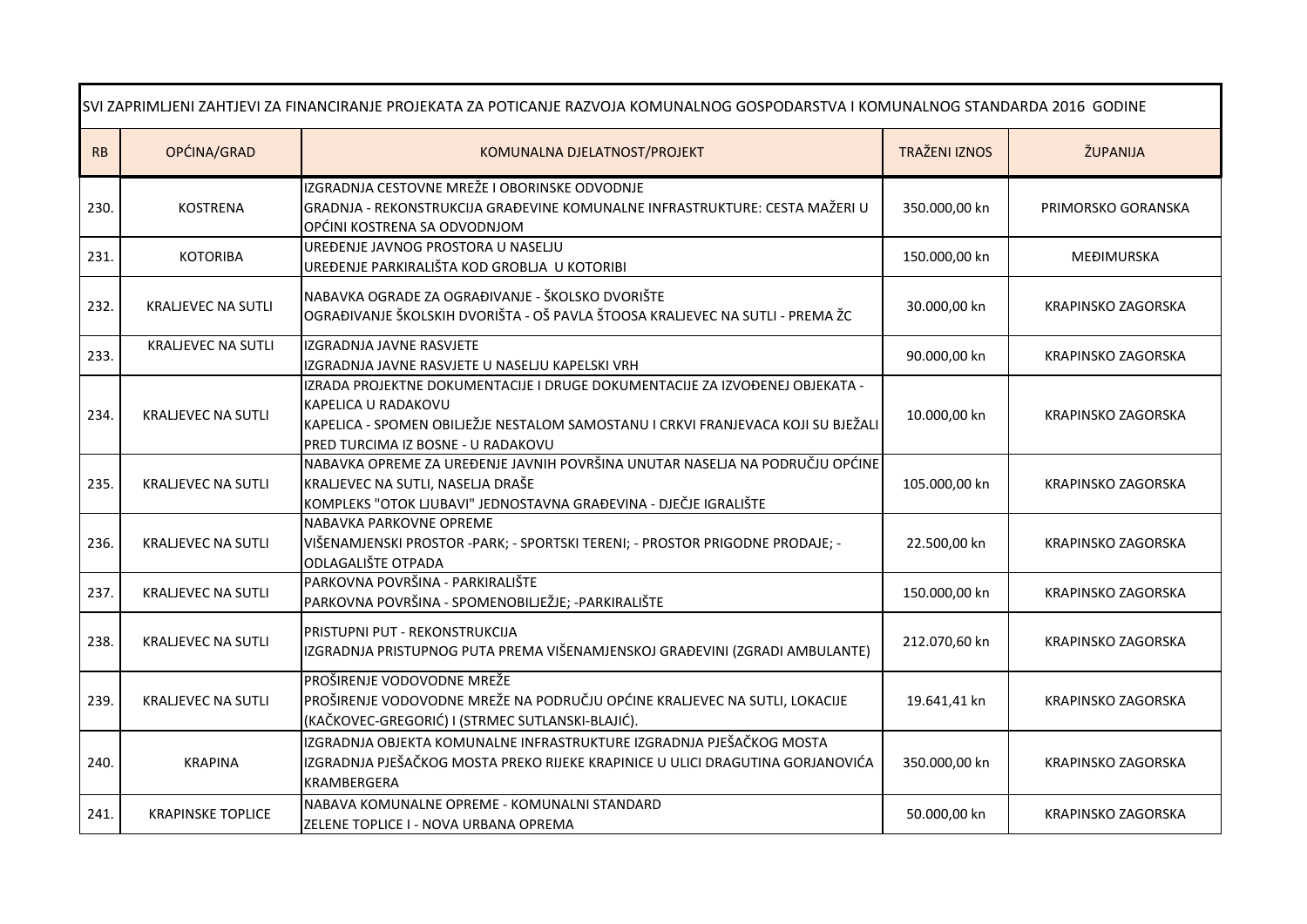| SVI ZAPRIMLJENI ZAHTJEVI ZA FINANCIRANJE PROJEKATA ZA POTICANJE RAZVOJA KOMUNALNOG GOSPODARSTVA I KOMUNALNOG STANDARDA 2016 GODINE |                           |                                                                                                                                                                                                                                |                      |                           |
|------------------------------------------------------------------------------------------------------------------------------------|---------------------------|--------------------------------------------------------------------------------------------------------------------------------------------------------------------------------------------------------------------------------|----------------------|---------------------------|
| RB                                                                                                                                 | OPĆINA/GRAD               | KOMUNALNA DJELATNOST/PROJEKT                                                                                                                                                                                                   | <b>TRAŽENI IZNOS</b> | ŽUPANIJA                  |
| 230.                                                                                                                               | <b>KOSTRENA</b>           | IZGRADNJA CESTOVNE MREŽE I OBORINSKE ODVODNJE<br>GRADNJA - REKONSTRUKCIJA GRAĐEVINE KOMUNALNE INFRASTRUKTURE: CESTA MAŽERI U<br>OPĆINI KOSTRENA SA ODVODNJOM                                                                   | 350.000,00 kn        | PRIMORSKO GORANSKA        |
| 231.                                                                                                                               | <b>KOTORIBA</b>           | UREĐENJE JAVNOG PROSTORA U NASELJU<br>UREĐENJE PARKIRALIŠTA KOD GROBLJA U KOTORIBI                                                                                                                                             | 150.000,00 kn        | MEĐIMURSKA                |
| 232.                                                                                                                               | <b>KRALJEVEC NA SUTLI</b> | NABAVKA OGRADE ZA OGRAĐIVANJE - ŠKOLSKO DVORIŠTE<br>OGRAĐIVANJE ŠKOLSKIH DVORIŠTA - OŠ PAVLA ŠTOOSA KRALJEVEC NA SUTLI - PREMA ŽC                                                                                              | 30.000,00 kn         | KRAPINSKO ZAGORSKA        |
| 233.                                                                                                                               | <b>KRALJEVEC NA SUTLI</b> | IZGRADNJA JAVNE RASVJETE<br>IZGRADNJA JAVNE RASVJETE U NASELJU KAPELSKI VRH                                                                                                                                                    | 90.000,00 kn         | KRAPINSKO ZAGORSKA        |
| 234.                                                                                                                               | <b>KRALJEVEC NA SUTLI</b> | IZRADA PROJEKTNE DOKUMENTACIJE I DRUGE DOKUMENTACIJE ZA IZVOĐENEJ OBJEKATA -<br>KAPELICA U RADAKOVU<br>KAPELICA - SPOMEN OBILJEŽJE NESTALOM SAMOSTANU I CRKVI FRANJEVACA KOJI SU BJEŽALI<br>PRED TURCIMA IZ BOSNE - U RADAKOVU | 10.000,00 kn         | KRAPINSKO ZAGORSKA        |
| 235.                                                                                                                               | <b>KRALJEVEC NA SUTLI</b> | NABAVKA OPREME ZA UREĐENJE JAVNIH POVRŠINA UNUTAR NASELJA NA PODRUČJU OPĆINE<br>KRALJEVEC NA SUTLI, NASELJA DRAŠE<br>KOMPLEKS "OTOK LJUBAVI" JEDNOSTAVNA GRAĐEVINA - DJEČJE IGRALIŠTE                                          | 105.000,00 kn        | KRAPINSKO ZAGORSKA        |
| 236.                                                                                                                               | <b>KRALJEVEC NA SUTLI</b> | NABAVKA PARKOVNE OPREME<br>VIŠENAMJENSKI PROSTOR -PARK; - SPORTSKI TERENI; - PROSTOR PRIGODNE PRODAJE; -<br><b>ODLAGALIŠTE OTPADA</b>                                                                                          | 22.500,00 kn         | KRAPINSKO ZAGORSKA        |
| 237.                                                                                                                               | <b>KRALJEVEC NA SUTLI</b> | PARKOVNA POVRŠINA - PARKIRALIŠTE<br>PARKOVNA POVRŠINA - SPOMENOBILJEŽJE; - PARKIRALIŠTE                                                                                                                                        | 150.000,00 kn        | KRAPINSKO ZAGORSKA        |
| 238.                                                                                                                               | <b>KRALJEVEC NA SUTLI</b> | PRISTUPNI PUT - REKONSTRUKCIJA<br>IZGRADNJA PRISTUPNOG PUTA PREMA VIŠENAMJENSKOJ GRAĐEVINI (ZGRADI AMBULANTE)                                                                                                                  | 212.070,60 kn        | KRAPINSKO ZAGORSKA        |
| 239.                                                                                                                               | <b>KRALJEVEC NA SUTLI</b> | PROŠIRENJE VODOVODNE MREŽE<br>PROŠIRENJE VODOVODNE MREŽE NA PODRUČJU OPĆINE KRALJEVEC NA SUTLI, LOKACIJE<br>(KAČKOVEC-GREGORIĆ) I (STRMEC SUTLANSKI-BLAJIĆ).                                                                   | 19.641,41 kn         | KRAPINSKO ZAGORSKA        |
| 240.                                                                                                                               | <b>KRAPINA</b>            | IZGRADNJA OBJEKTA KOMUNALNE INFRASTRUKTURE IZGRADNJA PJEŠAČKOG MOSTA<br>IZGRADNJA PJEŠAČKOG MOSTA PREKO RIJEKE KRAPINICE U ULICI DRAGUTINA GORJANOVIĆA<br><b>KRAMBERGERA</b>                                                   | 350.000,00 kn        | <b>KRAPINSKO ZAGORSKA</b> |
| 241.                                                                                                                               | <b>KRAPINSKE TOPLICE</b>  | NABAVA KOMUNALNE OPREME - KOMUNALNI STANDARD<br>ZELENE TOPLICE I - NOVA URBANA OPREMA                                                                                                                                          | 50.000,00 kn         | <b>KRAPINSKO ZAGORSKA</b> |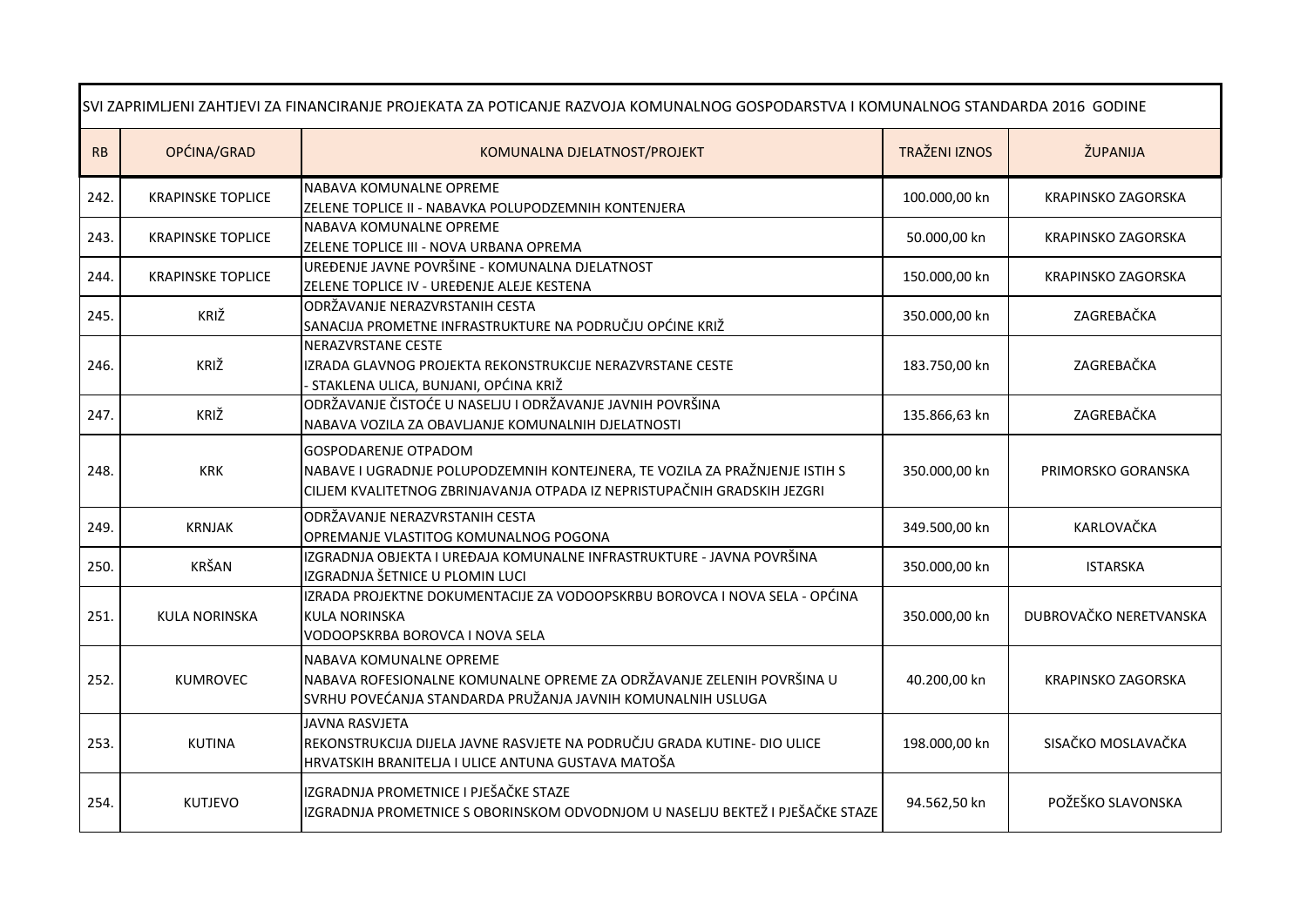| SVI ZAPRIMLJENI ZAHTJEVI ZA FINANCIRANJE PROJEKATA ZA POTICANJE RAZVOJA KOMUNALNOG GOSPODARSTVA I KOMUNALNOG STANDARDA 2016 GODINE |                          |                                                                                                                                                                                        |                      |                           |
|------------------------------------------------------------------------------------------------------------------------------------|--------------------------|----------------------------------------------------------------------------------------------------------------------------------------------------------------------------------------|----------------------|---------------------------|
| RB                                                                                                                                 | OPĆINA/GRAD              | KOMUNALNA DJELATNOST/PROJEKT                                                                                                                                                           | <b>TRAŽENI IZNOS</b> | ŽUPANIJA                  |
| 242.                                                                                                                               | <b>KRAPINSKE TOPLICE</b> | <b>NABAVA KOMUNALNE OPREME</b><br>ZELENE TOPLICE II - NABAVKA POLUPODZEMNIH KONTENJERA                                                                                                 | 100.000,00 kn        | KRAPINSKO ZAGORSKA        |
| 243.                                                                                                                               | <b>KRAPINSKE TOPLICE</b> | NABAVA KOMUNALNE OPREME<br>ZELENE TOPLICE III - NOVA URBANA OPREMA                                                                                                                     | 50.000,00 kn         | KRAPINSKO ZAGORSKA        |
| 244.                                                                                                                               | <b>KRAPINSKE TOPLICE</b> | UREĐENJE JAVNE POVRŠINE - KOMUNALNA DJELATNOST<br>ZELENE TOPLICE IV - UREĐENJE ALEJE KESTENA                                                                                           | 150.000,00 kn        | <b>KRAPINSKO ZAGORSKA</b> |
| 245.                                                                                                                               | KRIŽ                     | ODRŽAVANJE NERAZVRSTANIH CESTA<br>SANACIJA PROMETNE INFRASTRUKTURE NA PODRUČJU OPĆINE KRIŽ                                                                                             | 350.000,00 kn        | ZAGREBAČKA                |
| 246.                                                                                                                               | KRIŽ                     | <b>NERAZVRSTANE CESTE</b><br>IZRADA GLAVNOG PROJEKTA REKONSTRUKCIJE NERAZVRSTANE CESTE<br>- STAKLENA ULICA, BUNJANI, OPĆINA KRIŽ                                                       | 183.750,00 kn        | ZAGREBAČKA                |
| 247.                                                                                                                               | KRIŽ                     | ODRŽAVANJE ČISTOĆE U NASELJU I ODRŽAVANJE JAVNIH POVRŠINA<br>NABAVA VOZILA ZA OBAVLJANJE KOMUNALNIH DJELATNOSTI                                                                        | 135.866,63 kn        | ZAGREBAČKA                |
| 248.                                                                                                                               | <b>KRK</b>               | <b>GOSPODARENJE OTPADOM</b><br>NABAVE I UGRADNJE POLUPODZEMNIH KONTEJNERA, TE VOZILA ZA PRAŽNJENJE ISTIH S<br>CILJEM KVALITETNOG ZBRINJAVANJA OTPADA IZ NEPRISTUPAČNIH GRADSKIH JEZGRI | 350.000,00 kn        | PRIMORSKO GORANSKA        |
| 249.                                                                                                                               | <b>KRNJAK</b>            | ODRŽAVANJE NERAZVRSTANIH CESTA<br>OPREMANJE VLASTITOG KOMUNALNOG POGONA                                                                                                                | 349.500,00 kn        | KARLOVAČKA                |
| 250.                                                                                                                               | <b>KRŠAN</b>             | IZGRADNJA OBJEKTA I UREĐAJA KOMUNALNE INFRASTRUKTURE - JAVNA POVRŠINA<br>IZGRADNJA ŠETNICE U PLOMIN LUCI                                                                               | 350.000,00 kn        | <b>ISTARSKA</b>           |
| 251.                                                                                                                               | <b>KULA NORINSKA</b>     | IZRADA PROJEKTNE DOKUMENTACIJE ZA VODOOPSKRBU BOROVCA I NOVA SELA - OPĆINA<br>KULA NORINSKA<br>VODOOPSKRBA BOROVCA I NOVA SELA                                                         | 350.000,00 kn        | DUBROVAČKO NERETVANSKA    |
| 252.                                                                                                                               | <b>KUMROVEC</b>          | NABAVA KOMUNALNE OPREME<br>NABAVA ROFESIONALNE KOMUNALNE OPREME ZA ODRŽAVANJE ZELENIH POVRŠINA U<br>SVRHU POVEĆANJA STANDARDA PRUŽANJA JAVNIH KOMUNALNIH USLUGA                        | 40.200,00 kn         | KRAPINSKO ZAGORSKA        |
| 253.                                                                                                                               | <b>KUTINA</b>            | <b>JAVNA RASVJETA</b><br>REKONSTRUKCIJA DIJELA JAVNE RASVJETE NA PODRUČJU GRADA KUTINE- DIO ULICE<br>HRVATSKIH BRANITELJA I ULICE ANTUNA GUSTAVA MATOŠA                                | 198.000,00 kn        | SISAČKO MOSLAVAČKA        |
| 254.                                                                                                                               | <b>KUTJEVO</b>           | IZGRADNJA PROMETNICE I PJEŠAČKE STAZE<br>IZGRADNJA PROMETNICE S OBORINSKOM ODVODNJOM U NASELJU BEKTEŽ I PJEŠAČKE STAZE                                                                 | 94.562,50 kn         | POŽEŠKO SLAVONSKA         |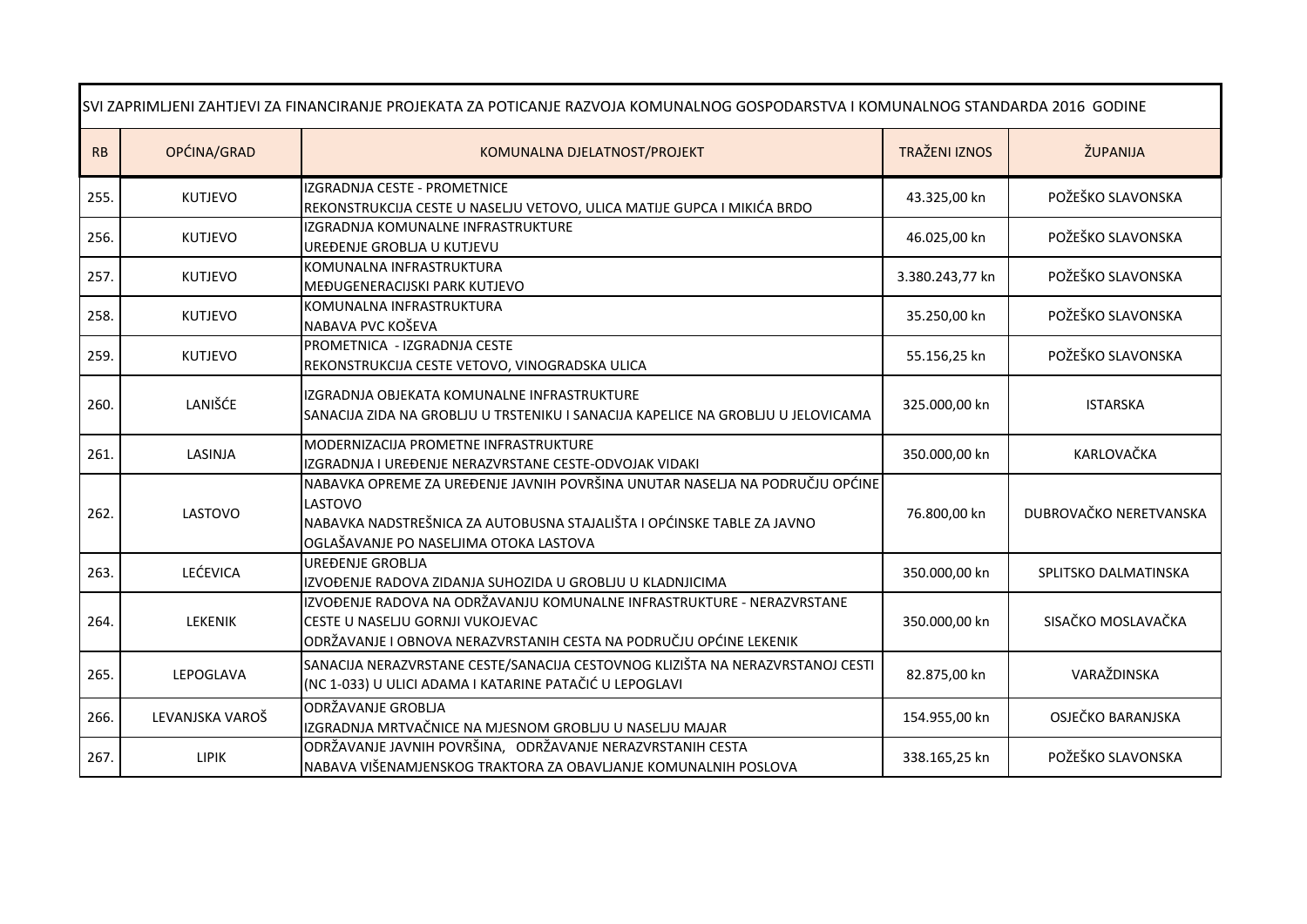| SVI ZAPRIMLJENI ZAHTJEVI ZA FINANCIRANJE PROJEKATA ZA POTICANJE RAZVOJA KOMUNALNOG GOSPODARSTVA I KOMUNALNOG STANDARDA 2016 GODINE |                 |                                                                                                                                                                                                             |                      |                        |
|------------------------------------------------------------------------------------------------------------------------------------|-----------------|-------------------------------------------------------------------------------------------------------------------------------------------------------------------------------------------------------------|----------------------|------------------------|
| RB                                                                                                                                 | OPĆINA/GRAD     | KOMUNALNA DJELATNOST/PROJEKT                                                                                                                                                                                | <b>TRAŽENI IZNOS</b> | ŽUPANIJA               |
| 255.                                                                                                                               | <b>KUTJEVO</b>  | IZGRADNJA CESTE - PROMETNICE<br>REKONSTRUKCIJA CESTE U NASELJU VETOVO, ULICA MATIJE GUPCA I MIKIĆA BRDO                                                                                                     | 43.325,00 kn         | POŽEŠKO SLAVONSKA      |
| 256.                                                                                                                               | <b>KUTJEVO</b>  | IZGRADNJA KOMUNALNE INFRASTRUKTURE<br>UREĐENJE GROBLJA U KUTJEVU                                                                                                                                            | 46.025,00 kn         | POŽEŠKO SLAVONSKA      |
| 257.                                                                                                                               | <b>KUTJEVO</b>  | KOMUNALNA INFRASTRUKTURA<br>MEĐUGENERACIJSKI PARK KUTJEVO                                                                                                                                                   | 3.380.243,77 kn      | POŽEŠKO SLAVONSKA      |
| 258.                                                                                                                               | <b>KUTJEVO</b>  | KOMUNALNA INFRASTRUKTURA<br>NABAVA PVC KOŠEVA                                                                                                                                                               | 35.250,00 kn         | POŽEŠKO SLAVONSKA      |
| 259.                                                                                                                               | <b>KUTJEVO</b>  | PROMETNICA - IZGRADNJA CESTE<br>REKONSTRUKCIJA CESTE VETOVO, VINOGRADSKA ULICA                                                                                                                              | 55.156,25 kn         | POŽEŠKO SLAVONSKA      |
| 260.                                                                                                                               | LANIŠĆE         | IZGRADNJA OBJEKATA KOMUNALNE INFRASTRUKTURE<br>ISANACIJA ZIDA NA GROBLJU U TRSTENIKU I SANACIJA KAPELICE NA GROBLJU U JELOVICAMA                                                                            | 325.000,00 kn        | <b>ISTARSKA</b>        |
| 261.                                                                                                                               | LASINJA         | MODERNIZACIJA PROMETNE INFRASTRUKTURE<br>IZGRADNJA I UREĐENJE NERAZVRSTANE CESTE-ODVOJAK VIDAKI                                                                                                             | 350.000,00 kn        | KARLOVAČKA             |
| 262.                                                                                                                               | LASTOVO         | NABAVKA OPREME ZA UREĐENJE JAVNIH POVRŠINA UNUTAR NASELJA NA PODRUČJU OPĆINE<br>LASTOVO<br>NABAVKA NADSTREŠNICA ZA AUTOBUSNA STAJALIŠTA I OPĆINSKE TABLE ZA JAVNO<br>OGLAŠAVANJE PO NASELJIMA OTOKA LASTOVA | 76.800,00 kn         | DUBROVAČKO NERETVANSKA |
| 263.                                                                                                                               | LEĆEVICA        | UREĐENJE GROBLJA<br>IZVOĐENJE RADOVA ZIDANJA SUHOZIDA U GROBLJU U KLADNJICIMA                                                                                                                               | 350.000,00 kn        | SPLITSKO DALMATINSKA   |
| 264.                                                                                                                               | <b>LEKENIK</b>  | IZVOĐENJE RADOVA NA ODRŽAVANJU KOMUNALNE INFRASTRUKTURE - NERAZVRSTANE<br>CESTE U NASELJU GORNJI VUKOJEVAC<br>ODRŽAVANJE I OBNOVA NERAZVRSTANIH CESTA NA PODRUČJU OPĆINE LEKENIK                            | 350.000,00 kn        | SISAČKO MOSLAVAČKA     |
| 265.                                                                                                                               | LEPOGLAVA       | SANACIJA NERAZVRSTANE CESTE/SANACIJA CESTOVNOG KLIZIŠTA NA NERAZVRSTANOJ CESTI<br>(NC 1-033) U ULICI ADAMA I KATARINE PATAČIĆ U LEPOGLAVI                                                                   | 82.875,00 kn         | VARAŽDINSKA            |
| 266.                                                                                                                               | LEVANJSKA VAROŠ | <b>ODRŽAVANJE GROBLJA</b><br>IZGRADNJA MRTVAČNICE NA MJESNOM GROBLJU U NASELJU MAJAR                                                                                                                        | 154.955,00 kn        | OSJEČKO BARANJSKA      |
| 267.                                                                                                                               | <b>LIPIK</b>    | ODRŽAVANJE JAVNIH POVRŠINA, ODRŽAVANJE NERAZVRSTANIH CESTA<br>NABAVA VIŠENAMJENSKOG TRAKTORA ZA OBAVLJANJE KOMUNALNIH POSLOVA                                                                               | 338.165,25 kn        | POŽEŠKO SLAVONSKA      |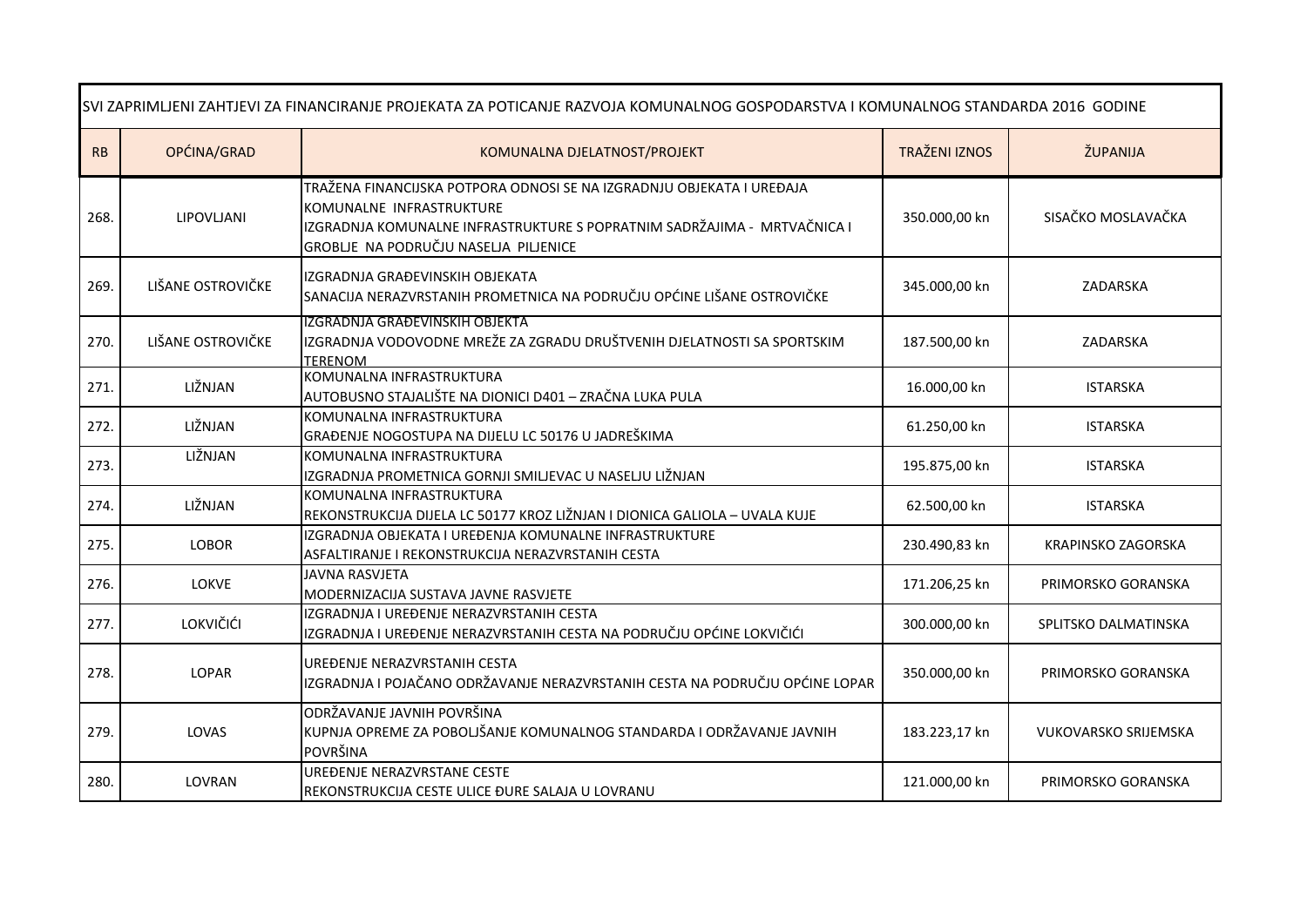| SVI ZAPRIMLJENI ZAHTJEVI ZA FINANCIRANJE PROJEKATA ZA POTICANJE RAZVOJA KOMUNALNOG GOSPODARSTVA I KOMUNALNOG STANDARDA 2016 GODINE |                   |                                                                                                                                                                                                                        |                      |                             |
|------------------------------------------------------------------------------------------------------------------------------------|-------------------|------------------------------------------------------------------------------------------------------------------------------------------------------------------------------------------------------------------------|----------------------|-----------------------------|
| RB                                                                                                                                 | OPĆINA/GRAD       | KOMUNALNA DJELATNOST/PROJEKT                                                                                                                                                                                           | <b>TRAŽENI IZNOS</b> | ŽUPANIJA                    |
| 268.                                                                                                                               | LIPOVLJANI        | TRAŽENA FINANCIJSKA POTPORA ODNOSI SE NA IZGRADNJU OBJEKATA I UREĐAJA<br>KOMUNALNE INFRASTRUKTURE<br>IZGRADNJA KOMUNALNE INFRASTRUKTURE S POPRATNIM SADRŽAJIMA - MRTVAČNICA I<br>GROBLJE NA PODRUČJU NASELJA PILJENICE | 350.000,00 kn        | SISAČKO MOSLAVAČKA          |
| 269.                                                                                                                               | LIŠANE OSTROVIČKE | IZGRADNJA GRAĐEVINSKIH OBJEKATA<br>SANACIJA NERAZVRSTANIH PROMETNICA NA PODRUČJU OPĆINE LIŠANE OSTROVIČKE                                                                                                              | 345.000,00 kn        | ZADARSKA                    |
| 270.                                                                                                                               | LIŠANE OSTROVIČKE | IZGRADNJA GRAĐEVINSKIH OBJEKTA<br>IZGRADNJA VODOVODNE MREŽE ZA ZGRADU DRUŠTVENIH DJELATNOSTI SA SPORTSKIM<br><b>TERENOM</b>                                                                                            | 187.500,00 kn        | ZADARSKA                    |
| 271.                                                                                                                               | LIŽNJAN           | KOMUNALNA INFRASTRUKTURA<br>AUTOBUSNO STAJALIŠTE NA DIONICI D401 - ZRAČNA LUKA PULA                                                                                                                                    | 16.000,00 kn         | <b>ISTARSKA</b>             |
| 272.                                                                                                                               | LIŽNJAN           | KOMUNALNA INFRASTRUKTURA<br>GRAĐENJE NOGOSTUPA NA DIJELU LC 50176 U JADREŠKIMA                                                                                                                                         | 61.250,00 kn         | <b>ISTARSKA</b>             |
| 273.                                                                                                                               | LIŽNJAN           | KOMUNALNA INFRASTRUKTURA<br>IZGRADNJA PROMETNICA GORNJI SMILJEVAC U NASELJU LIŽNJAN                                                                                                                                    | 195.875,00 kn        | <b>ISTARSKA</b>             |
| 274.                                                                                                                               | LIŽNJAN           | KOMUNALNA INFRASTRUKTURA<br>REKONSTRUKCIJA DIJELA LC 50177 KROZ LIŽNJAN I DIONICA GALIOLA - UVALA KUJE                                                                                                                 | 62.500,00 kn         | <b>ISTARSKA</b>             |
| 275.                                                                                                                               | <b>LOBOR</b>      | IZGRADNJA OBJEKATA I UREĐENJA KOMUNALNE INFRASTRUKTURE<br>ASFALTIRANJE I REKONSTRUKCIJA NERAZVRSTANIH CESTA                                                                                                            | 230.490,83 kn        | KRAPINSKO ZAGORSKA          |
| 276.                                                                                                                               | <b>LOKVE</b>      | <b>JAVNA RASVJETA</b><br>MODERNIZACIJA SUSTAVA JAVNE RASVJETE                                                                                                                                                          | 171.206,25 kn        | PRIMORSKO GORANSKA          |
| 277.                                                                                                                               | LOKVIČIĆI         | IZGRADNJA I UREĐENJE NERAZVRSTANIH CESTA<br>IZGRADNJA I UREĐENJE NERAZVRSTANIH CESTA NA PODRUČJU OPĆINE LOKVIČIĆI                                                                                                      | 300.000,00 kn        | SPLITSKO DALMATINSKA        |
| 278.                                                                                                                               | <b>LOPAR</b>      | UREĐENJE NERAZVRSTANIH CESTA<br>IZGRADNJA I POJAČANO ODRŽAVANJE NERAZVRSTANIH CESTA NA PODRUČJU OPĆINE LOPAR                                                                                                           | 350.000,00 kn        | PRIMORSKO GORANSKA          |
| 279.                                                                                                                               | LOVAS             | ODRŽAVANJE JAVNIH POVRŠINA<br>KUPNJA OPREME ZA POBOLJŠANJE KOMUNALNOG STANDARDA I ODRŽAVANJE JAVNIH<br>POVRŠINA                                                                                                        | 183.223,17 kn        | <b>VUKOVARSKO SRIJEMSKA</b> |
| 280.                                                                                                                               | LOVRAN            | UREĐENJE NERAZVRSTANE CESTE<br>REKONSTRUKCIJA CESTE ULICE ĐURE SALAJA U LOVRANU                                                                                                                                        | 121.000,00 kn        | PRIMORSKO GORANSKA          |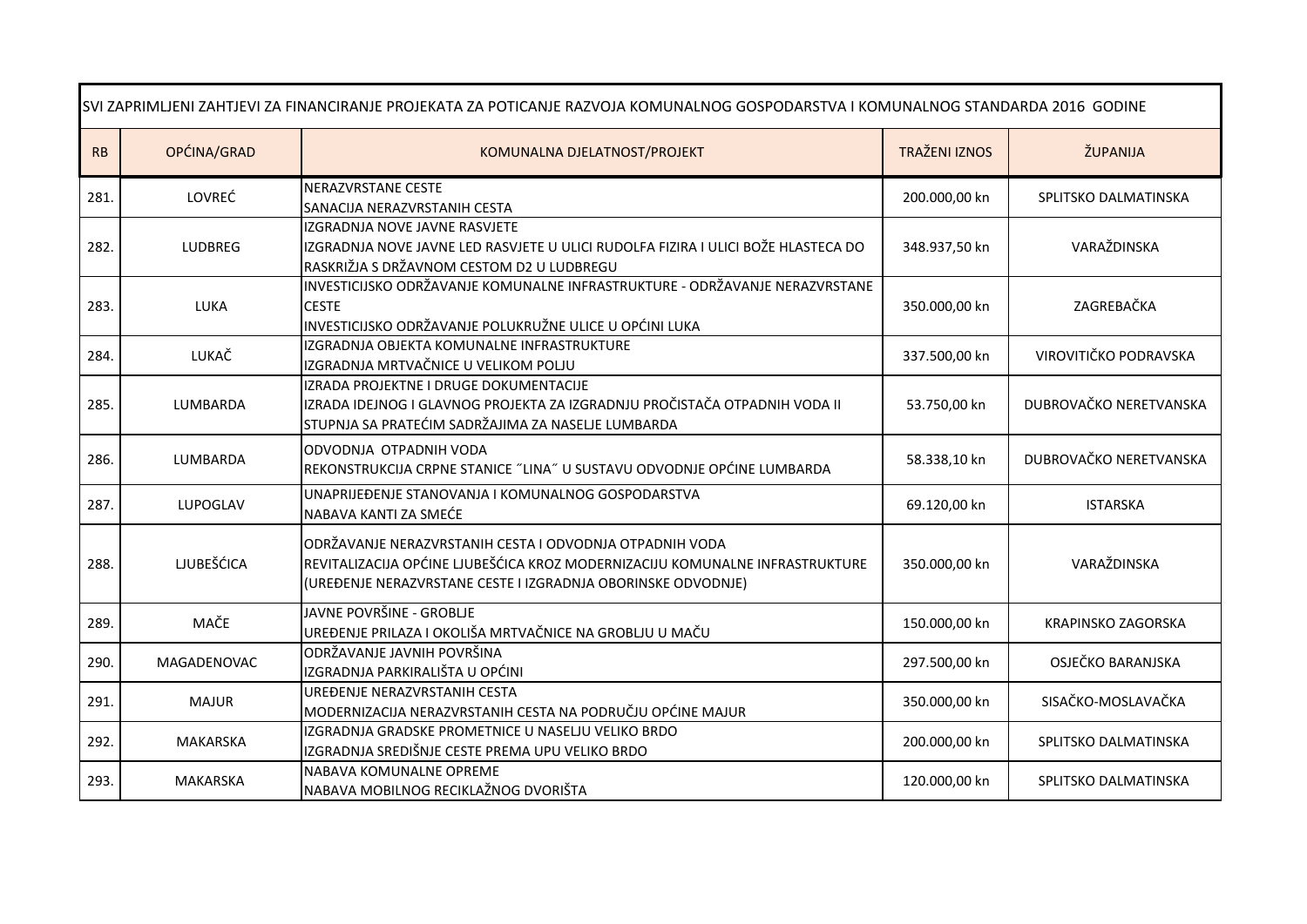| SVI ZAPRIMLJENI ZAHTJEVI ZA FINANCIRANJE PROJEKATA ZA POTICANJE RAZVOJA KOMUNALNOG GOSPODARSTVA I KOMUNALNOG STANDARDA 2016 GODINE |                    |                                                                                                                                                                                                         |                      |                        |
|------------------------------------------------------------------------------------------------------------------------------------|--------------------|---------------------------------------------------------------------------------------------------------------------------------------------------------------------------------------------------------|----------------------|------------------------|
| RB                                                                                                                                 | OPĆINA/GRAD        | KOMUNALNA DJELATNOST/PROJEKT                                                                                                                                                                            | <b>TRAŽENI IZNOS</b> | ŽUPANIJA               |
| 281.                                                                                                                               | LOVREĆ             | <b>NERAZVRSTANE CESTE</b><br><b>SANACIJA NERAZVRSTANIH CESTA</b>                                                                                                                                        | 200.000,00 kn        | SPLITSKO DALMATINSKA   |
| 282.                                                                                                                               | <b>LUDBREG</b>     | IZGRADNJA NOVE JAVNE RASVJETE<br>IZGRADNJA NOVE JAVNE LED RASVJETE U ULICI RUDOLFA FIZIRA I ULICI BOŽE HLASTECA DO<br>RASKRIŽJA S DRŽAVNOM CESTOM D2 U LUDBREGU                                         | 348.937,50 kn        | VARAŽDINSKA            |
| 283.                                                                                                                               | <b>LUKA</b>        | INVESTICIJSKO ODRŽAVANJE KOMUNALNE INFRASTRUKTURE - ODRŽAVANJE NERAZVRSTANE<br><b>CESTE</b><br>INVESTICIJSKO ODRŽAVANJE POLUKRUŽNE ULICE U OPĆINI LUKA                                                  | 350.000,00 kn        | ZAGREBAČKA             |
| 284.                                                                                                                               | LUKAČ              | IZGRADNJA OBJEKTA KOMUNALNE INFRASTRUKTURE<br>IZGRADNJA MRTVAČNICE U VELIKOM POLJU                                                                                                                      | 337.500,00 kn        | VIROVITIČKO PODRAVSKA  |
| 285.                                                                                                                               | LUMBARDA           | IZRADA PROJEKTNE I DRUGE DOKUMENTACIJE<br>IZRADA IDEJNOG I GLAVNOG PROJEKTA ZA IZGRADNJU PROČISTAČA OTPADNIH VODA II<br>STUPNJA SA PRATEĆIM SADRŽAJIMA ZA NASELJE LUMBARDA                              | 53.750,00 kn         | DUBROVAČKO NERETVANSKA |
| 286.                                                                                                                               | LUMBARDA           | ODVODNJA OTPADNIH VODA<br>REKONSTRUKCIJA CRPNE STANICE "LINA" U SUSTAVU ODVODNJE OPĆINE LUMBARDA                                                                                                        | 58.338,10 kn         | DUBROVAČKO NERETVANSKA |
| 287.                                                                                                                               | LUPOGLAV           | UNAPRIJEĐENJE STANOVANJA I KOMUNALNOG GOSPODARSTVA<br>NABAVA KANTI ZA SMEĆE                                                                                                                             | 69.120,00 kn         | <b>ISTARSKA</b>        |
| 288.                                                                                                                               | <b>LJUBEŠĆICA</b>  | ODRŽAVANJE NERAZVRSTANIH CESTA I ODVODNJA OTPADNIH VODA<br>REVITALIZACIJA OPĆINE LJUBEŠĆICA KROZ MODERNIZACIJU KOMUNALNE INFRASTRUKTURE<br>(UREĐENJE NERAZVRSTANE CESTE I IZGRADNJA OBORINSKE ODVODNJE) | 350.000,00 kn        | VARAŽDINSKA            |
| 289.                                                                                                                               | MAČE               | JAVNE POVRŠINE - GROBLJE<br>UREĐENJE PRILAZA I OKOLIŠA MRTVAČNICE NA GROBLJU U MAČU                                                                                                                     | 150.000,00 kn        | KRAPINSKO ZAGORSKA     |
| 290.                                                                                                                               | <b>MAGADENOVAC</b> | ODRŽAVANJE JAVNIH POVRŠINA<br>IZGRADNJA PARKIRALIŠTA U OPĆINI                                                                                                                                           | 297.500,00 kn        | OSJEČKO BARANJSKA      |
| 291.                                                                                                                               | <b>MAJUR</b>       | UREĐENJE NERAZVRSTANIH CESTA<br>MODERNIZACIJA NERAZVRSTANIH CESTA NA PODRUČJU OPĆINE MAJUR                                                                                                              | 350.000,00 kn        | SISAČKO-MOSLAVAČKA     |
| 292.                                                                                                                               | <b>MAKARSKA</b>    | IZGRADNJA GRADSKE PROMETNICE U NASELJU VELIKO BRDO<br>IZGRADNJA SREDIŠNJE CESTE PREMA UPU VELIKO BRDO                                                                                                   | 200.000,00 kn        | SPLITSKO DALMATINSKA   |
| 293.                                                                                                                               | MAKARSKA           | NABAVA KOMUNALNE OPREME<br>NABAVA MOBILNOG RECIKLAŽNOG DVORIŠTA                                                                                                                                         | 120.000,00 kn        | SPLITSKO DALMATINSKA   |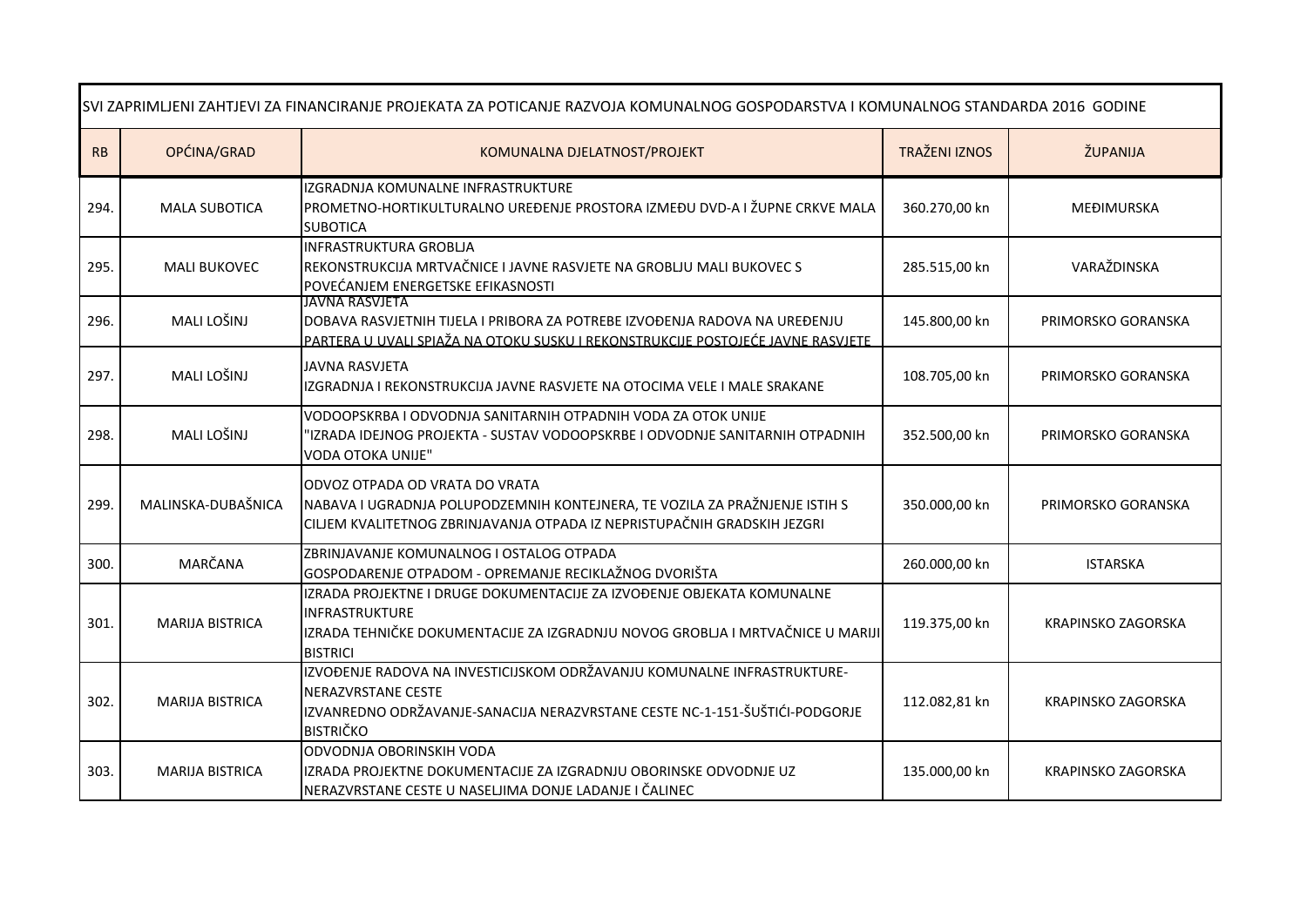| SVI ZAPRIMLJENI ZAHTJEVI ZA FINANCIRANJE PROJEKATA ZA POTICANJE RAZVOJA KOMUNALNOG GOSPODARSTVA I KOMUNALNOG STANDARDA 2016 GODINE |                        |                                                                                                                                                                                                         |                      |                           |
|------------------------------------------------------------------------------------------------------------------------------------|------------------------|---------------------------------------------------------------------------------------------------------------------------------------------------------------------------------------------------------|----------------------|---------------------------|
| RB                                                                                                                                 | OPĆINA/GRAD            | KOMUNALNA DJELATNOST/PROJEKT                                                                                                                                                                            | <b>TRAŽENI IZNOS</b> | ŽUPANIJA                  |
| 294.                                                                                                                               | <b>MALA SUBOTICA</b>   | IZGRADNJA KOMUNALNE INFRASTRUKTURE<br>PROMETNO-HORTIKULTURALNO UREĐENJE PROSTORA IZMEĐU DVD-A I ŽUPNE CRKVE MALA<br><b>SUBOTICA</b>                                                                     | 360.270,00 kn        | MEĐIMURSKA                |
| 295.                                                                                                                               | <b>MALI BUKOVEC</b>    | <b>INFRASTRUKTURA GROBLIA</b><br>REKONSTRUKCIJA MRTVAČNICE I JAVNE RASVJETE NA GROBLJU MALI BUKOVEC S<br>POVEĆANJEM ENERGETSKE EFIKASNOSTI                                                              | 285.515,00 kn        | VARAŽDINSKA               |
| 296.                                                                                                                               | MALI LOŠINJ            | <b>JAVNA RASVJETA</b><br>DOBAVA RASVJETNIH TIJELA I PRIBORA ZA POTREBE IZVOĐENJA RADOVA NA UREĐENJU<br>PARTERA U UVALI SPIAŽA NA OTOKU SUSKU I REKONSTRUKCIJE POSTOJEĆE JAVNE RASVJETE                  | 145.800,00 kn        | PRIMORSKO GORANSKA        |
| 297.                                                                                                                               | MALI LOŠINJ            | <b>JAVNA RASVJETA</b><br>IZGRADNJA I REKONSTRUKCIJA JAVNE RASVJETE NA OTOCIMA VELE I MALE SRAKANE                                                                                                       | 108.705,00 kn        | PRIMORSKO GORANSKA        |
| 298.                                                                                                                               | MALI LOŠINJ            | VODOOPSKRBA I ODVODNJA SANITARNIH OTPADNIH VODA ZA OTOK UNIJE<br>'IZRADA IDEJNOG PROJEKTA - SUSTAV VODOOPSKRBE I ODVODNJE SANITARNIH OTPADNIH<br><b>VODA OTOKA UNIJE"</b>                               | 352.500,00 kn        | PRIMORSKO GORANSKA        |
| 299.                                                                                                                               | MALINSKA-DUBAŠNICA     | ODVOZ OTPADA OD VRATA DO VRATA<br>NABAVA I UGRADNJA POLUPODZEMNIH KONTEJNERA, TE VOZILA ZA PRAŽNJENJE ISTIH S<br>CILJEM KVALITETNOG ZBRINJAVANJA OTPADA IZ NEPRISTUPAČNIH GRADSKIH JEZGRI               | 350.000,00 kn        | PRIMORSKO GORANSKA        |
| 300.                                                                                                                               | MARČANA                | ZBRINJAVANJE KOMUNALNOG I OSTALOG OTPADA<br>GOSPODARENJE OTPADOM - OPREMANJE RECIKLAŽNOG DVORIŠTA                                                                                                       | 260.000,00 kn        | <b>ISTARSKA</b>           |
| 301.                                                                                                                               | <b>MARIJA BISTRICA</b> | IZRADA PROJEKTNE I DRUGE DOKUMENTACIJE ZA IZVOĐENJE OBJEKATA KOMUNALNE<br><b>INFRASTRUKTURE</b><br>IZRADA TEHNIČKE DOKUMENTACIJE ZA IZGRADNJU NOVOG GROBLJA I MRTVAČNICE U MARIJI<br><b>BISTRICI</b>    | 119.375,00 kn        | <b>KRAPINSKO ZAGORSKA</b> |
| 302.                                                                                                                               | <b>MARIJA BISTRICA</b> | IZVOĐENJE RADOVA NA INVESTICIJSKOM ODRŽAVANJU KOMUNALNE INFRASTRUKTURE-<br><b>NERAZVRSTANE CESTE</b><br>IZVANREDNO ODRŽAVANJE-SANACIJA NERAZVRSTANE CESTE NC-1-151-ŠUŠTIĆI-PODGORJE<br><b>BISTRIČKO</b> | 112.082,81 kn        | <b>KRAPINSKO ZAGORSKA</b> |
| 303.                                                                                                                               | <b>MARIJA BISTRICA</b> | ODVODNJA OBORINSKIH VODA<br>IZRADA PROJEKTNE DOKUMENTACIJE ZA IZGRADNJU OBORINSKE ODVODNJE UZ<br>NERAZVRSTANE CESTE U NASELJIMA DONJE LADANJE I ČALINEC                                                 | 135.000,00 kn        | <b>KRAPINSKO ZAGORSKA</b> |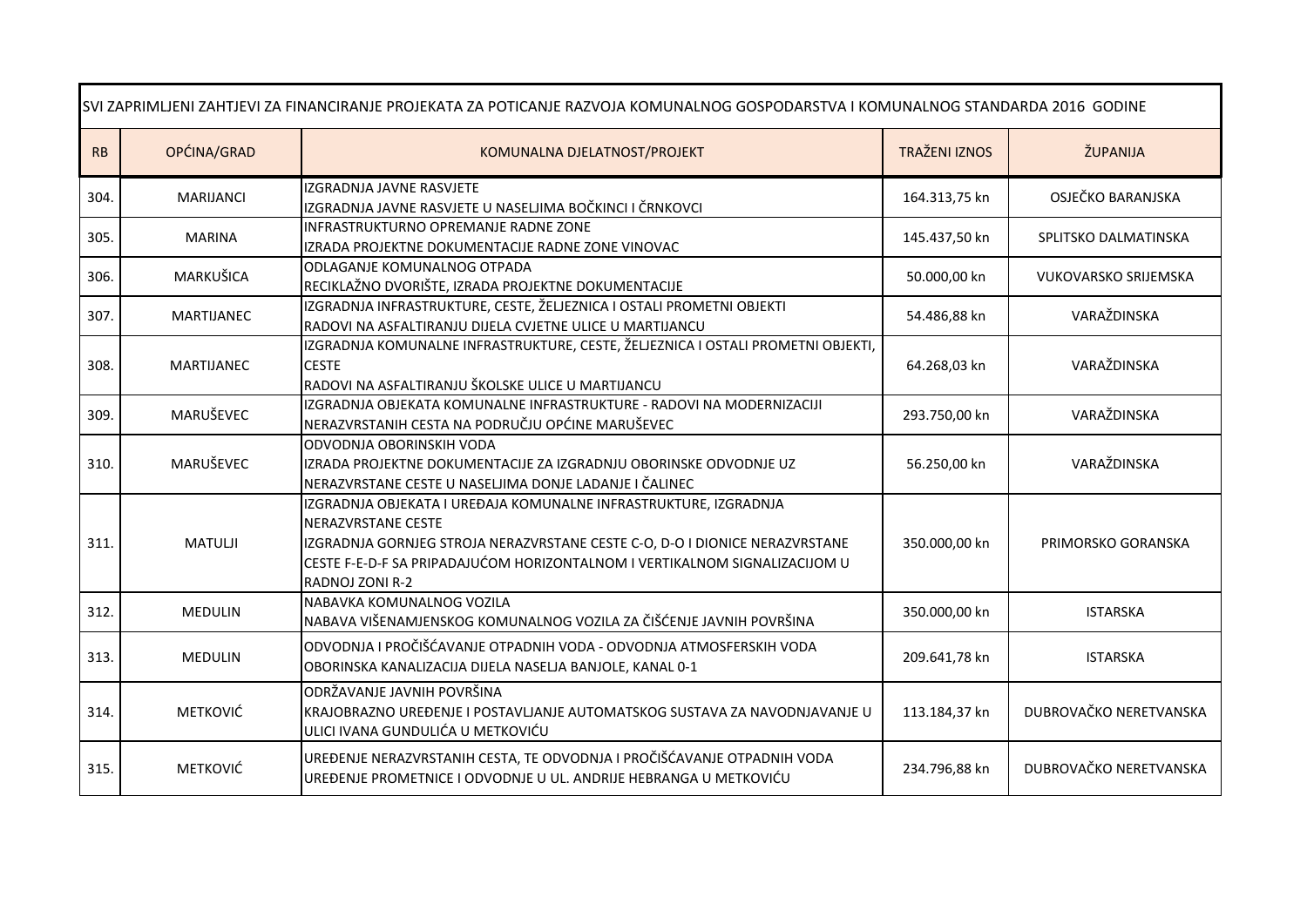| SVI ZAPRIMLJENI ZAHTJEVI ZA FINANCIRANJE PROJEKATA ZA POTICANJE RAZVOJA KOMUNALNOG GOSPODARSTVA I KOMUNALNOG STANDARDA 2016 GODINE |                   |                                                                                                                                                                                                                                                                        |                      |                             |
|------------------------------------------------------------------------------------------------------------------------------------|-------------------|------------------------------------------------------------------------------------------------------------------------------------------------------------------------------------------------------------------------------------------------------------------------|----------------------|-----------------------------|
| RB                                                                                                                                 | OPĆINA/GRAD       | KOMUNALNA DJELATNOST/PROJEKT                                                                                                                                                                                                                                           | <b>TRAŽENI IZNOS</b> | ŽUPANIJA                    |
| 304.                                                                                                                               | <b>MARIJANCI</b>  | IZGRADNJA JAVNE RASVJETE<br>IZGRADNJA JAVNE RASVJETE U NASELJIMA BOČKINCI I ČRNKOVCI                                                                                                                                                                                   | 164.313,75 kn        | OSJEČKO BARANJSKA           |
| 305.                                                                                                                               | <b>MARINA</b>     | INFRASTRUKTURNO OPREMANJE RADNE ZONE<br>IZRADA PROJEKTNE DOKUMENTACIJE RADNE ZONE VINOVAC                                                                                                                                                                              | 145.437,50 kn        | SPLITSKO DALMATINSKA        |
| 306.                                                                                                                               | MARKUŠICA         | ODLAGANJE KOMUNALNOG OTPADA<br>RECIKLAŽNO DVORIŠTE, IZRADA PROJEKTNE DOKUMENTACIJE                                                                                                                                                                                     | 50.000,00 kn         | <b>VUKOVARSKO SRIJEMSKA</b> |
| 307.                                                                                                                               | <b>MARTIJANEC</b> | IZGRADNJA INFRASTRUKTURE, CESTE, ŽELJEZNICA I OSTALI PROMETNI OBJEKTI<br>RADOVI NA ASFALTIRANJU DIJELA CVJETNE ULICE U MARTIJANCU                                                                                                                                      | 54.486,88 kn         | VARAŽDINSKA                 |
| 308.                                                                                                                               | <b>MARTIJANEC</b> | IZGRADNJA KOMUNALNE INFRASTRUKTURE, CESTE, ŽELJEZNICA I OSTALI PROMETNI OBJEKTI,<br><b>CESTE</b><br>RADOVI NA ASFALTIRANJU ŠKOLSKE ULICE U MARTIJANCU                                                                                                                  | 64.268,03 kn         | VARAŽDINSKA                 |
| 309.                                                                                                                               | MARUŠEVEC         | IZGRADNJA OBJEKATA KOMUNALNE INFRASTRUKTURE - RADOVI NA MODERNIZACIJI<br>NERAZVRSTANIH CESTA NA PODRUČJU OPĆINE MARUŠEVEC                                                                                                                                              | 293.750,00 kn        | VARAŽDINSKA                 |
| 310.                                                                                                                               | MARUŠEVEC         | ODVODNJA OBORINSKIH VODA<br>IZRADA PROJEKTNE DOKUMENTACIJE ZA IZGRADNJU OBORINSKE ODVODNJE UZ<br>NERAZVRSTANE CESTE U NASELJIMA DONJE LADANJE I ČALINEC                                                                                                                | 56.250,00 kn         | VARAŽDINSKA                 |
| 311.                                                                                                                               | <b>MATULJI</b>    | IZGRADNJA OBJEKATA I UREĐAJA KOMUNALNE INFRASTRUKTURE, IZGRADNJA<br>NERAZVRSTANE CESTE<br>IZGRADNJA GORNJEG STROJA NERAZVRSTANE CESTE C-O, D-O I DIONICE NERAZVRSTANE<br>CESTE F-E-D-F SA PRIPADAJUĆOM HORIZONTALNOM I VERTIKALNOM SIGNALIZACIJOM U<br>RADNOJ ZONI R-2 | 350.000,00 kn        | PRIMORSKO GORANSKA          |
| 312.                                                                                                                               | <b>MEDULIN</b>    | NABAVKA KOMUNALNOG VOZILA<br>NABAVA VIŠENAMJENSKOG KOMUNALNOG VOZILA ZA ČIŠĆENJE JAVNIH POVRŠINA                                                                                                                                                                       | 350.000,00 kn        | <b>ISTARSKA</b>             |
| 313.                                                                                                                               | <b>MEDULIN</b>    | ODVODNJA I PROČIŠĆAVANJE OTPADNIH VODA - ODVODNJA ATMOSFERSKIH VODA<br>OBORINSKA KANALIZACIJA DIJELA NASELJA BANJOLE, KANAL 0-1                                                                                                                                        | 209.641,78 kn        | <b>ISTARSKA</b>             |
| 314.                                                                                                                               | <b>METKOVIĆ</b>   | ODRŽAVANJE JAVNIH POVRŠINA<br>KRAJOBRAZNO UREĐENJE I POSTAVLJANJE AUTOMATSKOG SUSTAVA ZA NAVODNJAVANJE U<br>ULICI IVANA GUNDULIĆA U METKOVIĆU                                                                                                                          | 113.184,37 kn        | DUBROVAČKO NERETVANSKA      |
| 315.                                                                                                                               | <b>METKOVIĆ</b>   | UREĐENJE NERAZVRSTANIH CESTA, TE ODVODNJA I PROČIŠĆAVANJE OTPADNIH VODA<br>UREĐENJE PROMETNICE I ODVODNJE U UL. ANDRIJE HEBRANGA U METKOVIĆU                                                                                                                           | 234.796,88 kn        | DUBROVAČKO NERETVANSKA      |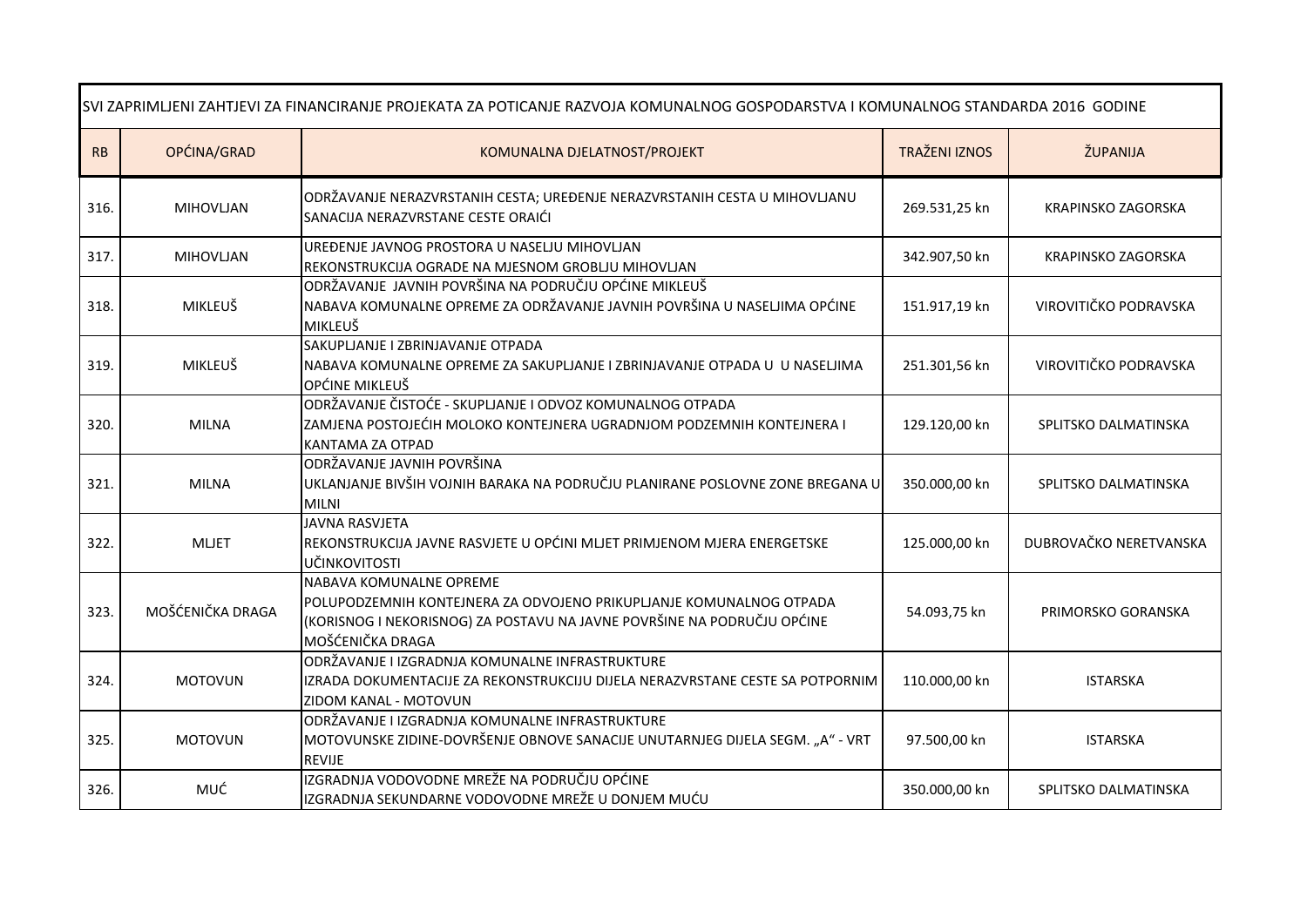| SVI ZAPRIMLJENI ZAHTJEVI ZA FINANCIRANJE PROJEKATA ZA POTICANJE RAZVOJA KOMUNALNOG GOSPODARSTVA I KOMUNALNOG STANDARDA 2016 GODINE |                  |                                                                                                                                                                                               |                      |                           |
|------------------------------------------------------------------------------------------------------------------------------------|------------------|-----------------------------------------------------------------------------------------------------------------------------------------------------------------------------------------------|----------------------|---------------------------|
| RB                                                                                                                                 | OPĆINA/GRAD      | KOMUNALNA DJELATNOST/PROJEKT                                                                                                                                                                  | <b>TRAŽENI IZNOS</b> | ŽUPANIJA                  |
| 316.                                                                                                                               | <b>MIHOVLJAN</b> | ODRŽAVANJE NERAZVRSTANIH CESTA; UREĐENJE NERAZVRSTANIH CESTA U MIHOVLJANU<br>SANACIJA NERAZVRSTANE CESTE ORAIĆI                                                                               | 269.531,25 kn        | KRAPINSKO ZAGORSKA        |
| 317.                                                                                                                               | MIHOVLJAN        | UREĐENJE JAVNOG PROSTORA U NASELJU MIHOVLJAN<br>REKONSTRUKCIJA OGRADE NA MJESNOM GROBLJU MIHOVLJAN                                                                                            | 342.907,50 kn        | <b>KRAPINSKO ZAGORSKA</b> |
| 318.                                                                                                                               | <b>MIKLEUŠ</b>   | ODRŽAVANJE JAVNIH POVRŠINA NA PODRUČJU OPĆINE MIKLEUŠ<br>NABAVA KOMUNALNE OPREME ZA ODRŽAVANJE JAVNIH POVRŠINA U NASELJIMA OPĆINE<br>MIKLEUŠ                                                  | 151.917,19 kn        | VIROVITIČKO PODRAVSKA     |
| 319.                                                                                                                               | MIKLEUŠ          | SAKUPLJANJE I ZBRINJAVANJE OTPADA<br>NABAVA KOMUNALNE OPREME ZA SAKUPLJANJE I ZBRINJAVANJE OTPADA U U NASELJIMA<br>OPĆINE MIKLEUŠ                                                             | 251.301,56 kn        | VIROVITIČKO PODRAVSKA     |
| 320.                                                                                                                               | <b>MILNA</b>     | ODRŽAVANJE ČISTOĆE - SKUPLJANJE I ODVOZ KOMUNALNOG OTPADA<br>ZAMJENA POSTOJEĆIH MOLOKO KONTEJNERA UGRADNJOM PODZEMNIH KONTEJNERA I<br>KANTAMA ZA OTPAD                                        | 129.120,00 kn        | SPLITSKO DALMATINSKA      |
| 321                                                                                                                                | <b>MILNA</b>     | ODRŽAVANJE JAVNIH POVRŠINA<br>UKLANJANJE BIVŠIH VOJNIH BARAKA NA PODRUČJU PLANIRANE POSLOVNE ZONE BREGANA U<br><b>MILNI</b>                                                                   | 350.000,00 kn        | SPLITSKO DALMATINSKA      |
| 322.                                                                                                                               | <b>MLJET</b>     | <b>JAVNA RASVJETA</b><br>REKONSTRUKCIJA JAVNE RASVJETE U OPĆINI MLJET PRIMJENOM MJERA ENERGETSKE<br>UČINKOVITOSTI                                                                             | 125.000,00 kn        | DUBROVAČKO NERETVANSKA    |
| 323.                                                                                                                               | MOŠĆENIČKA DRAGA | NABAVA KOMUNALNE OPREME<br>POLUPODZEMNIH KONTEJNERA ZA ODVOJENO PRIKUPLJANJE KOMUNALNOG OTPADA<br>(KORISNOG I NEKORISNOG) ZA POSTAVU NA JAVNE POVRŠINE NA PODRUČJU OPĆINE<br>MOŠĆENIČKA DRAGA | 54.093,75 kn         | PRIMORSKO GORANSKA        |
| 324.                                                                                                                               | <b>MOTOVUN</b>   | ODRŽAVANJE I IZGRADNJA KOMUNALNE INFRASTRUKTURE<br>IZRADA DOKUMENTACIJE ZA REKONSTRUKCIJU DIJELA NERAZVRSTANE CESTE SA POTPORNIM<br>ZIDOM KANAL - MOTOVUN                                     | 110.000,00 kn        | <b>ISTARSKA</b>           |
| 325.                                                                                                                               | <b>MOTOVUN</b>   | ODRŽAVANJE I IZGRADNJA KOMUNALNE INFRASTRUKTURE<br>MOTOVUNSKE ZIDINE-DOVRŠENJE OBNOVE SANACIJE UNUTARNJEG DIJELA SEGM. "A" - VRT<br><b>REVIJE</b>                                             | 97.500,00 kn         | <b>ISTARSKA</b>           |
| 326.                                                                                                                               | MUĆ              | IZGRADNJA VODOVODNE MREŽE NA PODRUČJU OPĆINE<br>IZGRADNJA SEKUNDARNE VODOVODNE MREŽE U DONJEM MUĆU                                                                                            | 350.000,00 kn        | SPLITSKO DALMATINSKA      |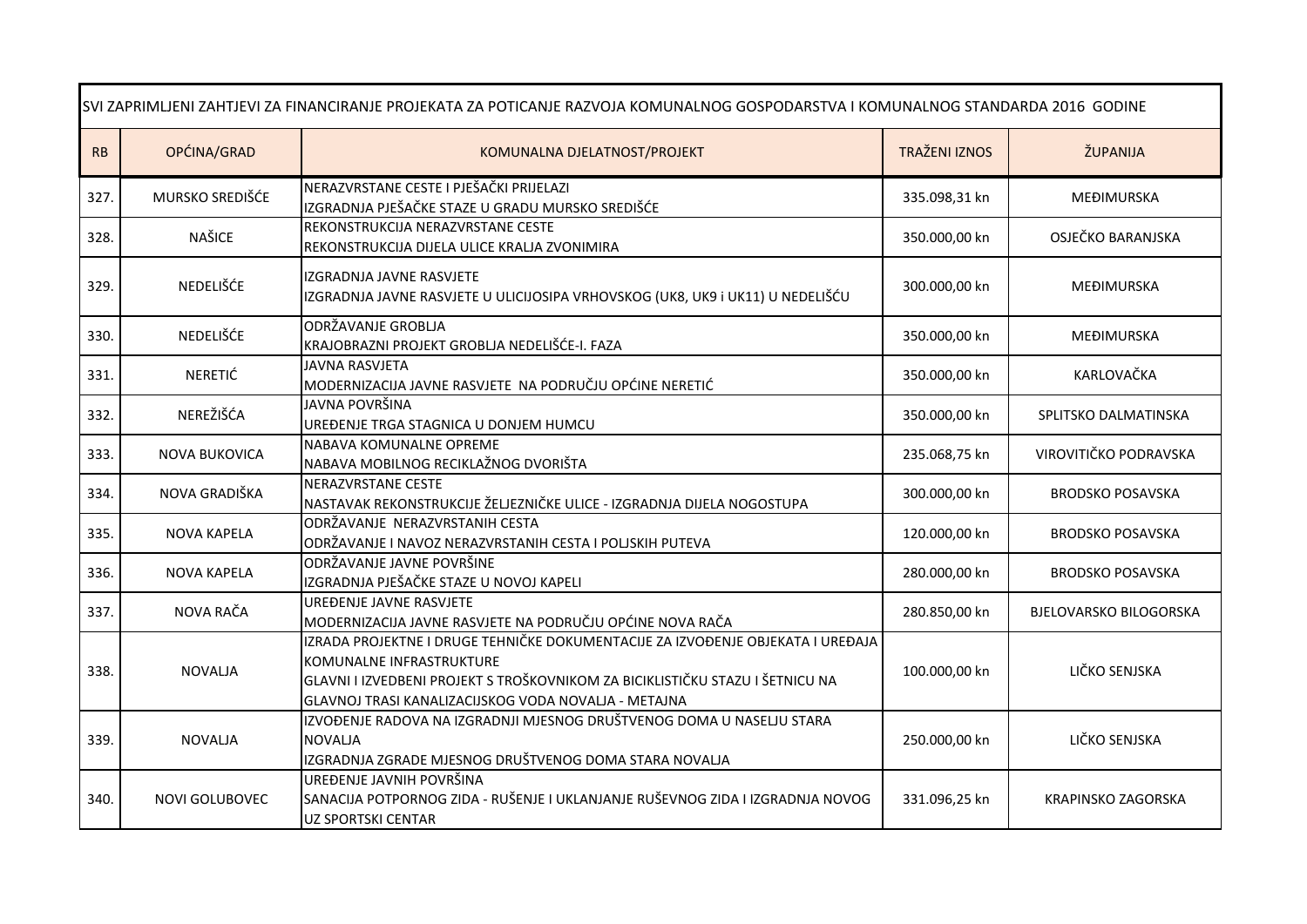| SVI ZAPRIMLJENI ZAHTJEVI ZA FINANCIRANJE PROJEKATA ZA POTICANJE RAZVOJA KOMUNALNOG GOSPODARSTVA I KOMUNALNOG STANDARDA 2016 GODINE |                       |                                                                                                                                                                                                                                                      |                      |                               |
|------------------------------------------------------------------------------------------------------------------------------------|-----------------------|------------------------------------------------------------------------------------------------------------------------------------------------------------------------------------------------------------------------------------------------------|----------------------|-------------------------------|
| RB                                                                                                                                 | OPĆINA/GRAD           | KOMUNALNA DJELATNOST/PROJEKT                                                                                                                                                                                                                         | <b>TRAŽENI IZNOS</b> | ŽUPANIJA                      |
| 327.                                                                                                                               | MURSKO SREDIŠĆE       | NERAZVRSTANE CESTE I PJEŠAČKI PRIJELAZI<br>IZGRADNJA PJEŠAČKE STAZE U GRADU MURSKO SREDIŠĆE                                                                                                                                                          | 335.098,31 kn        | MEĐIMURSKA                    |
| 328.                                                                                                                               | NAŠICE                | REKONSTRUKCIJA NERAZVRSTANE CESTE<br>REKONSTRUKCIJA DIJELA ULICE KRALJA ZVONIMIRA                                                                                                                                                                    | 350.000,00 kn        | OSJEČKO BARANJSKA             |
| 329.                                                                                                                               | NEDELIŠĆE             | IZGRADNJA JAVNE RASVJETE<br>IZGRADNJA JAVNE RASVJETE U ULICIJOSIPA VRHOVSKOG (UK8, UK9 i UK11) U NEDELIŠĆU                                                                                                                                           | 300.000,00 kn        | MEĐIMURSKA                    |
| 330.                                                                                                                               | NEDELIŠĆE             | ODRŽAVANJE GROBLJA<br>KRAJOBRAZNI PROJEKT GROBLJA NEDELIŠĆE-I. FAZA                                                                                                                                                                                  | 350.000,00 kn        | MEĐIMURSKA                    |
| 331.                                                                                                                               | NERETIĆ               | JAVNA RASVJETA<br>MODERNIZACIJA JAVNE RASVJETE NA PODRUČJU OPĆINE NERETIĆ                                                                                                                                                                            | 350.000,00 kn        | KARLOVAČKA                    |
| 332.                                                                                                                               | NEREŽIŠĆA             | JAVNA POVRŠINA<br>UREĐENJE TRGA STAGNICA U DONJEM HUMCU                                                                                                                                                                                              | 350.000,00 kn        | SPLITSKO DALMATINSKA          |
| 333.                                                                                                                               | <b>NOVA BUKOVICA</b>  | NABAVA KOMUNALNE OPREME<br>NABAVA MOBILNOG RECIKLAŽNOG DVORIŠTA                                                                                                                                                                                      | 235.068,75 kn        | VIROVITIČKO PODRAVSKA         |
| 334.                                                                                                                               | NOVA GRADIŠKA         | NERAZVRSTANE CESTE<br>NASTAVAK REKONSTRUKCIJE ŽELJEZNIČKE ULICE - IZGRADNJA DIJELA NOGOSTUPA                                                                                                                                                         | 300.000,00 kn        | <b>BRODSKO POSAVSKA</b>       |
| 335.                                                                                                                               | <b>NOVA KAPELA</b>    | ODRŽAVANJE NERAZVRSTANIH CESTA<br>ODRŽAVANJE I NAVOZ NERAZVRSTANIH CESTA I POLJSKIH PUTEVA                                                                                                                                                           | 120.000,00 kn        | <b>BRODSKO POSAVSKA</b>       |
| 336.                                                                                                                               | NOVA KAPELA           | ODRŽAVANJE JAVNE POVRŠINE<br>IZGRADNJA PJEŠAČKE STAZE U NOVOJ KAPELI                                                                                                                                                                                 | 280.000,00 kn        | <b>BRODSKO POSAVSKA</b>       |
| 337.                                                                                                                               | NOVA RAČA             | UREĐENJE JAVNE RASVJETE<br>MODERNIZACIJA JAVNE RASVJETE NA PODRUČJU OPĆINE NOVA RAČA                                                                                                                                                                 | 280.850,00 kn        | <b>BJELOVARSKO BILOGORSKA</b> |
| 338.                                                                                                                               | <b>NOVALIA</b>        | IZRADA PROJEKTNE I DRUGE TEHNIČKE DOKUMENTACIJE ZA IZVOĐENJE OBJEKATA I UREĐAJA<br>KOMUNALNE INFRASTRUKTURE<br>GLAVNI I IZVEDBENI PROJEKT S TROŠKOVNIKOM ZA BICIKLISTIČKU STAZU I ŠETNICU NA<br>GLAVNOJ TRASI KANALIZACIJSKOG VODA NOVALJA - METAJNA | 100.000,00 kn        | LIČKO SENJSKA                 |
| 339.                                                                                                                               | <b>NOVALJA</b>        | IZVOĐENJE RADOVA NA IZGRADNJI MJESNOG DRUŠTVENOG DOMA U NASELJU STARA<br><b>NOVALJA</b><br>IZGRADNJA ZGRADE MJESNOG DRUŠTVENOG DOMA STARA NOVALJA                                                                                                    | 250.000,00 kn        | LIČKO SENJSKA                 |
| 340.                                                                                                                               | <b>NOVI GOLUBOVEC</b> | UREĐENJE JAVNIH POVRŠINA<br>SANACIJA POTPORNOG ZIDA - RUŠENJE I UKLANJANJE RUŠEVNOG ZIDA I IZGRADNJA NOVOG<br><b>UZ SPORTSKI CENTAR</b>                                                                                                              | 331.096,25 kn        | KRAPINSKO ZAGORSKA            |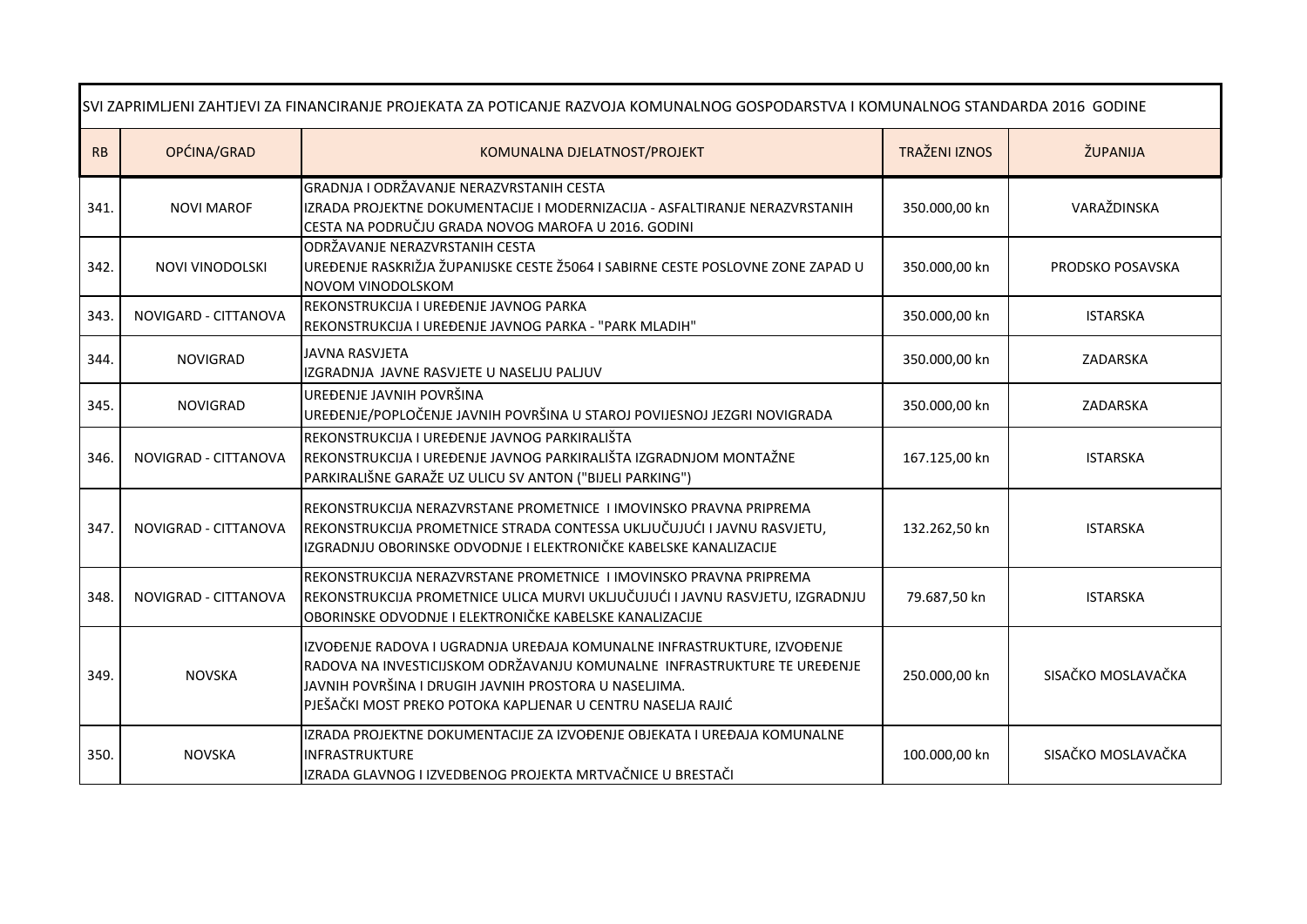| SVI ZAPRIMLJENI ZAHTJEVI ZA FINANCIRANJE PROJEKATA ZA POTICANJE RAZVOJA KOMUNALNOG GOSPODARSTVA I KOMUNALNOG STANDARDA 2016 GODINE |                      |                                                                                                                                                                                                                                                                             |                      |                    |
|------------------------------------------------------------------------------------------------------------------------------------|----------------------|-----------------------------------------------------------------------------------------------------------------------------------------------------------------------------------------------------------------------------------------------------------------------------|----------------------|--------------------|
| RB                                                                                                                                 | OPĆINA/GRAD          | KOMUNALNA DJELATNOST/PROJEKT                                                                                                                                                                                                                                                | <b>TRAŽENI IZNOS</b> | ŽUPANIJA           |
| 341.                                                                                                                               | <b>NOVI MAROF</b>    | GRADNJA I ODRŽAVANJE NERAZVRSTANIH CESTA<br>IZRADA PROJEKTNE DOKUMENTACIJE I MODERNIZACIJA - ASFALTIRANJE NERAZVRSTANIH<br>CESTA NA PODRUČJU GRADA NOVOG MAROFA U 2016. GODINI                                                                                              | 350.000,00 kn        | VARAŽDINSKA        |
| 342.                                                                                                                               | NOVI VINODOLSKI      | ODRŽAVANJE NERAZVRSTANIH CESTA<br>UREĐENJE RASKRIŽJA ŽUPANIJSKE CESTE Ž5064 I SABIRNE CESTE POSLOVNE ZONE ZAPAD U<br>NOVOM VINODOLSKOM                                                                                                                                      | 350.000,00 kn        | PRODSKO POSAVSKA   |
| 343.                                                                                                                               | NOVIGARD - CITTANOVA | REKONSTRUKCIJA I UREĐENJE JAVNOG PARKA<br>REKONSTRUKCIJA I UREĐENJE JAVNOG PARKA - "PARK MLADIH"                                                                                                                                                                            | 350.000,00 kn        | <b>ISTARSKA</b>    |
| 344.                                                                                                                               | <b>NOVIGRAD</b>      | JAVNA RASVJETA<br>IZGRADNJA JAVNE RASVJETE U NASELJU PALJUV                                                                                                                                                                                                                 | 350.000,00 kn        | ZADARSKA           |
| 345.                                                                                                                               | <b>NOVIGRAD</b>      | UREĐENJE JAVNIH POVRŠINA<br>UREĐENJE/POPLOČENJE JAVNIH POVRŠINA U STAROJ POVIJESNOJ JEZGRI NOVIGRADA                                                                                                                                                                        | 350.000,00 kn        | ZADARSKA           |
| 346.                                                                                                                               | NOVIGRAD - CITTANOVA | REKONSTRUKCIJA I UREĐENJE JAVNOG PARKIRALIŠTA<br>REKONSTRUKCIJA I UREĐENJE JAVNOG PARKIRALIŠTA IZGRADNJOM MONTAŽNE<br>PARKIRALIŠNE GARAŽE UZ ULICU SV ANTON ("BIJELI PARKING")                                                                                              | 167.125,00 kn        | <b>ISTARSKA</b>    |
| 347.                                                                                                                               | NOVIGRAD - CITTANOVA | REKONSTRUKCIJA NERAZVRSTANE PROMETNICE I IMOVINSKO PRAVNA PRIPREMA<br>REKONSTRUKCIJA PROMETNICE STRADA CONTESSA UKLJUČUJUĆI I JAVNU RASVJETU,<br>IZGRADNJU OBORINSKE ODVODNJE I ELEKTRONIČKE KABELSKE KANALIZACIJE                                                          | 132.262,50 kn        | <b>ISTARSKA</b>    |
| 348.                                                                                                                               | NOVIGRAD - CITTANOVA | REKONSTRUKCIJA NERAZVRSTANE PROMETNICE I IMOVINSKO PRAVNA PRIPREMA<br>REKONSTRUKCIJA PROMETNICE ULICA MURVI UKLJUČUJUĆI I JAVNU RASVJETU, IZGRADNJU<br>OBORINSKE ODVODNJE I ELEKTRONIČKE KABELSKE KANALIZACIJE                                                              | 79.687,50 kn         | <b>ISTARSKA</b>    |
| 349.                                                                                                                               | <b>NOVSKA</b>        | IZVOĐENJE RADOVA I UGRADNJA UREĐAJA KOMUNALNE INFRASTRUKTURE, IZVOĐENJE<br>RADOVA NA INVESTICIJSKOM ODRŽAVANJU KOMUNALNE INFRASTRUKTURE TE UREĐENJE<br>JAVNIH POVRŠINA I DRUGIH JAVNIH PROSTORA U NASELJIMA.<br>PJEŠAČKI MOST PREKO POTOKA KAPLJENAR U CENTRU NASELJA RAJIĆ | 250.000,00 kn        | SISAČKO MOSLAVAČKA |
| 350.                                                                                                                               | <b>NOVSKA</b>        | IZRADA PROJEKTNE DOKUMENTACIJE ZA IZVOĐENJE OBJEKATA I UREĐAJA KOMUNALNE<br><b>INFRASTRUKTURE</b><br>IZRADA GLAVNOG I IZVEDBENOG PROJEKTA MRTVAČNICE U BRESTAČI                                                                                                             | 100.000,00 kn        | SISAČKO MOSLAVAČKA |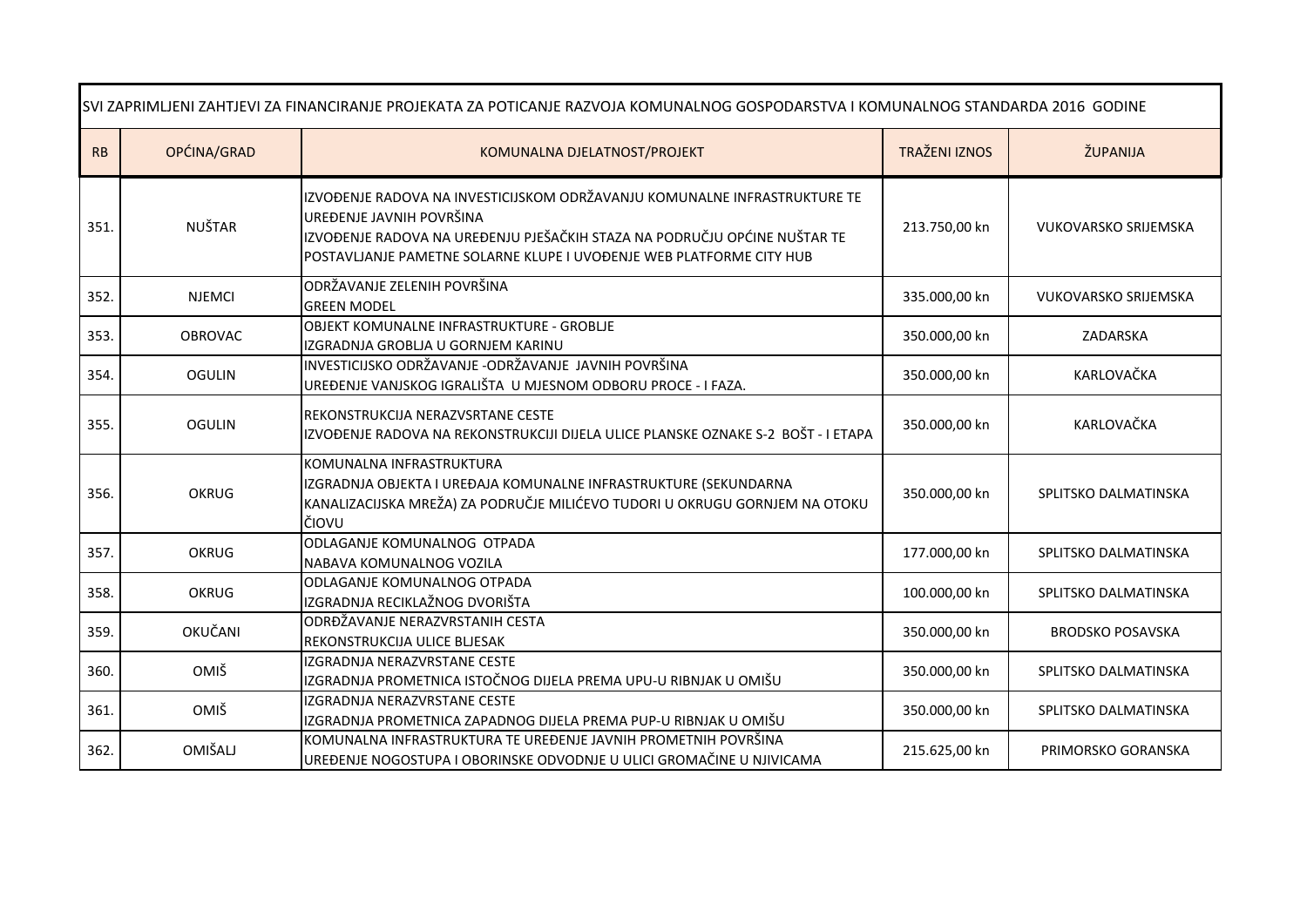| SVI ZAPRIMLJENI ZAHTJEVI ZA FINANCIRANJE PROJEKATA ZA POTICANJE RAZVOJA KOMUNALNOG GOSPODARSTVA I KOMUNALNOG STANDARDA 2016 GODINE |                |                                                                                                                                                                                                                                                            |                      |                             |
|------------------------------------------------------------------------------------------------------------------------------------|----------------|------------------------------------------------------------------------------------------------------------------------------------------------------------------------------------------------------------------------------------------------------------|----------------------|-----------------------------|
| RB                                                                                                                                 | OPĆINA/GRAD    | KOMUNALNA DJELATNOST/PROJEKT                                                                                                                                                                                                                               | <b>TRAŽENI IZNOS</b> | ŽUPANIJA                    |
| 351.                                                                                                                               | <b>NUŠTAR</b>  | IZVOĐENJE RADOVA NA INVESTICIJSKOM ODRŽAVANJU KOMUNALNE INFRASTRUKTURE TE<br>UREĐENJE JAVNIH POVRŠINA<br>IZVOĐENJE RADOVA NA UREĐENJU PJEŠAČKIH STAZA NA PODRUČJU OPĆINE NUŠTAR TE<br>POSTAVLJANJE PAMETNE SOLARNE KLUPE I UVOĐENJE WEB PLATFORME CITY HUB | 213.750,00 kn        | <b>VUKOVARSKO SRIJEMSKA</b> |
| 352.                                                                                                                               | <b>NJEMCI</b>  | ODRŽAVANJE ZELENIH POVRŠINA<br><b>GREEN MODEL</b>                                                                                                                                                                                                          | 335.000,00 kn        | <b>VUKOVARSKO SRIJEMSKA</b> |
| 353.                                                                                                                               | <b>OBROVAC</b> | OBJEKT KOMUNALNE INFRASTRUKTURE - GROBLJE<br>IZGRADNJA GROBLJA U GORNJEM KARINU                                                                                                                                                                            | 350.000,00 kn        | ZADARSKA                    |
| 354.                                                                                                                               | <b>OGULIN</b>  | INVESTICIJSKO ODRŽAVANJE -ODRŽAVANJE JAVNIH POVRŠINA<br>UREĐENJE VANJSKOG IGRALIŠTA U MJESNOM ODBORU PROCE - I FAZA.                                                                                                                                       | 350.000,00 kn        | KARLOVAČKA                  |
| 355.                                                                                                                               | <b>OGULIN</b>  | REKONSTRUKCIJA NERAZVSRTANE CESTE<br>IZVOĐENJE RADOVA NA REKONSTRUKCIJI DIJELA ULICE PLANSKE OZNAKE S-2 BOŠT - I ETAPA                                                                                                                                     | 350.000,00 kn        | KARLOVAČKA                  |
| 356.                                                                                                                               | <b>OKRUG</b>   | KOMUNALNA INFRASTRUKTURA<br>IZGRADNJA OBJEKTA I UREĐAJA KOMUNALNE INFRASTRUKTURE (SEKUNDARNA<br>KANALIZACIJSKA MREŽA) ZA PODRUČJE MILIĆEVO TUDORI U OKRUGU GORNJEM NA OTOKU<br>ČIOVU                                                                       | 350.000,00 kn        | SPLITSKO DALMATINSKA        |
| 357.                                                                                                                               | <b>OKRUG</b>   | ODLAGANJE KOMUNALNOG OTPADA<br>NABAVA KOMUNALNOG VOZILA                                                                                                                                                                                                    | 177.000,00 kn        | SPLITSKO DALMATINSKA        |
| 358.                                                                                                                               | <b>OKRUG</b>   | ODLAGANJE KOMUNALNOG OTPADA<br>IZGRADNJA RECIKLAŽNOG DVORIŠTA                                                                                                                                                                                              | 100.000,00 kn        | SPLITSKO DALMATINSKA        |
| 359.                                                                                                                               | OKUČANI        | ODRĐŽAVANJE NERAZVRSTANIH CESTA<br>REKONSTRUKCIJA ULICE BLJESAK                                                                                                                                                                                            | 350.000,00 kn        | <b>BRODSKO POSAVSKA</b>     |
| 360.                                                                                                                               | OMIŠ           | IZGRADNJA NERAZVRSTANE CESTE<br>IZGRADNJA PROMETNICA ISTOČNOG DIJELA PREMA UPU-U RIBNJAK U OMIŠU                                                                                                                                                           | 350.000,00 kn        | SPLITSKO DALMATINSKA        |
| 361.                                                                                                                               | <b>OMIŠ</b>    | IZGRADNJA NERAZVRSTANE CESTE<br>IZGRADNJA PROMETNICA ZAPADNOG DIJELA PREMA PUP-U RIBNJAK U OMIŠU                                                                                                                                                           | 350.000,00 kn        | SPLITSKO DALMATINSKA        |
| 362.                                                                                                                               | OMIŠALJ        | KOMUNALNA INFRASTRUKTURA TE UREĐENJE JAVNIH PROMETNIH POVRŠINA<br>UREĐENJE NOGOSTUPA I OBORINSKE ODVODNJE U ULICI GROMAČINE U NJIVICAMA                                                                                                                    | 215.625,00 kn        | PRIMORSKO GORANSKA          |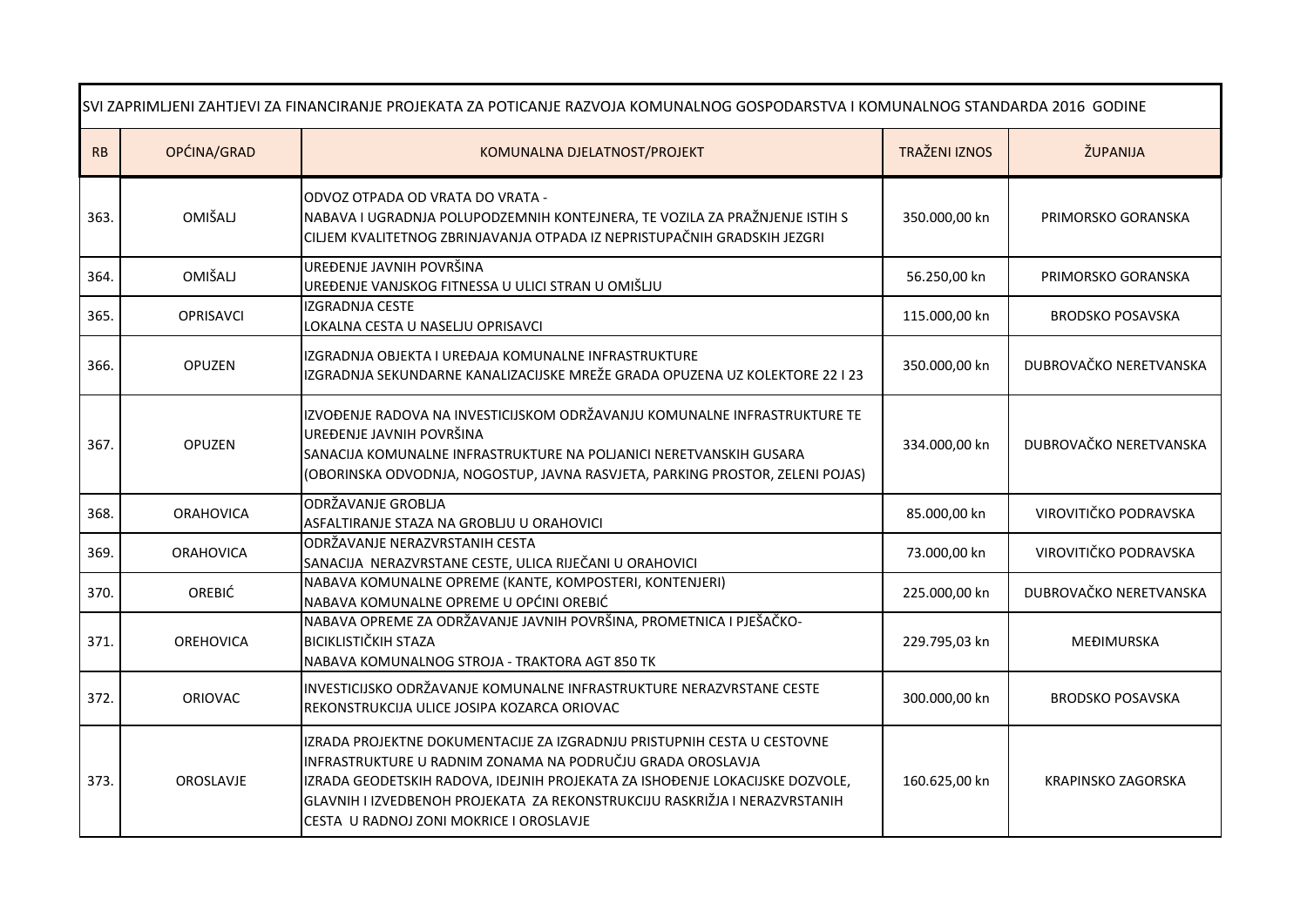| SVI ZAPRIMLJENI ZAHTJEVI ZA FINANCIRANJE PROJEKATA ZA POTICANJE RAZVOJA KOMUNALNOG GOSPODARSTVA I KOMUNALNOG STANDARDA 2016 GODINE |                  |                                                                                                                                                                                                                                                                                                                                                |                      |                           |
|------------------------------------------------------------------------------------------------------------------------------------|------------------|------------------------------------------------------------------------------------------------------------------------------------------------------------------------------------------------------------------------------------------------------------------------------------------------------------------------------------------------|----------------------|---------------------------|
| RB                                                                                                                                 | OPĆINA/GRAD      | KOMUNALNA DJELATNOST/PROJEKT                                                                                                                                                                                                                                                                                                                   | <b>TRAŽENI IZNOS</b> | ŽUPANIJA                  |
| 363.                                                                                                                               | <b>OMIŠALJ</b>   | ODVOZ OTPADA OD VRATA DO VRATA -<br>NABAVA I UGRADNJA POLUPODZEMNIH KONTEJNERA, TE VOZILA ZA PRAŽNJENJE ISTIH S<br>CILJEM KVALITETNOG ZBRINJAVANJA OTPADA IZ NEPRISTUPAČNIH GRADSKIH JEZGRI                                                                                                                                                    | 350.000,00 kn        | PRIMORSKO GORANSKA        |
| 364.                                                                                                                               | OMIŠALJ          | UREĐENJE JAVNIH POVRŠINA<br>UREĐENJE VANJSKOG FITNESSA U ULICI STRAN U OMIŠLJU                                                                                                                                                                                                                                                                 | 56.250,00 kn         | PRIMORSKO GORANSKA        |
| 365.                                                                                                                               | <b>OPRISAVCI</b> | IZGRADNJA CESTE<br>LOKALNA CESTA U NASELJU OPRISAVCI                                                                                                                                                                                                                                                                                           | 115.000,00 kn        | <b>BRODSKO POSAVSKA</b>   |
| 366.                                                                                                                               | <b>OPUZEN</b>    | IZGRADNJA OBJEKTA I UREĐAJA KOMUNALNE INFRASTRUKTURE<br>IZGRADNJA SEKUNDARNE KANALIZACIJSKE MREŽE GRADA OPUZENA UZ KOLEKTORE 22 I 23                                                                                                                                                                                                           | 350.000,00 kn        | DUBROVAČKO NERETVANSKA    |
| 367.                                                                                                                               | <b>OPUZEN</b>    | IZVOĐENJE RADOVA NA INVESTICIJSKOM ODRŽAVANJU KOMUNALNE INFRASTRUKTURE TE<br>UREĐENJE JAVNIH POVRŠINA<br>SANACIJA KOMUNALNE INFRASTRUKTURE NA POLJANICI NERETVANSKIH GUSARA<br>(OBORINSKA ODVODNJA, NOGOSTUP, JAVNA RASVJETA, PARKING PROSTOR, ZELENI POJAS)                                                                                   | 334.000,00 kn        | DUBROVAČKO NERETVANSKA    |
| 368.                                                                                                                               | <b>ORAHOVICA</b> | ODRŽAVANJE GROBLJA<br>ASFALTIRANJE STAZA NA GROBLJU U ORAHOVICI                                                                                                                                                                                                                                                                                | 85.000,00 kn         | VIROVITIČKO PODRAVSKA     |
| 369.                                                                                                                               | <b>ORAHOVICA</b> | ODRŽAVANJE NERAZVRSTANIH CESTA<br>SANACIJA NERAZVRSTANE CESTE, ULICA RIJEČANI U ORAHOVICI                                                                                                                                                                                                                                                      | 73.000,00 kn         | VIROVITIČKO PODRAVSKA     |
| 370.                                                                                                                               | OREBIĆ           | NABAVA KOMUNALNE OPREME (KANTE, KOMPOSTERI, KONTENJERI)<br>NABAVA KOMUNALNE OPREME U OPĆINI OREBIĆ                                                                                                                                                                                                                                             | 225.000,00 kn        | DUBROVAČKO NERETVANSKA    |
| 371.                                                                                                                               | <b>OREHOVICA</b> | NABAVA OPREME ZA ODRŽAVANJE JAVNIH POVRŠINA, PROMETNICA I PJEŠAČKO-<br><b>BICIKLISTIČKIH STAZA</b><br>NABAVA KOMUNALNOG STROJA - TRAKTORA AGT 850 TK                                                                                                                                                                                           | 229.795,03 kn        | MEĐIMURSKA                |
| 372.                                                                                                                               | <b>ORIOVAC</b>   | INVESTICIJSKO ODRŽAVANJE KOMUNALNE INFRASTRUKTURE NERAZVRSTANE CESTE<br>REKONSTRUKCIJA ULICE JOSIPA KOZARCA ORIOVAC                                                                                                                                                                                                                            | 300.000,00 kn        | <b>BRODSKO POSAVSKA</b>   |
| 373.                                                                                                                               | OROSLAVJE        | IZRADA PROJEKTNE DOKUMENTACIJE ZA IZGRADNJU PRISTUPNIH CESTA U CESTOVNE<br>INFRASTRUKTURE U RADNIM ZONAMA NA PODRUČJU GRADA OROSLAVJA<br>IZRADA GEODETSKIH RADOVA, IDEJNIH PROJEKATA ZA ISHOĐENJE LOKACIJSKE DOZVOLE,<br>GLAVNIH I IZVEDBENOH PROJEKATA ZA REKONSTRUKCIJU RASKRIŽJA I NERAZVRSTANIH<br>CESTA U RADNOJ ZONI MOKRICE I OROSLAVJE | 160.625,00 kn        | <b>KRAPINSKO ZAGORSKA</b> |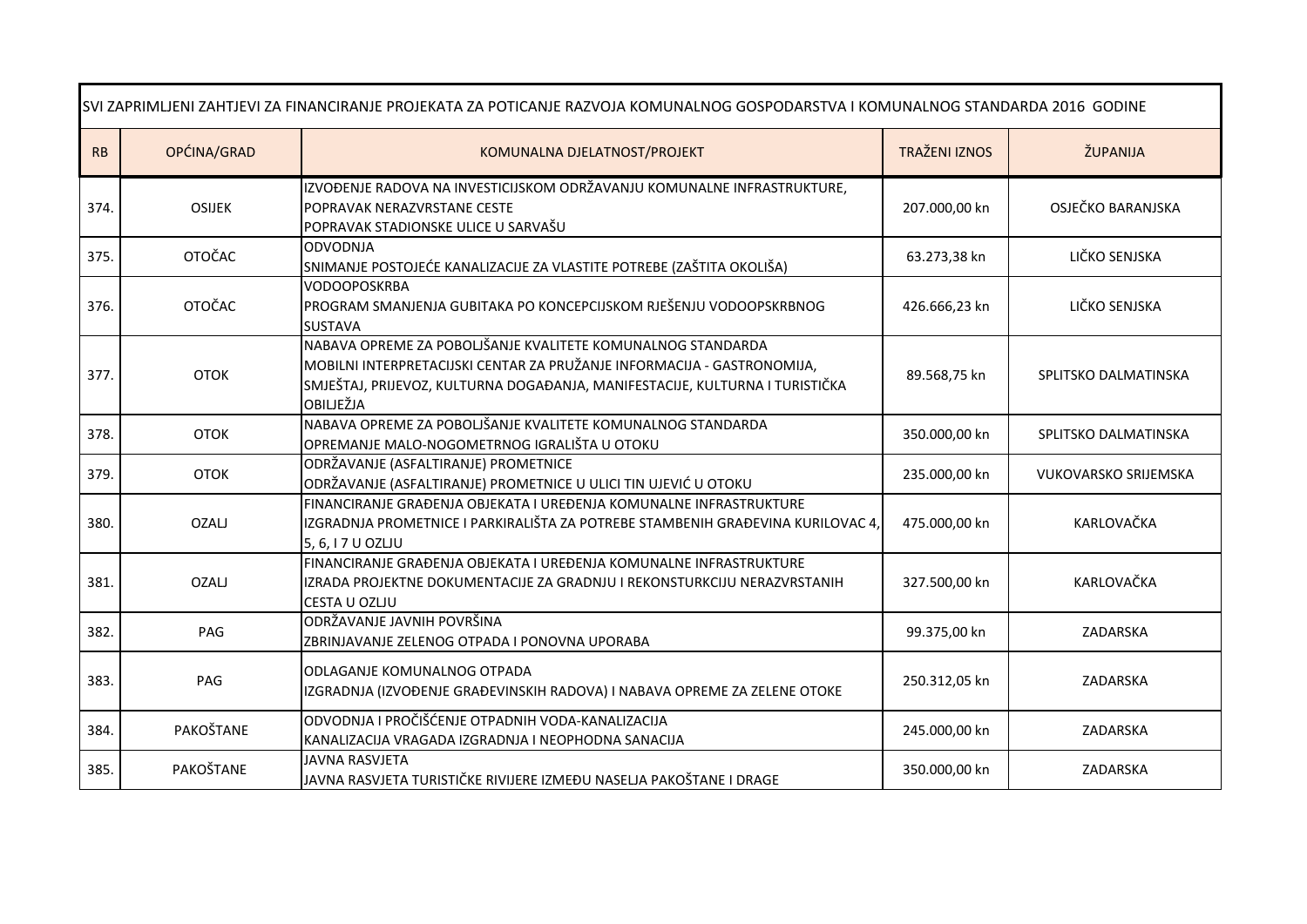| SVI ZAPRIMLJENI ZAHTJEVI ZA FINANCIRANJE PROJEKATA ZA POTICANJE RAZVOJA KOMUNALNOG GOSPODARSTVA I KOMUNALNOG STANDARDA 2016 GODINE |               |                                                                                                                                                                                                                                     |                      |                             |
|------------------------------------------------------------------------------------------------------------------------------------|---------------|-------------------------------------------------------------------------------------------------------------------------------------------------------------------------------------------------------------------------------------|----------------------|-----------------------------|
| RB                                                                                                                                 | OPĆINA/GRAD   | KOMUNALNA DJELATNOST/PROJEKT                                                                                                                                                                                                        | <b>TRAŽENI IZNOS</b> | ŽUPANIJA                    |
| 374.                                                                                                                               | <b>OSIJEK</b> | IZVOĐENJE RADOVA NA INVESTICIJSKOM ODRŽAVANJU KOMUNALNE INFRASTRUKTURE,<br>POPRAVAK NERAZVRSTANE CESTE<br>POPRAVAK STADIONSKE ULICE U SARVAŠU                                                                                       | 207.000,00 kn        | OSJEČKO BARANJSKA           |
| 375.                                                                                                                               | <b>OTOČAC</b> | <b>ODVODNJA</b><br>SNIMANJE POSTOJEĆE KANALIZACIJE ZA VLASTITE POTREBE (ZAŠTITA OKOLIŠA)                                                                                                                                            | 63.273,38 kn         | LIČKO SENJSKA               |
| 376.                                                                                                                               | <b>OTOČAC</b> | <b>VODOOPOSKRBA</b><br>PROGRAM SMANJENJA GUBITAKA PO KONCEPCIJSKOM RJEŠENJU VODOOPSKRBNOG<br><b>SUSTAVA</b>                                                                                                                         | 426.666,23 kn        | LIČKO SENJSKA               |
| 377.                                                                                                                               | <b>OTOK</b>   | NABAVA OPREME ZA POBOLJŠANJE KVALITETE KOMUNALNOG STANDARDA<br>MOBILNI INTERPRETACIJSKI CENTAR ZA PRUŽANJE INFORMACIJA - GASTRONOMIJA,<br>SMJEŠTAJ, PRIJEVOZ, KULTURNA DOGAĐANJA, MANIFESTACIJE, KULTURNA I TURISTIČKA<br>OBILJEŽJA | 89.568,75 kn         | SPLITSKO DALMATINSKA        |
| 378.                                                                                                                               | <b>OTOK</b>   | NABAVA OPREME ZA POBOLJŠANJE KVALITETE KOMUNALNOG STANDARDA<br>OPREMANJE MALO-NOGOMETRNOG IGRALIŠTA U OTOKU                                                                                                                         | 350.000,00 kn        | SPLITSKO DALMATINSKA        |
| 379.                                                                                                                               | <b>OTOK</b>   | ODRŽAVANJE (ASFALTIRANJE) PROMETNICE<br>ODRŽAVANJE (ASFALTIRANJE) PROMETNICE U ULICI TIN UJEVIĆ U OTOKU                                                                                                                             | 235.000,00 kn        | <b>VUKOVARSKO SRIJEMSKA</b> |
| 380.                                                                                                                               | <b>OZALJ</b>  | FINANCIRANJE GRAĐENJA OBJEKATA I UREĐENJA KOMUNALNE INFRASTRUKTURE<br>IZGRADNJA PROMETNICE I PARKIRALIŠTA ZA POTREBE STAMBENIH GRAĐEVINA KURILOVAC 4,<br>5, 6, I 7 U OZLJU                                                          | 475.000,00 kn        | KARLOVAČKA                  |
| 381.                                                                                                                               | <b>OZALJ</b>  | FINANCIRANJE GRAĐENJA OBJEKATA I UREĐENJA KOMUNALNE INFRASTRUKTURE<br>IZRADA PROJEKTNE DOKUMENTACIJE ZA GRADNJU I REKONSTURKCIJU NERAZVRSTANIH<br>CESTA U OZLJU                                                                     | 327.500,00 kn        | KARLOVAČKA                  |
| 382.                                                                                                                               | PAG           | ODRŽAVANJE JAVNIH POVRŠINA<br>ZBRINJAVANJE ZELENOG OTPADA I PONOVNA UPORABA                                                                                                                                                         | 99.375,00 kn         | ZADARSKA                    |
| 383.                                                                                                                               | PAG           | ODLAGANJE KOMUNALNOG OTPADA<br>IZGRADNJA (IZVOĐENJE GRAĐEVINSKIH RADOVA) I NABAVA OPREME ZA ZELENE OTOKE                                                                                                                            | 250.312,05 kn        | ZADARSKA                    |
| 384.                                                                                                                               | PAKOŠTANE     | ODVODNJA I PROČIŠĆENJE OTPADNIH VODA-KANALIZACIJA<br>KANALIZACIJA VRAGADA IZGRADNJA I NEOPHODNA SANACIJA                                                                                                                            | 245.000,00 kn        | ZADARSKA                    |
| 385.                                                                                                                               | PAKOŠTANE     | <b>JAVNA RASVJETA</b><br>JAVNA RASVJETA TURISTIČKE RIVIJERE IZMEĐU NASELJA PAKOŠTANE I DRAGE                                                                                                                                        | 350.000,00 kn        | ZADARSKA                    |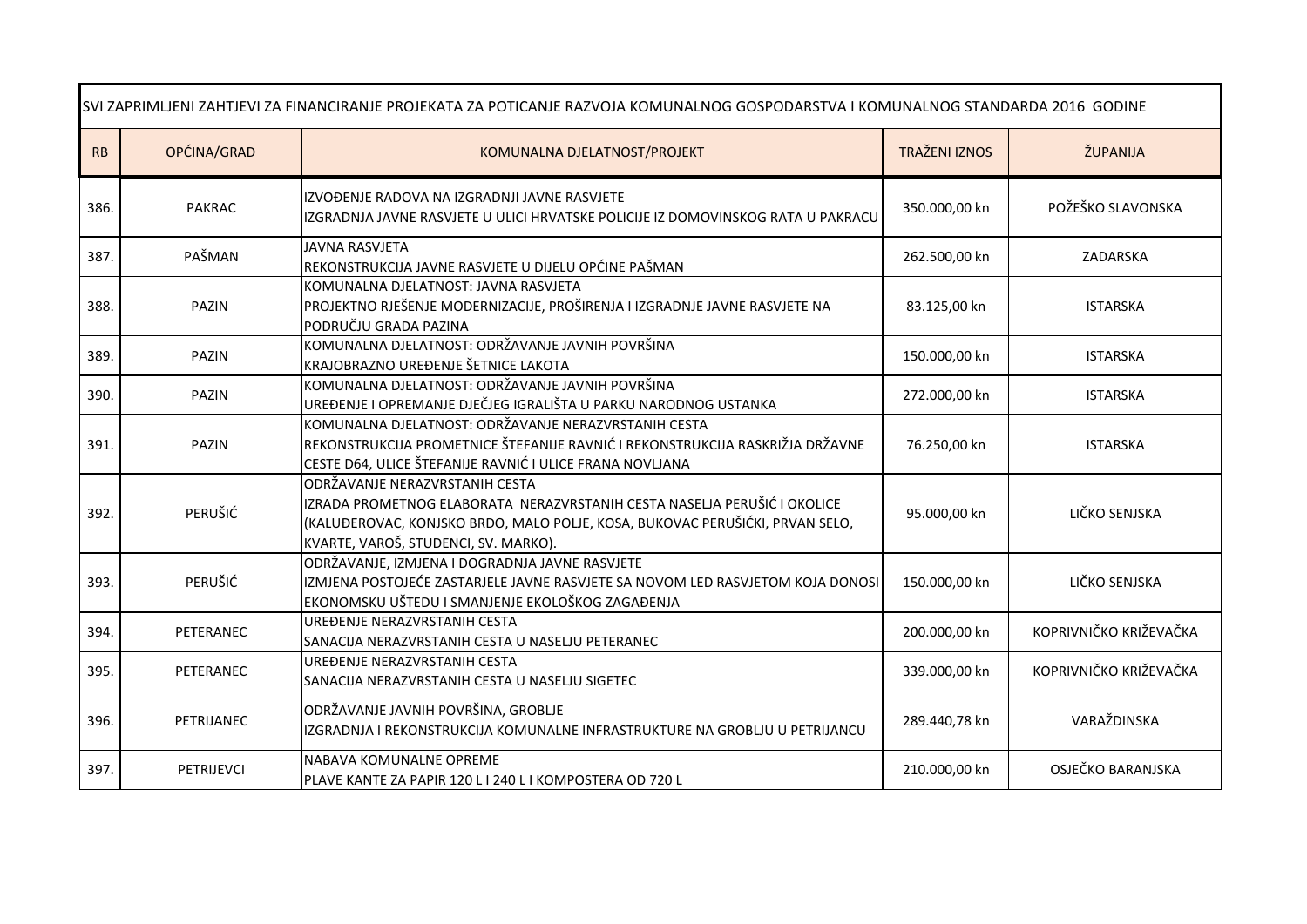| SVI ZAPRIMLJENI ZAHTJEVI ZA FINANCIRANJE PROJEKATA ZA POTICANJE RAZVOJA KOMUNALNOG GOSPODARSTVA I KOMUNALNOG STANDARDA 2016 GODINE |                   |                                                                                                                                                                                                                                    |                      |                        |
|------------------------------------------------------------------------------------------------------------------------------------|-------------------|------------------------------------------------------------------------------------------------------------------------------------------------------------------------------------------------------------------------------------|----------------------|------------------------|
| RB                                                                                                                                 | OPĆINA/GRAD       | KOMUNALNA DJELATNOST/PROJEKT                                                                                                                                                                                                       | <b>TRAŽENI IZNOS</b> | ŽUPANIJA               |
| 386.                                                                                                                               | <b>PAKRAC</b>     | IZVOĐENJE RADOVA NA IZGRADNJI JAVNE RASVJETE<br>IZGRADNJA JAVNE RASVJETE U ULICI HRVATSKE POLICIJE IZ DOMOVINSKOG RATA U PAKRACU                                                                                                   | 350.000,00 kn        | POŽEŠKO SLAVONSKA      |
| 387.                                                                                                                               | PAŠMAN            | <b>JAVNA RASVJETA</b><br>REKONSTRUKCIJA JAVNE RASVJETE U DIJELU OPĆINE PAŠMAN                                                                                                                                                      | 262.500,00 kn        | ZADARSKA               |
| 388.                                                                                                                               | <b>PAZIN</b>      | KOMUNALNA DJELATNOST: JAVNA RASVJETA<br>PROJEKTNO RJEŠENJE MODERNIZACIJE, PROŠIRENJA I IZGRADNJE JAVNE RASVJETE NA<br>PODRUČJU GRADA PAZINA                                                                                        | 83.125,00 kn         | <b>ISTARSKA</b>        |
| 389.                                                                                                                               | <b>PAZIN</b>      | KOMUNALNA DJELATNOST: ODRŽAVANJE JAVNIH POVRŠINA<br>KRAJOBRAZNO UREĐENJE ŠETNICE LAKOTA                                                                                                                                            | 150.000,00 kn        | <b>ISTARSKA</b>        |
| 390.                                                                                                                               | <b>PAZIN</b>      | KOMUNALNA DJELATNOST: ODRŽAVANJE JAVNIH POVRŠINA<br>UREĐENJE I OPREMANJE DJEČJEG IGRALIŠTA U PARKU NARODNOG USTANKA                                                                                                                | 272.000,00 kn        | <b>ISTARSKA</b>        |
| 391.                                                                                                                               | PAZIN             | KOMUNALNA DJELATNOST: ODRŽAVANJE NERAZVRSTANIH CESTA<br>REKONSTRUKCIJA PROMETNICE ŠTEFANIJE RAVNIĆ I REKONSTRUKCIJA RASKRIŽJA DRŽAVNE<br>CESTE D64, ULICE ŠTEFANIJE RAVNIĆ I ULICE FRANA NOVLJANA                                  | 76.250,00 kn         | <b>ISTARSKA</b>        |
| 392.                                                                                                                               | PERUŠIĆ           | ODRŽAVANJE NERAZVRSTANIH CESTA<br>IZRADA PROMETNOG ELABORATA NERAZVRSTANIH CESTA NASELJA PERUŠIĆ I OKOLICE<br>(KALUĐEROVAC, KONJSKO BRDO, MALO POLJE, KOSA, BUKOVAC PERUŠIĆKI, PRVAN SELO,<br>KVARTE, VAROŠ, STUDENCI, SV. MARKO). | 95.000,00 kn         | LIČKO SENJSKA          |
| 393.                                                                                                                               | PERUŠIĆ           | ODRŽAVANJE, IZMJENA I DOGRADNJA JAVNE RASVJETE<br>IZMJENA POSTOJEĆE ZASTARJELE JAVNE RASVJETE SA NOVOM LED RASVJETOM KOJA DONOSI<br>EKONOMSKU UŠTEDU I SMANJENJE EKOLOŠKOG ZAGAĐENJA                                               | 150.000,00 kn        | LIČKO SENJSKA          |
| 394.                                                                                                                               | PETERANEC         | UREĐENJE NERAZVRSTANIH CESTA<br>SANACIJA NERAZVRSTANIH CESTA U NASELJU PETERANEC                                                                                                                                                   | 200.000,00 kn        | KOPRIVNIČKO KRIŽEVAČKA |
| 395.                                                                                                                               | PETERANEC         | UREĐENJE NERAZVRSTANIH CESTA<br>SANACIJA NERAZVRSTANIH CESTA U NASELJU SIGETEC                                                                                                                                                     | 339.000,00 kn        | KOPRIVNIČKO KRIŽEVAČKA |
| 396.                                                                                                                               | PETRIJANEC        | ODRŽAVANJE JAVNIH POVRŠINA, GROBLJE<br>IZGRADNJA I REKONSTRUKCIJA KOMUNALNE INFRASTRUKTURE NA GROBLJU U PETRIJANCU                                                                                                                 | 289.440,78 kn        | VARAŽDINSKA            |
| 397.                                                                                                                               | <b>PETRIJEVCI</b> | NABAVA KOMUNALNE OPREME<br>PLAVE KANTE ZA PAPIR 120 L I 240 L I KOMPOSTERA OD 720 L                                                                                                                                                | 210.000,00 kn        | OSJEČKO BARANJSKA      |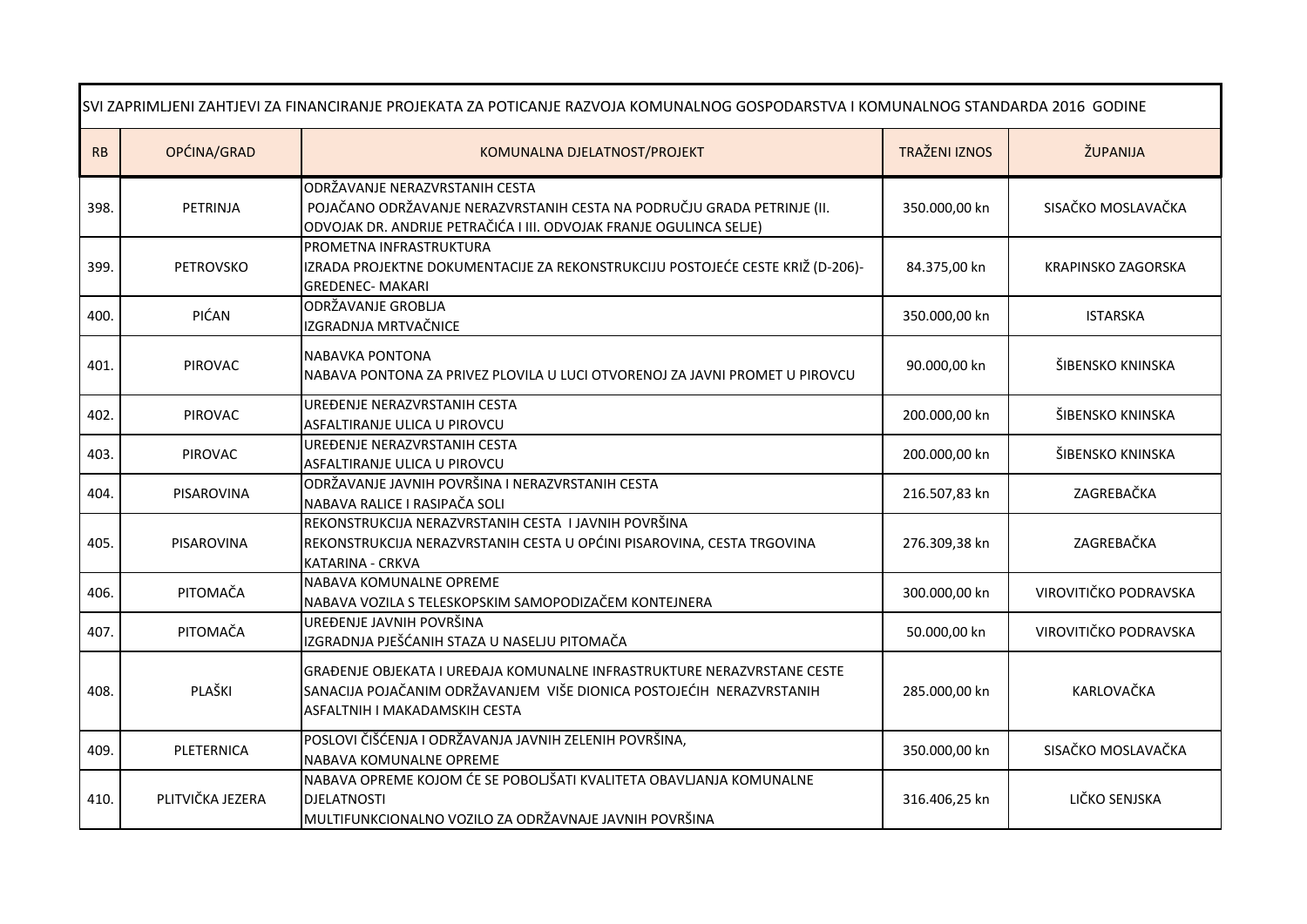| SVI ZAPRIMLJENI ZAHTJEVI ZA FINANCIRANJE PROJEKATA ZA POTICANJE RAZVOJA KOMUNALNOG GOSPODARSTVA I KOMUNALNOG STANDARDA 2016 GODINE |                  |                                                                                                                                                                                  |                      |                       |
|------------------------------------------------------------------------------------------------------------------------------------|------------------|----------------------------------------------------------------------------------------------------------------------------------------------------------------------------------|----------------------|-----------------------|
| ${\sf RB}$                                                                                                                         | OPĆINA/GRAD      | KOMUNALNA DJELATNOST/PROJEKT                                                                                                                                                     | <b>TRAŽENI IZNOS</b> | ŽUPANIJA              |
| 398.                                                                                                                               | PETRINJA         | ODRŽAVANJE NERAZVRSTANIH CESTA<br>POJAČANO ODRŽAVANJE NERAZVRSTANIH CESTA NA PODRUČJU GRADA PETRINJE (II.<br>ODVOJAK DR. ANDRIJE PETRAČIĆA I III. ODVOJAK FRANJE OGULINCA SELJE) | 350.000,00 kn        | SISAČKO MOSLAVAČKA    |
| 399.                                                                                                                               | <b>PETROVSKO</b> | PROMETNA INFRASTRUKTURA<br>IZRADA PROJEKTNE DOKUMENTACIJE ZA REKONSTRUKCIJU POSTOJEĆE CESTE KRIŽ (D-206)-<br><b>GREDENEC- MAKARI</b>                                             | 84.375,00 kn         | KRAPINSKO ZAGORSKA    |
| 400.                                                                                                                               | PIĆAN            | ODRŽAVANJE GROBLJA<br>IZGRADNJA MRTVAČNICE                                                                                                                                       | 350.000,00 kn        | <b>ISTARSKA</b>       |
| 401.                                                                                                                               | PIROVAC          | <b>NABAVKA PONTONA</b><br>NABAVA PONTONA ZA PRIVEZ PLOVILA U LUCI OTVORENOJ ZA JAVNI PROMET U PIROVCU                                                                            | 90.000,00 kn         | ŠIBENSKO KNINSKA      |
| 402.                                                                                                                               | PIROVAC          | UREĐENJE NERAZVRSTANIH CESTA<br>ASFALTIRANJE ULICA U PIROVCU                                                                                                                     | 200.000,00 kn        | ŠIBENSKO KNINSKA      |
| 403.                                                                                                                               | PIROVAC          | UREĐENJE NERAZVRSTANIH CESTA<br>ASFALTIRANJE ULICA U PIROVCU                                                                                                                     | 200.000,00 kn        | ŠIBENSKO KNINSKA      |
| 404.                                                                                                                               | PISAROVINA       | ODRŽAVANJE JAVNIH POVRŠINA I NERAZVRSTANIH CESTA<br>NABAVA RALICE I RASIPAČA SOLI                                                                                                | 216.507,83 kn        | ZAGREBAČKA            |
| 405.                                                                                                                               | PISAROVINA       | REKONSTRUKCIJA NERAZVRSTANIH CESTA I JAVNIH POVRŠINA<br>REKONSTRUKCIJA NERAZVRSTANIH CESTA U OPĆINI PISAROVINA, CESTA TRGOVINA<br>KATARINA - CRKVA                               | 276.309,38 kn        | ZAGREBAČKA            |
| 406.                                                                                                                               | PITOMAČA         | NABAVA KOMUNALNE OPREME<br>NABAVA VOZILA S TELESKOPSKIM SAMOPODIZAČEM KONTEJNERA                                                                                                 | 300.000,00 kn        | VIROVITIČKO PODRAVSKA |
| 407.                                                                                                                               | PITOMAČA         | UREĐENJE JAVNIH POVRŠINA<br>IZGRADNJA PJEŠĆANIH STAZA U NASELJU PITOMAČA                                                                                                         | 50.000,00 kn         | VIROVITIČKO PODRAVSKA |
| 408.                                                                                                                               | PLAŠKI           | GRAĐENJE OBJEKATA I UREĐAJA KOMUNALNE INFRASTRUKTURE NERAZVRSTANE CESTE<br>SANACIJA POJAČANIM ODRŽAVANJEM VIŠE DIONICA POSTOJEĆIH NERAZVRSTANIH<br>ASFALTNIH I MAKADAMSKIH CESTA | 285.000,00 kn        | KARLOVAČKA            |
| 409.                                                                                                                               | PLETERNICA       | POSLOVI ČIŠĆENJA I ODRŽAVANJA JAVNIH ZELENIH POVRŠINA,<br>NABAVA KOMUNALNE OPREME                                                                                                | 350.000,00 kn        | SISAČKO MOSLAVAČKA    |
| 410.                                                                                                                               | PLITVIČKA JEZERA | NABAVA OPREME KOJOM ĆE SE POBOLJŠATI KVALITETA OBAVLJANJA KOMUNALNE<br><b>DJELATNOSTI</b><br>MULTIFUNKCIONALNO VOZILO ZA ODRŽAVNAJE JAVNIH POVRŠINA                              | 316.406,25 kn        | LIČKO SENJSKA         |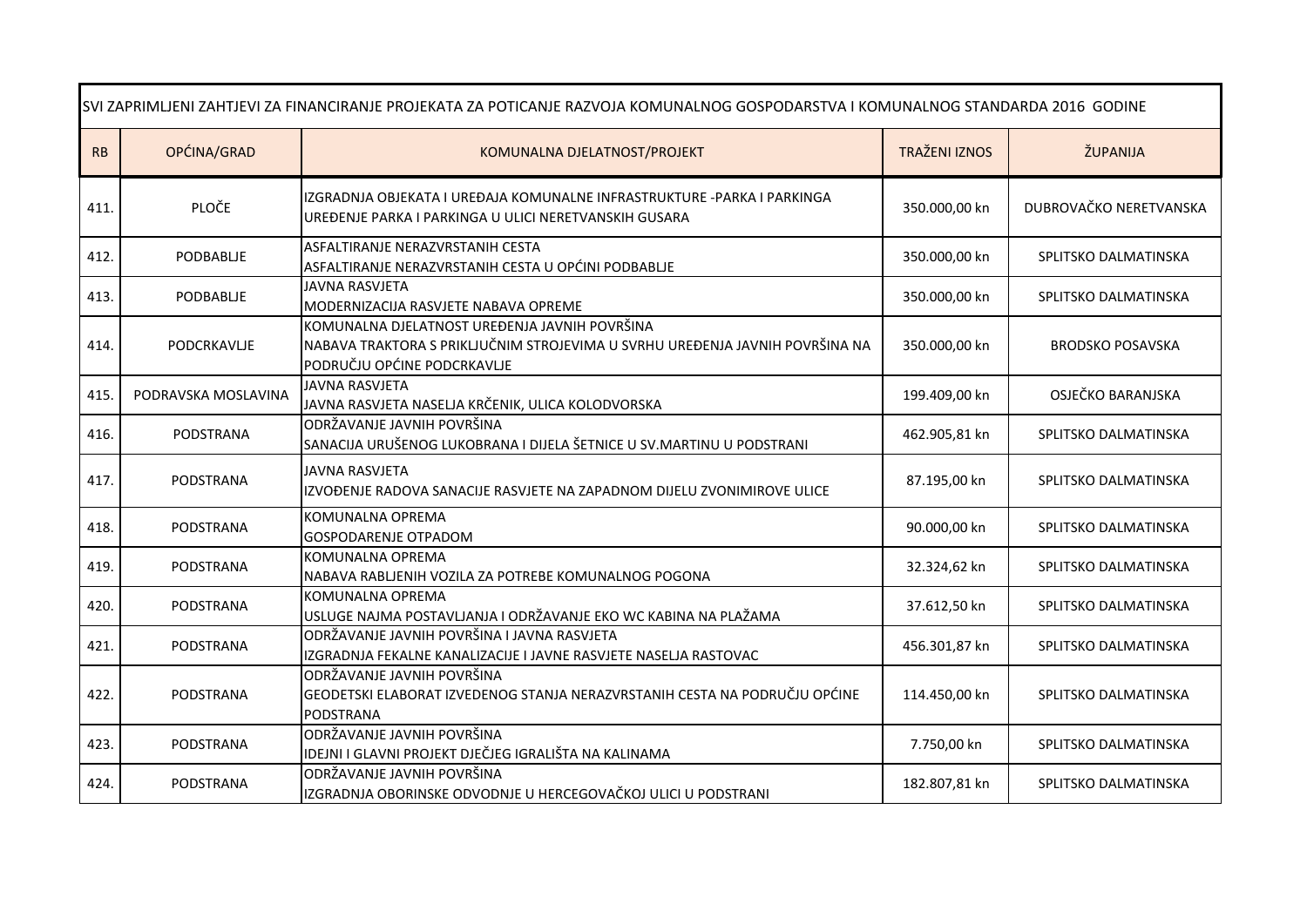| SVI ZAPRIMLJENI ZAHTJEVI ZA FINANCIRANJE PROJEKATA ZA POTICANJE RAZVOJA KOMUNALNOG GOSPODARSTVA I KOMUNALNOG STANDARDA 2016 GODINE |                     |                                                                                                                                                              |                      |                         |
|------------------------------------------------------------------------------------------------------------------------------------|---------------------|--------------------------------------------------------------------------------------------------------------------------------------------------------------|----------------------|-------------------------|
| RB                                                                                                                                 | OPĆINA/GRAD         | KOMUNALNA DJELATNOST/PROJEKT                                                                                                                                 | <b>TRAŽENI IZNOS</b> | ŽUPANIJA                |
| 411                                                                                                                                | PLOČE               | IZGRADNJA OBJEKATA I UREĐAJA KOMUNALNE INFRASTRUKTURE -PARKA I PARKINGA<br>UREĐENJE PARKA I PARKINGA U ULICI NERETVANSKIH GUSARA                             | 350.000,00 kn        | DUBROVAČKO NERETVANSKA  |
| 412.                                                                                                                               | PODBABLIE           | ASFALTIRANJE NERAZVRSTANIH CESTA<br>ASFALTIRANJE NERAZVRSTANIH CESTA U OPĆINI PODBABLJE                                                                      | 350.000,00 kn        | SPLITSKO DALMATINSKA    |
| 413.                                                                                                                               | PODBABLIE           | <b>JAVNA RASVJETA</b><br>MODERNIZACIJA RASVJETE NABAVA OPREME                                                                                                | 350.000,00 kn        | SPLITSKO DALMATINSKA    |
| 414.                                                                                                                               | PODCRKAVLJE         | KOMUNALNA DJELATNOST UREĐENJA JAVNIH POVRŠINA<br>NABAVA TRAKTORA S PRIKLJUČNIM STROJEVIMA U SVRHU UREĐENJA JAVNIH POVRŠINA NA<br>PODRUČJU OPĆINE PODCRKAVLJE | 350.000,00 kn        | <b>BRODSKO POSAVSKA</b> |
| 415.                                                                                                                               | PODRAVSKA MOSLAVINA | <b>JAVNA RASVJETA</b><br>JAVNA RASVJETA NASELJA KRČENIK, ULICA KOLODVORSKA                                                                                   | 199.409,00 kn        | OSJEČKO BARANJSKA       |
| 416.                                                                                                                               | <b>PODSTRANA</b>    | ODRŽAVANJE JAVNIH POVRŠINA<br>SANACIJA URUŠENOG LUKOBRANA I DIJELA ŠETNICE U SV.MARTINU U PODSTRANI                                                          | 462.905,81 kn        | SPLITSKO DALMATINSKA    |
| 417.                                                                                                                               | PODSTRANA           | <b>JAVNA RASVJETA</b><br>IZVOĐENJE RADOVA SANACIJE RASVJETE NA ZAPADNOM DIJELU ZVONIMIROVE ULICE                                                             | 87.195,00 kn         | SPLITSKO DALMATINSKA    |
| 418.                                                                                                                               | PODSTRANA           | KOMUNALNA OPREMA<br>GOSPODARENJE OTPADOM                                                                                                                     | 90.000,00 kn         | SPLITSKO DALMATINSKA    |
| 419.                                                                                                                               | PODSTRANA           | KOMUNALNA OPREMA<br>NABAVA RABLJENIH VOZILA ZA POTREBE KOMUNALNOG POGONA                                                                                     | 32.324,62 kn         | SPLITSKO DALMATINSKA    |
| 420.                                                                                                                               | PODSTRANA           | KOMUNALNA OPREMA<br>USLUGE NAJMA POSTAVLJANJA I ODRŽAVANJE EKO WC KABINA NA PLAŽAMA                                                                          | 37.612,50 kn         | SPLITSKO DALMATINSKA    |
| 421.                                                                                                                               | PODSTRANA           | ODRŽAVANJE JAVNIH POVRŠINA I JAVNA RASVJETA<br>IZGRADNJA FEKALNE KANALIZACIJE I JAVNE RASVJETE NASELJA RASTOVAC                                              | 456.301,87 kn        | SPLITSKO DALMATINSKA    |
| 422.                                                                                                                               | <b>PODSTRANA</b>    | ODRŽAVANJE JAVNIH POVRŠINA<br>GEODETSKI ELABORAT IZVEDENOG STANJA NERAZVRSTANIH CESTA NA PODRUČJU OPĆINE<br><b>PODSTRANA</b>                                 | 114.450,00 kn        | SPLITSKO DALMATINSKA    |
| 423.                                                                                                                               | PODSTRANA           | ODRŽAVANJE JAVNIH POVRŠINA<br>IDEJNI I GLAVNI PROJEKT DJEČJEG IGRALIŠTA NA KALINAMA                                                                          | 7.750,00 kn          | SPLITSKO DALMATINSKA    |
| 424.                                                                                                                               | PODSTRANA           | ODRŽAVANJE JAVNIH POVRŠINA<br>IZGRADNJA OBORINSKE ODVODNJE U HERCEGOVAČKOJ ULICI U PODSTRANI                                                                 | 182.807,81 kn        | SPLITSKO DALMATINSKA    |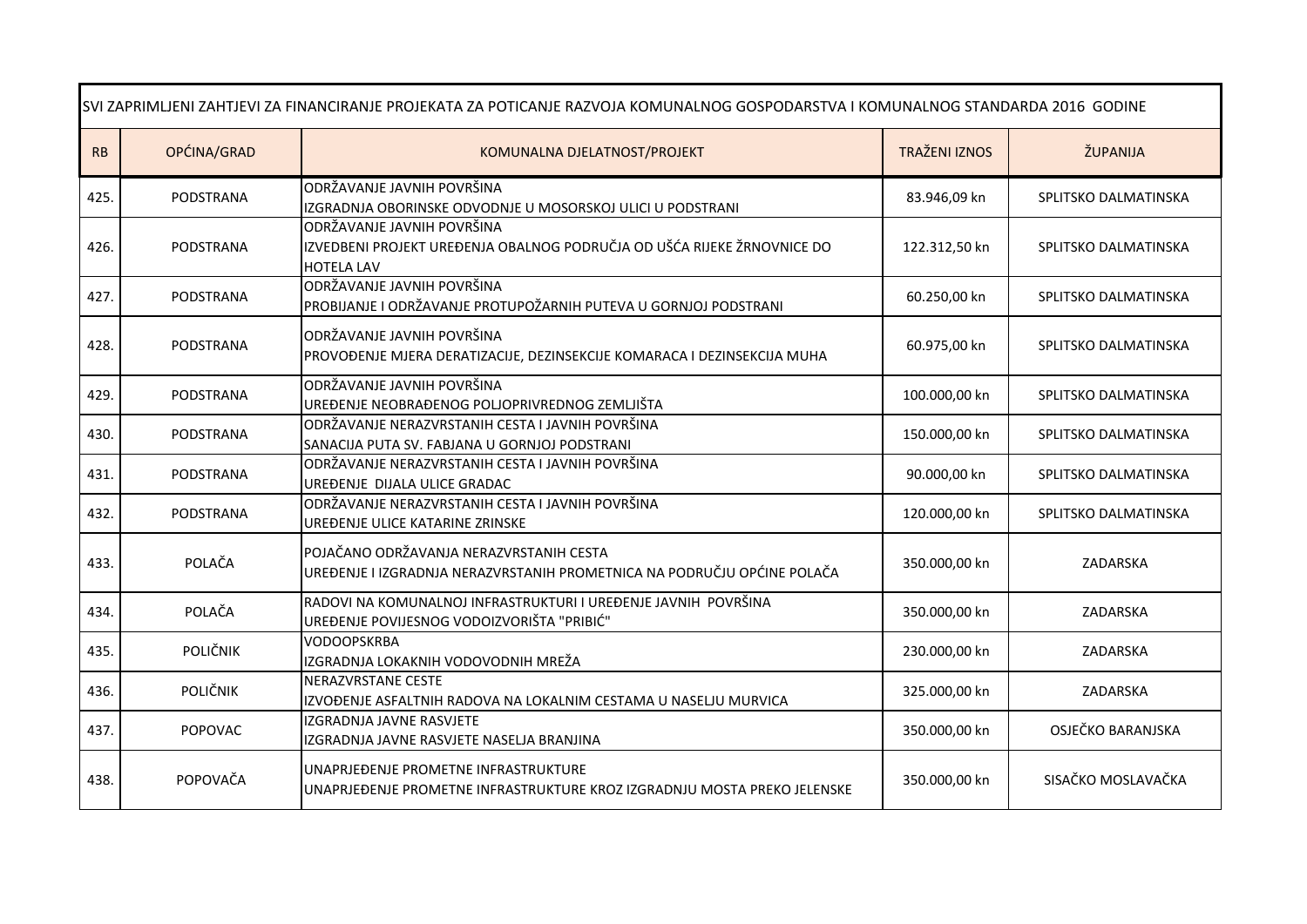| SVI ZAPRIMLJENI ZAHTJEVI ZA FINANCIRANJE PROJEKATA ZA POTICANJE RAZVOJA KOMUNALNOG GOSPODARSTVA I KOMUNALNOG STANDARDA 2016 GODINE |                  |                                                                                                                            |                      |                      |
|------------------------------------------------------------------------------------------------------------------------------------|------------------|----------------------------------------------------------------------------------------------------------------------------|----------------------|----------------------|
| RB                                                                                                                                 | OPĆINA/GRAD      | KOMUNALNA DJELATNOST/PROJEKT                                                                                               | <b>TRAŽENI IZNOS</b> | ŽUPANIJA             |
| 425.                                                                                                                               | <b>PODSTRANA</b> | ODRŽAVANJE JAVNIH POVRŠINA<br>IZGRADNJA OBORINSKE ODVODNJE U MOSORSKOJ ULICI U PODSTRANI                                   | 83.946,09 kn         | SPLITSKO DALMATINSKA |
| 426.                                                                                                                               | PODSTRANA        | ODRŽAVANJE JAVNIH POVRŠINA<br>IZVEDBENI PROJEKT UREĐENJA OBALNOG PODRUČJA OD UŠĆA RIJEKE ŽRNOVNICE DO<br><b>HOTELA LAV</b> | 122.312,50 kn        | SPLITSKO DALMATINSKA |
| 427.                                                                                                                               | <b>PODSTRANA</b> | ODRŽAVANJE JAVNIH POVRŠINA<br>PROBIJANJE I ODRŽAVANJE PROTUPOŽARNIH PUTEVA U GORNJOJ PODSTRANI                             | 60.250,00 kn         | SPLITSKO DALMATINSKA |
| 428.                                                                                                                               | PODSTRANA        | ODRŽAVANJE JAVNIH POVRŠINA<br>PROVOĐENJE MJERA DERATIZACIJE, DEZINSEKCIJE KOMARACA I DEZINSEKCIJA MUHA                     | 60.975,00 kn         | SPLITSKO DALMATINSKA |
| 429.                                                                                                                               | PODSTRANA        | ODRŽAVANJE JAVNIH POVRŠINA<br>UREĐENJE NEOBRAĐENOG POLJOPRIVREDNOG ZEMLJIŠTA                                               | 100.000,00 kn        | SPLITSKO DALMATINSKA |
| 430.                                                                                                                               | PODSTRANA        | ODRŽAVANJE NERAZVRSTANIH CESTA I JAVNIH POVRŠINA<br>SANACIJA PUTA SV. FABJANA U GORNJOJ PODSTRANI                          | 150.000,00 kn        | SPLITSKO DALMATINSKA |
| 431.                                                                                                                               | PODSTRANA        | ODRŽAVANJE NERAZVRSTANIH CESTA I JAVNIH POVRŠINA<br>UREĐENJE DIJALA ULICE GRADAC                                           | 90.000,00 kn         | SPLITSKO DALMATINSKA |
| 432.                                                                                                                               | PODSTRANA        | ODRŽAVANJE NERAZVRSTANIH CESTA I JAVNIH POVRŠINA<br>UREĐENJE ULICE KATARINE ZRINSKE                                        | 120.000,00 kn        | SPLITSKO DALMATINSKA |
| 433.                                                                                                                               | POLAČA           | POJAČANO ODRŽAVANJA NERAZVRSTANIH CESTA<br>UREĐENJE I IZGRADNJA NERAZVRSTANIH PROMETNICA NA PODRUČJU OPĆINE POLAČA         | 350.000,00 kn        | ZADARSKA             |
| 434.                                                                                                                               | POLAČA           | RADOVI NA KOMUNALNOJ INFRASTRUKTURI I UREĐENJE JAVNIH POVRŠINA<br>UREĐENJE POVIJESNOG VODOIZVORIŠTA "PRIBIĆ"               | 350.000,00 kn        | ZADARSKA             |
| 435.                                                                                                                               | POLIČNIK         | <b>VODOOPSKRBA</b><br>IZGRADNJA LOKAKNIH VODOVODNIH MREŽA                                                                  | 230.000,00 kn        | ZADARSKA             |
| 436.                                                                                                                               | POLIČNIK         | NERAZVRSTANE CESTE<br>IZVOĐENJE ASFALTNIH RADOVA NA LOKALNIM CESTAMA U NASELJU MURVICA                                     | 325.000,00 kn        | ZADARSKA             |
| 437.                                                                                                                               | POPOVAC          | IZGRADNJA JAVNE RASVJETE<br>IZGRADNJA JAVNE RASVJETE NASELJA BRANJINA                                                      | 350.000,00 kn        | OSJEČKO BARANJSKA    |
| 438.                                                                                                                               | POPOVAČA         | UNAPRJEĐENJE PROMETNE INFRASTRUKTURE<br>UNAPRJEĐENJE PROMETNE INFRASTRUKTURE KROZ IZGRADNJU MOSTA PREKO JELENSKE           | 350.000,00 kn        | SISAČKO MOSLAVAČKA   |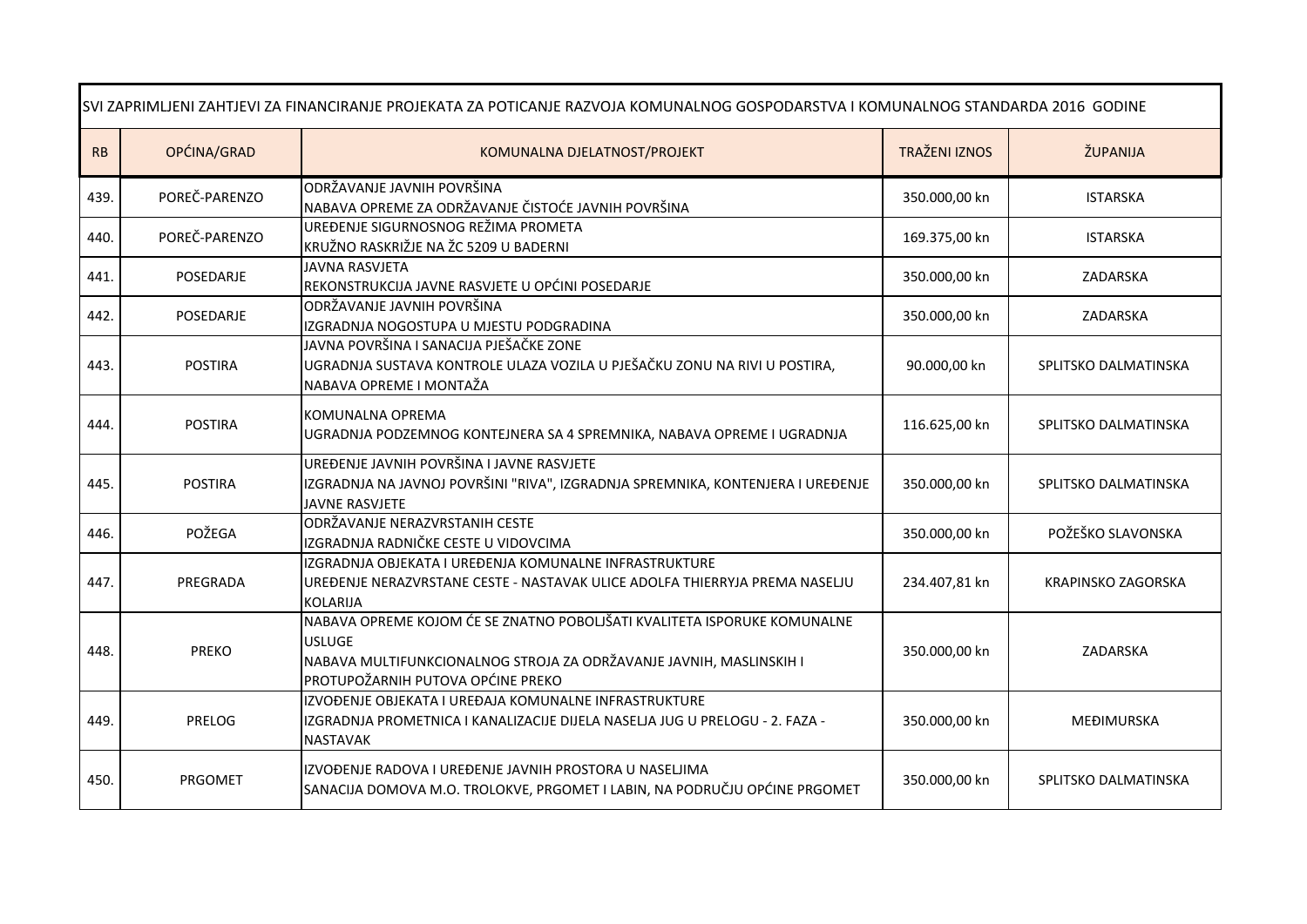| SVI ZAPRIMLJENI ZAHTJEVI ZA FINANCIRANJE PROJEKATA ZA POTICANJE RAZVOJA KOMUNALNOG GOSPODARSTVA I KOMUNALNOG STANDARDA 2016 GODINE |                |                                                                                                                                                                                                       |                      |                      |
|------------------------------------------------------------------------------------------------------------------------------------|----------------|-------------------------------------------------------------------------------------------------------------------------------------------------------------------------------------------------------|----------------------|----------------------|
| RB                                                                                                                                 | OPĆINA/GRAD    | KOMUNALNA DJELATNOST/PROJEKT                                                                                                                                                                          | <b>TRAŽENI IZNOS</b> | ŽUPANIJA             |
| 439.                                                                                                                               | POREČ-PARENZO  | ODRŽAVANJE JAVNIH POVRŠINA<br>NABAVA OPREME ZA ODRŽAVANJE ČISTOĆE JAVNIH POVRŠINA                                                                                                                     | 350.000,00 kn        | <b>ISTARSKA</b>      |
| 440.                                                                                                                               | POREČ-PARENZO  | UREĐENJE SIGURNOSNOG REŽIMA PROMETA<br>KRUŽNO RASKRIŽJE NA ŽC 5209 U BADERNI                                                                                                                          | 169.375,00 kn        | <b>ISTARSKA</b>      |
| 441.                                                                                                                               | POSEDARJE      | <b>JAVNA RASVJETA</b><br>REKONSTRUKCIJA JAVNE RASVJETE U OPĆINI POSEDARJE                                                                                                                             | 350.000,00 kn        | ZADARSKA             |
| 442.                                                                                                                               | POSEDARJE      | ODRŽAVANJE JAVNIH POVRŠINA<br>IZGRADNJA NOGOSTUPA U MJESTU PODGRADINA                                                                                                                                 | 350.000,00 kn        | ZADARSKA             |
| 443.                                                                                                                               | <b>POSTIRA</b> | JAVNA POVRŠINA I SANACIJA PJEŠAČKE ZONE<br>UGRADNJA SUSTAVA KONTROLE ULAZA VOZILA U PJEŠAČKU ZONU NA RIVI U POSTIRA,<br>NABAVA OPREME I MONTAŽA                                                       | 90.000,00 kn         | SPLITSKO DALMATINSKA |
| 444.                                                                                                                               | <b>POSTIRA</b> | KOMUNALNA OPREMA<br>UGRADNJA PODZEMNOG KONTEJNERA SA 4 SPREMNIKA, NABAVA OPREME I UGRADNJA                                                                                                            | 116.625,00 kn        | SPLITSKO DALMATINSKA |
| 445.                                                                                                                               | <b>POSTIRA</b> | UREĐENJE JAVNIH POVRŠINA I JAVNE RASVJETE<br>IZGRADNJA NA JAVNOJ POVRŠINI "RIVA", IZGRADNJA SPREMNIKA, KONTENJERA I UREĐENJE<br>JAVNE RASVJETE                                                        | 350.000,00 kn        | SPLITSKO DALMATINSKA |
| 446.                                                                                                                               | POŽEGA         | ODRŽAVANJE NERAZVRSTANIH CESTE<br>IZGRADNJA RADNIČKE CESTE U VIDOVCIMA                                                                                                                                | 350.000,00 kn        | POŽEŠKO SLAVONSKA    |
| 447.                                                                                                                               | PREGRADA       | IZGRADNJA OBJEKATA I UREĐENJA KOMUNALNE INFRASTRUKTURE<br>UREĐENJE NERAZVRSTANE CESTE - NASTAVAK ULICE ADOLFA THIERRYJA PREMA NASELJU<br><b>KOLARIJA</b>                                              | 234.407,81 kn        | KRAPINSKO ZAGORSKA   |
| 448.                                                                                                                               | <b>PREKO</b>   | NABAVA OPREME KOJOM ĆE SE ZNATNO POBOLJŠATI KVALITETA ISPORUKE KOMUNALNE<br><b>USLUGE</b><br>NABAVA MULTIFUNKCIONALNOG STROJA ZA ODRŽAVANJE JAVNIH, MASLINSKIH I<br>PROTUPOŽARNIH PUTOVA OPĆINE PREKO | 350.000,00 kn        | ZADARSKA             |
| 449.                                                                                                                               | PRELOG         | IZVOĐENJE OBJEKATA I UREĐAJA KOMUNALNE INFRASTRUKTURE<br>IZGRADNJA PROMETNICA I KANALIZACIJE DIJELA NASELJA JUG U PRELOGU - 2. FAZA -<br><b>NASTAVAK</b>                                              | 350.000,00 kn        | <b>MEĐIMURSKA</b>    |
| 450.                                                                                                                               | <b>PRGOMET</b> | IZVOĐENJE RADOVA I UREĐENJE JAVNIH PROSTORA U NASELJIMA<br>SANACIJA DOMOVA M.O. TROLOKVE, PRGOMET I LABIN, NA PODRUČJU OPĆINE PRGOMET                                                                 | 350.000,00 kn        | SPLITSKO DALMATINSKA |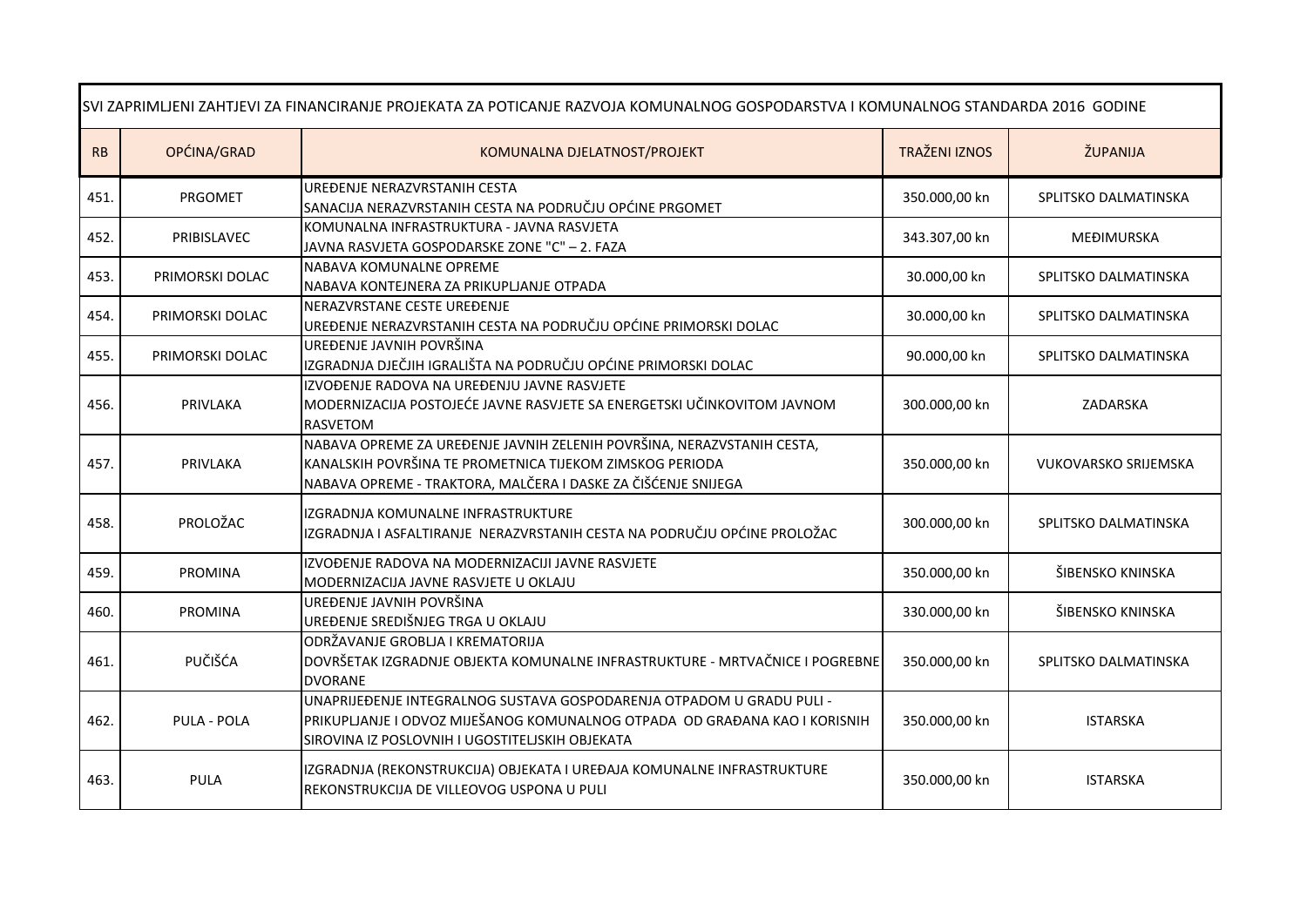| SVI ZAPRIMLJENI ZAHTJEVI ZA FINANCIRANJE PROJEKATA ZA POTICANJE RAZVOJA KOMUNALNOG GOSPODARSTVA I KOMUNALNOG STANDARDA 2016 GODINE |                    |                                                                                                                                                                                                        |                      |                             |
|------------------------------------------------------------------------------------------------------------------------------------|--------------------|--------------------------------------------------------------------------------------------------------------------------------------------------------------------------------------------------------|----------------------|-----------------------------|
| RB                                                                                                                                 | OPĆINA/GRAD        | KOMUNALNA DJELATNOST/PROJEKT                                                                                                                                                                           | <b>TRAŽENI IZNOS</b> | ŽUPANIJA                    |
| 451.                                                                                                                               | PRGOMET            | UREĐENJE NERAZVRSTANIH CESTA<br>SANACIJA NERAZVRSTANIH CESTA NA PODRUČJU OPĆINE PRGOMET                                                                                                                | 350.000,00 kn        | SPLITSKO DALMATINSKA        |
| 452.                                                                                                                               | PRIBISLAVEC        | KOMUNALNA INFRASTRUKTURA - JAVNA RASVJETA<br>JAVNA RASVJETA GOSPODARSKE ZONE "C" - 2. FAZA                                                                                                             | 343.307,00 kn        | MEĐIMURSKA                  |
| 453.                                                                                                                               | PRIMORSKI DOLAC    | NABAVA KOMUNALNE OPREME<br>NABAVA KONTEJNERA ZA PRIKUPLJANJE OTPADA                                                                                                                                    | 30.000,00 kn         | SPLITSKO DALMATINSKA        |
| 454.                                                                                                                               | PRIMORSKI DOLAC    | NERAZVRSTANE CESTE UREĐENJE<br>UREĐENJE NERAZVRSTANIH CESTA NA PODRUČJU OPĆINE PRIMORSKI DOLAC                                                                                                         | 30.000,00 kn         | SPLITSKO DALMATINSKA        |
| 455.                                                                                                                               | PRIMORSKI DOLAC    | UREĐENJE JAVNIH POVRŠINA<br>IZGRADNJA DJEČJIH IGRALIŠTA NA PODRUČJU OPĆINE PRIMORSKI DOLAC                                                                                                             | 90.000,00 kn         | SPLITSKO DALMATINSKA        |
| 456.                                                                                                                               | PRIVLAKA           | IZVOĐENJE RADOVA NA UREĐENJU JAVNE RASVJETE<br>MODERNIZACIJA POSTOJEĆE JAVNE RASVJETE SA ENERGETSKI UČINKOVITOM JAVNOM<br><b>RASVETOM</b>                                                              | 300.000,00 kn        | ZADARSKA                    |
| 457.                                                                                                                               | PRIVLAKA           | NABAVA OPREME ZA UREĐENJE JAVNIH ZELENIH POVRŠINA, NERAZVSTANIH CESTA,<br>KANALSKIH POVRŠINA TE PROMETNICA TIJEKOM ZIMSKOG PERIODA<br>NABAVA OPREME - TRAKTORA, MALČERA I DASKE ZA ČIŠĆENJE SNIJEGA    | 350.000,00 kn        | <b>VUKOVARSKO SRIJEMSKA</b> |
| 458.                                                                                                                               | PROLOŽAC           | IZGRADNJA KOMUNALNE INFRASTRUKTURE<br>IZGRADNJA I ASFALTIRANJE NERAZVRSTANIH CESTA NA PODRUČJU OPĆINE PROLOŽAC                                                                                         | 300.000,00 kn        | SPLITSKO DALMATINSKA        |
| 459.                                                                                                                               | <b>PROMINA</b>     | IZVOĐENJE RADOVA NA MODERNIZACIJI JAVNE RASVJETE<br>MODERNIZACIJA JAVNE RASVJETE U OKLAJU                                                                                                              | 350.000,00 kn        | ŠIBENSKO KNINSKA            |
| 460.                                                                                                                               | <b>PROMINA</b>     | UREĐENJE JAVNIH POVRŠINA<br>UREĐENJE SREDIŠNJEG TRGA U OKLAJU                                                                                                                                          | 330.000,00 kn        | ŠIBENSKO KNINSKA            |
| 461.                                                                                                                               | PUČIŠĆA            | ODRŽAVANJE GROBLJA I KREMATORIJA<br>DOVRŠETAK IZGRADNJE OBJEKTA KOMUNALNE INFRASTRUKTURE - MRTVAČNICE I POGREBNE<br><b>DVORANE</b>                                                                     | 350.000,00 kn        | SPLITSKO DALMATINSKA        |
| 462.                                                                                                                               | <b>PULA - POLA</b> | UNAPRIJEĐENJE INTEGRALNOG SUSTAVA GOSPODARENJA OTPADOM U GRADU PULI -<br>PRIKUPLIANJE I ODVOZ MIJEŠANOG KOMUNALNOG OTPADA OD GRAĐANA KAO I KORISNIH<br>SIROVINA IZ POSLOVNIH I UGOSTITELJSKIH OBJEKATA | 350.000,00 kn        | <b>ISTARSKA</b>             |
| 463.                                                                                                                               | PULA               | IZGRADNJA (REKONSTRUKCIJA) OBJEKATA I UREĐAJA KOMUNALNE INFRASTRUKTURE<br>REKONSTRUKCIJA DE VILLEOVOG USPONA U PULI                                                                                    | 350.000,00 kn        | <b>ISTARSKA</b>             |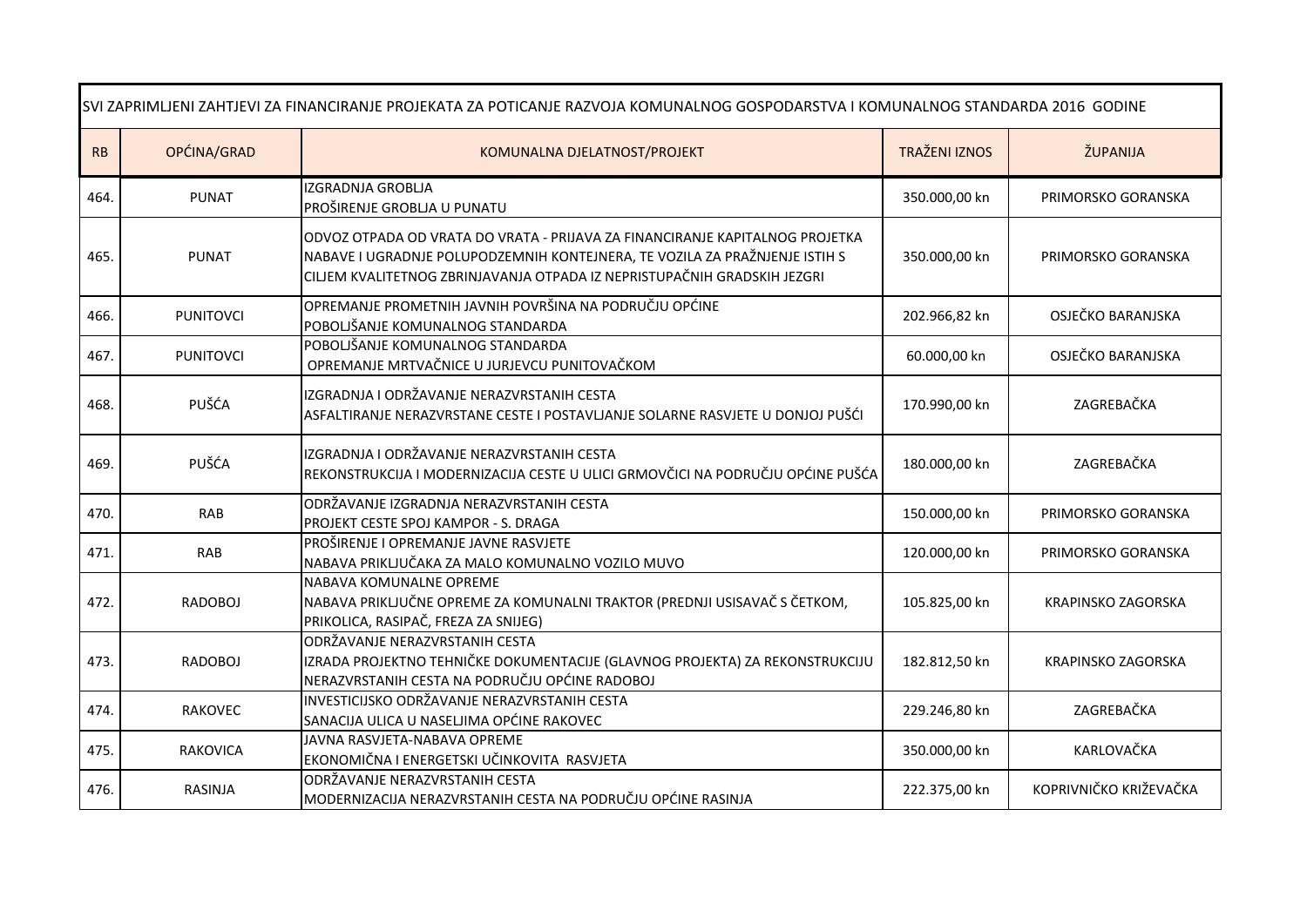| SVI ZAPRIMLJENI ZAHTJEVI ZA FINANCIRANJE PROJEKATA ZA POTICANJE RAZVOJA KOMUNALNOG GOSPODARSTVA I KOMUNALNOG STANDARDA 2016 GODINE |                  |                                                                                                                                                                                                                                         |                      |                           |
|------------------------------------------------------------------------------------------------------------------------------------|------------------|-----------------------------------------------------------------------------------------------------------------------------------------------------------------------------------------------------------------------------------------|----------------------|---------------------------|
| RB                                                                                                                                 | OPĆINA/GRAD      | KOMUNALNA DJELATNOST/PROJEKT                                                                                                                                                                                                            | <b>TRAŽENI IZNOS</b> | ŽUPANIJA                  |
| 464.                                                                                                                               | <b>PUNAT</b>     | <b>IZGRADNJA GROBLIA</b><br>PROŠIRENJE GROBLJA U PUNATU                                                                                                                                                                                 | 350.000,00 kn        | PRIMORSKO GORANSKA        |
| 465.                                                                                                                               | <b>PUNAT</b>     | ODVOZ OTPADA OD VRATA DO VRATA - PRIJAVA ZA FINANCIRANJE KAPITALNOG PROJETKA<br>NABAVE I UGRADNJE POLUPODZEMNIH KONTEJNERA, TE VOZILA ZA PRAŽNJENJE ISTIH S<br>CILJEM KVALITETNOG ZBRINJAVANJA OTPADA IZ NEPRISTUPAČNIH GRADSKIH JEZGRI | 350.000,00 kn        | PRIMORSKO GORANSKA        |
| 466.                                                                                                                               | <b>PUNITOVCI</b> | OPREMANJE PROMETNIH JAVNIH POVRŠINA NA PODRUČJU OPĆINE<br>POBOLJŠANJE KOMUNALNOG STANDARDA                                                                                                                                              | 202.966,82 kn        | OSJEČKO BARANJSKA         |
| 467.                                                                                                                               | <b>PUNITOVCI</b> | POBOLJŠANJE KOMUNALNOG STANDARDA<br>OPREMANJE MRTVAČNICE U JURJEVCU PUNITOVAČKOM                                                                                                                                                        | 60.000,00 kn         | OSJEČKO BARANJSKA         |
| 468.                                                                                                                               | PUŠĆA            | IZGRADNJA I ODRŽAVANJE NERAZVRSTANIH CESTA<br>ASFALTIRANJE NERAZVRSTANE CESTE I POSTAVLJANJE SOLARNE RASVJETE U DONJOJ PUŠĆI                                                                                                            | 170.990,00 kn        | ZAGREBAČKA                |
| 469.                                                                                                                               | PUŠĆA            | IZGRADNJA I ODRŽAVANJE NERAZVRSTANIH CESTA<br>REKONSTRUKCIJA I MODERNIZACIJA CESTE U ULICI GRMOVČICI NA PODRUČJU OPĆINE PUŠĆA                                                                                                           | 180.000,00 kn        | ZAGREBAČKA                |
| 470.                                                                                                                               | RAB              | ODRŽAVANJE IZGRADNJA NERAZVRSTANIH CESTA<br>PROJEKT CESTE SPOJ KAMPOR - S. DRAGA                                                                                                                                                        | 150.000,00 kn        | PRIMORSKO GORANSKA        |
| 471.                                                                                                                               | <b>RAB</b>       | PROŠIRENJE I OPREMANJE JAVNE RASVJETE<br>NABAVA PRIKLJUČAKA ZA MALO KOMUNALNO VOZILO MUVO                                                                                                                                               | 120.000,00 kn        | PRIMORSKO GORANSKA        |
| 472.                                                                                                                               | RADOBOJ          | NABAVA KOMUNALNE OPREME<br>NABAVA PRIKLJUČNE OPREME ZA KOMUNALNI TRAKTOR (PREDNJI USISAVAČ S ČETKOM,<br>PRIKOLICA, RASIPAČ, FREZA ZA SNIJEG)                                                                                            | 105.825,00 kn        | <b>KRAPINSKO ZAGORSKA</b> |
| 473.                                                                                                                               | <b>RADOBOJ</b>   | ODRŽAVANJE NERAZVRSTANIH CESTA<br>IZRADA PROJEKTNO TEHNIČKE DOKUMENTACIJE (GLAVNOG PROJEKTA) ZA REKONSTRUKCIJU<br>NERAZVRSTANIH CESTA NA PODRUČJU OPĆINE RADOBOJ                                                                        | 182.812,50 kn        | <b>KRAPINSKO ZAGORSKA</b> |
| 474.                                                                                                                               | <b>RAKOVEC</b>   | <b>INVESTICIJSKO ODRŽAVANJE NERAZVRSTANIH CESTA</b><br>SANACIJA ULICA U NASELJIMA OPĆINE RAKOVEC                                                                                                                                        | 229.246,80 kn        | ZAGREBAČKA                |
| 475.                                                                                                                               | <b>RAKOVICA</b>  | JAVNA RASVJETA-NABAVA OPREME<br>EKONOMIČNA I ENERGETSKI UČINKOVITA RASVJETA                                                                                                                                                             | 350.000,00 kn        | KARLOVAČKA                |
| 476.                                                                                                                               | RASINJA          | ODRŽAVANJE NERAZVRSTANIH CESTA<br>MODERNIZACIJA NERAZVRSTANIH CESTA NA PODRUČJU OPĆINE RASINJA                                                                                                                                          | 222.375,00 kn        | KOPRIVNIČKO KRIŽEVAČKA    |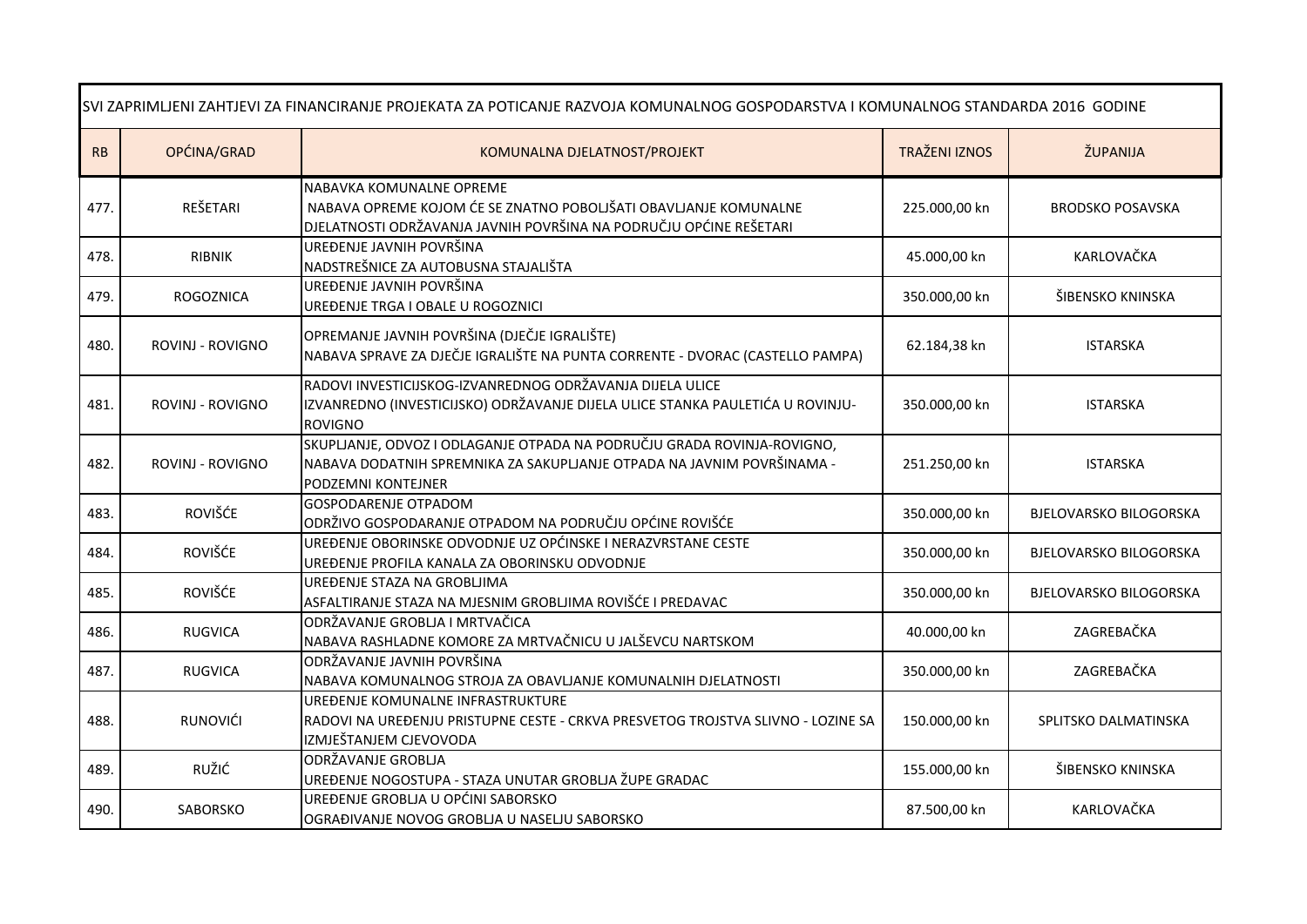| SVI ZAPRIMLJENI ZAHTJEVI ZA FINANCIRANJE PROJEKATA ZA POTICANJE RAZVOJA KOMUNALNOG GOSPODARSTVA I KOMUNALNOG STANDARDA 2016 GODINE |                         |                                                                                                                                                                         |                      |                               |
|------------------------------------------------------------------------------------------------------------------------------------|-------------------------|-------------------------------------------------------------------------------------------------------------------------------------------------------------------------|----------------------|-------------------------------|
| RB                                                                                                                                 | OPĆINA/GRAD             | KOMUNALNA DJELATNOST/PROJEKT                                                                                                                                            | <b>TRAŽENI IZNOS</b> | ŽUPANIJA                      |
| 477.                                                                                                                               | REŠETARI                | NABAVKA KOMUNALNE OPREME<br>NABAVA OPREME KOJOM ĆE SE ZNATNO POBOLJŠATI OBAVLJANJE KOMUNALNE<br>DJELATNOSTI ODRŽAVANJA JAVNIH POVRŠINA NA PODRUČJU OPĆINE REŠETARI      | 225.000,00 kn        | <b>BRODSKO POSAVSKA</b>       |
| 478.                                                                                                                               | <b>RIBNIK</b>           | UREĐENJE JAVNIH POVRŠINA<br>NADSTREŠNICE ZA AUTOBUSNA STAJALIŠTA                                                                                                        | 45.000,00 kn         | KARLOVAČKA                    |
| 479.                                                                                                                               | <b>ROGOZNICA</b>        | UREĐENJE JAVNIH POVRŠINA<br>UREĐENJE TRGA I OBALE U ROGOZNICI                                                                                                           | 350.000,00 kn        | ŠIBENSKO KNINSKA              |
| 480.                                                                                                                               | ROVINJ - ROVIGNO        | OPREMANJE JAVNIH POVRŠINA (DJEČJE IGRALIŠTE)<br>NABAVA SPRAVE ZA DJEČJE IGRALIŠTE NA PUNTA CORRENTE - DVORAC (CASTELLO PAMPA)                                           | 62.184,38 kn         | <b>ISTARSKA</b>               |
| 481.                                                                                                                               | <b>ROVINJ - ROVIGNO</b> | RADOVI INVESTICIJSKOG-IZVANREDNOG ODRŽAVANJA DIJELA ULICE<br>IZVANREDNO (INVESTICIJSKO) ODRŽAVANJE DIJELA ULICE STANKA PAULETIĆA U ROVINJU-<br><b>ROVIGNO</b>           | 350.000,00 kn        | <b>ISTARSKA</b>               |
| 482.                                                                                                                               | ROVINJ - ROVIGNO        | SKUPLJANJE, ODVOZ I ODLAGANJE OTPADA NA PODRUČJU GRADA ROVINJA-ROVIGNO,<br>NABAVA DODATNIH SPREMNIKA ZA SAKUPLJANJE OTPADA NA JAVNIM POVRŠINAMA -<br>PODZEMNI KONTEJNER | 251.250,00 kn        | <b>ISTARSKA</b>               |
| 483.                                                                                                                               | <b>ROVIŠĆE</b>          | <b>GOSPODARENJE OTPADOM</b><br>ODRŽIVO GOSPODARANJE OTPADOM NA PODRUČJU OPĆINE ROVIŠĆE                                                                                  | 350.000,00 kn        | <b>BJELOVARSKO BILOGORSKA</b> |
| 484.                                                                                                                               | <b>ROVIŠĆE</b>          | UREĐENJE OBORINSKE ODVODNJE UZ OPĆINSKE I NERAZVRSTANE CESTE<br>UREĐENJE PROFILA KANALA ZA OBORINSKU ODVODNJE                                                           | 350.000,00 kn        | <b>BJELOVARSKO BILOGORSKA</b> |
| 485.                                                                                                                               | ROVIŠĆE                 | UREĐENJE STAZA NA GROBLJIMA<br>ASFALTIRANJE STAZA NA MJESNIM GROBLJIMA ROVIŠĆE I PREDAVAC                                                                               | 350.000,00 kn        | <b>BJELOVARSKO BILOGORSKA</b> |
| 486.                                                                                                                               | <b>RUGVICA</b>          | ODRŽAVANJE GROBLJA I MRTVAČICA<br>NABAVA RASHLADNE KOMORE ZA MRTVAČNICU U JALŠEVCU NARTSKOM                                                                             | 40.000,00 kn         | ZAGREBAČKA                    |
| 487.                                                                                                                               | <b>RUGVICA</b>          | ODRŽAVANJE JAVNIH POVRŠINA<br>NABAVA KOMUNALNOG STROJA ZA OBAVLJANJE KOMUNALNIH DJELATNOSTI                                                                             | 350.000,00 kn        | ZAGREBAČKA                    |
| 488.                                                                                                                               | RUNOVIĆI                | UREĐENJE KOMUNALNE INFRASTRUKTURE<br>RADOVI NA UREĐENJU PRISTUPNE CESTE - CRKVA PRESVETOG TROJSTVA SLIVNO - LOZINE SA<br>IZMJEŠTANJEM CJEVOVODA                         | 150.000,00 kn        | SPLITSKO DALMATINSKA          |
| 489.                                                                                                                               | RUŽIĆ                   | ODRŽAVANJE GROBLJA<br>UREĐENJE NOGOSTUPA - STAZA UNUTAR GROBLJA ŽUPE GRADAC                                                                                             | 155.000,00 kn        | ŠIBENSKO KNINSKA              |
| 490.                                                                                                                               | SABORSKO                | UREĐENJE GROBLJA U OPĆINI SABORSKO<br>OGRAĐIVANJE NOVOG GROBLJA U NASELJU SABORSKO                                                                                      | 87.500,00 kn         | KARLOVAČKA                    |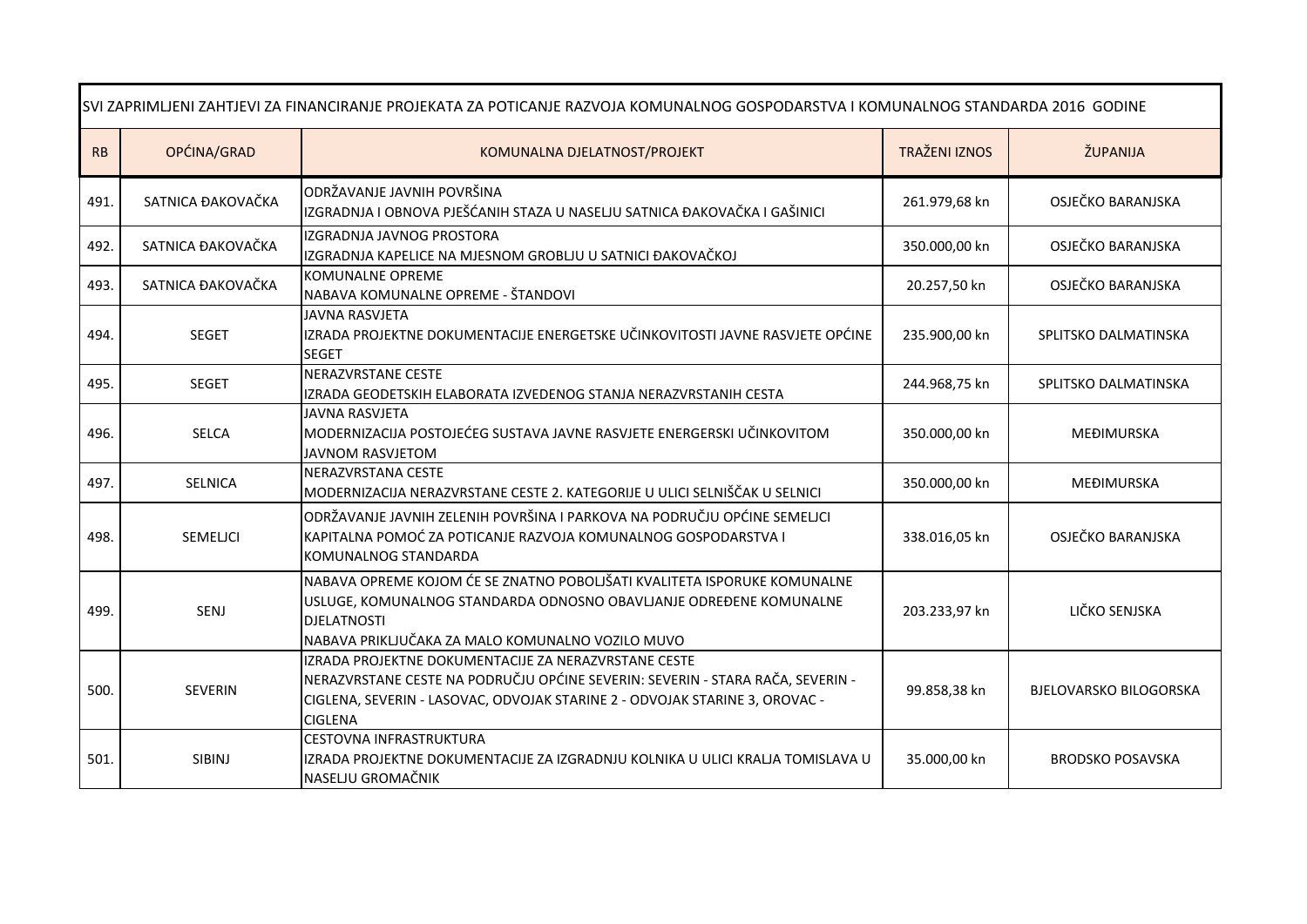| SVI ZAPRIMLJENI ZAHTJEVI ZA FINANCIRANJE PROJEKATA ZA POTICANJE RAZVOJA KOMUNALNOG GOSPODARSTVA I KOMUNALNOG STANDARDA 2016 GODINE |                   |                                                                                                                                                                                                                                         |                      |                               |
|------------------------------------------------------------------------------------------------------------------------------------|-------------------|-----------------------------------------------------------------------------------------------------------------------------------------------------------------------------------------------------------------------------------------|----------------------|-------------------------------|
| RB                                                                                                                                 | OPĆINA/GRAD       | KOMUNALNA DJELATNOST/PROJEKT                                                                                                                                                                                                            | <b>TRAŽENI IZNOS</b> | ŽUPANIJA                      |
| 491.                                                                                                                               | SATNICA ĐAKOVAČKA | ODRŽAVANJE JAVNIH POVRŠINA<br>IZGRADNJA I OBNOVA PJEŠĆANIH STAZA U NASELJU SATNICA ĐAKOVAČKA I GAŠINICI                                                                                                                                 | 261.979,68 kn        | OSJEČKO BARANJSKA             |
| 492.                                                                                                                               | SATNICA ĐAKOVAČKA | IZGRADNJA JAVNOG PROSTORA<br>IZGRADNJA KAPELICE NA MJESNOM GROBLJU U SATNICI ĐAKOVAČKOJ                                                                                                                                                 | 350.000,00 kn        | OSJEČKO BARANJSKA             |
| 493.                                                                                                                               | SATNICA ĐAKOVAČKA | KOMUNALNE OPREME<br>NABAVA KOMUNALNE OPREME - ŠTANDOVI                                                                                                                                                                                  | 20.257,50 kn         | OSJEČKO BARANJSKA             |
| 494.                                                                                                                               | <b>SEGET</b>      | <b>JAVNA RASVJETA</b><br>IZRADA PROJEKTNE DOKUMENTACIJE ENERGETSKE UČINKOVITOSTI JAVNE RASVJETE OPĆINE<br><b>SEGET</b>                                                                                                                  | 235.900,00 kn        | SPLITSKO DALMATINSKA          |
| 495.                                                                                                                               | <b>SEGET</b>      | NERAZVRSTANE CESTE<br>IZRADA GEODETSKIH ELABORATA IZVEDENOG STANJA NERAZVRSTANIH CESTA                                                                                                                                                  | 244.968,75 kn        | SPLITSKO DALMATINSKA          |
| 496.                                                                                                                               | <b>SELCA</b>      | <b>JAVNA RASVJETA</b><br>MODERNIZACIJA POSTOJEĆEG SUSTAVA JAVNE RASVJETE ENERGERSKI UČINKOVITOM<br>JAVNOM RASVJETOM                                                                                                                     | 350.000,00 kn        | <b>MEĐIMURSKA</b>             |
| 497.                                                                                                                               | <b>SELNICA</b>    | NERAZVRSTANA CESTE<br>MODERNIZACIJA NERAZVRSTANE CESTE 2. KATEGORIJE U ULICI SELNIŠČAK U SELNICI                                                                                                                                        | 350.000,00 kn        | MEĐIMURSKA                    |
| 498.                                                                                                                               | SEMELICI          | ODRŽAVANJE JAVNIH ZELENIH POVRŠINA I PARKOVA NA PODRUČJU OPĆINE SEMELJCI<br>KAPITALNA POMOĆ ZA POTICANJE RAZVOJA KOMUNALNOG GOSPODARSTVA I<br>KOMUNALNOG STANDARDA                                                                      | 338.016,05 kn        | OSJEČKO BARANJSKA             |
| 499.                                                                                                                               | SENJ              | NABAVA OPREME KOJOM ĆE SE ZNATNO POBOLJŠATI KVALITETA ISPORUKE KOMUNALNE<br>USLUGE, KOMUNALNOG STANDARDA ODNOSNO OBAVLJANJE ODREĐENE KOMUNALNE<br><b>DJELATNOSTI</b><br>NABAVA PRIKLJUČAKA ZA MALO KOMUNALNO VOZILO MUVO                | 203.233,97 kn        | LIČKO SENJSKA                 |
| 500.                                                                                                                               | <b>SEVERIN</b>    | IZRADA PROJEKTNE DOKUMENTACIJE ZA NERAZVRSTANE CESTE<br>NERAZVRSTANE CESTE NA PODRUČJU OPĆINE SEVERIN: SEVERIN - STARA RAČA, SEVERIN -<br>CIGLENA, SEVERIN - LASOVAC, ODVOJAK STARINE 2 - ODVOJAK STARINE 3, OROVAC -<br><b>CIGLENA</b> | 99.858,38 kn         | <b>BJELOVARSKO BILOGORSKA</b> |
| 501.                                                                                                                               | SIBINJ            | <b>CESTOVNA INFRASTRUKTURA</b><br>IZRADA PROJEKTNE DOKUMENTACIJE ZA IZGRADNJU KOLNIKA U ULICI KRALJA TOMISLAVA U<br>NASELJU GROMAČNIK                                                                                                   | 35.000,00 kn         | <b>BRODSKO POSAVSKA</b>       |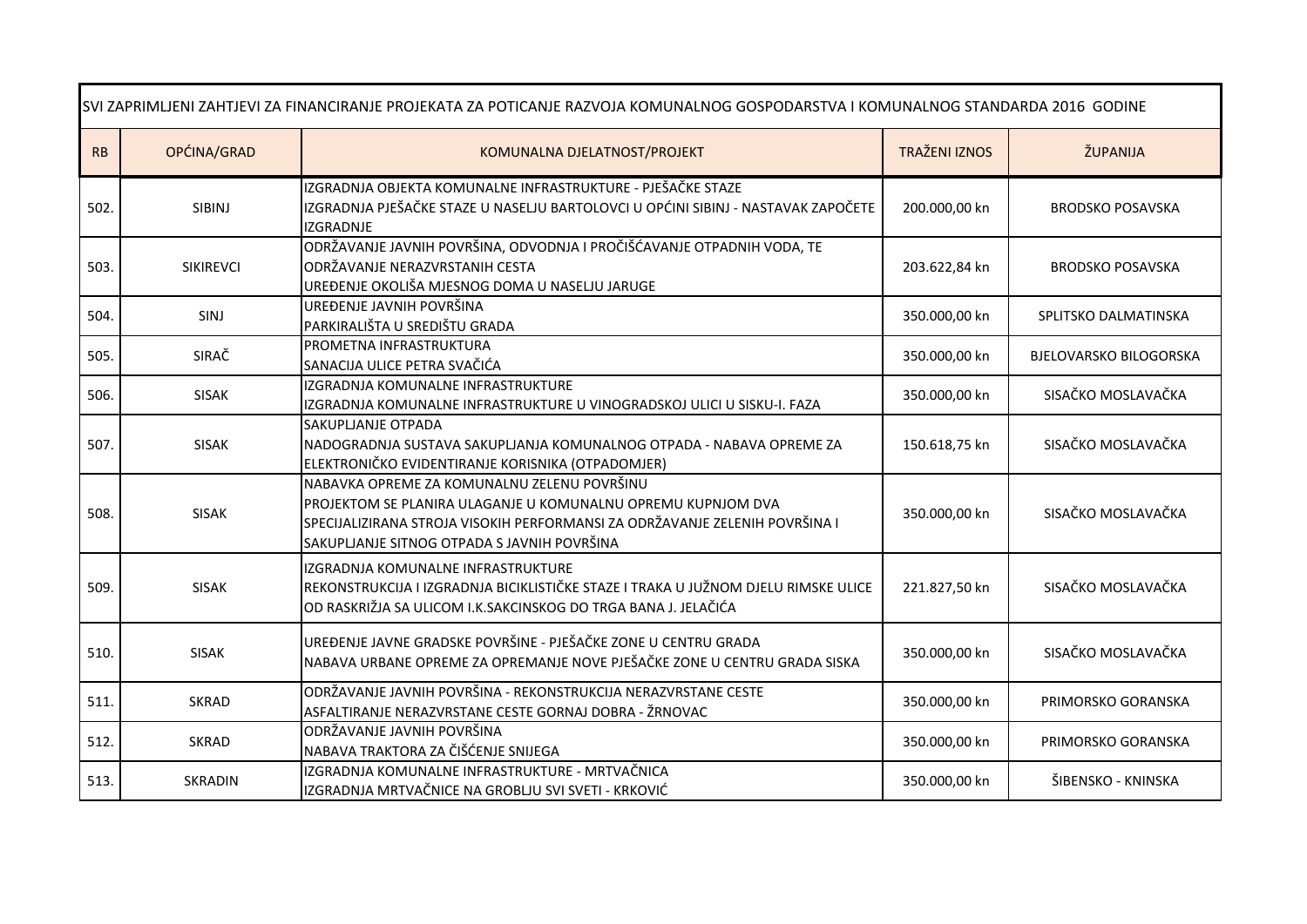| SVI ZAPRIMLJENI ZAHTJEVI ZA FINANCIRANJE PROJEKATA ZA POTICANJE RAZVOJA KOMUNALNOG GOSPODARSTVA I KOMUNALNOG STANDARDA 2016 GODINE |                  |                                                                                                                                                                                                                                           |                      |                               |  |
|------------------------------------------------------------------------------------------------------------------------------------|------------------|-------------------------------------------------------------------------------------------------------------------------------------------------------------------------------------------------------------------------------------------|----------------------|-------------------------------|--|
| RB                                                                                                                                 | OPĆINA/GRAD      | KOMUNALNA DJELATNOST/PROJEKT                                                                                                                                                                                                              | <b>TRAŽENI IZNOS</b> | ŽUPANIJA                      |  |
| 502.                                                                                                                               | SIBINJ           | IZGRADNJA OBJEKTA KOMUNALNE INFRASTRUKTURE - PJEŠAČKE STAZE<br>IZGRADNJA PJEŠAČKE STAZE U NASELJU BARTOLOVCI U OPĆINI SIBINJ - NASTAVAK ZAPOČETE<br><b>IZGRADNJE</b>                                                                      | 200.000,00 kn        | <b>BRODSKO POSAVSKA</b>       |  |
| 503.                                                                                                                               | <b>SIKIREVCI</b> | ODRŽAVANJE JAVNIH POVRŠINA, ODVODNJA I PROČIŠĆAVANJE OTPADNIH VODA, TE<br>ODRŽAVANJE NERAZVRSTANIH CESTA<br>UREĐENJE OKOLIŠA MJESNOG DOMA U NASELJU JARUGE                                                                                | 203.622,84 kn        | <b>BRODSKO POSAVSKA</b>       |  |
| 504.                                                                                                                               | SINJ             | UREĐENJE JAVNIH POVRŠINA<br>PARKIRALIŠTA U SREDIŠTU GRADA                                                                                                                                                                                 | 350.000,00 kn        | SPLITSKO DALMATINSKA          |  |
| 505.                                                                                                                               | SIRAČ            | PROMETNA INFRASTRUKTURA<br>SANACIJA ULICE PETRA SVAČIĆA                                                                                                                                                                                   | 350.000,00 kn        | <b>BJELOVARSKO BILOGORSKA</b> |  |
| 506.                                                                                                                               | <b>SISAK</b>     | IZGRADNJA KOMUNALNE INFRASTRUKTURE<br>IZGRADNJA KOMUNALNE INFRASTRUKTURE U VINOGRADSKOJ ULICI U SISKU-I. FAZA                                                                                                                             | 350.000,00 kn        | SISAČKO MOSLAVAČKA            |  |
| 507.                                                                                                                               | <b>SISAK</b>     | SAKUPLJANJE OTPADA<br>NADOGRADNJA SUSTAVA SAKUPLJANJA KOMUNALNOG OTPADA - NABAVA OPREME ZA<br>ELEKTRONIČKO EVIDENTIRANJE KORISNIKA (OTPADOMJER)                                                                                           | 150.618,75 kn        | SISAČKO MOSLAVAČKA            |  |
| 508.                                                                                                                               | <b>SISAK</b>     | NABAVKA OPREME ZA KOMUNALNU ZELENU POVRŠINU<br>PROJEKTOM SE PLANIRA ULAGANJE U KOMUNALNU OPREMU KUPNJOM DVA<br>SPECIJALIZIRANA STROJA VISOKIH PERFORMANSI ZA ODRŽAVANJE ZELENIH POVRŠINA I<br>SAKUPLJANJE SITNOG OTPADA S JAVNIH POVRŠINA | 350.000,00 kn        | SISAČKO MOSLAVAČKA            |  |
| 509.                                                                                                                               | <b>SISAK</b>     | IZGRADNJA KOMUNALNE INFRASTRUKTURE<br>REKONSTRUKCIJA I IZGRADNJA BICIKLISTIČKE STAZE I TRAKA U JUŽNOM DJELU RIMSKE ULICE<br>OD RASKRIŽJA SA ULICOM I.K.SAKCINSKOG DO TRGA BANA J. JELAČIĆA                                                | 221.827,50 kn        | SISAČKO MOSLAVAČKA            |  |
| 510.                                                                                                                               | <b>SISAK</b>     | UREĐENJE JAVNE GRADSKE POVRŠINE - PJEŠAČKE ZONE U CENTRU GRADA<br>NABAVA URBANE OPREME ZA OPREMANJE NOVE PJEŠAČKE ZONE U CENTRU GRADA SISKA                                                                                               | 350.000,00 kn        | SISAČKO MOSLAVAČKA            |  |
| 511.                                                                                                                               | <b>SKRAD</b>     | ODRŽAVANJE JAVNIH POVRŠINA - REKONSTRUKCIJA NERAZVRSTANE CESTE<br>ASFALTIRANJE NERAZVRSTANE CESTE GORNAJ DOBRA - ŽRNOVAC                                                                                                                  | 350.000,00 kn        | PRIMORSKO GORANSKA            |  |
| 512.                                                                                                                               | <b>SKRAD</b>     | ODRŽAVANJE JAVNIH POVRŠINA<br>NABAVA TRAKTORA ZA ČIŠĆENJE SNIJEGA                                                                                                                                                                         | 350.000,00 kn        | PRIMORSKO GORANSKA            |  |
| 513.                                                                                                                               | <b>SKRADIN</b>   | IZGRADNJA KOMUNALNE INFRASTRUKTURE - MRTVAČNICA<br>IZGRADNJA MRTVAČNICE NA GROBLJU SVI SVETI - KRKOVIĆ                                                                                                                                    | 350.000,00 kn        | ŠIBENSKO - KNINSKA            |  |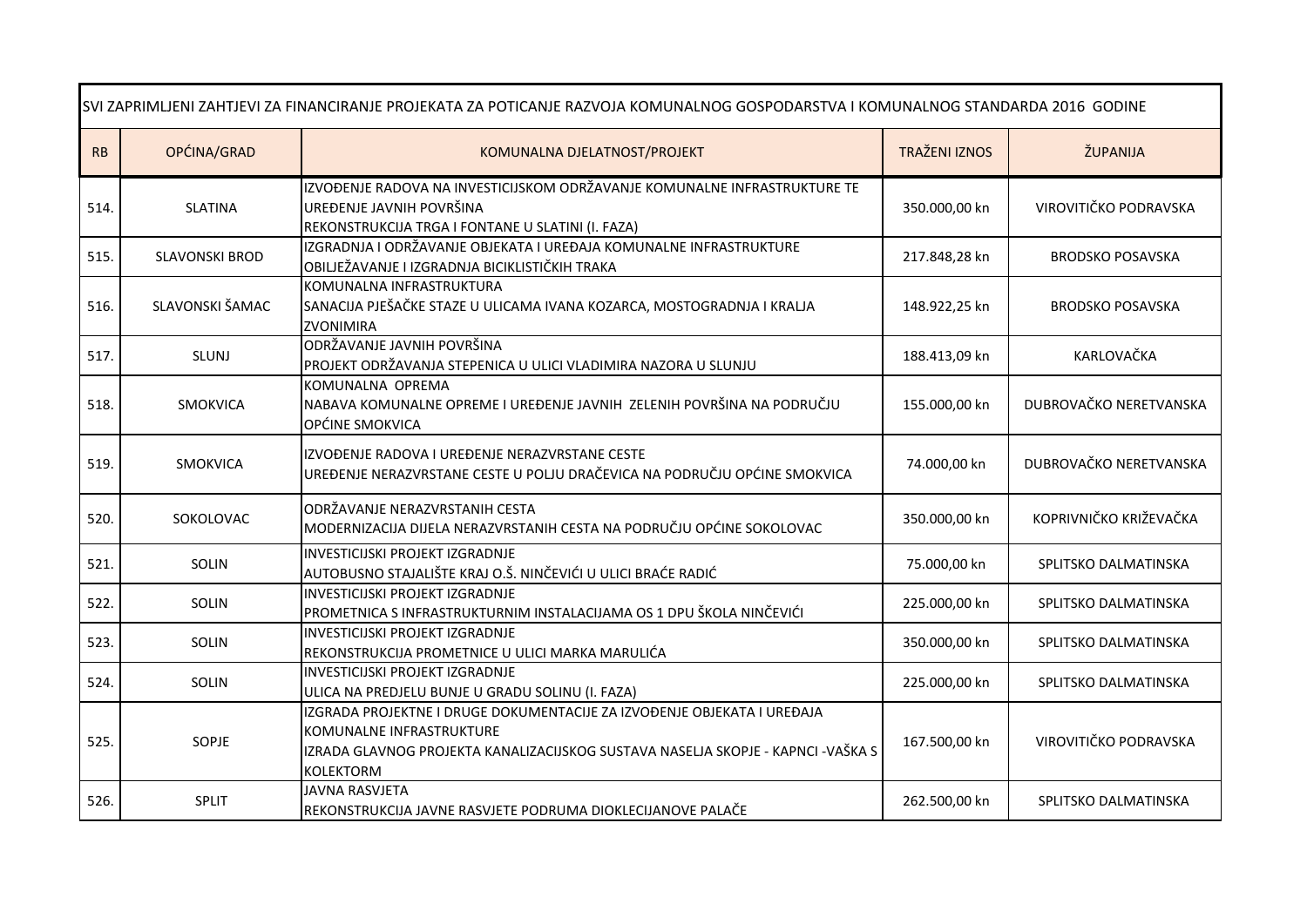| SVI ZAPRIMLJENI ZAHTJEVI ZA FINANCIRANJE PROJEKATA ZA POTICANJE RAZVOJA KOMUNALNOG GOSPODARSTVA I KOMUNALNOG STANDARDA 2016 GODINE |                       |                                                                                                                                                                                                      |                      |                         |
|------------------------------------------------------------------------------------------------------------------------------------|-----------------------|------------------------------------------------------------------------------------------------------------------------------------------------------------------------------------------------------|----------------------|-------------------------|
| <b>RB</b>                                                                                                                          | OPĆINA/GRAD           | KOMUNALNA DJELATNOST/PROJEKT                                                                                                                                                                         | <b>TRAŽENI IZNOS</b> | ŽUPANIJA                |
| 514                                                                                                                                | <b>SLATINA</b>        | IZVOĐENJE RADOVA NA INVESTICIJSKOM ODRŽAVANJE KOMUNALNE INFRASTRUKTURE TE<br>UREĐENJE JAVNIH POVRŠINA<br>REKONSTRUKCIJA TRGA I FONTANE U SLATINI (I. FAZA)                                           | 350.000,00 kn        | VIROVITIČKO PODRAVSKA   |
| 515.                                                                                                                               | <b>SLAVONSKI BROD</b> | IZGRADNJA I ODRŽAVANJE OBJEKATA I UREĐAJA KOMUNALNE INFRASTRUKTURE<br>OBILJEŽAVANJE I IZGRADNJA BICIKLISTIČKIH TRAKA                                                                                 | 217.848,28 kn        | <b>BRODSKO POSAVSKA</b> |
| 516.                                                                                                                               | SLAVONSKI ŠAMAC       | KOMUNALNA INFRASTRUKTURA<br>SANACIJA PJEŠAČKE STAZE U ULICAMA IVANA KOZARCA, MOSTOGRADNJA I KRALJA<br><b>ZVONIMIRA</b>                                                                               | 148.922,25 kn        | <b>BRODSKO POSAVSKA</b> |
| 517.                                                                                                                               | <b>SLUNJ</b>          | ODRŽAVANJE JAVNIH POVRŠINA<br>PROJEKT ODRŽAVANJA STEPENICA U ULICI VLADIMIRA NAZORA U SLUNJU                                                                                                         | 188.413,09 kn        | KARLOVAČKA              |
| 518.                                                                                                                               | <b>SMOKVICA</b>       | KOMUNALNA OPREMA<br>NABAVA KOMUNALNE OPREME I UREĐENJE JAVNIH ZELENIH POVRŠINA NA PODRUČJU<br>OPĆINE SMOKVICA                                                                                        | 155.000,00 kn        | DUBROVAČKO NERETVANSKA  |
| 519.                                                                                                                               | SMOKVICA              | IZVOĐENJE RADOVA I UREĐENJE NERAZVRSTANE CESTE<br>UREĐENJE NERAZVRSTANE CESTE U POLJU DRAČEVICA NA PODRUČJU OPĆINE SMOKVICA                                                                          | 74.000,00 kn         | DUBROVAČKO NERETVANSKA  |
| 520.                                                                                                                               | SOKOLOVAC             | ODRŽAVANJE NERAZVRSTANIH CESTA<br>MODERNIZACIJA DIJELA NERAZVRSTANIH CESTA NA PODRUČJU OPĆINE SOKOLOVAC                                                                                              | 350.000,00 kn        | KOPRIVNIČKO KRIŽEVAČKA  |
| 521.                                                                                                                               | SOLIN                 | INVESTICIJSKI PROJEKT IZGRADNJE<br>AUTOBUSNO STAJALIŠTE KRAJ O.Š. NINČEVIĆI U ULICI BRAĆE RADIĆ                                                                                                      | 75.000,00 kn         | SPLITSKO DALMATINSKA    |
| 522.                                                                                                                               | SOLIN                 | INVESTICIJSKI PROJEKT IZGRADNJE<br>PROMETNICA S INFRASTRUKTURNIM INSTALACIJAMA OS 1 DPU ŠKOLA NINČEVIĆI                                                                                              | 225.000,00 kn        | SPLITSKO DALMATINSKA    |
| 523.                                                                                                                               | <b>SOLIN</b>          | <b>INVESTICIJSKI PROJEKT IZGRADNJE</b><br>REKONSTRUKCIJA PROMETNICE U ULICI MARKA MARULIĆA                                                                                                           | 350.000,00 kn        | SPLITSKO DALMATINSKA    |
| 524.                                                                                                                               | SOLIN                 | <b>INVESTICIJSKI PROJEKT IZGRADNJE</b><br>ULICA NA PREDJELU BUNJE U GRADU SOLINU (I. FAZA)                                                                                                           | 225.000,00 kn        | SPLITSKO DALMATINSKA    |
| 525.                                                                                                                               | SOPJE                 | IZGRADA PROJEKTNE I DRUGE DOKUMENTACIJE ZA IZVOĐENJE OBJEKATA I UREĐAJA<br>KOMUNALNE INFRASTRUKTURE<br>IZRADA GLAVNOG PROJEKTA KANALIZACIJSKOG SUSTAVA NASELJA SKOPJE - KAPNCI -VAŠKA S<br>KOLEKTORM | 167.500,00 kn        | VIROVITIČKO PODRAVSKA   |
| 526.                                                                                                                               | SPLIT                 | JAVNA RASVJETA<br>REKONSTRUKCIJA JAVNE RASVJETE PODRUMA DIOKLECIJANOVE PALAČE                                                                                                                        | 262.500,00 kn        | SPLITSKO DALMATINSKA    |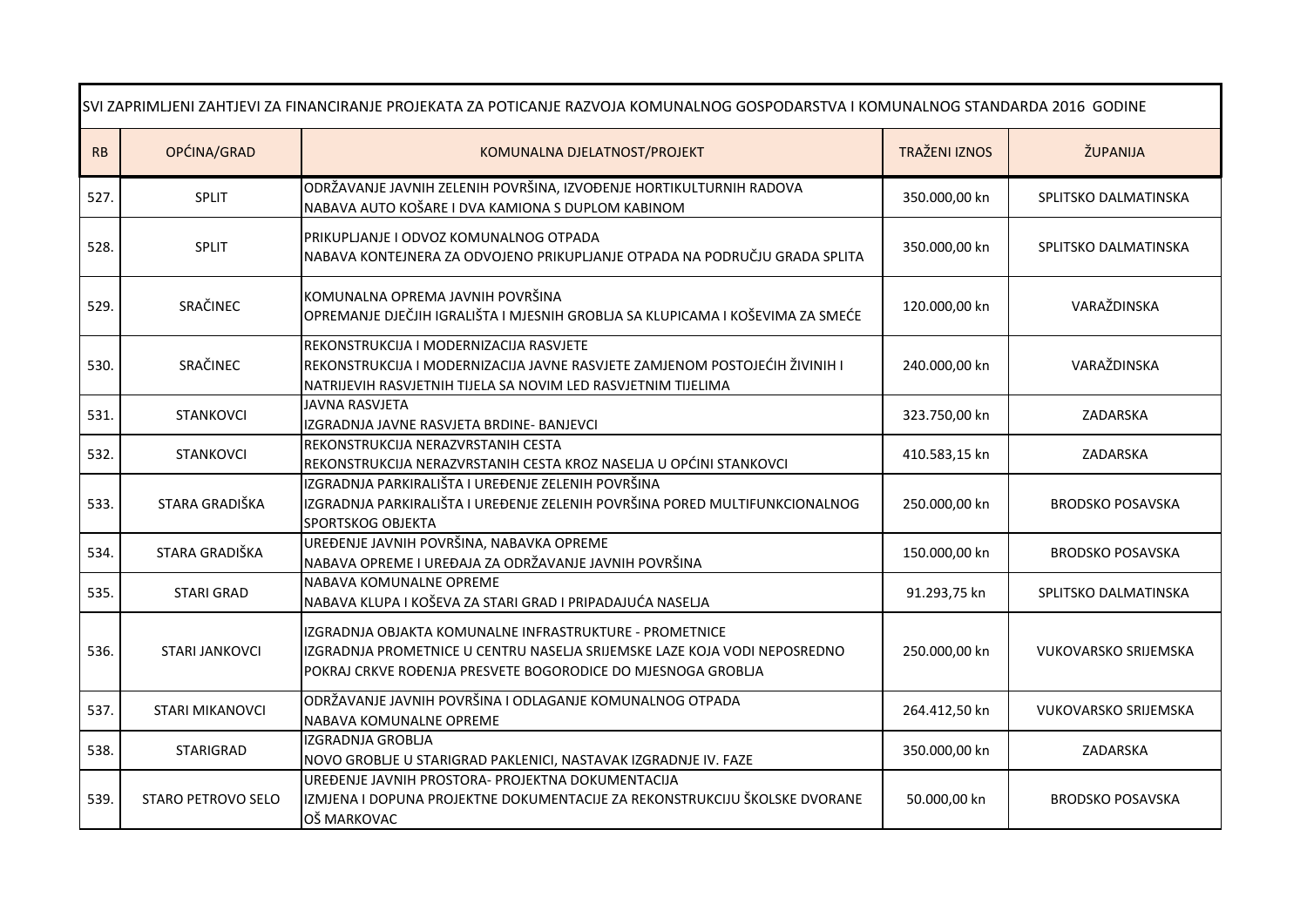| SVI ZAPRIMLJENI ZAHTJEVI ZA FINANCIRANJE PROJEKATA ZA POTICANJE RAZVOJA KOMUNALNOG GOSPODARSTVA I KOMUNALNOG STANDARDA 2016 GODINE |                        |                                                                                                                                                                                                      |                      |                             |
|------------------------------------------------------------------------------------------------------------------------------------|------------------------|------------------------------------------------------------------------------------------------------------------------------------------------------------------------------------------------------|----------------------|-----------------------------|
| ${\sf RB}$                                                                                                                         | OPĆINA/GRAD            | KOMUNALNA DJELATNOST/PROJEKT                                                                                                                                                                         | <b>TRAŽENI IZNOS</b> | ŽUPANIJA                    |
| 527.                                                                                                                               | <b>SPLIT</b>           | ODRŽAVANJE JAVNIH ZELENIH POVRŠINA, IZVOĐENJE HORTIKULTURNIH RADOVA<br>NABAVA AUTO KOŠARE I DVA KAMIONA S DUPLOM KABINOM                                                                             | 350.000,00 kn        | SPLITSKO DALMATINSKA        |
| 528.                                                                                                                               | <b>SPLIT</b>           | PRIKUPLJANJE I ODVOZ KOMUNALNOG OTPADA<br>NABAVA KONTEJNERA ZA ODVOJENO PRIKUPLJANJE OTPADA NA PODRUČJU GRADA SPLITA                                                                                 | 350.000,00 kn        | SPLITSKO DALMATINSKA        |
| 529.                                                                                                                               | SRAČINEC               | KOMUNALNA OPREMA JAVNIH POVRŠINA<br>OPREMANJE DJEČJIH IGRALIŠTA I MJESNIH GROBLJA SA KLUPICAMA I KOŠEVIMA ZA SMEĆE                                                                                   | 120.000,00 kn        | VARAŽDINSKA                 |
| 530.                                                                                                                               | SRAČINEC               | REKONSTRUKCIJA I MODERNIZACIJA RASVJETE<br>REKONSTRUKCIJA I MODERNIZACIJA JAVNE RASVJETE ZAMJENOM POSTOJEĆIH ŽIVINIH I<br>NATRIJEVIH RASVJETNIH TIJELA SA NOVIM LED RASVJETNIM TIJELIMA              | 240.000,00 kn        | VARAŽDINSKA                 |
| 531.                                                                                                                               | <b>STANKOVCI</b>       | JAVNA RASVJETA<br>IZGRADNJA JAVNE RASVJETA BRDINE- BANJEVCI                                                                                                                                          | 323.750,00 kn        | ZADARSKA                    |
| 532.                                                                                                                               | <b>STANKOVCI</b>       | REKONSTRUKCIJA NERAZVRSTANIH CESTA<br>REKONSTRUKCIJA NERAZVRSTANIH CESTA KROZ NASELJA U OPĆINI STANKOVCI                                                                                             | 410.583,15 kn        | ZADARSKA                    |
| 533.                                                                                                                               | STARA GRADIŠKA         | IZGRADNJA PARKIRALIŠTA I UREĐENJE ZELENIH POVRŠINA<br>IZGRADNJA PARKIRALIŠTA I UREĐENJE ZELENIH POVRŠINA PORED MULTIFUNKCIONALNOG<br><b>SPORTSKOG OBJEKTA</b>                                        | 250.000,00 kn        | <b>BRODSKO POSAVSKA</b>     |
| 534.                                                                                                                               | STARA GRADIŠKA         | UREĐENJE JAVNIH POVRŠINA, NABAVKA OPREME<br>NABAVA OPREME I UREĐAJA ZA ODRŽAVANJE JAVNIH POVRŠINA                                                                                                    | 150.000,00 kn        | <b>BRODSKO POSAVSKA</b>     |
| 535.                                                                                                                               | <b>STARI GRAD</b>      | NABAVA KOMUNALNE OPREME<br>NABAVA KLUPA I KOŠEVA ZA STARI GRAD I PRIPADAJUĆA NASELJA                                                                                                                 | 91.293,75 kn         | SPLITSKO DALMATINSKA        |
| 536.                                                                                                                               | <b>STARI JANKOVCI</b>  | IZGRADNJA OBJAKTA KOMUNALNE INFRASTRUKTURE - PROMETNICE<br>IZGRADNJA PROMETNICE U CENTRU NASELJA SRIJEMSKE LAZE KOJA VODI NEPOSREDNO<br>POKRAJ CRKVE ROĐENJA PRESVETE BOGORODICE DO MJESNOGA GROBLJA | 250.000,00 kn        | <b>VUKOVARSKO SRIJEMSKA</b> |
| 537.                                                                                                                               | <b>STARI MIKANOVCI</b> | ODRŽAVANJE JAVNIH POVRŠINA I ODLAGANJE KOMUNALNOG OTPADA<br>NABAVA KOMUNALNE OPREME                                                                                                                  | 264.412,50 kn        | <b>VUKOVARSKO SRIJEMSKA</b> |
| 538.                                                                                                                               | STARIGRAD              | <b>IZGRADNJA GROBLJA</b><br>NOVO GROBLJE U STARIGRAD PAKLENICI, NASTAVAK IZGRADNJE IV. FAZE                                                                                                          | 350.000,00 kn        | ZADARSKA                    |
| 539.                                                                                                                               | STARO PETROVO SELO     | UREĐENJE JAVNIH PROSTORA- PROJEKTNA DOKUMENTACIJA<br>IZMJENA I DOPUNA PROJEKTNE DOKUMENTACIJE ZA REKONSTRUKCIJU ŠKOLSKE DVORANE<br>OŠ MARKOVAC                                                       | 50.000,00 kn         | <b>BRODSKO POSAVSKA</b>     |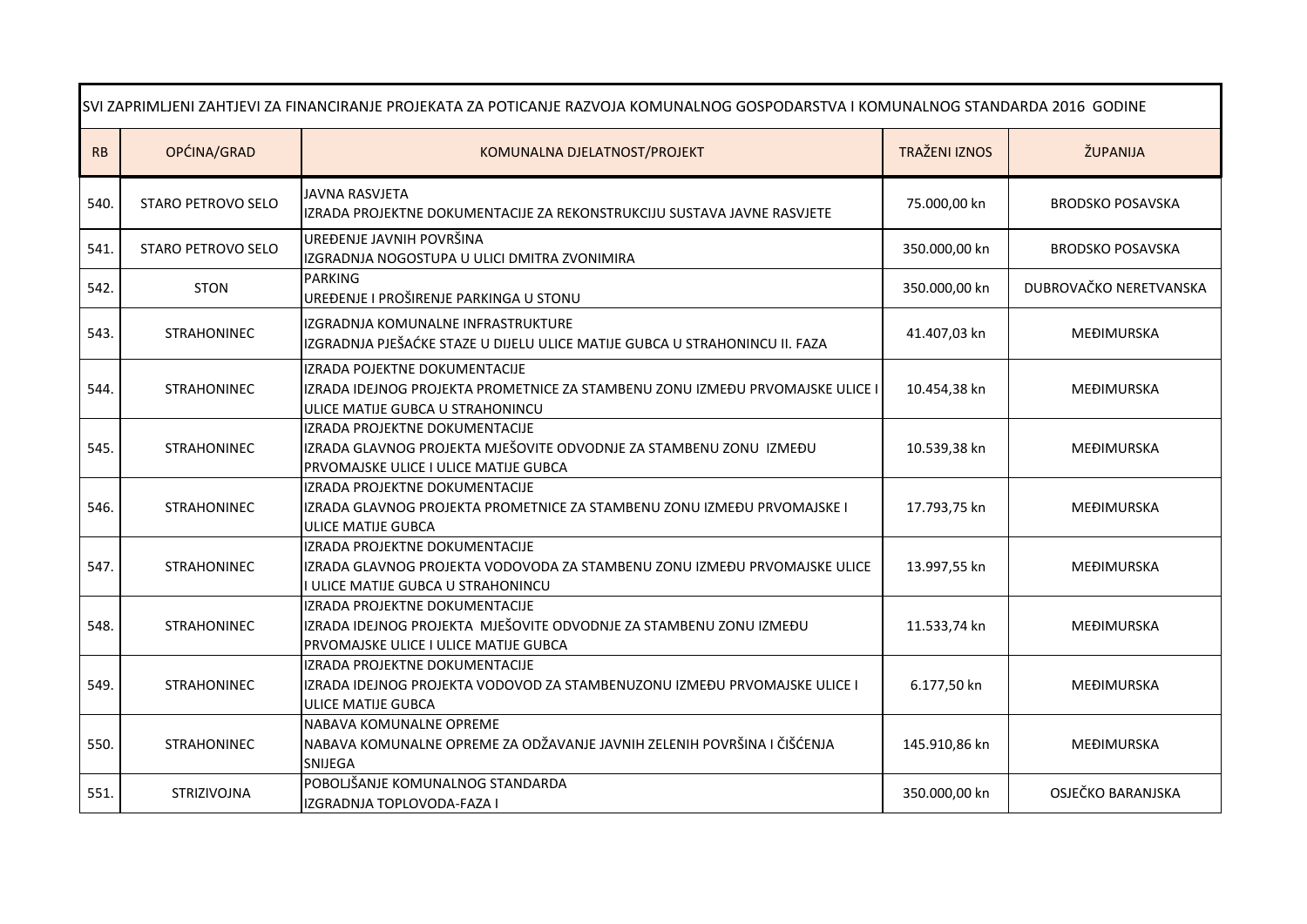| SVI ZAPRIMLJENI ZAHTJEVI ZA FINANCIRANJE PROJEKATA ZA POTICANJE RAZVOJA KOMUNALNOG GOSPODARSTVA I KOMUNALNOG STANDARDA 2016 GODINE |                    |                                                                                                                                                    |                      |                         |  |
|------------------------------------------------------------------------------------------------------------------------------------|--------------------|----------------------------------------------------------------------------------------------------------------------------------------------------|----------------------|-------------------------|--|
| RB                                                                                                                                 | OPĆINA/GRAD        | KOMUNALNA DJELATNOST/PROJEKT                                                                                                                       | <b>TRAŽENI IZNOS</b> | ŽUPANIJA                |  |
| 540.                                                                                                                               | STARO PETROVO SELO | <b>JAVNA RASVJETA</b><br>IZRADA PROJEKTNE DOKUMENTACIJE ZA REKONSTRUKCIJU SUSTAVA JAVNE RASVJETE                                                   | 75.000,00 kn         | <b>BRODSKO POSAVSKA</b> |  |
| 541.                                                                                                                               | STARO PETROVO SELO | UREĐENJE JAVNIH POVRŠINA<br>IZGRADNJA NOGOSTUPA U ULICI DMITRA ZVONIMIRA                                                                           | 350.000,00 kn        | <b>BRODSKO POSAVSKA</b> |  |
| 542.                                                                                                                               | <b>STON</b>        | <b>PARKING</b><br>UREĐENJE I PROŠIRENJE PARKINGA U STONU                                                                                           | 350.000,00 kn        | DUBROVAČKO NERETVANSKA  |  |
| 543.                                                                                                                               | <b>STRAHONINEC</b> | <b>IZGRADNJA KOMUNALNE INFRASTRUKTURE</b><br>IZGRADNJA PJEŠAĆKE STAZE U DIJELU ULICE MATIJE GUBCA U STRAHONINCU II. FAZA                           | 41.407,03 kn         | MEĐIMURSKA              |  |
| 544.                                                                                                                               | <b>STRAHONINEC</b> | IZRADA POJEKTNE DOKUMENTACIJE<br>IZRADA IDEJNOG PROJEKTA PROMETNICE ZA STAMBENU ZONU IZMEĐU PRVOMAJSKE ULICE I<br>ULICE MATIJE GUBCA U STRAHONINCU | 10.454,38 kn         | MEĐIMURSKA              |  |
| 545.                                                                                                                               | <b>STRAHONINEC</b> | IZRADA PROJEKTNE DOKUMENTACIJE<br>IZRADA GLAVNOG PROJEKTA MJEŠOVITE ODVODNJE ZA STAMBENU ZONU IZMEĐU<br>PRVOMAJSKE ULICE I ULICE MATIJE GUBCA      | 10.539,38 kn         | MEĐIMURSKA              |  |
| 546.                                                                                                                               | <b>STRAHONINEC</b> | <b>IZRADA PROJEKTNE DOKUMENTACIJE</b><br>IZRADA GLAVNOG PROJEKTA PROMETNICE ZA STAMBENU ZONU IZMEĐU PRVOMAJSKE I<br><b>ULICE MATIJE GUBCA</b>      | 17.793,75 kn         | MEĐIMURSKA              |  |
| 547.                                                                                                                               | <b>STRAHONINEC</b> | IZRADA PROJEKTNE DOKUMENTACIJE<br>IZRADA GLAVNOG PROJEKTA VODOVODA ZA STAMBENU ZONU IZMEĐU PRVOMAJSKE ULICE<br>I ULICE MATIJE GUBCA U STRAHONINCU  | 13.997,55 kn         | MEĐIMURSKA              |  |
| 548.                                                                                                                               | <b>STRAHONINEC</b> | IZRADA PROJEKTNE DOKUMENTACIJE<br>IZRADA IDEJNOG PROJEKTA MJEŠOVITE ODVODNJE ZA STAMBENU ZONU IZMEĐU<br>PRVOMAJSKE ULICE I ULICE MATIJE GUBCA      | 11.533,74 kn         | MEĐIMURSKA              |  |
| 549.                                                                                                                               | <b>STRAHONINEC</b> | IZRADA PROJEKTNE DOKUMENTACIJE<br>IZRADA IDEJNOG PROJEKTA VODOVOD ZA STAMBENUZONU IZMEĐU PRVOMAJSKE ULICE I<br><b>ULICE MATIJE GUBCA</b>           | 6.177,50 kn          | MEĐIMURSKA              |  |
| 550.                                                                                                                               | <b>STRAHONINEC</b> | NABAVA KOMUNALNE OPREME<br>NABAVA KOMUNALNE OPREME ZA ODŽAVANJE JAVNIH ZELENIH POVRŠINA I ČIŠĆENJA<br>SNIJEGA                                      | 145.910,86 kn        | MEĐIMURSKA              |  |
| 551.                                                                                                                               | STRIZIVOJNA        | POBOLJŠANJE KOMUNALNOG STANDARDA<br>IZGRADNJA TOPLOVODA-FAZA I                                                                                     | 350.000,00 kn        | OSJEČKO BARANJSKA       |  |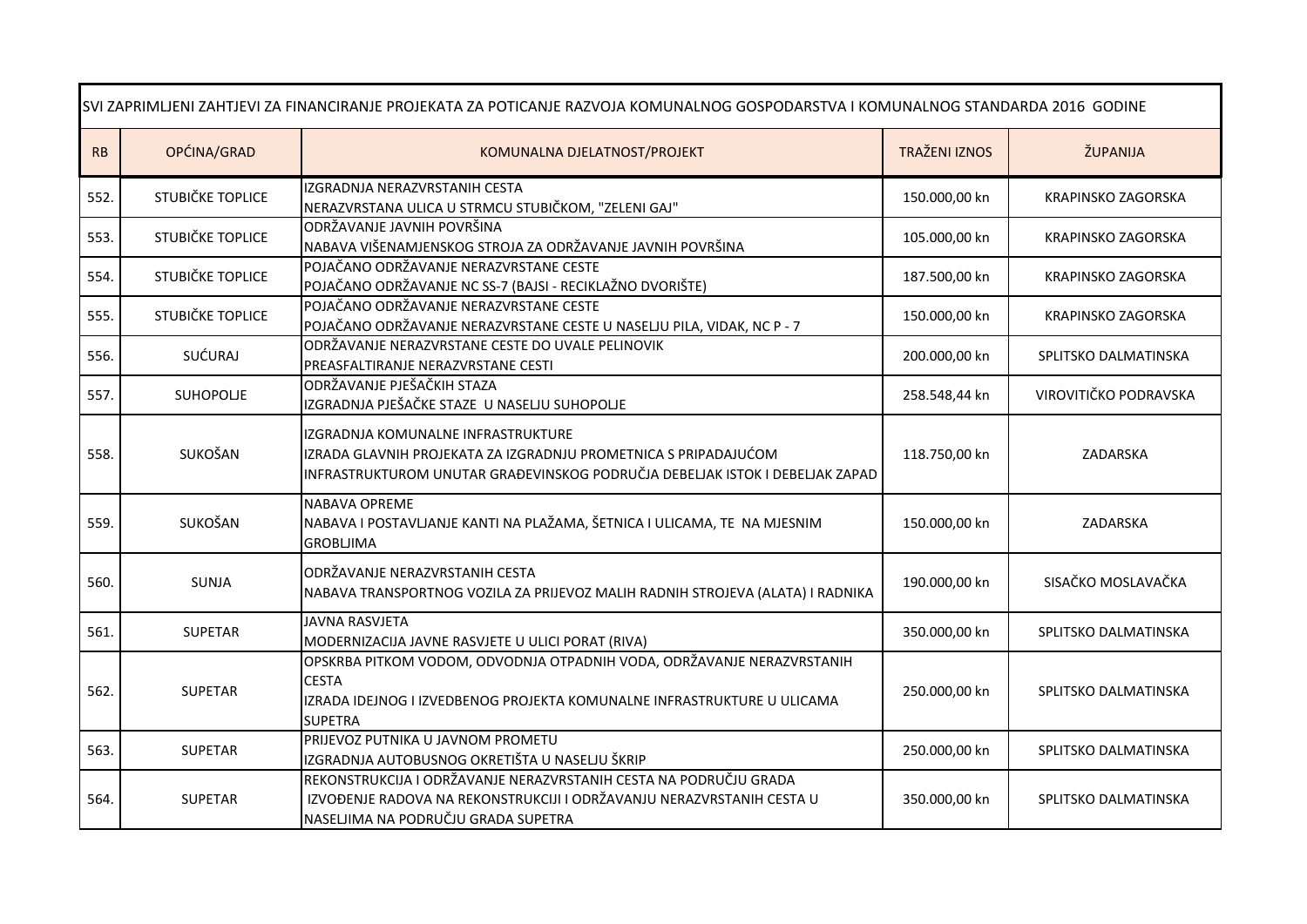| SVI ZAPRIMLJENI ZAHTJEVI ZA FINANCIRANJE PROJEKATA ZA POTICANJE RAZVOJA KOMUNALNOG GOSPODARSTVA I KOMUNALNOG STANDARDA 2016 GODINE |                  |                                                                                                                                                                                       |                      |                           |
|------------------------------------------------------------------------------------------------------------------------------------|------------------|---------------------------------------------------------------------------------------------------------------------------------------------------------------------------------------|----------------------|---------------------------|
| RB                                                                                                                                 | OPĆINA/GRAD      | KOMUNALNA DJELATNOST/PROJEKT                                                                                                                                                          | <b>TRAŽENI IZNOS</b> | ŽUPANIJA                  |
| 552.                                                                                                                               | STUBIČKE TOPLICE | IZGRADNJA NERAZVRSTANIH CESTA<br>NERAZVRSTANA ULICA U STRMCU STUBIČKOM, "ZELENI GAJ"                                                                                                  | 150.000,00 kn        | KRAPINSKO ZAGORSKA        |
| 553.                                                                                                                               | STUBIČKE TOPLICE | ODRŽAVANJE JAVNIH POVRŠINA<br>NABAVA VIŠENAMJENSKOG STROJA ZA ODRŽAVANJE JAVNIH POVRŠINA                                                                                              | 105.000,00 kn        | KRAPINSKO ZAGORSKA        |
| 554.                                                                                                                               | STUBIČKE TOPLICE | POJAČANO ODRŽAVANJE NERAZVRSTANE CESTE<br>POJAČANO ODRŽAVANJE NC SS-7 (BAJSI - RECIKLAŽNO DVORIŠTE)                                                                                   | 187.500,00 kn        | <b>KRAPINSKO ZAGORSKA</b> |
| 555.                                                                                                                               | STUBIČKE TOPLICE | POJAČANO ODRŽAVANJE NERAZVRSTANE CESTE<br>POJAČANO ODRŽAVANJE NERAZVRSTANE CESTE U NASELJU PILA, VIDAK, NC P - 7                                                                      | 150.000,00 kn        | KRAPINSKO ZAGORSKA        |
| 556.                                                                                                                               | SUĆURAJ          | ODRŽAVANJE NERAZVRSTANE CESTE DO UVALE PELINOVIK<br>PREASFALTIRANJE NERAZVRSTANE CESTI                                                                                                | 200.000,00 kn        | SPLITSKO DALMATINSKA      |
| 557.                                                                                                                               | SUHOPOLJE        | ODRŽAVANJE PJEŠAČKIH STAZA<br>IZGRADNJA PJEŠAČKE STAZE U NASELJU SUHOPOLJE                                                                                                            | 258.548,44 kn        | VIROVITIČKO PODRAVSKA     |
| 558.                                                                                                                               | SUKOŠAN          | IZGRADNJA KOMUNALNE INFRASTRUKTURE<br>IZRADA GLAVNIH PROJEKATA ZA IZGRADNJU PROMETNICA S PRIPADAJUĆOM<br>INFRASTRUKTUROM UNUTAR GRAĐEVINSKOG PODRUČJA DEBELJAK ISTOK I DEBELJAK ZAPAD | 118.750,00 kn        | ZADARSKA                  |
| 559.                                                                                                                               | SUKOŠAN          | <b>NABAVA OPREME</b><br>NABAVA I POSTAVLJANJE KANTI NA PLAŽAMA, ŠETNICA I ULICAMA, TE NA MJESNIM<br><b>GROBLJIMA</b>                                                                  | 150.000,00 kn        | ZADARSKA                  |
| 560.                                                                                                                               | <b>SUNJA</b>     | ODRŽAVANJE NERAZVRSTANIH CESTA<br>NABAVA TRANSPORTNOG VOZILA ZA PRIJEVOZ MALIH RADNIH STROJEVA (ALATA) I RADNIKA                                                                      | 190.000,00 kn        | SISAČKO MOSLAVAČKA        |
| 561.                                                                                                                               | <b>SUPETAR</b>   | <b>JAVNA RASVJETA</b><br>MODERNIZACIJA JAVNE RASVJETE U ULICI PORAT (RIVA)                                                                                                            | 350.000,00 kn        | SPLITSKO DALMATINSKA      |
| 562.                                                                                                                               | <b>SUPETAR</b>   | OPSKRBA PITKOM VODOM, ODVODNJA OTPADNIH VODA, ODRŽAVANJE NERAZVRSTANIH<br><b>CESTA</b><br>IZRADA IDEJNOG I IZVEDBENOG PROJEKTA KOMUNALNE INFRASTRUKTURE U ULICAMA<br><b>SUPETRA</b>   | 250.000,00 kn        | SPLITSKO DALMATINSKA      |
| 563.                                                                                                                               | <b>SUPETAR</b>   | PRIJEVOZ PUTNIKA U JAVNOM PROMETU<br>IZGRADNJA AUTOBUSNOG OKRETIŠTA U NASELJU ŠKRIP                                                                                                   | 250.000,00 kn        | SPLITSKO DALMATINSKA      |
| 564.                                                                                                                               | <b>SUPETAR</b>   | REKONSTRUKCIJA I ODRŽAVANJE NERAZVRSTANIH CESTA NA PODRUČJU GRADA<br>IZVOĐENJE RADOVA NA REKONSTRUKCIJI I ODRŽAVANJU NERAZVRSTANIH CESTA U<br>NASELJIMA NA PODRUČJU GRADA SUPETRA     | 350.000,00 kn        | SPLITSKO DALMATINSKA      |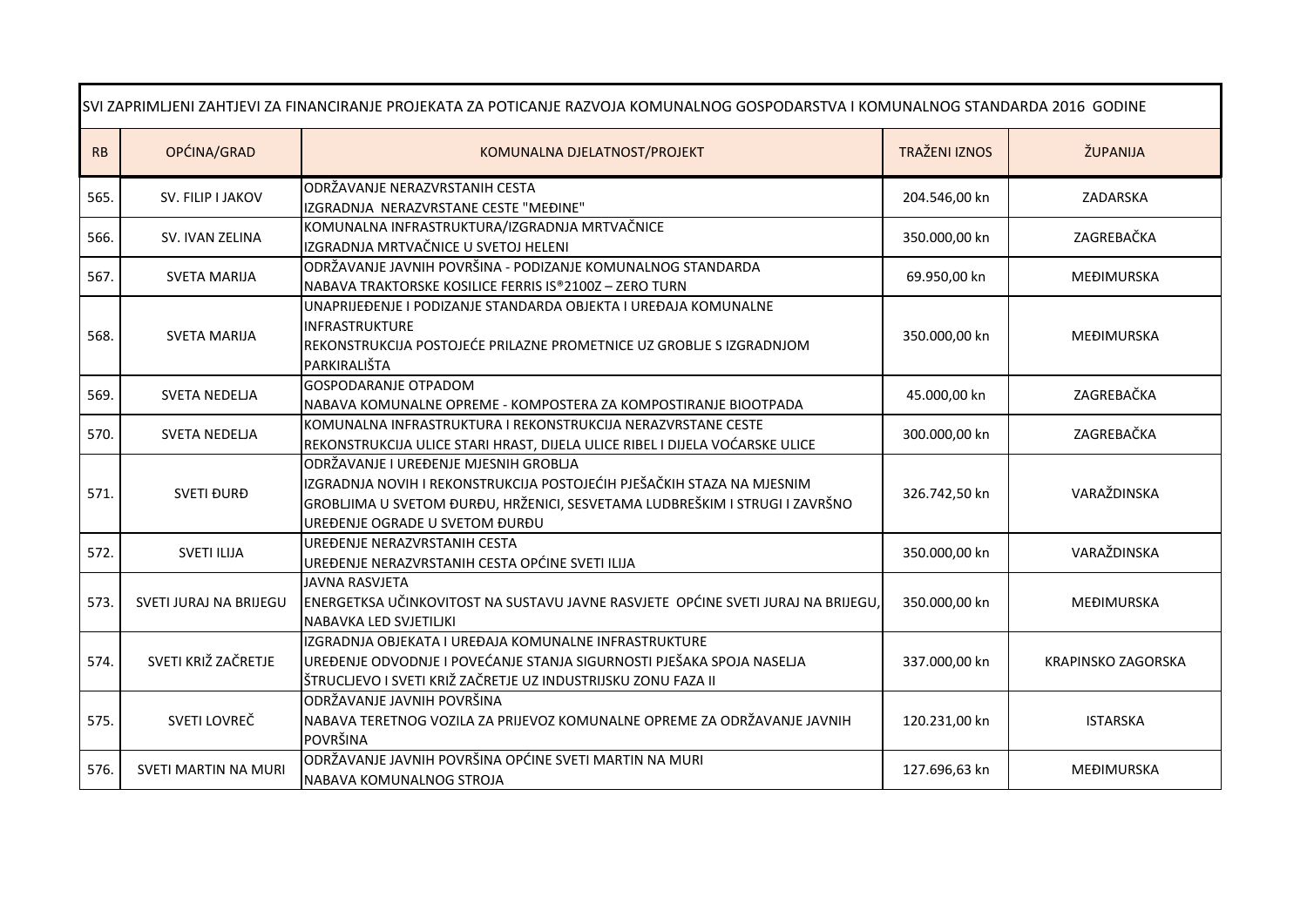| SVI ZAPRIMLJENI ZAHTJEVI ZA FINANCIRANJE PROJEKATA ZA POTICANJE RAZVOJA KOMUNALNOG GOSPODARSTVA I KOMUNALNOG STANDARDA 2016 GODINE |                             |                                                                                                                                                                                                                                  |                      |                           |
|------------------------------------------------------------------------------------------------------------------------------------|-----------------------------|----------------------------------------------------------------------------------------------------------------------------------------------------------------------------------------------------------------------------------|----------------------|---------------------------|
| RB                                                                                                                                 | OPĆINA/GRAD                 | KOMUNALNA DJELATNOST/PROJEKT                                                                                                                                                                                                     | <b>TRAŽENI IZNOS</b> | ŽUPANIJA                  |
| 565.                                                                                                                               | SV. FILIP I JAKOV           | ODRŽAVANJE NERAZVRSTANIH CESTA<br>IZGRADNJA NERAZVRSTANE CESTE "MEĐINE"                                                                                                                                                          | 204.546,00 kn        | ZADARSKA                  |
| 566.                                                                                                                               | SV. IVAN ZELINA             | KOMUNALNA INFRASTRUKTURA/IZGRADNJA MRTVAČNICE<br>IZGRADNJA MRTVAČNICE U SVETOJ HELENI                                                                                                                                            | 350.000,00 kn        | ZAGREBAČKA                |
| 567.                                                                                                                               | <b>SVETA MARIJA</b>         | ODRŽAVANJE JAVNIH POVRŠINA - PODIZANJE KOMUNALNOG STANDARDA<br>NABAVA TRAKTORSKE KOSILICE FERRIS IS®2100Z-ZERO TURN                                                                                                              | 69.950,00 kn         | MEĐIMURSKA                |
| 568.                                                                                                                               | <b>SVETA MARIJA</b>         | UNAPRIJEĐENJE I PODIZANJE STANDARDA OBJEKTA I UREĐAJA KOMUNALNE<br><b>INFRASTRUKTURE</b><br>REKONSTRUKCIJA POSTOJEĆE PRILAZNE PROMETNICE UZ GROBLJE S IZGRADNJOM<br>PARKIRALIŠTA                                                 | 350.000,00 kn        | MEĐIMURSKA                |
| 569.                                                                                                                               | <b>SVETA NEDELJA</b>        | <b>GOSPODARANJE OTPADOM</b><br>NABAVA KOMUNALNE OPREME - KOMPOSTERA ZA KOMPOSTIRANJE BIOOTPADA                                                                                                                                   | 45.000,00 kn         | ZAGREBAČKA                |
| 570.                                                                                                                               | <b>SVETA NEDELJA</b>        | KOMUNALNA INFRASTRUKTURA I REKONSTRUKCIJA NERAZVRSTANE CESTE<br>REKONSTRUKCIJA ULICE STARI HRAST, DIJELA ULICE RIBEL I DIJELA VOĆARSKE ULICE                                                                                     | 300.000,00 kn        | ZAGREBAČKA                |
| 571.                                                                                                                               | <b>SVETI ĐURĐ</b>           | ODRŽAVANJE I UREĐENJE MJESNIH GROBLJA<br>IZGRADNJA NOVIH I REKONSTRUKCIJA POSTOJEĆIH PJEŠAČKIH STAZA NA MJESNIM<br>GROBLJIMA U SVETOM ĐURĐU, HRŽENICI, SESVETAMA LUDBREŠKIM I STRUGI I ZAVRŠNO<br>UREĐENJE OGRADE U SVETOM ĐURĐU | 326.742,50 kn        | VARAŽDINSKA               |
| 572.                                                                                                                               | <b>SVETI ILIJA</b>          | UREĐENJE NERAZVRSTANIH CESTA<br>UREĐENJE NERAZVRSTANIH CESTA OPĆINE SVETI ILIJA                                                                                                                                                  | 350.000,00 kn        | VARAŽDINSKA               |
| 573.                                                                                                                               | SVETI JURAJ NA BRIJEGU      | <b>JAVNA RASVJETA</b><br>ENERGETKSA UČINKOVITOST NA SUSTAVU JAVNE RASVJETE OPĆINE SVETI JURAJ NA BRIJEGU,<br>NABAVKA LED SVJETILJKI                                                                                              | 350.000,00 kn        | MEĐIMURSKA                |
| 574.                                                                                                                               | SVETI KRIŽ ZAČRETJE         | IZGRADNJA OBJEKATA I UREĐAJA KOMUNALNE INFRASTRUKTURE<br>UREĐENJE ODVODNJE I POVEĆANJE STANJA SIGURNOSTI PJEŠAKA SPOJA NASELJA<br>ŠTRUCLJEVO I SVETI KRIŽ ZAČRETJE UZ INDUSTRIJSKU ZONU FAZA II                                  | 337.000,00 kn        | <b>KRAPINSKO ZAGORSKA</b> |
| 575.                                                                                                                               | SVETI LOVREČ                | ODRŽAVANJE JAVNIH POVRŠINA<br>NABAVA TERETNOG VOZILA ZA PRIJEVOZ KOMUNALNE OPREME ZA ODRŽAVANJE JAVNIH<br>POVRŠINA                                                                                                               | 120.231,00 kn        | <b>ISTARSKA</b>           |
| 576.                                                                                                                               | <b>SVETI MARTIN NA MURI</b> | ODRŽAVANJE JAVNIH POVRŠINA OPĆINE SVETI MARTIN NA MURI<br>NABAVA KOMUNALNOG STROJA                                                                                                                                               | 127.696,63 kn        | MEĐIMURSKA                |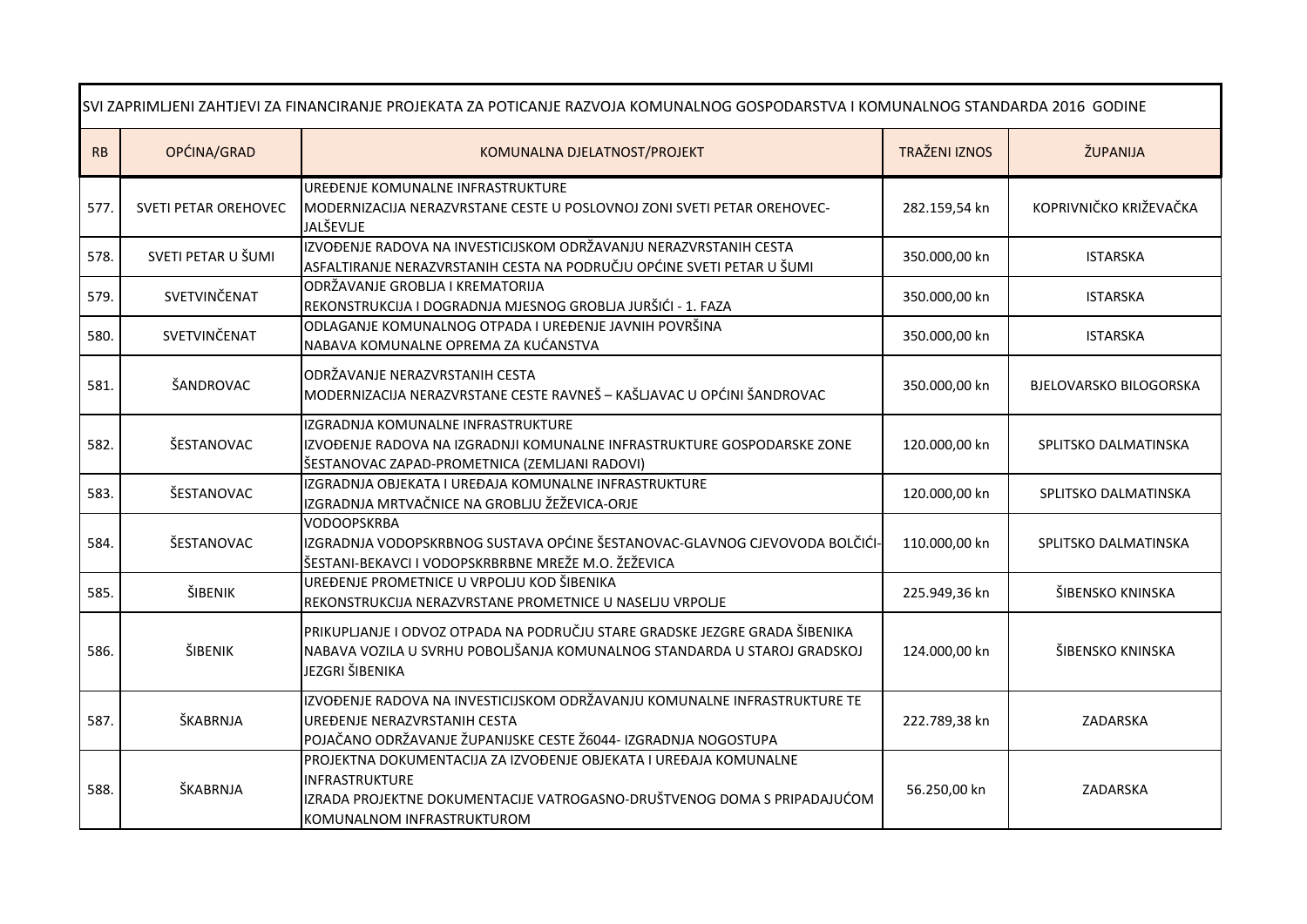| SVI ZAPRIMLJENI ZAHTJEVI ZA FINANCIRANJE PROJEKATA ZA POTICANJE RAZVOJA KOMUNALNOG GOSPODARSTVA I KOMUNALNOG STANDARDA 2016 GODINE |                             |                                                                                                                                                                                               |                      |                        |
|------------------------------------------------------------------------------------------------------------------------------------|-----------------------------|-----------------------------------------------------------------------------------------------------------------------------------------------------------------------------------------------|----------------------|------------------------|
| ${\sf RB}$                                                                                                                         | OPĆINA/GRAD                 | KOMUNALNA DJELATNOST/PROJEKT                                                                                                                                                                  | <b>TRAŽENI IZNOS</b> | ŽUPANIJA               |
| 577.                                                                                                                               | <b>SVETI PETAR OREHOVEC</b> | UREĐENJE KOMUNALNE INFRASTRUKTURE<br>MODERNIZACIJA NERAZVRSTANE CESTE U POSLOVNOJ ZONI SVETI PETAR OREHOVEC-<br>JALŠEVLJE                                                                     | 282.159,54 kn        | KOPRIVNIČKO KRIŽEVAČKA |
| 578.                                                                                                                               | SVETI PETAR U ŠUMI          | IZVOĐENJE RADOVA NA INVESTICIJSKOM ODRŽAVANJU NERAZVRSTANIH CESTA<br>ASFALTIRANJE NERAZVRSTANIH CESTA NA PODRUČJU OPĆINE SVETI PETAR U ŠUMI                                                   | 350.000,00 kn        | <b>ISTARSKA</b>        |
| 579.                                                                                                                               | SVETVINČENAT                | ODRŽAVANJE GROBLJA I KREMATORIJA<br>REKONSTRUKCIJA I DOGRADNJA MJESNOG GROBLJA JURŠIĆI - 1. FAZA                                                                                              | 350.000,00 kn        | <b>ISTARSKA</b>        |
| 580.                                                                                                                               | SVETVINČENAT                | ODLAGANJE KOMUNALNOG OTPADA I UREĐENJE JAVNIH POVRŠINA<br>NABAVA KOMUNALNE OPREMA ZA KUĆANSTVA                                                                                                | 350.000,00 kn        | <b>ISTARSKA</b>        |
| 581.                                                                                                                               | ŠANDROVAC                   | ODRŽAVANJE NERAZVRSTANIH CESTA<br>MODERNIZACIJA NERAZVRSTANE CESTE RAVNEŠ - KAŠLJAVAC U OPĆINI ŠANDROVAC                                                                                      | 350.000,00 kn        | BJELOVARSKO BILOGORSKA |
| 582.                                                                                                                               | ŠESTANOVAC                  | IZGRADNJA KOMUNALNE INFRASTRUKTURE<br>IZVOĐENJE RADOVA NA IZGRADNJI KOMUNALNE INFRASTRUKTURE GOSPODARSKE ZONE<br>ŠESTANOVAC ZAPAD-PROMETNICA (ZEMLJANI RADOVI)                                | 120.000,00 kn        | SPLITSKO DALMATINSKA   |
| 583.                                                                                                                               | ŠESTANOVAC                  | IZGRADNJA OBJEKATA I UREĐAJA KOMUNALNE INFRASTRUKTURE<br>IZGRADNJA MRTVAČNICE NA GROBLJU ŽEŽEVICA-ORJE                                                                                        | 120.000,00 kn        | SPLITSKO DALMATINSKA   |
| 584.                                                                                                                               | ŠESTANOVAC                  | <b>VODOOPSKRBA</b><br>IZGRADNJA VODOPSKRBNOG SUSTAVA OPĆINE ŠESTANOVAC-GLAVNOG CJEVOVODA BOLČIĆI-<br>ŠESTANI-BEKAVCI I VODOPSKRBRBNE MREŽE M.O. ŽEŽEVICA                                      | 110.000,00 kn        | SPLITSKO DALMATINSKA   |
| 585.                                                                                                                               | ŠIBENIK                     | UREĐENJE PROMETNICE U VRPOLJU KOD ŠIBENIKA<br>REKONSTRUKCIJA NERAZVRSTANE PROMETNICE U NASELJU VRPOLJE                                                                                        | 225.949,36 kn        | ŠIBENSKO KNINSKA       |
| 586.                                                                                                                               | ŠIBENIK                     | PRIKUPLJANJE I ODVOZ OTPADA NA PODRUČJU STARE GRADSKE JEZGRE GRADA ŠIBENIKA<br>NABAVA VOZILA U SVRHU POBOLJŠANJA KOMUNALNOG STANDARDA U STAROJ GRADSKOJ<br>JEZGRI ŠIBENIKA                    | 124.000,00 kn        | ŠIBENSKO KNINSKA       |
| 587.                                                                                                                               | ŠKABRNJA                    | IZVOĐENJE RADOVA NA INVESTICIJSKOM ODRŽAVANJU KOMUNALNE INFRASTRUKTURE TE<br>UREĐENJE NERAZVRSTANIH CESTA<br>POJAČANO ODRŽAVANJE ŽUPANIJSKE CESTE Ž6044- IZGRADNJA NOGOSTUPA                  | 222.789,38 kn        | ZADARSKA               |
| 588.                                                                                                                               | ŠKABRNJA                    | PROJEKTNA DOKUMENTACIJA ZA IZVOĐENJE OBJEKATA I UREĐAJA KOMUNALNE<br>INFRASTRUKTURE<br>IZRADA PROJEKTNE DOKUMENTACIJE VATROGASNO-DRUŠTVENOG DOMA S PRIPADAJUĆOM<br>KOMUNALNOM INFRASTRUKTUROM | 56.250,00 kn         | ZADARSKA               |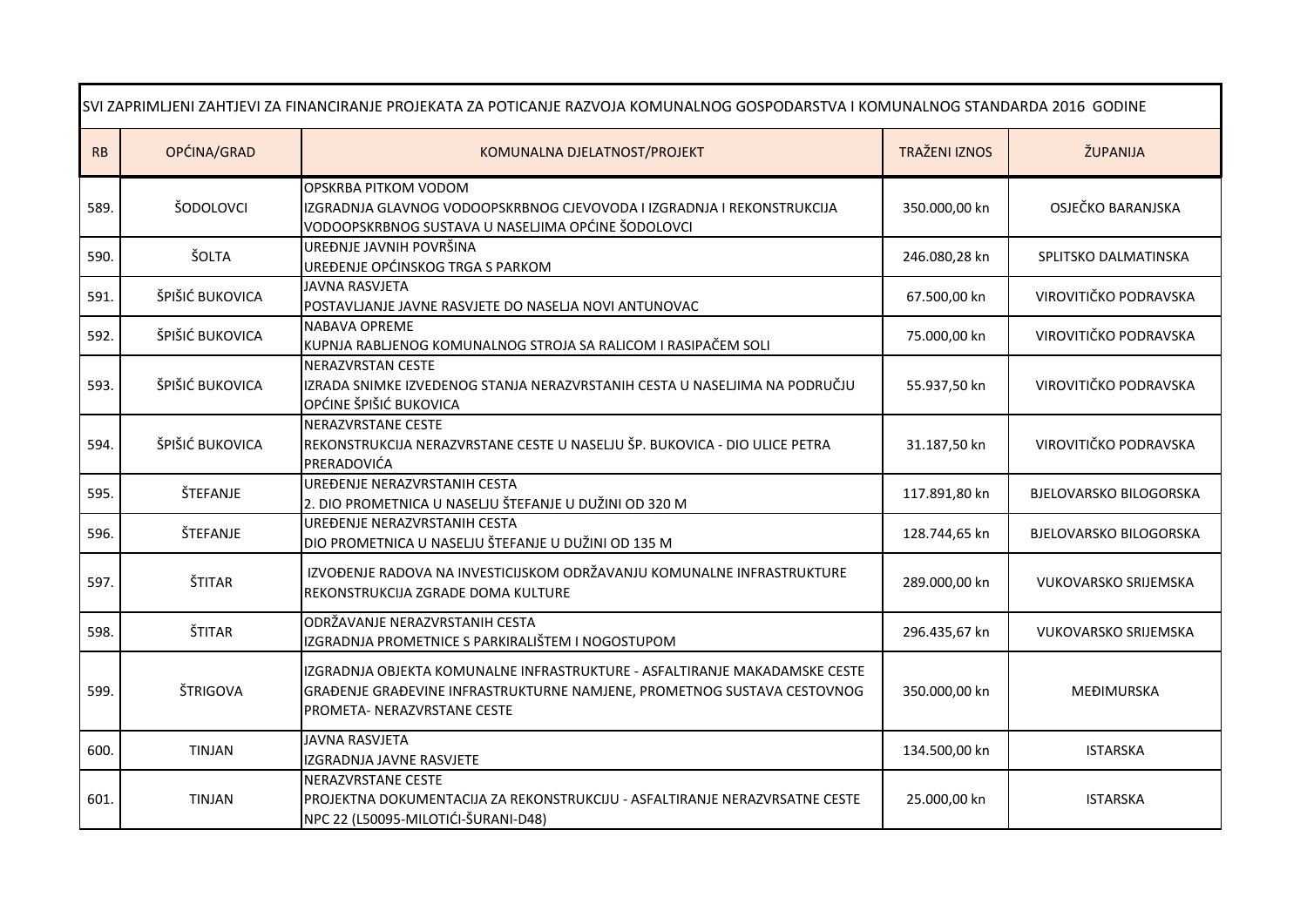| SVI ZAPRIMLJENI ZAHTJEVI ZA FINANCIRANJE PROJEKATA ZA POTICANJE RAZVOJA KOMUNALNOG GOSPODARSTVA I KOMUNALNOG STANDARDA 2016 GODINE |                 |                                                                                                                                                                                      |                      |                               |
|------------------------------------------------------------------------------------------------------------------------------------|-----------------|--------------------------------------------------------------------------------------------------------------------------------------------------------------------------------------|----------------------|-------------------------------|
| RB                                                                                                                                 | OPĆINA/GRAD     | KOMUNALNA DJELATNOST/PROJEKT                                                                                                                                                         | <b>TRAŽENI IZNOS</b> | ŽUPANIJA                      |
| 589.                                                                                                                               | ŠODOLOVCI       | OPSKRBA PITKOM VODOM<br>IZGRADNJA GLAVNOG VODOOPSKRBNOG CJEVOVODA I IZGRADNJA I REKONSTRUKCIJA<br>VODOOPSKRBNOG SUSTAVA U NASELJIMA OPĆINE ŠODOLOVCI                                 | 350.000,00 kn        | OSJEČKO BARANJSKA             |
| 590.                                                                                                                               | ŠOLTA           | UREĐNJE JAVNIH POVRŠINA<br>UREĐENJE OPĆINSKOG TRGA S PARKOM                                                                                                                          | 246.080,28 kn        | SPLITSKO DALMATINSKA          |
| 591.                                                                                                                               | ŠPIŠIĆ BUKOVICA | JAVNA RASVJETA<br>POSTAVLJANJE JAVNE RASVJETE DO NASELJA NOVI ANTUNOVAC                                                                                                              | 67.500,00 kn         | VIROVITIČKO PODRAVSKA         |
| 592.                                                                                                                               | ŠPIŠIĆ BUKOVICA | <b>NABAVA OPREME</b><br>KUPNJA RABLJENOG KOMUNALNOG STROJA SA RALICOM I RASIPAČEM SOLI                                                                                               | 75.000,00 kn         | VIROVITIČKO PODRAVSKA         |
| 593.                                                                                                                               | ŠPIŠIĆ BUKOVICA | <b>NERAZVRSTAN CESTE</b><br>IZRADA SNIMKE IZVEDENOG STANJA NERAZVRSTANIH CESTA U NASELJIMA NA PODRUČJU<br>OPĆINE ŠPIŠIĆ BUKOVICA                                                     | 55.937,50 kn         | VIROVITIČKO PODRAVSKA         |
| 594.                                                                                                                               | ŠPIŠIĆ BUKOVICA | <b>NERAZVRSTANE CESTE</b><br>REKONSTRUKCIJA NERAZVRSTANE CESTE U NASELJU ŠP. BUKOVICA - DIO ULICE PETRA<br>PRERADOVIĆA                                                               | 31.187,50 kn         | VIROVITIČKO PODRAVSKA         |
| 595.                                                                                                                               | ŠTEFANJE        | UREĐENJE NERAZVRSTANIH CESTA<br>2. DIO PROMETNICA U NASELJU ŠTEFANJE U DUŽINI OD 320 M                                                                                               | 117.891,80 kn        | <b>BJELOVARSKO BILOGORSKA</b> |
| 596.                                                                                                                               | ŠTEFANJE        | UREĐENJE NERAZVRSTANIH CESTA<br>DIO PROMETNICA U NASELJU ŠTEFANJE U DUŽINI OD 135 M                                                                                                  | 128.744,65 kn        | <b>BJELOVARSKO BILOGORSKA</b> |
| 597.                                                                                                                               | ŠTITAR          | IZVOĐENJE RADOVA NA INVESTICIJSKOM ODRŽAVANJU KOMUNALNE INFRASTRUKTURE<br>REKONSTRUKCIJA ZGRADE DOMA KULTURE                                                                         | 289.000,00 kn        | <b>VUKOVARSKO SRIJEMSKA</b>   |
| 598.                                                                                                                               | ŠTITAR          | ODRŽAVANJE NERAZVRSTANIH CESTA<br>IZGRADNJA PROMETNICE S PARKIRALIŠTEM I NOGOSTUPOM                                                                                                  | 296.435,67 kn        | <b>VUKOVARSKO SRIJEMSKA</b>   |
| 599.                                                                                                                               | ŠTRIGOVA        | IZGRADNJA OBJEKTA KOMUNALNE INFRASTRUKTURE - ASFALTIRANJE MAKADAMSKE CESTE<br>GRAĐENJE GRAĐEVINE INFRASTRUKTURNE NAMJENE, PROMETNOG SUSTAVA CESTOVNOG<br>PROMETA- NERAZVRSTANE CESTE | 350.000,00 kn        | <b>MEĐIMURSKA</b>             |
| 600.                                                                                                                               | <b>TINJAN</b>   | <b>JAVNA RASVJETA</b><br>IZGRADNJA JAVNE RASVJETE                                                                                                                                    | 134.500,00 kn        | <b>ISTARSKA</b>               |
| 601.                                                                                                                               | <b>TINJAN</b>   | NERAZVRSTANE CESTE<br>PROJEKTNA DOKUMENTACIJA ZA REKONSTRUKCIJU - ASFALTIRANJE NERAZVRSATNE CESTE<br>NPC 22 (L50095-MILOTIĆI-ŠURANI-D48)                                             | 25.000,00 kn         | <b>ISTARSKA</b>               |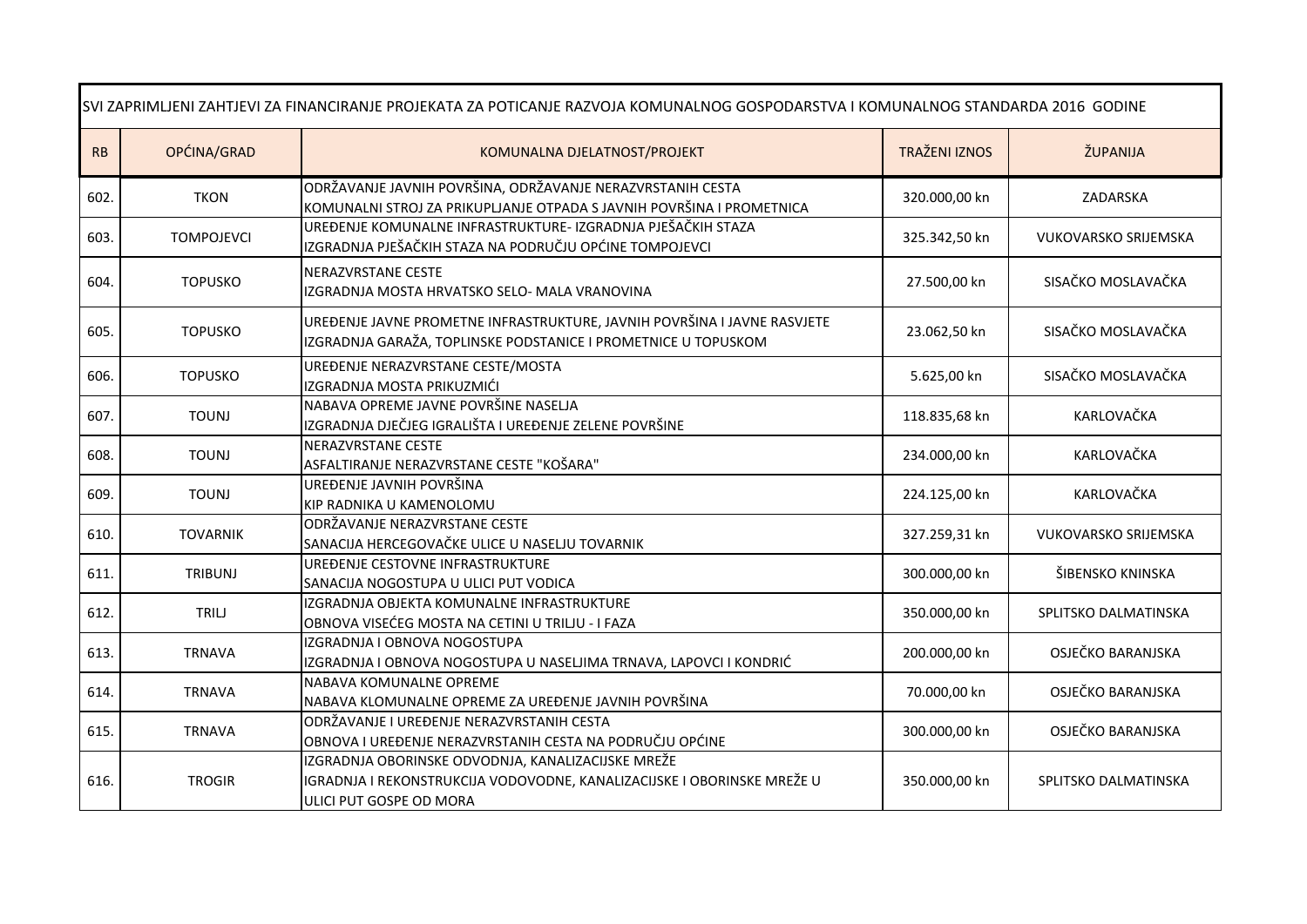| SVI ZAPRIMLJENI ZAHTJEVI ZA FINANCIRANJE PROJEKATA ZA POTICANJE RAZVOJA KOMUNALNOG GOSPODARSTVA I KOMUNALNOG STANDARDA 2016 GODINE |                   |                                                                                                                                                          |                      |                             |  |
|------------------------------------------------------------------------------------------------------------------------------------|-------------------|----------------------------------------------------------------------------------------------------------------------------------------------------------|----------------------|-----------------------------|--|
| RB                                                                                                                                 | OPĆINA/GRAD       | KOMUNALNA DJELATNOST/PROJEKT                                                                                                                             | <b>TRAŽENI IZNOS</b> | ŽUPANIJA                    |  |
| 602.                                                                                                                               | <b>TKON</b>       | ODRŽAVANJE JAVNIH POVRŠINA, ODRŽAVANJE NERAZVRSTANIH CESTA<br>KOMUNALNI STROJ ZA PRIKUPLJANJE OTPADA S JAVNIH POVRŠINA I PROMETNICA                      | 320.000,00 kn        | ZADARSKA                    |  |
| 603.                                                                                                                               | <b>TOMPOJEVCI</b> | UREĐENJE KOMUNALNE INFRASTRUKTURE- IZGRADNJA PJEŠAČKIH STAZA<br>IZGRADNJA PJEŠAČKIH STAZA NA PODRUČJU OPĆINE TOMPOJEVCI                                  | 325.342,50 kn        | <b>VUKOVARSKO SRIJEMSKA</b> |  |
| 604.                                                                                                                               | <b>TOPUSKO</b>    | NERAZVRSTANE CESTE<br>IZGRADNJA MOSTA HRVATSKO SELO- MALA VRANOVINA                                                                                      | 27.500,00 kn         | SISAČKO MOSLAVAČKA          |  |
| 605.                                                                                                                               | <b>TOPUSKO</b>    | UREĐENJE JAVNE PROMETNE INFRASTRUKTURE, JAVNIH POVRŠINA I JAVNE RASVJETE<br>IZGRADNJA GARAŽA, TOPLINSKE PODSTANICE I PROMETNICE U TOPUSKOM               | 23.062,50 kn         | SISAČKO MOSLAVAČKA          |  |
| 606.                                                                                                                               | <b>TOPUSKO</b>    | UREĐENJE NERAZVRSTANE CESTE/MOSTA<br>IZGRADNJA MOSTA PRIKUZMIĆI                                                                                          | 5.625,00 kn          | SISAČKO MOSLAVAČKA          |  |
| 607.                                                                                                                               | <b>TOUNJ</b>      | NABAVA OPREME JAVNE POVRŠINE NASELJA<br>IZGRADNJA DJEČJEG IGRALIŠTA I UREĐENJE ZELENE POVRŠINE                                                           | 118.835,68 kn        | KARLOVAČKA                  |  |
| 608.                                                                                                                               | <b>TOUNJ</b>      | NERAZVRSTANE CESTE<br>ASFALTIRANJE NERAZVRSTANE CESTE "KOŠARA"                                                                                           | 234.000,00 kn        | KARLOVAČKA                  |  |
| 609.                                                                                                                               | <b>TOUNJ</b>      | UREĐENJE JAVNIH POVRŠINA<br>KIP RADNIKA U KAMENOLOMU                                                                                                     | 224.125,00 kn        | KARLOVAČKA                  |  |
| 610.                                                                                                                               | <b>TOVARNIK</b>   | ODRŽAVANJE NERAZVRSTANE CESTE<br>SANACIJA HERCEGOVAČKE ULICE U NASELJU TOVARNIK                                                                          | 327.259,31 kn        | <b>VUKOVARSKO SRIJEMSKA</b> |  |
| 611.                                                                                                                               | <b>TRIBUNJ</b>    | UREĐENJE CESTOVNE INFRASTRUKTURE<br>SANACIJA NOGOSTUPA U ULICI PUT VODICA                                                                                | 300.000,00 kn        | ŠIBENSKO KNINSKA            |  |
| 612.                                                                                                                               | TRILJ             | IZGRADNJA OBJEKTA KOMUNALNE INFRASTRUKTURE<br>OBNOVA VISEĆEG MOSTA NA CETINI U TRILJU - I FAZA                                                           | 350.000,00 kn        | SPLITSKO DALMATINSKA        |  |
| 613.                                                                                                                               | <b>TRNAVA</b>     | IZGRADNJA I OBNOVA NOGOSTUPA<br>IZGRADNJA I OBNOVA NOGOSTUPA U NASELJIMA TRNAVA, LAPOVCI I KONDRIĆ                                                       | 200.000,00 kn        | OSJEČKO BARANJSKA           |  |
| 614.                                                                                                                               | <b>TRNAVA</b>     | NABAVA KOMUNALNE OPREME<br>NABAVA KLOMUNALNE OPREME ZA UREĐENJE JAVNIH POVRŠINA                                                                          | 70.000,00 kn         | OSJEČKO BARANJSKA           |  |
| 615.                                                                                                                               | <b>TRNAVA</b>     | ODRŽAVANJE I UREĐENJE NERAZVRSTANIH CESTA<br>OBNOVA I UREĐENJE NERAZVRSTANIH CESTA NA PODRUČJU OPĆINE                                                    | 300.000,00 kn        | OSJEČKO BARANJSKA           |  |
| 616.                                                                                                                               | <b>TROGIR</b>     | IZGRADNJA OBORINSKE ODVODNJA, KANALIZACIJSKE MREŽE<br>IGRADNJA I REKONSTRUKCIJA VODOVODNE, KANALIZACIJSKE I OBORINSKE MREŽE U<br>ULICI PUT GOSPE OD MORA | 350.000,00 kn        | SPLITSKO DALMATINSKA        |  |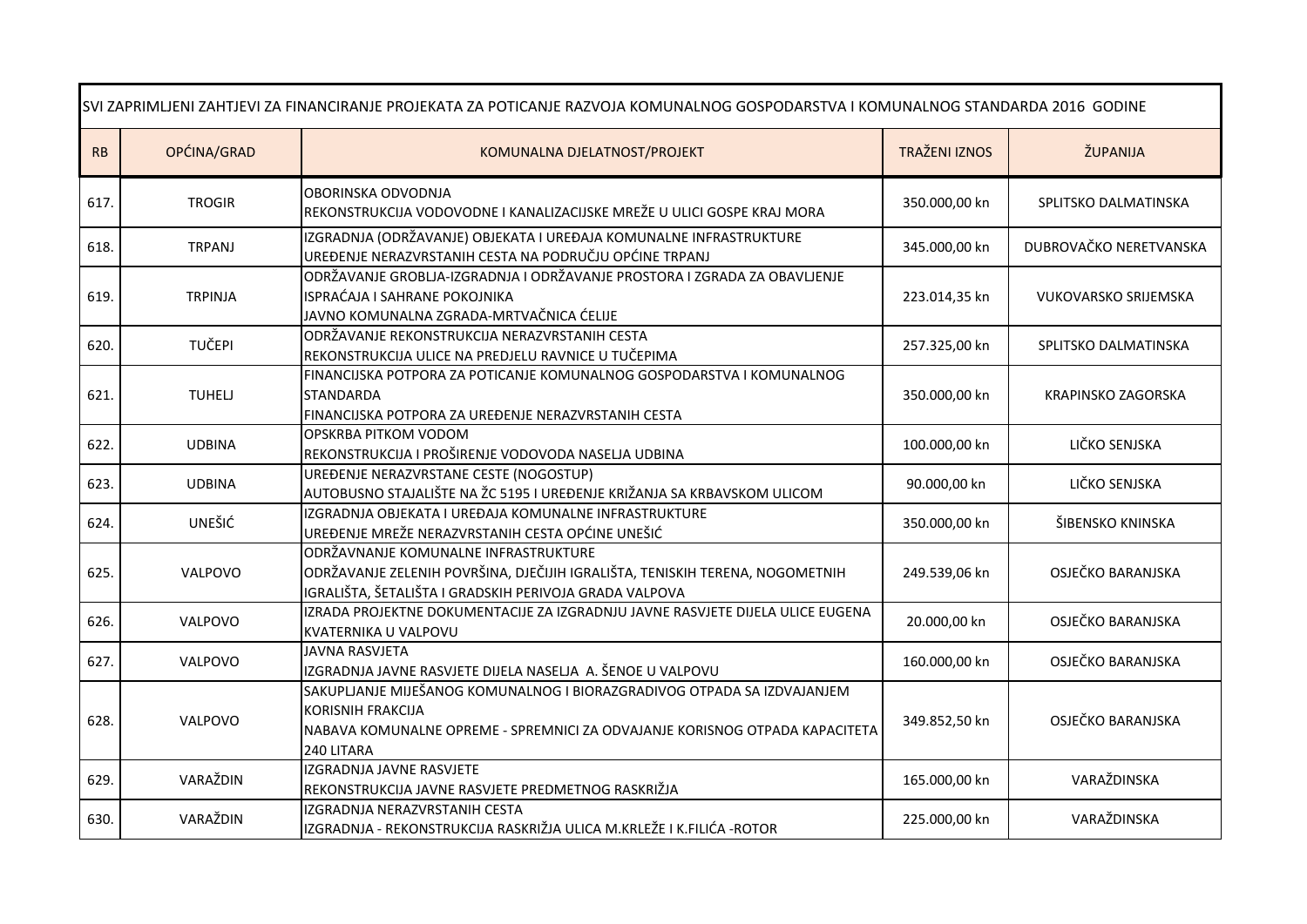| SVI ZAPRIMLJENI ZAHTJEVI ZA FINANCIRANJE PROJEKATA ZA POTICANJE RAZVOJA KOMUNALNOG GOSPODARSTVA I KOMUNALNOG STANDARDA 2016 GODINE |                |                                                                                                                                                                                           |                      |                             |
|------------------------------------------------------------------------------------------------------------------------------------|----------------|-------------------------------------------------------------------------------------------------------------------------------------------------------------------------------------------|----------------------|-----------------------------|
| RB                                                                                                                                 | OPĆINA/GRAD    | KOMUNALNA DJELATNOST/PROJEKT                                                                                                                                                              | <b>TRAŽENI IZNOS</b> | ŽUPANIJA                    |
| 617.                                                                                                                               | <b>TROGIR</b>  | OBORINSKA ODVODNJA<br>REKONSTRUKCIJA VODOVODNE I KANALIZACIJSKE MREŽE U ULICI GOSPE KRAJ MORA                                                                                             | 350.000,00 kn        | SPLITSKO DALMATINSKA        |
| 618.                                                                                                                               | <b>TRPANJ</b>  | IZGRADNJA (ODRŽAVANJE) OBJEKATA I UREĐAJA KOMUNALNE INFRASTRUKTURE<br>UREĐENJE NERAZVRSTANIH CESTA NA PODRUČJU OPĆINE TRPANJ                                                              | 345.000,00 kn        | DUBROVAČKO NERETVANSKA      |
| 619.                                                                                                                               | <b>TRPINJA</b> | ODRŽAVANJE GROBLJA-IZGRADNJA I ODRŽAVANJE PROSTORA I ZGRADA ZA OBAVLJENJE<br>ISPRAĆAJA I SAHRANE POKOJNIKA<br>JAVNO KOMUNALNA ZGRADA-MRTVAČNICA ĆELIJE                                    | 223.014,35 kn        | <b>VUKOVARSKO SRIJEMSKA</b> |
| 620.                                                                                                                               | TUČEPI         | ODRŽAVANJE REKONSTRUKCIJA NERAZVRSTANIH CESTA<br>REKONSTRUKCIJA ULICE NA PREDJELU RAVNICE U TUČEPIMA                                                                                      | 257.325,00 kn        | SPLITSKO DALMATINSKA        |
| 621.                                                                                                                               | <b>TUHELJ</b>  | FINANCIJSKA POTPORA ZA POTICANJE KOMUNALNOG GOSPODARSTVA I KOMUNALNOG<br><b>STANDARDA</b><br>FINANCIJSKA POTPORA ZA UREĐENJE NERAZVRSTANIH CESTA                                          | 350.000,00 kn        | KRAPINSKO ZAGORSKA          |
| 622.                                                                                                                               | <b>UDBINA</b>  | OPSKRBA PITKOM VODOM<br>REKONSTRUKCIJA I PROŠIRENJE VODOVODA NASELJA UDBINA                                                                                                               | 100.000,00 kn        | LIČKO SENJSKA               |
| 623.                                                                                                                               | <b>UDBINA</b>  | UREĐENJE NERAZVRSTANE CESTE (NOGOSTUP)<br>AUTOBUSNO STAJALIŠTE NA ŽC 5195 I UREĐENJE KRIŽANJA SA KRBAVSKOM ULICOM                                                                         | 90.000,00 kn         | LIČKO SENJSKA               |
| 624.                                                                                                                               | UNEŠIĆ         | IZGRADNJA OBJEKATA I UREĐAJA KOMUNALNE INFRASTRUKTURE<br>UREĐENJE MREŽE NERAZVRSTANIH CESTA OPĆINE UNEŠIĆ                                                                                 | 350.000,00 kn        | ŠIBENSKO KNINSKA            |
| 625.                                                                                                                               | VALPOVO        | ODRŽAVNANJE KOMUNALNE INFRASTRUKTURE<br>ODRŽAVANJE ZELENIH POVRŠINA, DJEČIJIH IGRALIŠTA, TENISKIH TERENA, NOGOMETNIH<br>IGRALIŠTA, ŠETALIŠTA I GRADSKIH PERIVOJA GRADA VALPOVA            | 249.539,06 kn        | OSJEČKO BARANJSKA           |
| 626.                                                                                                                               | VALPOVO        | IZRADA PROJEKTNE DOKUMENTACIJE ZA IZGRADNJU JAVNE RASVJETE DIJELA ULICE EUGENA<br>KVATERNIKA U VALPOVU                                                                                    | 20.000,00 kn         | OSJEČKO BARANJSKA           |
| 627.                                                                                                                               | VALPOVO        | <b>JAVNA RASVJETA</b><br>IZGRADNJA JAVNE RASVJETE DIJELA NASELJA A. ŠENOE U VALPOVU                                                                                                       | 160.000,00 kn        | OSJEČKO BARANJSKA           |
| 628.                                                                                                                               | VALPOVO        | SAKUPLJANJE MIJEŠANOG KOMUNALNOG I BIORAZGRADIVOG OTPADA SA IZDVAJANJEM<br>KORISNIH FRAKCIJA<br>NABAVA KOMUNALNE OPREME - SPREMNICI ZA ODVAJANJE KORISNOG OTPADA KAPACITETA<br>240 LITARA | 349.852,50 kn        | OSJEČKO BARANJSKA           |
| 629.                                                                                                                               | VARAŽDIN       | IZGRADNJA JAVNE RASVJETE<br>REKONSTRUKCIJA JAVNE RASVJETE PREDMETNOG RASKRIŽJA                                                                                                            | 165.000,00 kn        | VARAŽDINSKA                 |
| 630.                                                                                                                               | VARAŽDIN       | IZGRADNJA NERAZVRSTANIH CESTA<br>IZGRADNJA - REKONSTRUKCIJA RASKRIŽJA ULICA M.KRLEŽE I K.FILIĆA - ROTOR                                                                                   | 225.000,00 kn        | VARAŽDINSKA                 |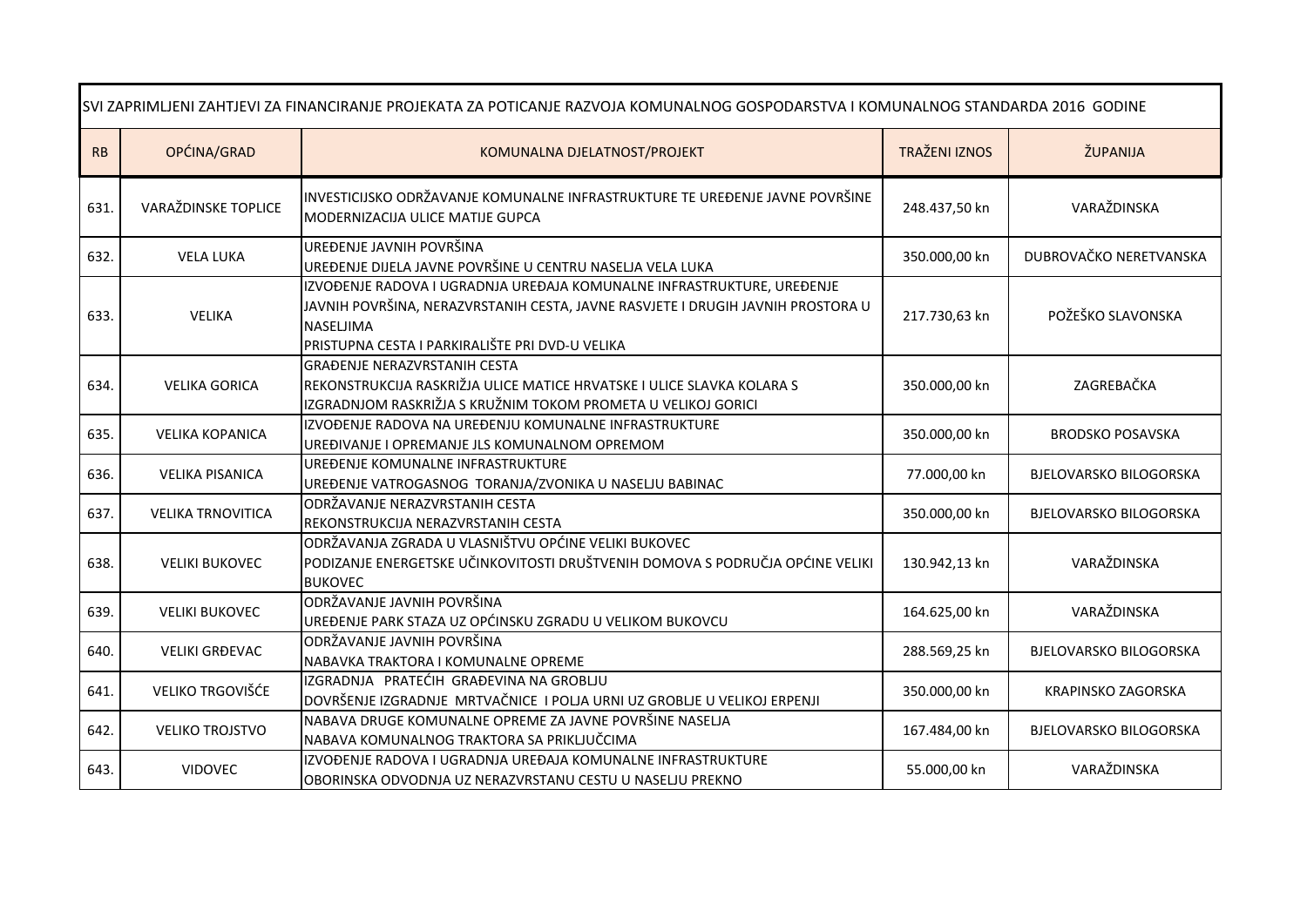| SVI ZAPRIMLJENI ZAHTJEVI ZA FINANCIRANJE PROJEKATA ZA POTICANJE RAZVOJA KOMUNALNOG GOSPODARSTVA I KOMUNALNOG STANDARDA 2016 GODINE |                          |                                                                                                                                                                                                                           |                      |                               |
|------------------------------------------------------------------------------------------------------------------------------------|--------------------------|---------------------------------------------------------------------------------------------------------------------------------------------------------------------------------------------------------------------------|----------------------|-------------------------------|
| RB                                                                                                                                 | OPĆINA/GRAD              | KOMUNALNA DJELATNOST/PROJEKT                                                                                                                                                                                              | <b>TRAŽENI IZNOS</b> | ŽUPANIJA                      |
| 631.                                                                                                                               | VARAŽDINSKE TOPLICE      | INVESTICIJSKO ODRŽAVANJE KOMUNALNE INFRASTRUKTURE TE UREĐENJE JAVNE POVRŠINE<br>MODERNIZACIJA ULICE MATIJE GUPCA                                                                                                          | 248.437,50 kn        | VARAŽDINSKA                   |
| 632.                                                                                                                               | <b>VELA LUKA</b>         | UREĐENJE JAVNIH POVRŠINA<br>UREĐENJE DIJELA JAVNE POVRŠINE U CENTRU NASELJA VELA LUKA                                                                                                                                     | 350.000,00 kn        | DUBROVAČKO NERETVANSKA        |
| 633.                                                                                                                               | <b>VELIKA</b>            | IZVOĐENJE RADOVA I UGRADNJA UREĐAJA KOMUNALNE INFRASTRUKTURE, UREĐENJE<br>JAVNIH POVRŠINA, NERAZVRSTANIH CESTA, JAVNE RASVJETE I DRUGIH JAVNIH PROSTORA U<br>NASELJIMA<br>PRISTUPNA CESTA I PARKIRALIŠTE PRI DVD-U VELIKA | 217.730,63 kn        | POŽEŠKO SLAVONSKA             |
| 634.                                                                                                                               | <b>VELIKA GORICA</b>     | <b>GRAĐENJE NERAZVRSTANIH CESTA</b><br>REKONSTRUKCIJA RASKRIŽJA ULICE MATICE HRVATSKE I ULICE SLAVKA KOLARA S<br>IZGRADNJOM RASKRIŽJA S KRUŽNIM TOKOM PROMETA U VELIKOJ GORICI                                            | 350.000,00 kn        | ZAGREBAČKA                    |
| 635.                                                                                                                               | <b>VELIKA KOPANICA</b>   | IZVOĐENJE RADOVA NA UREĐENJU KOMUNALNE INFRASTRUKTURE<br>UREĐIVANJE I OPREMANJE JLS KOMUNALNOM OPREMOM                                                                                                                    | 350.000,00 kn        | <b>BRODSKO POSAVSKA</b>       |
| 636.                                                                                                                               | <b>VELIKA PISANICA</b>   | UREĐENJE KOMUNALNE INFRASTRUKTURE<br>UREĐENJE VATROGASNOG TORANJA/ZVONIKA U NASELJU BABINAC                                                                                                                               | 77.000,00 kn         | <b>BJELOVARSKO BILOGORSKA</b> |
| 637.                                                                                                                               | <b>VELIKA TRNOVITICA</b> | ODRŽAVANJE NERAZVRSTANIH CESTA<br>REKONSTRUKCIJA NERAZVRSTANIH CESTA                                                                                                                                                      | 350.000,00 kn        | <b>BJELOVARSKO BILOGORSKA</b> |
| 638.                                                                                                                               | <b>VELIKI BUKOVEC</b>    | ODRŽAVANJA ZGRADA U VLASNIŠTVU OPĆINE VELIKI BUKOVEC<br>PODIZANJE ENERGETSKE UČINKOVITOSTI DRUŠTVENIH DOMOVA S PODRUČJA OPĆINE VELIKI<br><b>BUKOVEC</b>                                                                   | 130.942,13 kn        | VARAŽDINSKA                   |
| 639.                                                                                                                               | <b>VELIKI BUKOVEC</b>    | ODRŽAVANJE JAVNIH POVRŠINA<br>UREĐENJE PARK STAZA UZ OPĆINSKU ZGRADU U VELIKOM BUKOVCU                                                                                                                                    | 164.625,00 kn        | VARAŽDINSKA                   |
| 640.                                                                                                                               | <b>VELIKI GRĐEVAC</b>    | ODRŽAVANJE JAVNIH POVRŠINA<br>NABAVKA TRAKTORA I KOMUNALNE OPREME                                                                                                                                                         | 288.569,25 kn        | <b>BJELOVARSKO BILOGORSKA</b> |
| 641.                                                                                                                               | VELIKO TRGOVIŠĆE         | IZGRADNJA PRATEĆIH GRAĐEVINA NA GROBLJU<br>DOVRŠENJE IZGRADNJE MRTVAČNICE I POLJA URNI UZ GROBLJE U VELIKOJ ERPENJI                                                                                                       | 350.000,00 kn        | KRAPINSKO ZAGORSKA            |
| 642.                                                                                                                               | <b>VELIKO TROJSTVO</b>   | NABAVA DRUGE KOMUNALNE OPREME ZA JAVNE POVRŠINE NASELJA<br>NABAVA KOMUNALNOG TRAKTORA SA PRIKLJUČCIMA                                                                                                                     | 167.484,00 kn        | <b>BJELOVARSKO BILOGORSKA</b> |
| 643.                                                                                                                               | <b>VIDOVEC</b>           | IZVOĐENJE RADOVA I UGRADNJA UREĐAJA KOMUNALNE INFRASTRUKTURE<br>OBORINSKA ODVODNJA UZ NERAZVRSTANU CESTU U NASELJU PREKNO                                                                                                 | 55.000,00 kn         | VARAŽDINSKA                   |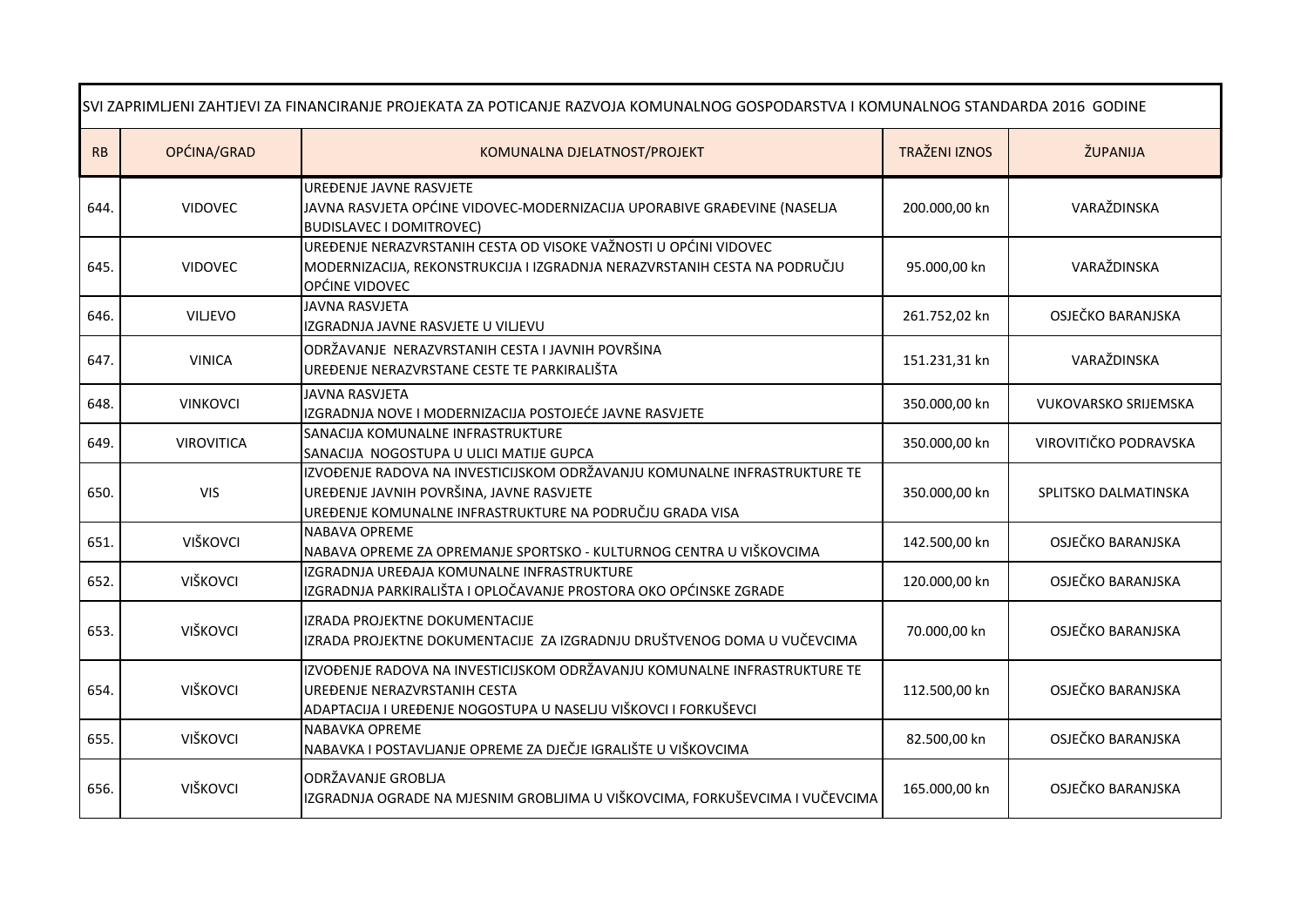| SVI ZAPRIMLJENI ZAHTJEVI ZA FINANCIRANJE PROJEKATA ZA POTICANJE RAZVOJA KOMUNALNOG GOSPODARSTVA I KOMUNALNOG STANDARDA 2016 GODINE |                   |                                                                                                                                                                                   |                      |                             |  |
|------------------------------------------------------------------------------------------------------------------------------------|-------------------|-----------------------------------------------------------------------------------------------------------------------------------------------------------------------------------|----------------------|-----------------------------|--|
| RB                                                                                                                                 | OPĆINA/GRAD       | KOMUNALNA DJELATNOST/PROJEKT                                                                                                                                                      | <b>TRAŽENI IZNOS</b> | ŽUPANIJA                    |  |
| 644.                                                                                                                               | <b>VIDOVEC</b>    | UREĐENJE JAVNE RASVJETE<br>JAVNA RASVJETA OPĆINE VIDOVEC-MODERNIZACIJA UPORABIVE GRAĐEVINE (NASELJA<br><b>BUDISLAVEC I DOMITROVEC)</b>                                            | 200.000,00 kn        | VARAŽDINSKA                 |  |
| 645.                                                                                                                               | <b>VIDOVEC</b>    | UREĐENJE NERAZVRSTANIH CESTA OD VISOKE VAŽNOSTI U OPĆINI VIDOVEC<br>MODERNIZACIJA, REKONSTRUKCIJA I IZGRADNJA NERAZVRSTANIH CESTA NA PODRUČJU<br>OPĆINE VIDOVEC                   | 95.000,00 kn         | VARAŽDINSKA                 |  |
| 646.                                                                                                                               | <b>VILJEVO</b>    | JAVNA RASVJETA<br>IZGRADNJA JAVNE RASVJETE U VILJEVU                                                                                                                              | 261.752,02 kn        | OSJEČKO BARANJSKA           |  |
| 647.                                                                                                                               | <b>VINICA</b>     | ODRŽAVANJE NERAZVRSTANIH CESTA I JAVNIH POVRŠINA<br>UREĐENJE NERAZVRSTANE CESTE TE PARKIRALIŠTA                                                                                   | 151.231,31 kn        | VARAŽDINSKA                 |  |
| 648.                                                                                                                               | <b>VINKOVCI</b>   | <b>JAVNA RASVJETA</b><br>IZGRADNJA NOVE I MODERNIZACIJA POSTOJEĆE JAVNE RASVJETE                                                                                                  | 350.000,00 kn        | <b>VUKOVARSKO SRIJEMSKA</b> |  |
| 649.                                                                                                                               | <b>VIROVITICA</b> | SANACIJA KOMUNALNE INFRASTRUKTURE<br>SANACIJA NOGOSTUPA U ULICI MATIJE GUPCA                                                                                                      | 350.000,00 kn        | VIROVITIČKO PODRAVSKA       |  |
| 650.                                                                                                                               | <b>VIS</b>        | IZVOĐENJE RADOVA NA INVESTICIJSKOM ODRŽAVANJU KOMUNALNE INFRASTRUKTURE TE<br>UREĐENJE JAVNIH POVRŠINA, JAVNE RASVJETE<br>UREĐENJE KOMUNALNE INFRASTRUKTURE NA PODRUČJU GRADA VISA | 350.000,00 kn        | SPLITSKO DALMATINSKA        |  |
| 651.                                                                                                                               | VIŠKOVCI          | NABAVA OPREME<br>NABAVA OPREME ZA OPREMANJE SPORTSKO - KULTURNOG CENTRA U VIŠKOVCIMA                                                                                              | 142.500,00 kn        | OSJEČKO BARANJSKA           |  |
| 652.                                                                                                                               | VIŠKOVCI          | IZGRADNJA UREĐAJA KOMUNALNE INFRASTRUKTURE<br>IZGRADNJA PARKIRALIŠTA I OPLOČAVANJE PROSTORA OKO OPĆINSKE ZGRADE                                                                   | 120.000,00 kn        | OSJEČKO BARANJSKA           |  |
| 653.                                                                                                                               | VIŠKOVCI          | IZRADA PROJEKTNE DOKUMENTACIJE<br>IZRADA PROJEKTNE DOKUMENTACIJE ZA IZGRADNJU DRUŠTVENOG DOMA U VUČEVCIMA                                                                         | 70.000,00 kn         | OSJEČKO BARANJSKA           |  |
| 654.                                                                                                                               | VIŠKOVCI          | IZVOĐENJE RADOVA NA INVESTICIJSKOM ODRŽAVANJU KOMUNALNE INFRASTRUKTURE TE<br>UREĐENJE NERAZVRSTANIH CESTA<br>ADAPTACIJA I UREĐENJE NOGOSTUPA U NASELJU VIŠKOVCI I FORKUŠEVCI      | 112.500,00 kn        | OSJEČKO BARANJSKA           |  |
| 655.                                                                                                                               | VIŠKOVCI          | <b>NABAVKA OPREME</b><br>NABAVKA I POSTAVLJANJE OPREME ZA DJEČJE IGRALIŠTE U VIŠKOVCIMA                                                                                           | 82.500,00 kn         | OSJEČKO BARANJSKA           |  |
| 656.                                                                                                                               | VIŠKOVCI          | ODRŽAVANJE GROBLJA<br>IZGRADNJA OGRADE NA MJESNIM GROBLJIMA U VIŠKOVCIMA, FORKUŠEVCIMA I VUČEVCIMA                                                                                | 165.000,00 kn        | OSJEČKO BARANJSKA           |  |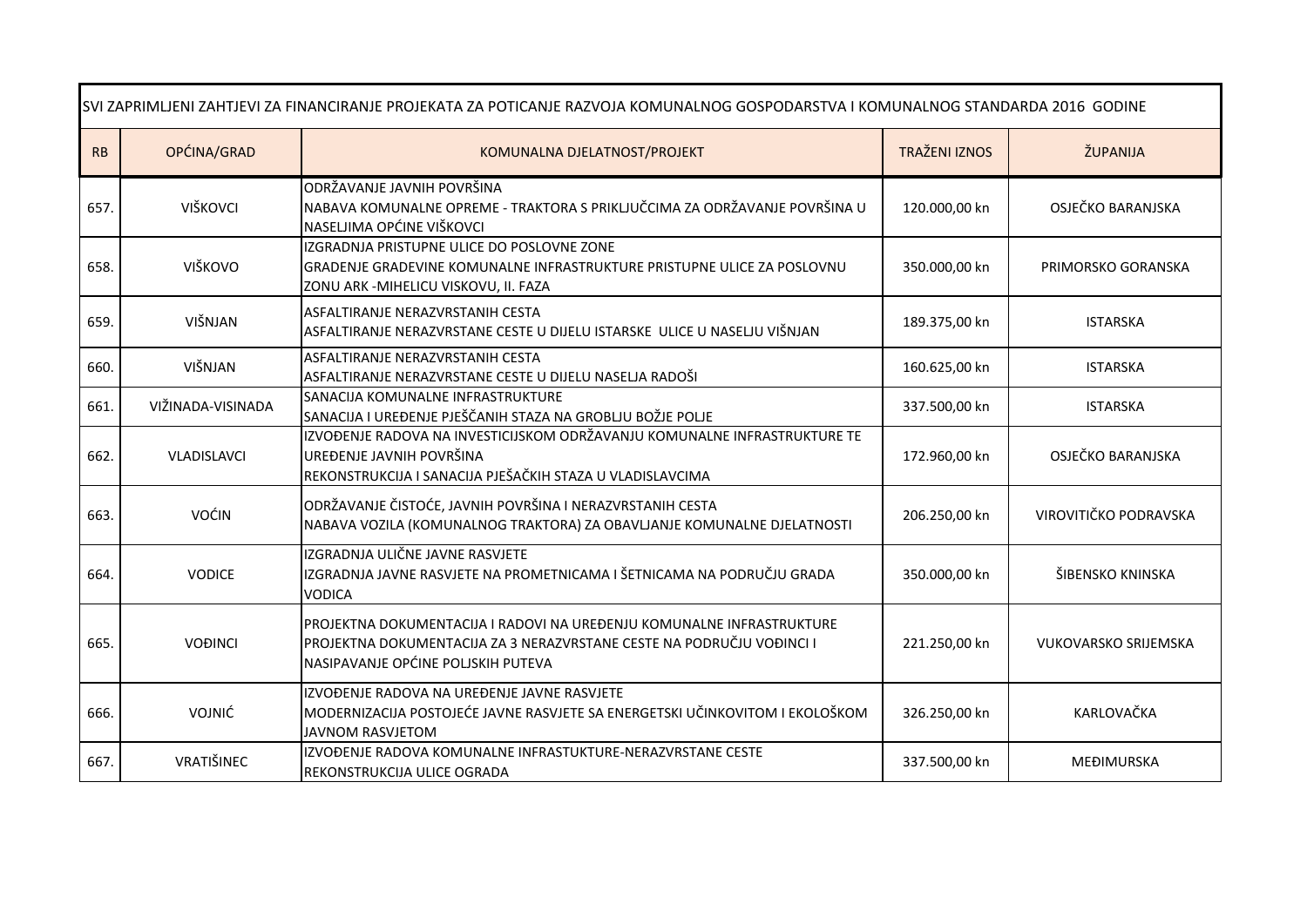| SVI ZAPRIMLJENI ZAHTJEVI ZA FINANCIRANJE PROJEKATA ZA POTICANJE RAZVOJA KOMUNALNOG GOSPODARSTVA I KOMUNALNOG STANDARDA 2016 GODINE |                   |                                                                                                                                                                                      |                      |                             |  |
|------------------------------------------------------------------------------------------------------------------------------------|-------------------|--------------------------------------------------------------------------------------------------------------------------------------------------------------------------------------|----------------------|-----------------------------|--|
| RB                                                                                                                                 | OPĆINA/GRAD       | KOMUNALNA DJELATNOST/PROJEKT                                                                                                                                                         | <b>TRAŽENI IZNOS</b> | ŽUPANIJA                    |  |
| 657.                                                                                                                               | VIŠKOVCI          | ODRŽAVANJE JAVNIH POVRŠINA<br>NABAVA KOMUNALNE OPREME - TRAKTORA S PRIKLJUČCIMA ZA ODRŽAVANJE POVRŠINA U<br>NASELJIMA OPĆINE VIŠKOVCI                                                | 120.000,00 kn        | OSJEČKO BARANJSKA           |  |
| 658.                                                                                                                               | VIŠKOVO           | IZGRADNJA PRISTUPNE ULICE DO POSLOVNE ZONE<br>GRADENJE GRADEVINE KOMUNALNE INFRASTRUKTURE PRISTUPNE ULICE ZA POSLOVNU<br>ZONU ARK -MIHELICU VISKOVU, II. FAZA                        | 350.000,00 kn        | PRIMORSKO GORANSKA          |  |
| 659.                                                                                                                               | VIŠNJAN           | ASFALTIRANJE NERAZVRSTANIH CESTA<br>ASFALTIRANJE NERAZVRSTANE CESTE U DIJELU ISTARSKE ULICE U NASELJU VIŠNJAN                                                                        | 189.375,00 kn        | <b>ISTARSKA</b>             |  |
| 660.                                                                                                                               | VIŠNJAN           | ASFALTIRANJE NERAZVRSTANIH CESTA<br>ASFALTIRANJE NERAZVRSTANE CESTE U DIJELU NASELJA RADOŠI                                                                                          | 160.625,00 kn        | <b>ISTARSKA</b>             |  |
| 661.                                                                                                                               | VIŽINADA-VISINADA | SANACIJA KOMUNALNE INFRASTRUKTURE<br>SANACIJA I UREĐENJE PJEŠČANIH STAZA NA GROBLJU BOŽJE POLJE                                                                                      | 337.500,00 kn        | <b>ISTARSKA</b>             |  |
| 662.                                                                                                                               | VLADISLAVCI       | IZVOĐENJE RADOVA NA INVESTICIJSKOM ODRŽAVANJU KOMUNALNE INFRASTRUKTURE TE<br>UREĐENJE JAVNIH POVRŠINA<br>REKONSTRUKCIJA I SANACIJA PJEŠAČKIH STAZA U VLADISLAVCIMA                   | 172.960,00 kn        | OSJEČKO BARANJSKA           |  |
| 663.                                                                                                                               | <b>VOĆIN</b>      | ODRŽAVANJE ČISTOĆE, JAVNIH POVRŠINA I NERAZVRSTANIH CESTA<br>NABAVA VOZILA (KOMUNALNOG TRAKTORA) ZA OBAVLJANJE KOMUNALNE DJELATNOSTI                                                 | 206.250,00 kn        | VIROVITIČKO PODRAVSKA       |  |
| 664.                                                                                                                               | <b>VODICE</b>     | IZGRADNJA ULIČNE JAVNE RASVJETE<br>IZGRADNJA JAVNE RASVJETE NA PROMETNICAMA I ŠETNICAMA NA PODRUČJU GRADA<br><b>VODICA</b>                                                           | 350.000,00 kn        | ŠIBENSKO KNINSKA            |  |
| 665.                                                                                                                               | <b>VOĐINCI</b>    | PROJEKTNA DOKUMENTACIJA I RADOVI NA UREĐENJU KOMUNALNE INFRASTRUKTURE<br>PROJEKTNA DOKUMENTACIJA ZA 3 NERAZVRSTANE CESTE NA PODRUČJU VOĐINCI I<br>NASIPAVANJE OPĆINE POLJSKIH PUTEVA | 221.250,00 kn        | <b>VUKOVARSKO SRIJEMSKA</b> |  |
| 666.                                                                                                                               | VOJNIĆ            | IZVOĐENJE RADOVA NA UREĐENJE JAVNE RASVJETE<br>MODERNIZACIJA POSTOJEĆE JAVNE RASVJETE SA ENERGETSKI UČINKOVITOM I EKOLOŠKOM<br><b>JAVNOM RASVJETOM</b>                               | 326.250,00 kn        | KARLOVAČKA                  |  |
| 667.                                                                                                                               | VRATIŠINEC        | IZVOĐENJE RADOVA KOMUNALNE INFRASTUKTURE-NERAZVRSTANE CESTE<br>REKONSTRUKCIJA ULICE OGRADA                                                                                           | 337.500,00 kn        | <b>MEĐIMURSKA</b>           |  |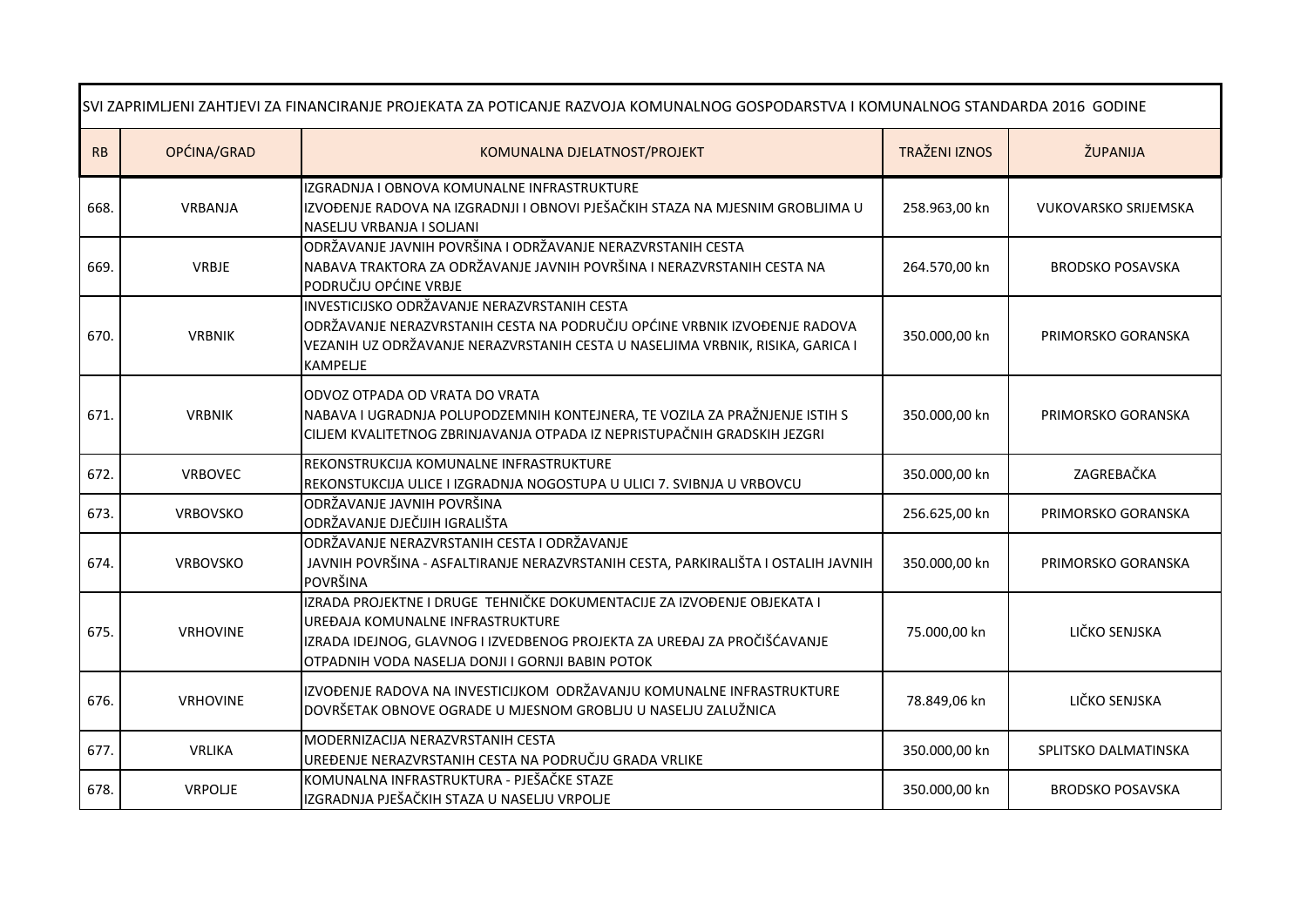| SVI ZAPRIMLJENI ZAHTJEVI ZA FINANCIRANJE PROJEKATA ZA POTICANJE RAZVOJA KOMUNALNOG GOSPODARSTVA I KOMUNALNOG STANDARDA 2016 GODINE |                 |                                                                                                                                                                                                                                             |                      |                             |  |
|------------------------------------------------------------------------------------------------------------------------------------|-----------------|---------------------------------------------------------------------------------------------------------------------------------------------------------------------------------------------------------------------------------------------|----------------------|-----------------------------|--|
| RB                                                                                                                                 | OPĆINA/GRAD     | KOMUNALNA DJELATNOST/PROJEKT                                                                                                                                                                                                                | <b>TRAŽENI IZNOS</b> | ŽUPANIJA                    |  |
| 668.                                                                                                                               | VRBANJA         | IZGRADNJA I OBNOVA KOMUNALNE INFRASTRUKTURE<br>IZVOĐENJE RADOVA NA IZGRADNJI I OBNOVI PJEŠAČKIH STAZA NA MJESNIM GROBLJIMA U<br>NASELJU VRBANJA I SOLJANI                                                                                   | 258.963,00 kn        | <b>VUKOVARSKO SRIJEMSKA</b> |  |
| 669.                                                                                                                               | VRBJE           | ODRŽAVANJE JAVNIH POVRŠINA I ODRŽAVANJE NERAZVRSTANIH CESTA<br>NABAVA TRAKTORA ZA ODRŽAVANJE JAVNIH POVRŠINA I NERAZVRSTANIH CESTA NA<br>PODRUČJU OPĆINE VRBJE                                                                              | 264.570,00 kn        | <b>BRODSKO POSAVSKA</b>     |  |
| 670.                                                                                                                               | <b>VRBNIK</b>   | INVESTICIJSKO ODRŽAVANJE NERAZVRSTANIH CESTA<br>ODRŽAVANJE NERAZVRSTANIH CESTA NA PODRUČJU OPĆINE VRBNIK IZVOĐENJE RADOVA<br>VEZANIH UZ ODRŽAVANJE NERAZVRSTANIH CESTA U NASELJIMA VRBNIK, RISIKA, GARICA I<br><b>KAMPELJE</b>              | 350.000,00 kn        | PRIMORSKO GORANSKA          |  |
| 671.                                                                                                                               | <b>VRBNIK</b>   | ODVOZ OTPADA OD VRATA DO VRATA<br>NABAVA I UGRADNJA POLUPODZEMNIH KONTEJNERA, TE VOZILA ZA PRAŽNJENJE ISTIH S<br>CILJEM KVALITETNOG ZBRINJAVANJA OTPADA IZ NEPRISTUPAČNIH GRADSKIH JEZGRI                                                   | 350.000,00 kn        | PRIMORSKO GORANSKA          |  |
| 672.                                                                                                                               | <b>VRBOVEC</b>  | REKONSTRUKCIJA KOMUNALNE INFRASTRUKTURE<br>REKONSTUKCIJA ULICE I IZGRADNJA NOGOSTUPA U ULICI 7. SVIBNJA U VRBOVCU                                                                                                                           | 350.000,00 kn        | ZAGREBAČKA                  |  |
| 673.                                                                                                                               | <b>VRBOVSKO</b> | ODRŽAVANJE JAVNIH POVRŠINA<br>ODRŽAVANJE DJEČIJIH IGRALIŠTA                                                                                                                                                                                 | 256.625,00 kn        | PRIMORSKO GORANSKA          |  |
| 674.                                                                                                                               | <b>VRBOVSKO</b> | ODRŽAVANJE NERAZVRSTANIH CESTA I ODRŽAVANJE<br>JAVNIH POVRŠINA - ASFALTIRANJE NERAZVRSTANIH CESTA, PARKIRALIŠTA I OSTALIH JAVNIH<br>POVRŠINA                                                                                                | 350.000,00 kn        | PRIMORSKO GORANSKA          |  |
| 675.                                                                                                                               | <b>VRHOVINE</b> | IZRADA PROJEKTNE I DRUGE TEHNIČKE DOKUMENTACIJE ZA IZVOĐENJE OBJEKATA I<br>UREĐAJA KOMUNALNE INFRASTRUKTURE<br>IZRADA IDEJNOG, GLAVNOG I IZVEDBENOG PROJEKTA ZA UREĐAJ ZA PROČIŠĆAVANJE<br>OTPADNIH VODA NASELJA DONJI I GORNJI BABIN POTOK | 75.000,00 kn         | LIČKO SENJSKA               |  |
| 676.                                                                                                                               | <b>VRHOVINE</b> | IZVOĐENJE RADOVA NA INVESTICIJKOM ODRŽAVANJU KOMUNALNE INFRASTRUKTURE<br>DOVRŠETAK OBNOVE OGRADE U MJESNOM GROBLJU U NASELJU ZALUŽNICA                                                                                                      | 78.849,06 kn         | LIČKO SENJSKA               |  |
| 677.                                                                                                                               | VRLIKA          | MODERNIZACIJA NERAZVRSTANIH CESTA<br>UREĐENJE NERAZVRSTANIH CESTA NA PODRUČJU GRADA VRLIKE                                                                                                                                                  | 350.000,00 kn        | SPLITSKO DALMATINSKA        |  |
| 678.                                                                                                                               | <b>VRPOLJE</b>  | KOMUNALNA INFRASTRUKTURA - PJEŠAČKE STAZE<br>IZGRADNJA PJEŠAČKIH STAZA U NASELJU VRPOLJE                                                                                                                                                    | 350.000,00 kn        | <b>BRODSKO POSAVSKA</b>     |  |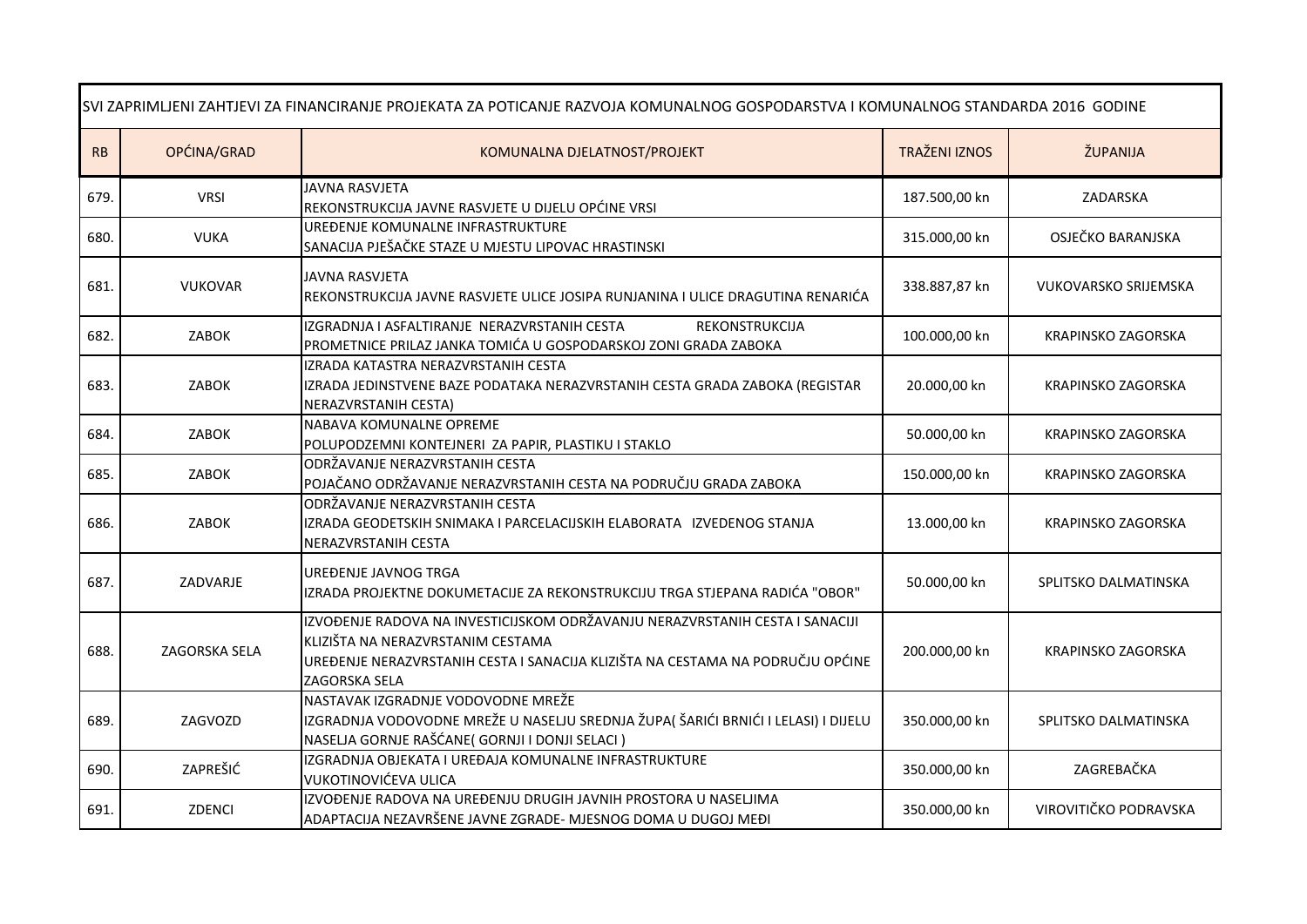| SVI ZAPRIMLJENI ZAHTJEVI ZA FINANCIRANJE PROJEKATA ZA POTICANJE RAZVOJA KOMUNALNOG GOSPODARSTVA I KOMUNALNOG STANDARDA 2016 GODINE |                |                                                                                                                                                                                                                      |                      |                             |  |
|------------------------------------------------------------------------------------------------------------------------------------|----------------|----------------------------------------------------------------------------------------------------------------------------------------------------------------------------------------------------------------------|----------------------|-----------------------------|--|
| RB                                                                                                                                 | OPĆINA/GRAD    | KOMUNALNA DJELATNOST/PROJEKT                                                                                                                                                                                         | <b>TRAŽENI IZNOS</b> | ŽUPANIJA                    |  |
| 679.                                                                                                                               | <b>VRSI</b>    | <b>JAVNA RASVJETA</b><br>REKONSTRUKCIJA JAVNE RASVJETE U DIJELU OPĆINE VRSI                                                                                                                                          | 187.500,00 kn        | ZADARSKA                    |  |
| 680.                                                                                                                               | <b>VUKA</b>    | UREĐENJE KOMUNALNE INFRASTRUKTURE<br>SANACIJA PJEŠAČKE STAZE U MJESTU LIPOVAC HRASTINSKI                                                                                                                             | 315.000,00 kn        | OSJEČKO BARANJSKA           |  |
| 681.                                                                                                                               | <b>VUKOVAR</b> | <b>JAVNA RASVJETA</b><br>REKONSTRUKCIJA JAVNE RASVJETE ULICE JOSIPA RUNJANINA I ULICE DRAGUTINA RENARIĆA                                                                                                             | 338.887,87 kn        | <b>VUKOVARSKO SRIJEMSKA</b> |  |
| 682.                                                                                                                               | <b>ZABOK</b>   | IZGRADNJA I ASFALTIRANJE NERAZVRSTANIH CESTA<br>REKONSTRUKCIJA<br>PROMETNICE PRILAZ JANKA TOMIĆA U GOSPODARSKOJ ZONI GRADA ZABOKA                                                                                    | 100.000,00 kn        | KRAPINSKO ZAGORSKA          |  |
| 683.                                                                                                                               | ZABOK          | IZRADA KATASTRA NERAZVRSTANIH CESTA<br>IZRADA JEDINSTVENE BAZE PODATAKA NERAZVRSTANIH CESTA GRADA ZABOKA (REGISTAR<br>NERAZVRSTANIH CESTA)                                                                           | 20.000,00 kn         | KRAPINSKO ZAGORSKA          |  |
| 684.                                                                                                                               | ZABOK          | NABAVA KOMUNALNE OPREME<br>POLUPODZEMNI KONTEJNERI ZA PAPIR, PLASTIKU I STAKLO                                                                                                                                       | 50.000,00 kn         | KRAPINSKO ZAGORSKA          |  |
| 685.                                                                                                                               | ZABOK          | ODRŽAVANJE NERAZVRSTANIH CESTA<br>POJAČANO ODRŽAVANJE NERAZVRSTANIH CESTA NA PODRUČJU GRADA ZABOKA                                                                                                                   | 150.000,00 kn        | KRAPINSKO ZAGORSKA          |  |
| 686.                                                                                                                               | ZABOK          | ODRŽAVANJE NERAZVRSTANIH CESTA<br>IZRADA GEODETSKIH SNIMAKA I PARCELACIJSKIH ELABORATA IZVEDENOG STANJA<br>NERAZVRSTANIH CESTA                                                                                       | 13.000,00 kn         | KRAPINSKO ZAGORSKA          |  |
| 687.                                                                                                                               | ZADVARJE       | UREĐENJE JAVNOG TRGA<br>IZRADA PROJEKTNE DOKUMETACIJE ZA REKONSTRUKCIJU TRGA STJEPANA RADIĆA "OBOR"                                                                                                                  | 50.000,00 kn         | SPLITSKO DALMATINSKA        |  |
| 688.                                                                                                                               | ZAGORSKA SELA  | IZVOĐENJE RADOVA NA INVESTICIJSKOM ODRŽAVANJU NERAZVRSTANIH CESTA I SANACIJI<br>KLIZIŠTA NA NERAZVRSTANIM CESTAMA<br>UREĐENJE NERAZVRSTANIH CESTA I SANACIJA KLIZIŠTA NA CESTAMA NA PODRUČJU OPĆINE<br>ZAGORSKA SELA | 200.000,00 kn        | <b>KRAPINSKO ZAGORSKA</b>   |  |
| 689.                                                                                                                               | ZAGVOZD        | NASTAVAK IZGRADNJE VODOVODNE MREŽE<br>IZGRADNJA VODOVODNE MREŽE U NASELJU SREDNJA ŽUPA(ŠARIĆI BRNIĆI I LELASI) I DIJELU<br>NASELJA GORNJE RAŠĆANE (GORNJI I DONJI SELACI)                                            | 350.000,00 kn        | SPLITSKO DALMATINSKA        |  |
| 690.                                                                                                                               | ZAPREŠIĆ       | IZGRADNJA OBJEKATA I UREĐAJA KOMUNALNE INFRASTRUKTURE<br>VUKOTINOVIĆEVA ULICA                                                                                                                                        | 350.000,00 kn        | ZAGREBAČKA                  |  |
| 691.                                                                                                                               | ZDENCI         | IZVOĐENJE RADOVA NA UREĐENJU DRUGIH JAVNIH PROSTORA U NASELJIMA<br>ADAPTACIJA NEZAVRŠENE JAVNE ZGRADE- MJESNOG DOMA U DUGOJ MEĐI                                                                                     | 350.000,00 kn        | VIROVITIČKO PODRAVSKA       |  |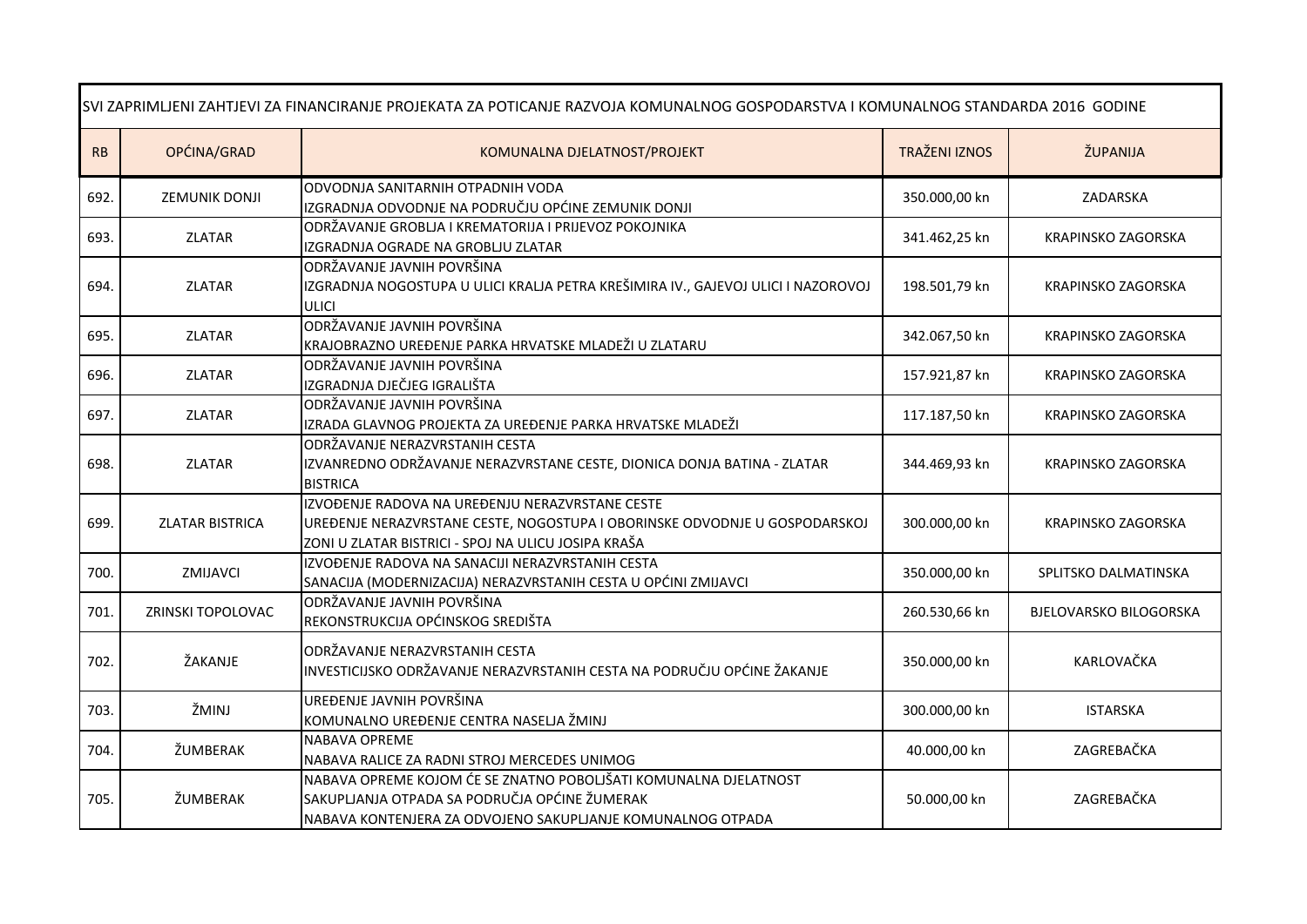| SVI ZAPRIMLJENI ZAHTJEVI ZA FINANCIRANJE PROJEKATA ZA POTICANJE RAZVOJA KOMUNALNOG GOSPODARSTVA I KOMUNALNOG STANDARDA 2016 GODINE |                        |                                                                                                                                                                                      |                      |                               |
|------------------------------------------------------------------------------------------------------------------------------------|------------------------|--------------------------------------------------------------------------------------------------------------------------------------------------------------------------------------|----------------------|-------------------------------|
| RB                                                                                                                                 | OPĆINA/GRAD            | KOMUNALNA DJELATNOST/PROJEKT                                                                                                                                                         | <b>TRAŽENI IZNOS</b> | ŽUPANIJA                      |
| 692.                                                                                                                               | ZEMUNIK DONJI          | ODVODNJA SANITARNIH OTPADNIH VODA<br>IZGRADNJA ODVODNJE NA PODRUČJU OPĆINE ZEMUNIK DONJI                                                                                             | 350.000,00 kn        | ZADARSKA                      |
| 693.                                                                                                                               | <b>ZLATAR</b>          | ODRŽAVANJE GROBLJA I KREMATORIJA I PRIJEVOZ POKOJNIKA<br>IZGRADNJA OGRADE NA GROBLJU ZLATAR                                                                                          | 341.462,25 kn        | KRAPINSKO ZAGORSKA            |
| 694.                                                                                                                               | <b>ZLATAR</b>          | ODRŽAVANJE JAVNIH POVRŠINA<br>IZGRADNJA NOGOSTUPA U ULICI KRALJA PETRA KREŠIMIRA IV., GAJEVOJ ULICI I NAZOROVOJ<br><b>ULICI</b>                                                      | 198.501,79 kn        | KRAPINSKO ZAGORSKA            |
| 695.                                                                                                                               | <b>ZLATAR</b>          | ODRŽAVANJE JAVNIH POVRŠINA<br>KRAJOBRAZNO UREĐENJE PARKA HRVATSKE MLADEŽI U ZLATARU                                                                                                  | 342.067,50 kn        | KRAPINSKO ZAGORSKA            |
| 696.                                                                                                                               | ZLATAR                 | ODRŽAVANJE JAVNIH POVRŠINA<br>IZGRADNJA DJEČJEG IGRALIŠTA                                                                                                                            | 157.921,87 kn        | KRAPINSKO ZAGORSKA            |
| 697.                                                                                                                               | ZLATAR                 | ODRŽAVANJE JAVNIH POVRŠINA<br>IZRADA GLAVNOG PROJEKTA ZA UREĐENJE PARKA HRVATSKE MLADEŽI                                                                                             | 117.187,50 kn        | KRAPINSKO ZAGORSKA            |
| 698.                                                                                                                               | <b>ZLATAR</b>          | ODRŽAVANJE NERAZVRSTANIH CESTA<br>IZVANREDNO ODRŽAVANJE NERAZVRSTANE CESTE, DIONICA DONJA BATINA - ZLATAR<br><b>BISTRICA</b>                                                         | 344.469,93 kn        | KRAPINSKO ZAGORSKA            |
| 699.                                                                                                                               | <b>ZLATAR BISTRICA</b> | IZVOĐENJE RADOVA NA UREĐENJU NERAZVRSTANE CESTE<br>UREĐENJE NERAZVRSTANE CESTE, NOGOSTUPA I OBORINSKE ODVODNJE U GOSPODARSKOJ<br>ZONI U ZLATAR BISTRICI - SPOJ NA ULICU JOSIPA KRAŠA | 300.000,00 kn        | KRAPINSKO ZAGORSKA            |
| 700.                                                                                                                               | ZMIJAVCI               | IZVOĐENJE RADOVA NA SANACIJI NERAZVRSTANIH CESTA<br>SANACIJA (MODERNIZACIJA) NERAZVRSTANIH CESTA U OPĆINI ZMIJAVCI                                                                   | 350.000,00 kn        | SPLITSKO DALMATINSKA          |
| 701.                                                                                                                               | ZRINSKI TOPOLOVAC      | ODRŽAVANJE JAVNIH POVRŠINA<br>REKONSTRUKCIJA OPĆINSKOG SREDIŠTA                                                                                                                      | 260.530,66 kn        | <b>BJELOVARSKO BILOGORSKA</b> |
| 702.                                                                                                                               | ŽAKANJE                | ODRŽAVANJE NERAZVRSTANIH CESTA<br>INVESTICIJSKO ODRŽAVANJE NERAZVRSTANIH CESTA NA PODRUČJU OPĆINE ŽAKANJE                                                                            | 350.000,00 kn        | KARLOVAČKA                    |
| 703.                                                                                                                               | ŽMINJ                  | UREĐENJE JAVNIH POVRŠINA<br>KOMUNALNO UREĐENJE CENTRA NASELJA ŽMINJ                                                                                                                  | 300.000,00 kn        | <b>ISTARSKA</b>               |
| 704.                                                                                                                               | ŽUMBERAK               | <b>NABAVA OPREME</b><br>NABAVA RALICE ZA RADNI STROJ MERCEDES UNIMOG                                                                                                                 | 40.000,00 kn         | ZAGREBAČKA                    |
| 705.                                                                                                                               | ŽUMBERAK               | NABAVA OPREME KOJOM ĆE SE ZNATNO POBOLJŠATI KOMUNALNA DJELATNOST<br>SAKUPLJANJA OTPADA SA PODRUČJA OPĆINE ŽUMERAK<br>NABAVA KONTENJERA ZA ODVOJENO SAKUPLJANJE KOMUNALNOG OTPADA     | 50.000,00 kn         | ZAGREBAČKA                    |